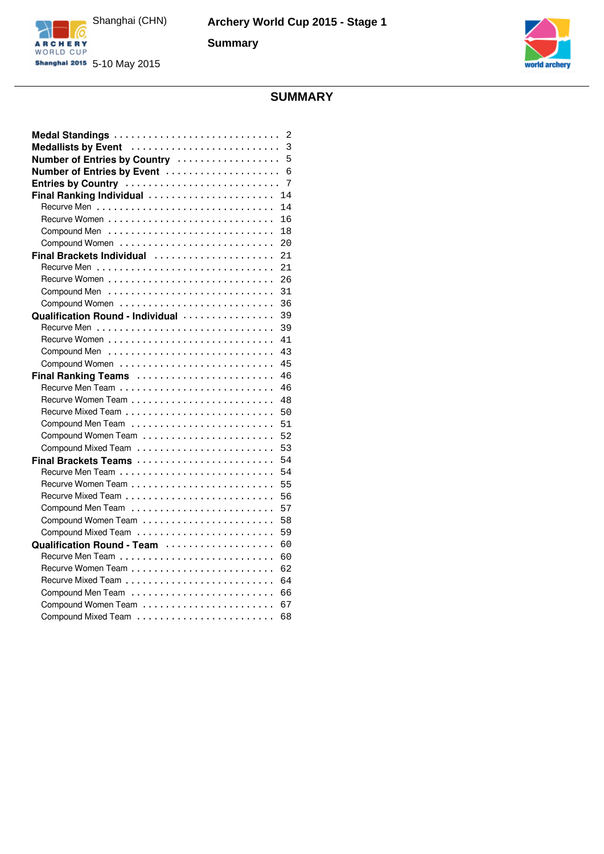

**Summary**





# **SUMMARY**

|                                  | 2  |
|----------------------------------|----|
| Medallists by Event              | 3  |
| Number of Entries by Country     | 5  |
| Number of Entries by Event       | 6  |
| Entries by Country               | 7  |
| Final Ranking Individual         | 14 |
|                                  | 14 |
|                                  | 16 |
|                                  | 18 |
|                                  | 20 |
| Final Brackets Individual        | 21 |
|                                  | 21 |
|                                  | 26 |
|                                  | 31 |
| Compound Women                   | 36 |
| Qualification Round - Individual | 39 |
|                                  | 39 |
|                                  | 41 |
|                                  | 43 |
|                                  | 45 |
| Final Ranking Teams              | 46 |
|                                  | 46 |
|                                  | 48 |
|                                  | 50 |
|                                  | 51 |
|                                  | 52 |
|                                  | 53 |
| Final Brackets Teams             | 54 |
|                                  | 54 |
|                                  | 55 |
|                                  | 56 |
|                                  | 57 |
|                                  | 58 |
|                                  | 59 |
| Qualification Round - Team       | 60 |
|                                  | 60 |
|                                  | 62 |
|                                  | 64 |
|                                  | 66 |
|                                  | 67 |
|                                  | 68 |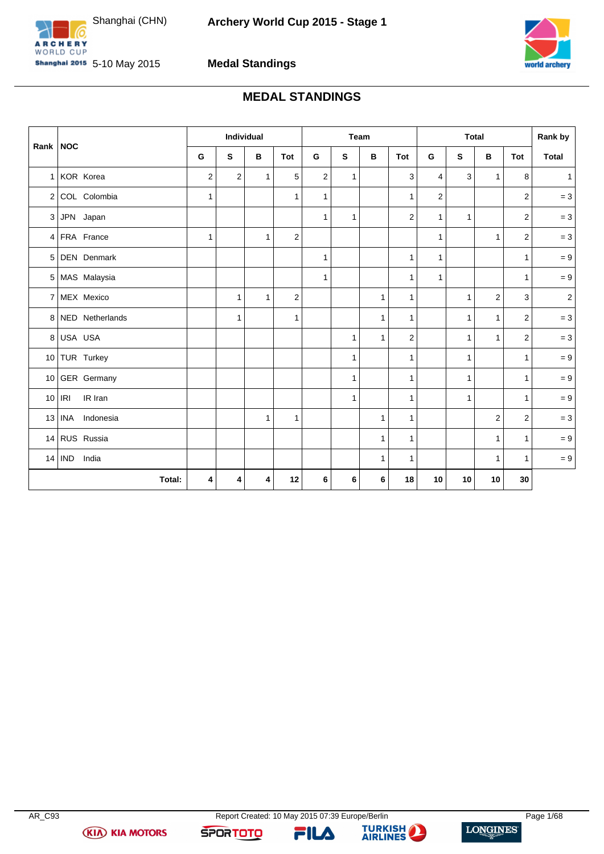

<span id="page-1-0"></span>



### **Medal Standings**

# **MEDAL STANDINGS**

|                 |                     |                | Individual   |              |                |                |              | Team         |                |                  |              | <b>Total</b>   |                         | Rank by        |
|-----------------|---------------------|----------------|--------------|--------------|----------------|----------------|--------------|--------------|----------------|------------------|--------------|----------------|-------------------------|----------------|
| Rank            | <b>NOC</b>          | G              | S            | В            | Tot            | G              | S            | В            | Tot            | G                | S            | в              | Tot                     | <b>Total</b>   |
| 1 <sup>1</sup>  | KOR Korea           | $\overline{c}$ | 2            | $\mathbf{1}$ | 5              | $\overline{2}$ | $\mathbf{1}$ |              | 3              | 4                | 3            | $\mathbf{1}$   | 8                       | $\mathbf{1}$   |
| 2 <sup>1</sup>  | COL Colombia        | $\mathbf{1}$   |              |              | $\mathbf{1}$   | $\mathbf{1}$   |              |              | $\mathbf{1}$   | $\boldsymbol{2}$ |              |                | $\overline{\mathbf{c}}$ | $= 3$          |
| 3               | JPN Japan           |                |              |              |                | $\mathbf{1}$   | 1            |              | $\overline{2}$ | 1                | $\mathbf{1}$ |                | $\overline{2}$          | $= 3$          |
| $\vert$         | FRA France          | $\mathbf{1}$   |              | $\mathbf{1}$ | $\overline{2}$ |                |              |              |                | 1                |              | 1              | $\overline{2}$          | $= 3$          |
| 5               | <b>DEN</b> Denmark  |                |              |              |                | $\mathbf{1}$   |              |              | $\mathbf{1}$   | $\mathbf{1}$     |              |                | $\mathbf{1}$            | $= 9$          |
|                 | 5 MAS Malaysia      |                |              |              |                | $\mathbf{1}$   |              |              | $\mathbf{1}$   | 1                |              |                | $\mathbf{1}$            | $= 9$          |
|                 | 7 MEX Mexico        |                | 1            | 1            | $\overline{2}$ |                |              | $\mathbf{1}$ | $\mathbf{1}$   |                  | $\mathbf{1}$ | $\overline{2}$ | 3                       | $\overline{2}$ |
|                 | 8 NED Netherlands   |                | $\mathbf{1}$ |              | $\mathbf{1}$   |                |              | $\mathbf{1}$ | $\mathbf{1}$   |                  | $\mathbf{1}$ | $\mathbf{1}$   | $\overline{2}$          | $= 3$          |
| 8 <sup>1</sup>  | USA USA             |                |              |              |                |                | 1            | $\mathbf{1}$ | $\overline{2}$ |                  | $\mathbf{1}$ | $\mathbf{1}$   | 2                       | $= 3$          |
|                 | 10 TUR Turkey       |                |              |              |                |                | 1            |              | $\mathbf{1}$   |                  | $\mathbf{1}$ |                | $\mathbf{1}$            | $= 9$          |
|                 | 10 GER Germany      |                |              |              |                |                | 1            |              | $\mathbf{1}$   |                  | $\mathbf{1}$ |                | $\mathbf{1}$            | $= 9$          |
| 10 <sup>1</sup> | IRI<br>IR Iran      |                |              |              |                |                | 1            |              | $\mathbf{1}$   |                  | $\mathbf{1}$ |                | $\mathbf{1}$            | $= 9$          |
| 13              | Indonesia<br>INA    |                |              | $\mathbf{1}$ | 1              |                |              | $\mathbf{1}$ | $\mathbf{1}$   |                  |              | $\overline{2}$ | 2                       | $= 3$          |
| 14              | RUS Russia          |                |              |              |                |                |              | $\mathbf{1}$ | $\mathbf{1}$   |                  |              | $\mathbf{1}$   | $\mathbf{1}$            | $= 9$          |
| 14              | <b>IND</b><br>India |                |              |              |                |                |              | 1            | $\mathbf{1}$   |                  |              | 1              | $\mathbf{1}$            | $= 9$          |
|                 | Total:              | 4              | 4            | 4            | 12             | 6              | 6            | 6            | 18             | 10               | 10           | 10             | 30                      |                |

**(KIA) KIA MOTORS** 

FILA

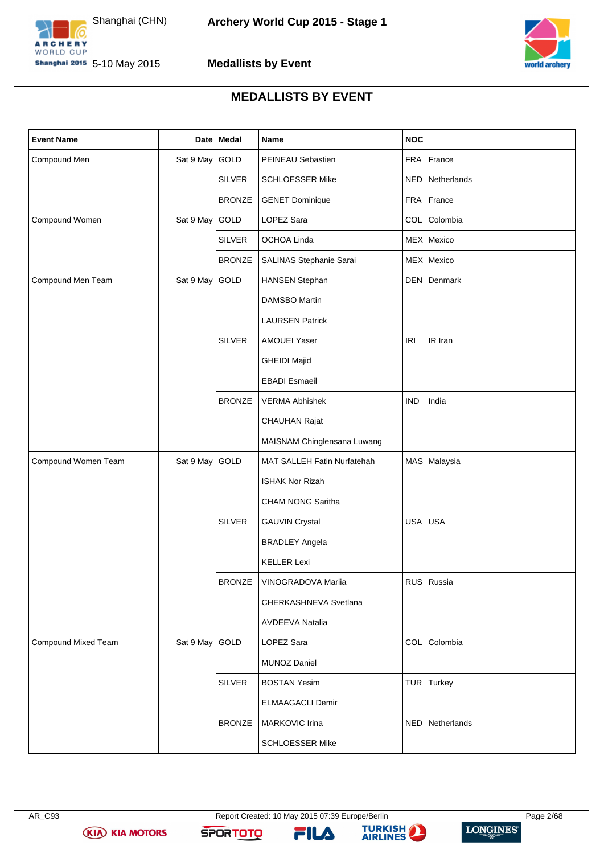



### **Medallists by Event**

### **MEDALLISTS BY EVENT**

<span id="page-2-0"></span>

| <b>Event Name</b>   |                | Date   Medal  | Name                        | <b>NOC</b>          |
|---------------------|----------------|---------------|-----------------------------|---------------------|
| Compound Men        | Sat 9 May      | GOLD          | PEINEAU Sebastien           | FRA France          |
|                     |                | <b>SILVER</b> | <b>SCHLOESSER Mike</b>      | NED Netherlands     |
|                     |                | <b>BRONZE</b> | <b>GENET Dominique</b>      | FRA France          |
| Compound Women      | Sat 9 May GOLD |               | LOPEZ Sara                  | COL Colombia        |
|                     |                | <b>SILVER</b> | OCHOA Linda                 | MEX Mexico          |
|                     |                | <b>BRONZE</b> | SALINAS Stephanie Sarai     | MEX Mexico          |
| Compound Men Team   | Sat 9 May GOLD |               | <b>HANSEN Stephan</b>       | DEN Denmark         |
|                     |                |               | DAMSBO Martin               |                     |
|                     |                |               | <b>LAURSEN Patrick</b>      |                     |
|                     |                | <b>SILVER</b> | AMOUEI Yaser                | IR Iran<br>IRI      |
|                     |                |               | <b>GHEIDI Majid</b>         |                     |
|                     |                |               | <b>EBADI</b> Esmaeil        |                     |
|                     |                | <b>BRONZE</b> | <b>VERMA Abhishek</b>       | India<br><b>IND</b> |
|                     |                |               | CHAUHAN Rajat               |                     |
|                     |                |               | MAISNAM Chinglensana Luwang |                     |
| Compound Women Team | Sat 9 May GOLD |               | MAT SALLEH Fatin Nurfatehah | MAS Malaysia        |
|                     |                |               | ISHAK Nor Rizah             |                     |
|                     |                |               | CHAM NONG Saritha           |                     |
|                     |                | <b>SILVER</b> | <b>GAUVIN Crystal</b>       | USA USA             |
|                     |                |               | <b>BRADLEY Angela</b>       |                     |
|                     |                |               | <b>KELLER Lexi</b>          |                     |
|                     |                | <b>BRONZE</b> | VINOGRADOVA Mariia          | RUS Russia          |
|                     |                |               | CHERKASHNEVA Svetlana       |                     |
|                     |                |               | AVDEEVA Natalia             |                     |
| Compound Mixed Team | Sat 9 May GOLD |               | LOPEZ Sara                  | COL Colombia        |
|                     |                |               | <b>MUNOZ Daniel</b>         |                     |
|                     |                | <b>SILVER</b> | <b>BOSTAN Yesim</b>         | TUR Turkey          |
|                     |                |               | <b>ELMAAGACLI Demir</b>     |                     |
|                     |                | <b>BRONZE</b> | MARKOVIC Irina              | NED Netherlands     |
|                     |                |               | <b>SCHLOESSER Mike</b>      |                     |

**(KIA) KIA MOTORS** 

FILA

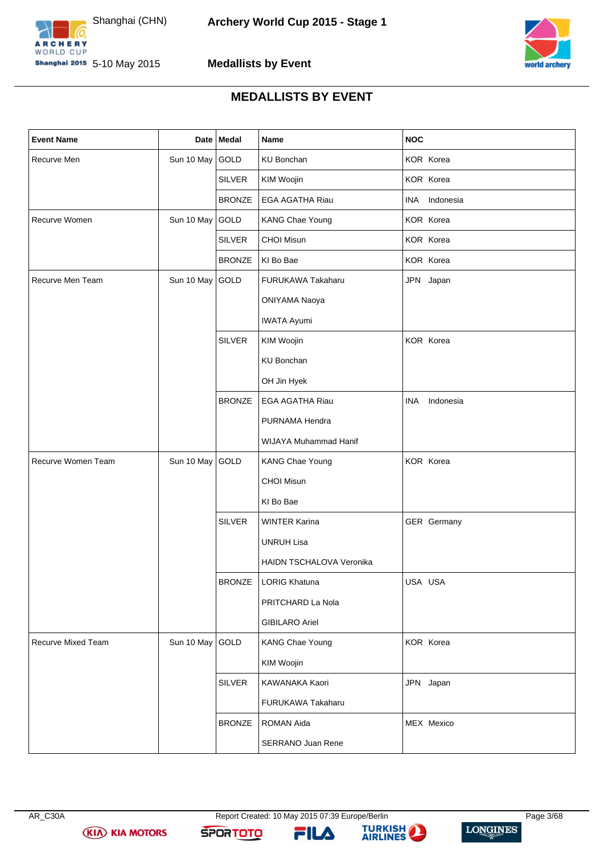



### **Medallists by Event**

### **MEDALLISTS BY EVENT**

| <b>Event Name</b>  |                 | Date   Medal  | Name                     | <b>NOC</b>    |
|--------------------|-----------------|---------------|--------------------------|---------------|
| Recurve Men        | Sun 10 May      | GOLD          | <b>KU Bonchan</b>        | KOR Korea     |
|                    |                 | <b>SILVER</b> | KIM Woojin               | KOR Korea     |
|                    |                 | <b>BRONZE</b> | EGA AGATHA Riau          | INA Indonesia |
| Recurve Women      | Sun 10 May GOLD |               | KANG Chae Young          | KOR Korea     |
|                    |                 | <b>SILVER</b> | CHOI Misun               | KOR Korea     |
|                    |                 | <b>BRONZE</b> | KI Bo Bae                | KOR Korea     |
| Recurve Men Team   | Sun 10 May GOLD |               | FURUKAWA Takaharu        | JPN Japan     |
|                    |                 |               | ONIYAMA Naoya            |               |
|                    |                 |               | <b>IWATA Ayumi</b>       |               |
|                    |                 | <b>SILVER</b> | KIM Woojin               | KOR Korea     |
|                    |                 |               | <b>KU Bonchan</b>        |               |
|                    |                 |               | OH Jin Hyek              |               |
|                    |                 | <b>BRONZE</b> | <b>EGA AGATHA Riau</b>   | INA Indonesia |
|                    |                 |               | PURNAMA Hendra           |               |
|                    |                 |               | WIJAYA Muhammad Hanif    |               |
| Recurve Women Team | Sun 10 May GOLD |               | KANG Chae Young          | KOR Korea     |
|                    |                 |               | <b>CHOI Misun</b>        |               |
|                    |                 |               | KI Bo Bae                |               |
|                    |                 | <b>SILVER</b> | <b>WINTER Karina</b>     | GER Germany   |
|                    |                 |               | <b>UNRUH Lisa</b>        |               |
|                    |                 |               | HAIDN TSCHALOVA Veronika |               |
|                    |                 | <b>BRONZE</b> | LORIG Khatuna            | USA USA       |
|                    |                 |               | PRITCHARD La Nola        |               |
|                    |                 |               | <b>GIBILARO Ariel</b>    |               |
| Recurve Mixed Team | Sun 10 May GOLD |               | <b>KANG Chae Young</b>   | KOR Korea     |
|                    |                 |               | KIM Woojin               |               |
|                    |                 | <b>SILVER</b> | KAWANAKA Kaori           | JPN Japan     |
|                    |                 |               | FURUKAWA Takaharu        |               |
|                    |                 | <b>BRONZE</b> | ROMAN Aida               | MEX Mexico    |
|                    |                 |               | SERRANO Juan Rene        |               |

**(KIA) KIA MOTORS** 

FILA

**SPORTOTO** 



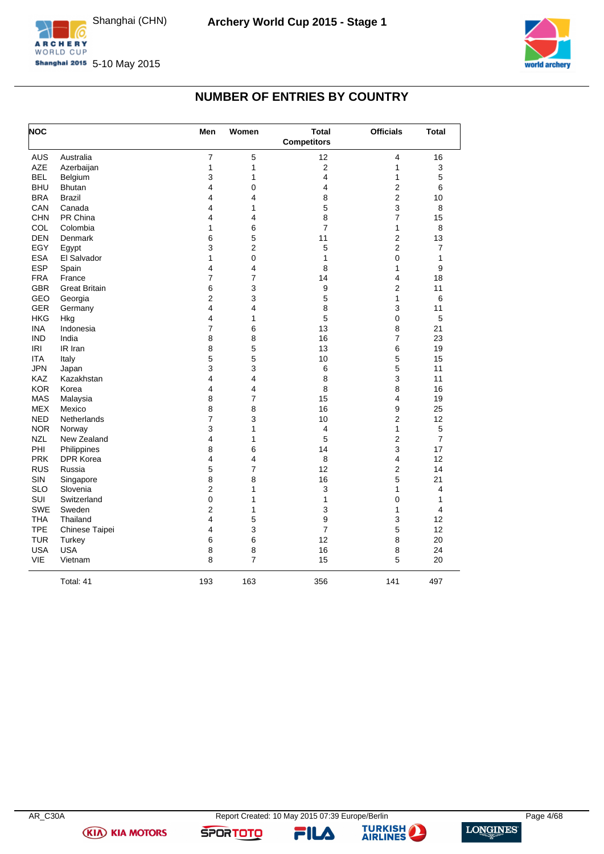



# **NUMBER OF ENTRIES BY COUNTRY**

<span id="page-4-0"></span>

| <b>NOC</b> |                      | Men            | Women               | <b>Total</b><br><b>Competitors</b> | <b>Officials</b> | <b>Total</b>   |
|------------|----------------------|----------------|---------------------|------------------------------------|------------------|----------------|
| <b>AUS</b> | Australia            | $\overline{7}$ | 5                   | 12                                 | 4                | 16             |
| AZE        | Azerbaijan           | 1              | 1                   | $\overline{c}$                     | 1                | 3              |
| <b>BEL</b> | Belgium              | 3              | 1                   | 4                                  | 1                | 5              |
| <b>BHU</b> | <b>Bhutan</b>        | 4              | 0                   | 4                                  | 2                | 6              |
| <b>BRA</b> | <b>Brazil</b>        | 4              | 4                   | 8                                  | 2                | 10             |
| CAN        | Canada               | 4              | 1                   | 5                                  | 3                | 8              |
| <b>CHN</b> | PR China             | 4              | 4                   | 8                                  | 7                | 15             |
| COL        | Colombia             | 1              | 6                   | $\overline{7}$                     | 1                | 8              |
| <b>DEN</b> | Denmark              | 6              | 5                   | 11                                 | 2                | 13             |
| EGY        | Egypt                | 3              | 2                   | 5                                  | 2                | 7              |
| <b>ESA</b> | El Salvador          | 1              | $\pmb{0}$           | 1                                  | $\mathsf 0$      | 1              |
| <b>ESP</b> | Spain                | 4              | 4                   | 8                                  | 1                | 9              |
| <b>FRA</b> | France               | $\overline{7}$ | $\overline{7}$      | 14                                 | 4                | 18             |
| <b>GBR</b> | <b>Great Britain</b> | 6              | 3                   | 9                                  | 2                | 11             |
| GEO        | Georgia              | 2              | 3                   | 5                                  | 1                | 6              |
| <b>GER</b> | Germany              | 4              | 4                   | 8                                  | 3                | 11             |
| <b>HKG</b> | Hkg                  | 4              | 1                   | 5                                  | 0                | 5              |
| <b>INA</b> | Indonesia            | $\overline{7}$ | 6                   | 13                                 | 8                | 21             |
| <b>IND</b> | India                | 8              | 8                   | 16                                 | 7                | 23             |
| <b>IRI</b> | IR Iran              | 8              | 5                   | 13                                 | 6                | 19             |
| <b>ITA</b> | Italy                | 5              | 5                   | 10                                 | 5                | 15             |
| <b>JPN</b> | Japan                | 3              | 3                   | $\,6$                              | 5                | 11             |
| <b>KAZ</b> | Kazakhstan           | 4              | 4                   | 8                                  | 3                | 11             |
| <b>KOR</b> | Korea                | 4              | 4                   | 8                                  | 8                | 16             |
| <b>MAS</b> | Malaysia             | 8              | $\overline{7}$      | 15                                 | 4                | 19             |
| <b>MEX</b> | Mexico               | 8              | 8                   | 16                                 | 9                | 25             |
| <b>NED</b> | Netherlands          | $\overline{7}$ | 3                   | 10                                 | 2                | 12             |
| <b>NOR</b> | Norway               | 3              | 1                   | 4                                  | 1                | 5              |
| <b>NZL</b> | New Zealand          | 4              | 1                   | 5                                  | $\overline{2}$   | $\overline{7}$ |
| PHI        | Philippines          | 8              | 6                   | 14                                 | 3                | 17             |
| <b>PRK</b> | <b>DPR Korea</b>     | 4              | 4                   | 8                                  | 4                | 12             |
| <b>RUS</b> | Russia               | 5              | 7                   | 12                                 | 2                | 14             |
| SIN        | Singapore            | 8              | 8                   | 16                                 | 5                | 21             |
| <b>SLO</b> | Slovenia             | $\overline{2}$ | 1                   | 3                                  | 1                | 4              |
| <b>SUI</b> | Switzerland          | 0              | 1                   | 1                                  | 0                | 1              |
| <b>SWE</b> | Sweden               | 2              | 1                   | 3                                  | 1                | 4              |
| <b>THA</b> | Thailand             | 4              | 5                   | 9                                  | 3                | 12             |
| <b>TPE</b> | Chinese Taipei       | 4              | 3                   | $\overline{7}$                     | 5                | 12             |
| <b>TUR</b> |                      | 6              | $\,6$               | 12                                 | 8                | 20             |
| <b>USA</b> | Turkey<br><b>USA</b> |                |                     | 16                                 |                  | 24             |
| VIE        |                      | 8<br>8         | 8<br>$\overline{7}$ | 15                                 | 8<br>5           | 20             |
|            | Vietnam              |                |                     |                                    |                  |                |
|            | Total: 41            | 193            | 163                 | 356                                | 141              | 497            |

**(KIA) KIA MOTORS** 

**SPORTOTO** 

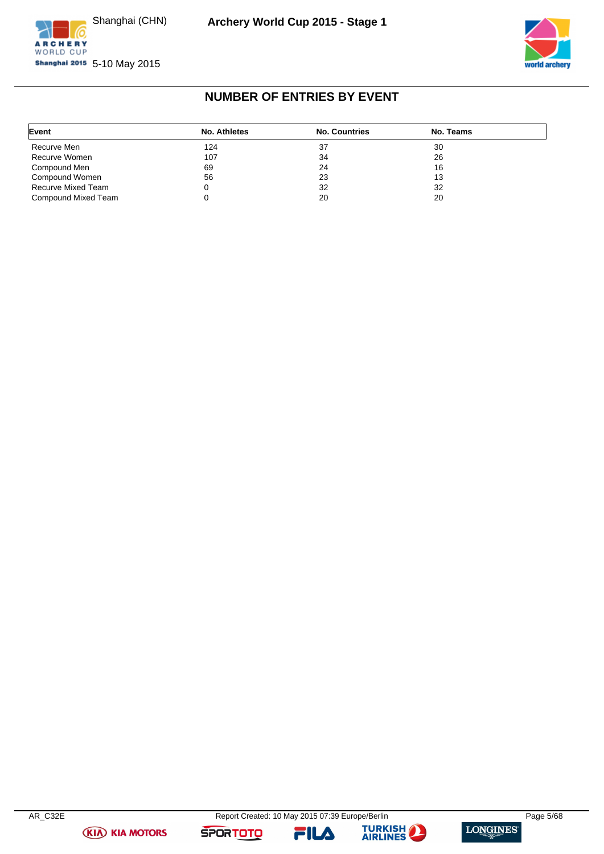



# **NUMBER OF ENTRIES BY EVENT**

<span id="page-5-0"></span>

| Event               | No. Athletes | <b>No. Countries</b> | No. Teams |  |
|---------------------|--------------|----------------------|-----------|--|
| Recurve Men         | 124          | 37                   | 30        |  |
| Recurve Women       | 107          | 34                   | 26        |  |
| Compound Men        | 69           | 24                   | 16        |  |
| Compound Women      | 56           | 23                   | 13        |  |
| Recurve Mixed Team  |              | 32                   | 32        |  |
| Compound Mixed Team |              | 20                   | 20        |  |





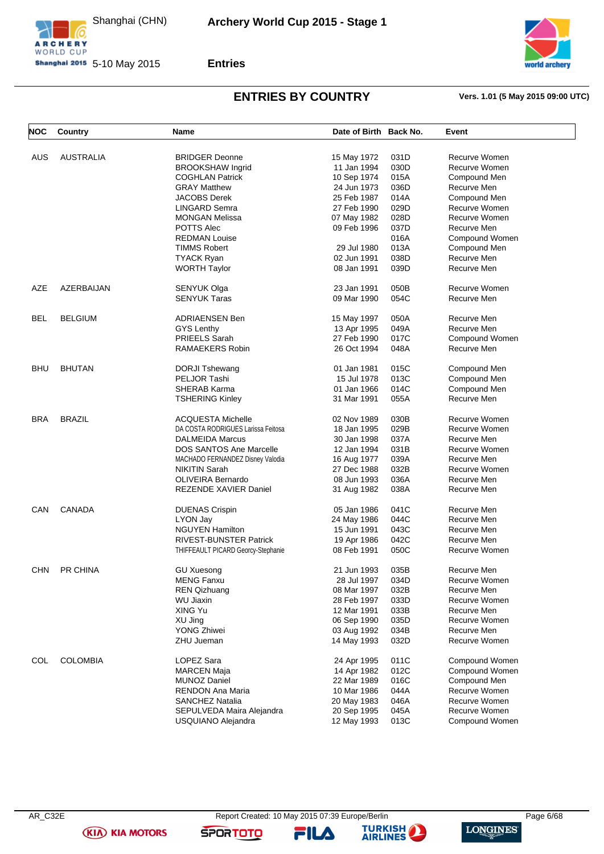



**Shanghai 2015** 5-10 May 2015



# **ENTRIES BY COUNTRY Vers. 1.01 (5 May 2015 09:00 UTC)**

<span id="page-6-0"></span>

| <b>NOC</b> | Country          | Name                               | Date of Birth Back No. |      | Event          |
|------------|------------------|------------------------------------|------------------------|------|----------------|
|            |                  |                                    |                        |      |                |
| <b>AUS</b> | <b>AUSTRALIA</b> | <b>BRIDGER Deonne</b>              | 15 May 1972            | 031D | Recurve Women  |
|            |                  | <b>BROOKSHAW Ingrid</b>            | 11 Jan 1994            | 030D | Recurve Women  |
|            |                  | <b>COGHLAN Patrick</b>             | 10 Sep 1974            | 015A | Compound Men   |
|            |                  | <b>GRAY Matthew</b>                | 24 Jun 1973            | 036D | Recurve Men    |
|            |                  | <b>JACOBS Derek</b>                | 25 Feb 1987            | 014A | Compound Men   |
|            |                  |                                    |                        |      |                |
|            |                  | LINGARD Semra                      | 27 Feb 1990            | 029D | Recurve Women  |
|            |                  | <b>MONGAN Melissa</b>              | 07 May 1982            | 028D | Recurve Women  |
|            |                  | POTTS Alec                         | 09 Feb 1996            | 037D | Recurve Men    |
|            |                  | <b>REDMAN Louise</b>               |                        | 016A | Compound Women |
|            |                  | <b>TIMMS Robert</b>                | 29 Jul 1980            | 013A | Compound Men   |
|            |                  | <b>TYACK Ryan</b>                  | 02 Jun 1991            | 038D | Recurve Men    |
|            |                  | <b>WORTH Taylor</b>                | 08 Jan 1991            | 039D | Recurve Men    |
| AZE        | AZERBAIJAN       | SENYUK Olga                        | 23 Jan 1991            | 050B | Recurve Women  |
|            |                  | <b>SENYUK Taras</b>                | 09 Mar 1990            | 054C | Recurve Men    |
|            |                  |                                    |                        |      |                |
| <b>BEL</b> | <b>BELGIUM</b>   | <b>ADRIAENSEN Ben</b>              | 15 May 1997            | 050A | Recurve Men    |
|            |                  | <b>GYS Lenthy</b>                  | 13 Apr 1995            | 049A | Recurve Men    |
|            |                  | <b>PRIEELS Sarah</b>               | 27 Feb 1990            | 017C | Compound Women |
|            |                  | RAMAEKERS Robin                    | 26 Oct 1994            | 048A | Recurve Men    |
|            |                  |                                    |                        |      |                |
| <b>BHU</b> | <b>BHUTAN</b>    | <b>DORJI Tshewang</b>              | 01 Jan 1981            | 015C | Compound Men   |
|            |                  | PELJOR Tashi                       | 15 Jul 1978            | 013C | Compound Men   |
|            |                  | SHERAB Karma                       | 01 Jan 1966            | 014C | Compound Men   |
|            |                  | <b>TSHERING Kinley</b>             | 31 Mar 1991            | 055A | Recurve Men    |
| <b>BRA</b> | <b>BRAZIL</b>    | <b>ACQUESTA Michelle</b>           | 02 Nov 1989            | 030B | Recurve Women  |
|            |                  | DA COSTA RODRIGUES Larissa Feitosa | 18 Jan 1995            | 029B | Recurve Women  |
|            |                  | DALMEIDA Marcus                    | 30 Jan 1998            | 037A | Recurve Men    |
|            |                  |                                    |                        |      |                |
|            |                  | DOS SANTOS Ane Marcelle            | 12 Jan 1994            | 031B | Recurve Women  |
|            |                  | MACHADO FERNANDEZ Disney Valodia   | 16 Aug 1977            | 039A | Recurve Men    |
|            |                  | <b>NIKITIN Sarah</b>               | 27 Dec 1988            | 032B | Recurve Women  |
|            |                  | <b>OLIVEIRA Bernardo</b>           | 08 Jun 1993            | 036A | Recurve Men    |
|            |                  | REZENDE XAVIER Daniel              | 31 Aug 1982            | 038A | Recurve Men    |
| CAN        | <b>CANADA</b>    | <b>DUENAS Crispin</b>              | 05 Jan 1986            | 041C | Recurve Men    |
|            |                  | LYON Jay                           | 24 May 1986            | 044C | Recurve Men    |
|            |                  | <b>NGUYEN Hamilton</b>             | 15 Jun 1991            | 043C | Recurve Men    |
|            |                  | <b>RIVEST-BUNSTER Patrick</b>      | 19 Apr 1986            | 042C | Recurve Men    |
|            |                  |                                    |                        |      |                |
|            |                  | THIFFEAULT PICARD Georcy-Stephanie | 08 Feb 1991            | 050C | Recurve Women  |
| <b>CHN</b> | PR CHINA         | <b>GU Xuesong</b>                  | 21 Jun 1993            | 035B | Recurve Men    |
|            |                  | <b>MENG Fanxu</b>                  | 28 Jul 1997            | 034D | Recurve Women  |
|            |                  | <b>REN Qizhuang</b>                | 08 Mar 1997            | 032B | Recurve Men    |
|            |                  | <b>WU Jiaxin</b>                   | 28 Feb 1997            | 033D | Recurve Women  |
|            |                  | XING Yu                            | 12 Mar 1991            | 033B | Recurve Men    |
|            |                  | XU Jing                            | 06 Sep 1990            | 035D | Recurve Women  |
|            |                  |                                    |                        |      |                |
|            |                  | <b>YONG Zhiwei</b>                 | 03 Aug 1992            | 034B | Recurve Men    |
|            |                  | ZHU Jueman                         | 14 May 1993            | 032D | Recurve Women  |
| COL        | <b>COLOMBIA</b>  | LOPEZ Sara                         | 24 Apr 1995            | 011C | Compound Women |
|            |                  | <b>MARCEN Maja</b>                 | 14 Apr 1982            | 012C | Compound Women |
|            |                  | <b>MUNOZ Daniel</b>                | 22 Mar 1989            | 016C | Compound Men   |
|            |                  | RENDON Ana Maria                   | 10 Mar 1986            | 044A | Recurve Women  |
|            |                  |                                    |                        |      |                |
|            |                  | <b>SANCHEZ Natalia</b>             | 20 May 1983            | 046A | Recurve Women  |
|            |                  | SEPULVEDA Maira Alejandra          | 20 Sep 1995            | 045A | Recurve Women  |
|            |                  | USQUIANO Alejandra                 | 12 May 1993            | 013C | Compound Women |

**(KIA) KIA MOTORS** 

AR\_C32E Report Created: 10 May 2015 07:39 Europe/Berlin Page 6/68 **TURKISH** 

FILA

**SPORTOTO**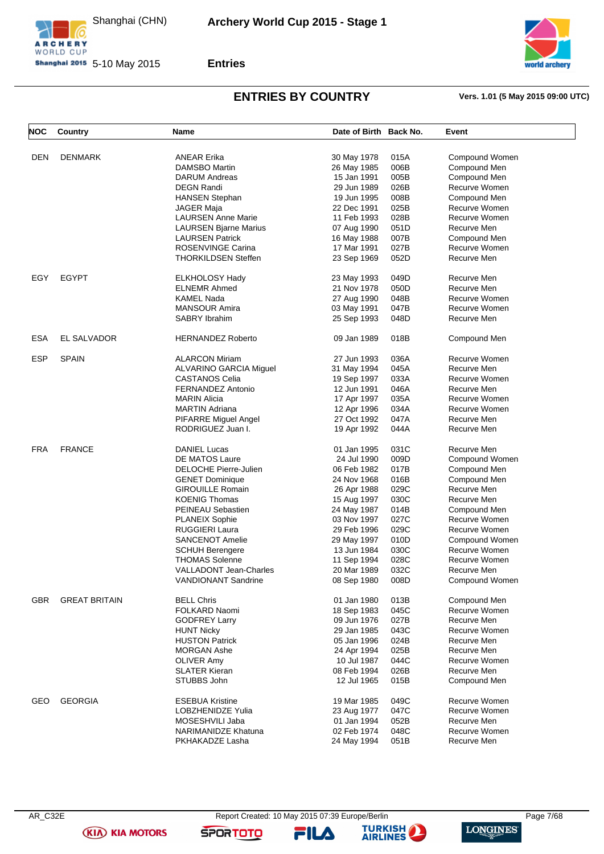





# **ENTRIES BY COUNTRY Vers. 1.01 (5 May 2015 09:00 UTC)**

| <b>NOC</b> | <b>Country</b>       | Name                          | Date of Birth Back No.     |      | Event                        |
|------------|----------------------|-------------------------------|----------------------------|------|------------------------------|
| DEN        | <b>DENMARK</b>       | <b>ANEAR Erika</b>            | 30 May 1978                | 015A | Compound Women               |
|            |                      | DAMSBO Martin                 | 26 May 1985                | 006B | Compound Men                 |
|            |                      | <b>DARUM Andreas</b>          | 15 Jan 1991                | 005B | Compound Men                 |
|            |                      | <b>DEGN Randi</b>             | 29 Jun 1989                | 026B | Recurve Women                |
|            |                      | <b>HANSEN Stephan</b>         | 19 Jun 1995                | 008B | Compound Men                 |
|            |                      | <b>JAGER Maja</b>             | 22 Dec 1991                | 025B | Recurve Women                |
|            |                      | <b>LAURSEN Anne Marie</b>     | 11 Feb 1993                | 028B | Recurve Women                |
|            |                      | <b>LAURSEN Bjarne Marius</b>  | 07 Aug 1990                | 051D | Recurve Men                  |
|            |                      | <b>LAURSEN Patrick</b>        | 16 May 1988                | 007B | Compound Men                 |
|            |                      | ROSENVINGE Carina             |                            | 027B |                              |
|            |                      | <b>THORKILDSEN Steffen</b>    | 17 Mar 1991<br>23 Sep 1969 | 052D | Recurve Women<br>Recurve Men |
|            |                      |                               |                            |      |                              |
| EGY        | <b>EGYPT</b>         | <b>ELKHOLOSY Hady</b>         | 23 May 1993                | 049D | Recurve Men                  |
|            |                      | <b>ELNEMR Ahmed</b>           | 21 Nov 1978                | 050D | Recurve Men                  |
|            |                      | <b>KAMEL Nada</b>             | 27 Aug 1990                | 048B | Recurve Women                |
|            |                      | <b>MANSOUR Amira</b>          | 03 May 1991                | 047B | Recurve Women                |
|            |                      | <b>SABRY Ibrahim</b>          | 25 Sep 1993                | 048D | Recurve Men                  |
| <b>ESA</b> | <b>EL SALVADOR</b>   | <b>HERNANDEZ Roberto</b>      | 09 Jan 1989                | 018B | Compound Men                 |
|            |                      |                               |                            |      |                              |
| <b>ESP</b> | <b>SPAIN</b>         | <b>ALARCON Miriam</b>         | 27 Jun 1993                | 036A | Recurve Women                |
|            |                      | <b>ALVARINO GARCIA Miguel</b> | 31 May 1994                | 045A | Recurve Men                  |
|            |                      | <b>CASTANOS Celia</b>         | 19 Sep 1997                | 033A | Recurve Women                |
|            |                      | FERNANDEZ Antonio             | 12 Jun 1991                | 046A | Recurve Men                  |
|            |                      | <b>MARIN Alicia</b>           | 17 Apr 1997                | 035A | Recurve Women                |
|            |                      | <b>MARTIN Adriana</b>         | 12 Apr 1996                | 034A | Recurve Women                |
|            |                      | PIFARRE Miguel Angel          | 27 Oct 1992                | 047A | Recurve Men                  |
|            |                      | RODRIGUEZ Juan I.             | 19 Apr 1992                | 044A | Recurve Men                  |
| <b>FRA</b> | <b>FRANCE</b>        | <b>DANIEL Lucas</b>           | 01 Jan 1995                | 031C | Recurve Men                  |
|            |                      | DE MATOS Laure                | 24 Jul 1990                | 009D | Compound Women               |
|            |                      | <b>DELOCHE Pierre-Julien</b>  | 06 Feb 1982                | 017B | Compound Men                 |
|            |                      | <b>GENET Dominique</b>        | 24 Nov 1968                | 016B | Compound Men                 |
|            |                      | <b>GIROUILLE Romain</b>       | 26 Apr 1988                | 029C | Recurve Men                  |
|            |                      | <b>KOENIG Thomas</b>          | 15 Aug 1997                | 030C | Recurve Men                  |
|            |                      | <b>PEINEAU Sebastien</b>      | 24 May 1987                | 014B | Compound Men                 |
|            |                      | <b>PLANEIX Sophie</b>         | 03 Nov 1997                | 027C | Recurve Women                |
|            |                      | <b>RUGGIERI Laura</b>         | 29 Feb 1996                | 029C | Recurve Women                |
|            |                      | <b>SANCENOT Amelie</b>        | 29 May 1997                | 010D | Compound Women               |
|            |                      | <b>SCHUH Berengere</b>        | 13 Jun 1984                | 030C | Recurve Women                |
|            |                      | <b>THOMAS Solenne</b>         | 11 Sep 1994                | 028C | Recurve Women                |
|            |                      | <b>VALLADONT Jean-Charles</b> | 20 Mar 1989                | 032C | Recurve Men                  |
|            |                      | VANDIONANT Sandrine           | 08 Sep 1980                | 008D | Compound Women               |
| <b>GBR</b> | <b>GREAT BRITAIN</b> | <b>BELL Chris</b>             | 01 Jan 1980                | 013B | Compound Men                 |
|            |                      | FOLKARD Naomi                 | 18 Sep 1983                | 045C | Recurve Women                |
|            |                      | <b>GODFREY Larry</b>          | 09 Jun 1976                | 027B | Recurve Men                  |
|            |                      | <b>HUNT Nicky</b>             | 29 Jan 1985                | 043C | Recurve Women                |
|            |                      | <b>HUSTON Patrick</b>         | 05 Jan 1996                | 024B | Recurve Men                  |
|            |                      | <b>MORGAN Ashe</b>            | 24 Apr 1994                | 025B | Recurve Men                  |
|            |                      | OLIVER Amy                    | 10 Jul 1987                | 044C | Recurve Women                |
|            |                      | <b>SLATER Kieran</b>          | 08 Feb 1994                | 026B | Recurve Men                  |
|            |                      | STUBBS John                   | 12 Jul 1965                | 015B | Compound Men                 |
|            |                      |                               |                            |      |                              |
| GEO        | <b>GEORGIA</b>       | <b>ESEBUA Kristine</b>        | 19 Mar 1985                | 049C | Recurve Women                |
|            |                      | LOBZHENIDZE Yulia             | 23 Aug 1977                | 047C | Recurve Women                |
|            |                      | MOSESHVILI Jaba               | 01 Jan 1994                | 052B | Recurve Men                  |
|            |                      | NARIMANIDZE Khatuna           | 02 Feb 1974                | 048C | Recurve Women                |
|            |                      | PKHAKADZE Lasha               | 24 May 1994                | 051B | Recurve Men                  |

**(KIA) KIA MOTORS** 

FILA



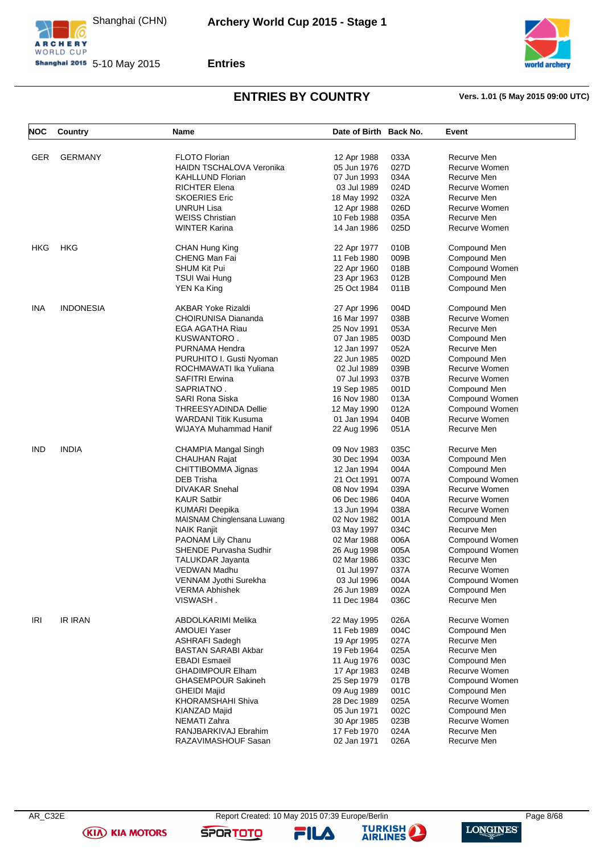





### **ENTRIES BY COUNTRY Vers. 1.01 (5 May 2015 09:00 UTC)**

| <b>NOC</b> | Country          | Name                            | Date of Birth Back No. |      | Event          |
|------------|------------------|---------------------------------|------------------------|------|----------------|
| <b>GER</b> | <b>GERMANY</b>   | <b>FLOTO Florian</b>            | 12 Apr 1988            | 033A | Recurve Men    |
|            |                  | <b>HAIDN TSCHALOVA Veronika</b> | 05 Jun 1976            | 027D | Recurve Women  |
|            |                  | KAHLLUND Florian                | 07 Jun 1993            | 034A | Recurve Men    |
|            |                  | <b>RICHTER Elena</b>            | 03 Jul 1989            | 024D | Recurve Women  |
|            |                  | <b>SKOERIES Eric</b>            | 18 May 1992            | 032A | Recurve Men    |
|            |                  | UNRUH Lisa                      | 12 Apr 1988            | 026D | Recurve Women  |
|            |                  | <b>WEISS Christian</b>          | 10 Feb 1988            | 035A | Recurve Men    |
|            |                  | WINTER Karina                   | 14 Jan 1986            | 025D | Recurve Women  |
| <b>HKG</b> | <b>HKG</b>       | CHAN Hung King                  | 22 Apr 1977            | 010B | Compound Men   |
|            |                  | CHENG Man Fai                   | 11 Feb 1980            | 009B | Compound Men   |
|            |                  |                                 |                        |      |                |
|            |                  | SHUM Kit Pui                    | 22 Apr 1960            | 018B | Compound Women |
|            |                  | TSUI Wai Hung                   | 23 Apr 1963            | 012B | Compound Men   |
|            |                  | YEN Ka King                     | 25 Oct 1984            | 011B | Compound Men   |
| INA        | <b>INDONESIA</b> | AKBAR Yoke Rizaldi              | 27 Apr 1996            | 004D | Compound Men   |
|            |                  | CHOIRUNISA Diananda             | 16 Mar 1997            | 038B | Recurve Women  |
|            |                  | EGA AGATHA Riau                 | 25 Nov 1991            | 053A | Recurve Men    |
|            |                  | KUSWANTORO .                    | 07 Jan 1985            | 003D | Compound Men   |
|            |                  | PURNAMA Hendra                  | 12 Jan 1997            | 052A | Recurve Men    |
|            |                  | PURUHITO I. Gusti Nyoman        | 22 Jun 1985            | 002D | Compound Men   |
|            |                  | ROCHMAWATI Ika Yuliana          | 02 Jul 1989            | 039B | Recurve Women  |
|            |                  | <b>SAFITRI Erwina</b>           | 07 Jul 1993            | 037B | Recurve Women  |
|            |                  | SAPRIATNO.                      | 19 Sep 1985            | 001D | Compound Men   |
|            |                  | SARI Rona Siska                 | 16 Nov 1980            | 013A | Compound Women |
|            |                  | THREESYADINDA Dellie            | 12 May 1990            | 012A | Compound Women |
|            |                  | WARDANI Titik Kusuma            | 01 Jan 1994            | 040B | Recurve Women  |
|            |                  | WIJAYA Muhammad Hanif           | 22 Aug 1996            | 051A | Recurve Men    |
| IND        | <b>INDIA</b>     | CHAMPIA Mangal Singh            | 09 Nov 1983            | 035C | Recurve Men    |
|            |                  | <b>CHAUHAN Rajat</b>            | 30 Dec 1994            | 003A | Compound Men   |
|            |                  | CHITTIBOMMA Jignas              | 12 Jan 1994            | 004A | Compound Men   |
|            |                  | DEB Trisha                      | 21 Oct 1991            | 007A | Compound Women |
|            |                  | <b>DIVAKAR Snehal</b>           | 08 Nov 1994            | 039A | Recurve Women  |
|            |                  | KAUR Satbir                     | 06 Dec 1986            | 040A | Recurve Women  |
|            |                  | <b>KUMARI Deepika</b>           | 13 Jun 1994            | 038A | Recurve Women  |
|            |                  | MAISNAM Chinglensana Luwang     | 02 Nov 1982            | 001A | Compound Men   |
|            |                  | <b>NAIK Ranjit</b>              | 03 May 1997            | 034C | Recurve Men    |
|            |                  | <b>PAONAM Lily Chanu</b>        | 02 Mar 1988            | 006A | Compound Women |
|            |                  | <b>SHENDE Purvasha Sudhir</b>   | 26 Aug 1998            | 005A | Compound Women |
|            |                  | <b>TALUKDAR Jayanta</b>         | 02 Mar 1986            | 033C | Recurve Men    |
|            |                  | VEDWAN Madhu                    | 01 Jul 1997            | 037A | Recurve Women  |
|            |                  | VENNAM Jyothi Surekha           | 03 Jul 1996            | 004A | Compound Women |
|            |                  | <b>VERMA Abhishek</b>           | 26 Jun 1989            | 002A | Compound Men   |
|            |                  | VISWASH.                        | 11 Dec 1984            | 036C | Recurve Men    |
| IRI        | <b>IR IRAN</b>   | ABDOLKARIMI Melika              | 22 May 1995            | 026A | Recurve Women  |
|            |                  | <b>AMOUEI Yaser</b>             | 11 Feb 1989            | 004C | Compound Men   |
|            |                  | <b>ASHRAFI Sadegh</b>           | 19 Apr 1995            | 027A | Recurve Men    |
|            |                  | <b>BASTAN SARABI Akbar</b>      | 19 Feb 1964            | 025A | Recurve Men    |
|            |                  | EBADI Esmaeil                   | 11 Aug 1976            | 003C | Compound Men   |
|            |                  |                                 |                        |      |                |
|            |                  | <b>GHADIMPOUR Elham</b>         | 17 Apr 1983            | 024B | Recurve Women  |
|            |                  | <b>GHASEMPOUR Sakineh</b>       | 25 Sep 1979            | 017B | Compound Women |
|            |                  | <b>GHEIDI Majid</b>             | 09 Aug 1989            | 001C | Compound Men   |
|            |                  | KHORAMSHAHI Shiva               | 28 Dec 1989            | 025A | Recurve Women  |
|            |                  | KIANZAD Majid                   | 05 Jun 1971            | 002C | Compound Men   |
|            |                  | NEMATI Zahra                    | 30 Apr 1985            | 023B | Recurve Women  |
|            |                  | RANJBARKIVAJ Ebrahim            | 17 Feb 1970            | 024A | Recurve Men    |
|            |                  | RAZAVIMASHOUF Sasan             | 02 Jan 1971            | 026A | Recurve Men    |

**(KIA) KIA MOTORS** 

AR\_C32E Report Created: 10 May 2015 07:39 Europe/Berlin Page 8/68

FILA



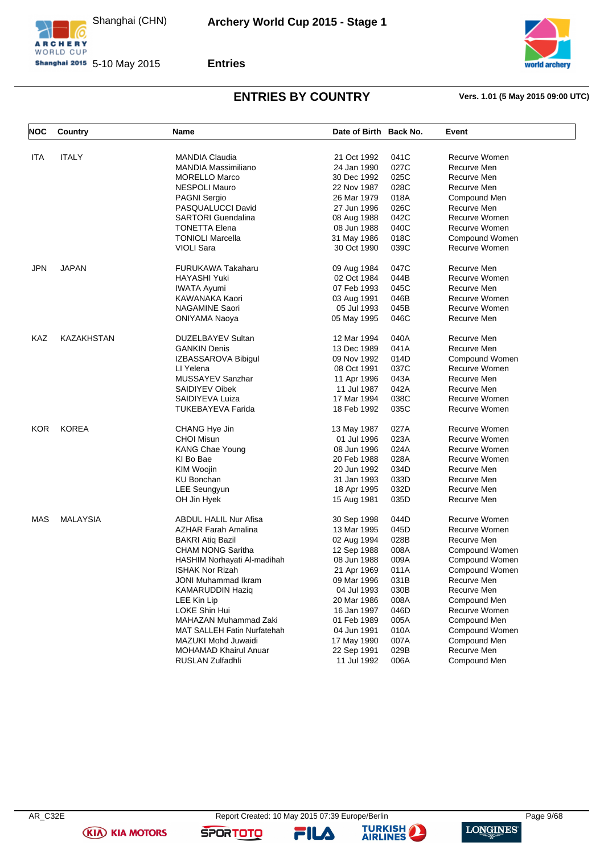





# **ENTRIES BY COUNTRY Vers. 1.01 (5 May 2015 09:00 UTC)**

| <b>NOC</b> | Country           | Name                               | Date of Birth Back No. |      | Event          |
|------------|-------------------|------------------------------------|------------------------|------|----------------|
| ITA        | <b>ITALY</b>      | <b>MANDIA Claudia</b>              | 21 Oct 1992            | 041C | Recurve Women  |
|            |                   | <b>MANDIA Massimiliano</b>         | 24 Jan 1990            | 027C | Recurve Men    |
|            |                   | <b>MORELLO Marco</b>               | 30 Dec 1992            | 025C | Recurve Men    |
|            |                   | <b>NESPOLI Mauro</b>               | 22 Nov 1987            | 028C | Recurve Men    |
|            |                   | <b>PAGNI Sergio</b>                | 26 Mar 1979            | 018A | Compound Men   |
|            |                   | PASQUALUCCI David                  | 27 Jun 1996            | 026C | Recurve Men    |
|            |                   | <b>SARTORI Guendalina</b>          | 08 Aug 1988            | 042C | Recurve Women  |
|            |                   | <b>TONETTA Elena</b>               | 08 Jun 1988            | 040C | Recurve Women  |
|            |                   | <b>TONIOLI Marcella</b>            |                        | 018C | Compound Women |
|            |                   | <b>VIOLI Sara</b>                  | 31 May 1986            |      | Recurve Women  |
|            |                   |                                    | 30 Oct 1990            | 039C |                |
| <b>JPN</b> | <b>JAPAN</b>      | <b>FURUKAWA Takaharu</b>           | 09 Aug 1984            | 047C | Recurve Men    |
|            |                   | HAYASHI Yuki                       | 02 Oct 1984            | 044B | Recurve Women  |
|            |                   | <b>IWATA Ayumi</b>                 | 07 Feb 1993            | 045C | Recurve Men    |
|            |                   | KAWANAKA Kaori                     | 03 Aug 1991            | 046B | Recurve Women  |
|            |                   | NAGAMINE Saori                     | 05 Jul 1993            | 045B | Recurve Women  |
|            |                   | <b>ONIYAMA Naoya</b>               | 05 May 1995            | 046C | Recurve Men    |
|            |                   |                                    |                        |      |                |
| KAZ        | <b>KAZAKHSTAN</b> | <b>DUZELBAYEV Sultan</b>           | 12 Mar 1994            | 040A | Recurve Men    |
|            |                   | <b>GANKIN Denis</b>                | 13 Dec 1989            | 041A | Recurve Men    |
|            |                   | IZBASSAROVA Bibigul                | 09 Nov 1992            | 014D | Compound Women |
|            |                   | LI Yelena                          | 08 Oct 1991            | 037C | Recurve Women  |
|            |                   | MUSSAYEV Sanzhar                   | 11 Apr 1996            | 043A | Recurve Men    |
|            |                   | <b>SAIDIYEV Oibek</b>              | 11 Jul 1987            | 042A | Recurve Men    |
|            |                   | SAIDIYEVA Luiza                    | 17 Mar 1994            | 038C | Recurve Women  |
|            |                   | <b>TUKEBAYEVA Farida</b>           | 18 Feb 1992            | 035C | Recurve Women  |
|            |                   |                                    |                        |      |                |
| <b>KOR</b> | <b>KOREA</b>      | CHANG Hye Jin                      | 13 May 1987            | 027A | Recurve Women  |
|            |                   | <b>CHOI Misun</b>                  | 01 Jul 1996            | 023A | Recurve Women  |
|            |                   | <b>KANG Chae Young</b>             | 08 Jun 1996            | 024A | Recurve Women  |
|            |                   | KI Bo Bae                          | 20 Feb 1988            | 028A | Recurve Women  |
|            |                   | KIM Woojin                         | 20 Jun 1992            | 034D | Recurve Men    |
|            |                   | <b>KU Bonchan</b>                  | 31 Jan 1993            | 033D | Recurve Men    |
|            |                   | <b>LEE Seungyun</b>                | 18 Apr 1995            | 032D | Recurve Men    |
|            |                   | OH Jin Hyek                        | 15 Aug 1981            | 035D | Recurve Men    |
| MAS        | <b>MALAYSIA</b>   | <b>ABDUL HALIL Nur Afisa</b>       | 30 Sep 1998            | 044D | Recurve Women  |
|            |                   | <b>AZHAR Farah Amalina</b>         | 13 Mar 1995            | 045D | Recurve Women  |
|            |                   | <b>BAKRI Atiq Bazil</b>            | 02 Aug 1994            | 028B | Recurve Men    |
|            |                   | <b>CHAM NONG Saritha</b>           | 12 Sep 1988            | 008A | Compound Women |
|            |                   | HASHIM Norhayati Al-madihah        | 08 Jun 1988            | 009A | Compound Women |
|            |                   | <b>ISHAK Nor Rizah</b>             | 21 Apr 1969            | 011A | Compound Women |
|            |                   | JONI Muhammad Ikram                | 09 Mar 1996            | 031B | Recurve Men    |
|            |                   | <b>KAMARUDDIN Haziq</b>            | 04 Jul 1993            | 030B | Recurve Men    |
|            |                   | LEE Kin Lip                        | 20 Mar 1986            | 008A | Compound Men   |
|            |                   | LOKE Shin Hui                      | 16 Jan 1997            | 046D | Recurve Women  |
|            |                   |                                    |                        |      |                |
|            |                   | MAHAZAN Muhammad Zaki              | 01 Feb 1989            | 005A | Compound Men   |
|            |                   | <b>MAT SALLEH Fatin Nurfatehah</b> | 04 Jun 1991            | 010A | Compound Women |
|            |                   | MAZUKI Mohd Juwaidi                | 17 May 1990            | 007A | Compound Men   |
|            |                   | <b>MOHAMAD Khairul Anuar</b>       | 22 Sep 1991            | 029B | Recurve Men    |
|            |                   | RUSLAN Zulfadhli                   | 11 Jul 1992            | 006A | Compound Men   |

**(KIA) KIA MOTORS** 

FILA

**SPORTOTO** 

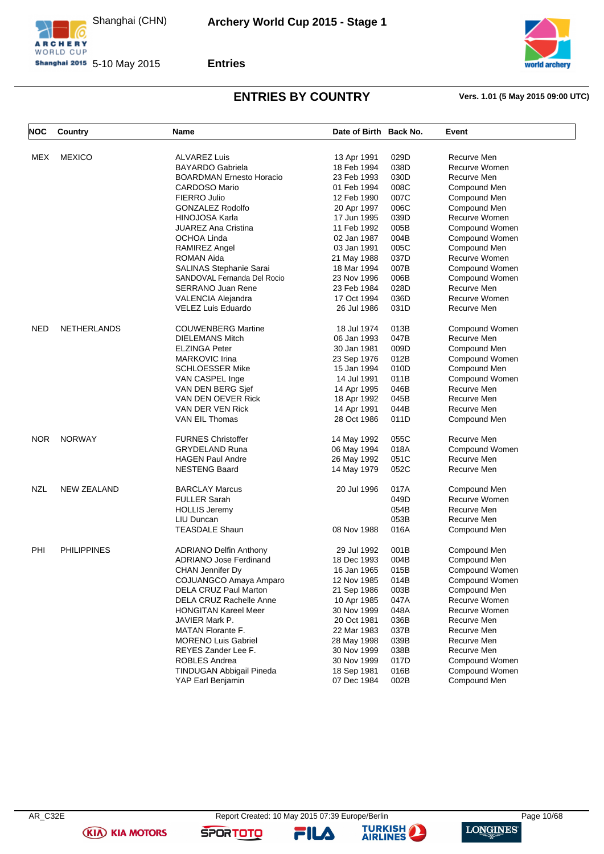



**Shanghai 2015** 5-10 May 2015



# **ENTRIES BY COUNTRY Vers. 1.01 (5 May 2015 09:00 UTC)**

| <b>NOC</b> | Country            | Name                                      | Date of Birth Back No.     |      | Event          |
|------------|--------------------|-------------------------------------------|----------------------------|------|----------------|
|            | <b>MEXICO</b>      | <b>ALVAREZ Luis</b>                       |                            | 029D | Recurve Men    |
| MEX        |                    | <b>BAYARDO Gabriela</b>                   | 13 Apr 1991<br>18 Feb 1994 | 038D | Recurve Women  |
|            |                    | <b>BOARDMAN Ernesto Horacio</b>           | 23 Feb 1993                | 030D | Recurve Men    |
|            |                    | <b>CARDOSO Mario</b>                      | 01 Feb 1994                | 008C | Compound Men   |
|            |                    | FIERRO Julio                              | 12 Feb 1990                | 007C | Compound Men   |
|            |                    |                                           |                            | 006C | Compound Men   |
|            |                    | GONZALEZ Rodolfo<br><b>HINOJOSA Karla</b> | 20 Apr 1997                | 039D | Recurve Women  |
|            |                    | <b>JUAREZ Ana Cristina</b>                | 17 Jun 1995<br>11 Feb 1992 | 005B | Compound Women |
|            |                    | OCHOA Linda                               | 02 Jan 1987                | 004B | Compound Women |
|            |                    | RAMIREZ Angel                             | 03 Jan 1991                | 005C | Compound Men   |
|            |                    | <b>ROMAN Aida</b>                         | 21 May 1988                | 037D | Recurve Women  |
|            |                    | SALINAS Stephanie Sarai                   | 18 Mar 1994                | 007B | Compound Women |
|            |                    | SANDOVAL Fernanda Del Rocio               | 23 Nov 1996                | 006B | Compound Women |
|            |                    |                                           |                            | 028D | Recurve Men    |
|            |                    | <b>SERRANO Juan Rene</b>                  | 23 Feb 1984<br>17 Oct 1994 | 036D | Recurve Women  |
|            |                    | VALENCIA Alejandra                        |                            | 031D |                |
|            |                    | VELEZ Luis Eduardo                        | 26 Jul 1986                |      | Recurve Men    |
| <b>NED</b> | <b>NETHERLANDS</b> | <b>COUWENBERG Martine</b>                 | 18 Jul 1974                | 013B | Compound Women |
|            |                    | <b>DIELEMANS Mitch</b>                    | 06 Jan 1993                | 047B | Recurve Men    |
|            |                    | <b>ELZINGA Peter</b>                      | 30 Jan 1981                | 009D | Compound Men   |
|            |                    | <b>MARKOVIC Irina</b>                     | 23 Sep 1976                | 012B | Compound Women |
|            |                    | <b>SCHLOESSER Mike</b>                    | 15 Jan 1994                | 010D | Compound Men   |
|            |                    | VAN CASPEL Inge                           | 14 Jul 1991                | 011B | Compound Women |
|            |                    | VAN DEN BERG Sjef                         | 14 Apr 1995                | 046B | Recurve Men    |
|            |                    | VAN DEN OEVER Rick                        | 18 Apr 1992                | 045B | Recurve Men    |
|            |                    | VAN DER VEN Rick                          | 14 Apr 1991                | 044B | Recurve Men    |
|            |                    | VAN EIL Thomas                            | 28 Oct 1986                | 011D | Compound Men   |
| <b>NOR</b> | <b>NORWAY</b>      | <b>FURNES Christoffer</b>                 | 14 May 1992                | 055C | Recurve Men    |
|            |                    | <b>GRYDELAND Runa</b>                     | 06 May 1994                | 018A | Compound Women |
|            |                    | <b>HAGEN Paul Andre</b>                   | 26 May 1992                | 051C | Recurve Men    |
|            |                    | <b>NESTENG Baard</b>                      | 14 May 1979                | 052C | Recurve Men    |
| NZL        | <b>NEW ZEALAND</b> | <b>BARCLAY Marcus</b>                     | 20 Jul 1996                | 017A | Compound Men   |
|            |                    | <b>FULLER Sarah</b>                       |                            | 049D | Recurve Women  |
|            |                    | <b>HOLLIS Jeremy</b>                      |                            | 054B | Recurve Men    |
|            |                    | LIU Duncan                                |                            | 053B | Recurve Men    |
|            |                    | <b>TEASDALE Shaun</b>                     | 08 Nov 1988                | 016A | Compound Men   |
|            |                    |                                           |                            |      |                |
| PHI        | <b>PHILIPPINES</b> | <b>ADRIANO Delfin Anthony</b>             | 29 Jul 1992                | 001B | Compound Men   |
|            |                    | <b>ADRIANO Jose Ferdinand</b>             | 18 Dec 1993                | 004B | Compound Men   |
|            |                    | <b>CHAN Jennifer Dy</b>                   | 16 Jan 1965                | 015B | Compound Women |
|            |                    | COJUANGCO Amaya Amparo                    | 12 Nov 1985                | 014B | Compound Women |
|            |                    | DELA CRUZ Paul Marton                     | 21 Sep 1986                | 003B | Compound Men   |
|            |                    | DELA CRUZ Rachelle Anne                   | 10 Apr 1985                | 047A | Recurve Women  |
|            |                    | <b>HONGITAN Kareel Meer</b>               | 30 Nov 1999                | 048A | Recurve Women  |
|            |                    | JAVIER Mark P.                            | 20 Oct 1981                | 036B | Recurve Men    |
|            |                    | <b>MATAN Florante F.</b>                  | 22 Mar 1983                | 037B | Recurve Men    |
|            |                    | <b>MORENO Luis Gabriel</b>                | 28 May 1998                | 039B | Recurve Men    |
|            |                    | REYES Zander Lee F.                       | 30 Nov 1999                | 038B | Recurve Men    |
|            |                    | ROBLES Andrea                             | 30 Nov 1999                | 017D | Compound Women |
|            |                    | TINDUGAN Abbigail Pineda                  | 18 Sep 1981                | 016B | Compound Women |
|            |                    | YAP Earl Benjamin                         | 07 Dec 1984                | 002B | Compound Men   |

**(KIA) KIA MOTORS** 

FILA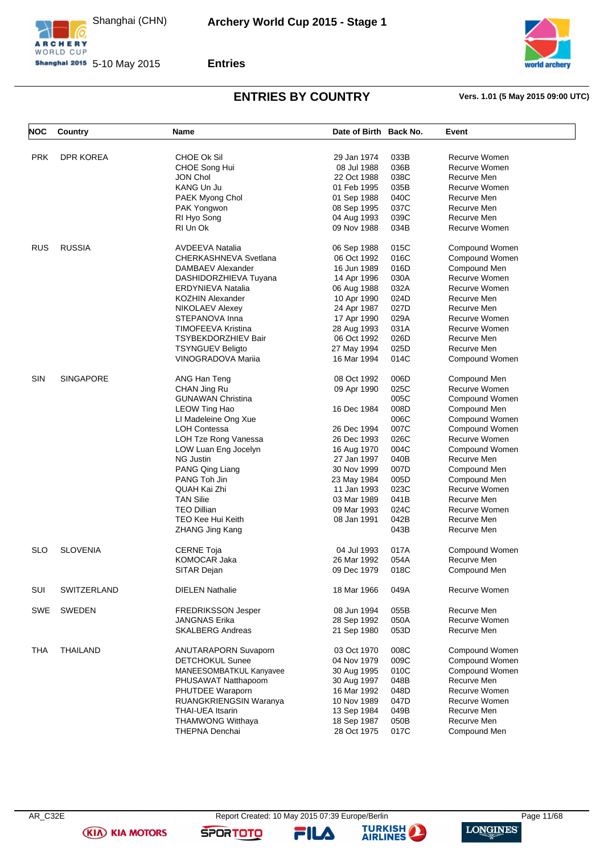





# **ENTRIES BY COUNTRY Vers. 1.01 (5 May 2015 09:00 UTC)**

| NOC        | Country            | Name                      | Date of Birth Back No. |      | Event          |
|------------|--------------------|---------------------------|------------------------|------|----------------|
|            |                    |                           |                        |      |                |
| <b>PRK</b> | <b>DPR KOREA</b>   | <b>CHOE OK Sil</b>        | 29 Jan 1974            | 033B | Recurve Women  |
|            |                    | CHOE Song Hui             | 08 Jul 1988            | 036B | Recurve Women  |
|            |                    | JON Chol                  | 22 Oct 1988            | 038C | Recurve Men    |
|            |                    | KANG Un Ju                | 01 Feb 1995            | 035B | Recurve Women  |
|            |                    | PAEK Myong Chol           | 01 Sep 1988            | 040C | Recurve Men    |
|            |                    | PAK Yongwon               | 08 Sep 1995            | 037C | Recurve Men    |
|            |                    | RI Hyo Song               | 04 Aug 1993            | 039C | Recurve Men    |
|            |                    | RI Un Ok                  | 09 Nov 1988            | 034B | Recurve Women  |
| <b>RUS</b> | <b>RUSSIA</b>      | <b>AVDEEVA Natalia</b>    | 06 Sep 1988            | 015C | Compound Women |
|            |                    | CHERKASHNEVA Svetlana     | 06 Oct 1992            | 016C | Compound Women |
|            |                    | DAMBAEV Alexander         | 16 Jun 1989            | 016D | Compound Men   |
|            |                    | DASHIDORZHIEVA Tuyana     | 14 Apr 1996            | 030A | Recurve Women  |
|            |                    | ERDYNIEVA Natalia         | 06 Aug 1988            | 032A | Recurve Women  |
|            |                    | KOZHIN Alexander          | 10 Apr 1990            | 024D | Recurve Men    |
|            |                    |                           |                        | 027D |                |
|            |                    | NIKOLAEV Alexey           | 24 Apr 1987            |      | Recurve Men    |
|            |                    | STEPANOVA Inna            | 17 Apr 1990            | 029A | Recurve Women  |
|            |                    | <b>TIMOFEEVA Kristina</b> | 28 Aug 1993            | 031A | Recurve Women  |
|            |                    | TSYBEKDORZHIEV Bair       | 06 Oct 1992            | 026D | Recurve Men    |
|            |                    | <b>TSYNGUEV Beligto</b>   | 27 May 1994            | 025D | Recurve Men    |
|            |                    | <b>VINOGRADOVA Mariia</b> | 16 Mar 1994            | 014C | Compound Women |
| <b>SIN</b> | <b>SINGAPORE</b>   | ANG Han Teng              | 08 Oct 1992            | 006D | Compound Men   |
|            |                    | CHAN Jing Ru              | 09 Apr 1990            | 025C | Recurve Women  |
|            |                    | <b>GUNAWAN Christina</b>  |                        | 005C | Compound Women |
|            |                    | LEOW Ting Hao             | 16 Dec 1984            | 008D | Compound Men   |
|            |                    | LI Madeleine Ong Xue      |                        | 006C | Compound Women |
|            |                    | <b>LOH Contessa</b>       | 26 Dec 1994            | 007C | Compound Women |
|            |                    |                           |                        |      |                |
|            |                    | LOH Tze Rong Vanessa      | 26 Dec 1993            | 026C | Recurve Women  |
|            |                    | LOW Luan Eng Jocelyn      | 16 Aug 1970            | 004C | Compound Women |
|            |                    | <b>NG Justin</b>          | 27 Jan 1997            | 040B | Recurve Men    |
|            |                    | PANG Qing Liang           | 30 Nov 1999            | 007D | Compound Men   |
|            |                    | PANG Toh Jin              | 23 May 1984            | 005D | Compound Men   |
|            |                    | QUAH Kai Zhi              | 11 Jan 1993            | 023C | Recurve Women  |
|            |                    | <b>TAN Silie</b>          | 03 Mar 1989            | 041B | Recurve Men    |
|            |                    | <b>TEO Dillian</b>        | 09 Mar 1993            | 024C | Recurve Women  |
|            |                    | <b>TEO Kee Hui Keith</b>  | 08 Jan 1991            | 042B | Recurve Men    |
|            |                    | <b>ZHANG Jing Kang</b>    |                        | 043B | Recurve Men    |
| <b>SLO</b> | <b>SLOVENIA</b>    | <b>CERNE Toja</b>         | 04 Jul 1993            | 017A | Compound Women |
|            |                    | KOMOCAR Jaka              | 26 Mar 1992            | 054A | Recurve Men    |
|            |                    | SITAR Dejan               | 09 Dec 1979            | 018C | Compound Men   |
| SUI        | <b>SWITZERLAND</b> | <b>DIELEN Nathalie</b>    | 18 Mar 1966            | 049A | Recurve Women  |
| SWE        | SWEDEN             | <b>FREDRIKSSON Jesper</b> | 08 Jun 1994            | 055B | Recurve Men    |
|            |                    | <b>JANGNAS Erika</b>      | 28 Sep 1992            | 050A | Recurve Women  |
|            |                    | <b>SKALBERG Andreas</b>   | 21 Sep 1980            | 053D | Recurve Men    |
| THA        | <b>THAILAND</b>    | ANUTARAPORN Suvaporn      | 03 Oct 1970            | 008C | Compound Women |
|            |                    | <b>DETCHOKUL Sunee</b>    | 04 Nov 1979            | 009C | Compound Women |
|            |                    | MANEESOMBATKUL Kanyavee   | 30 Aug 1995            | 010C | Compound Women |
|            |                    |                           |                        |      |                |
|            |                    | PHUSAWAT Natthapoom       | 30 Aug 1997            | 048B | Recurve Men    |
|            |                    | PHUTDEE Waraporn          | 16 Mar 1992            | 048D | Recurve Women  |
|            |                    | RUANGKRIENGSIN Waranya    | 10 Nov 1989            | 047D | Recurve Women  |
|            |                    | THAI-UEA Itsarin          | 13 Sep 1984            | 049B | Recurve Men    |
|            |                    | <b>THAMWONG Witthaya</b>  | 18 Sep 1987            | 050B | Recurve Men    |
|            |                    | THEPNA Denchai            | 28 Oct 1975            | 017C | Compound Men   |

FILA

**SPORTOTO** 



LONGINES

**(KIA) KIA MOTORS**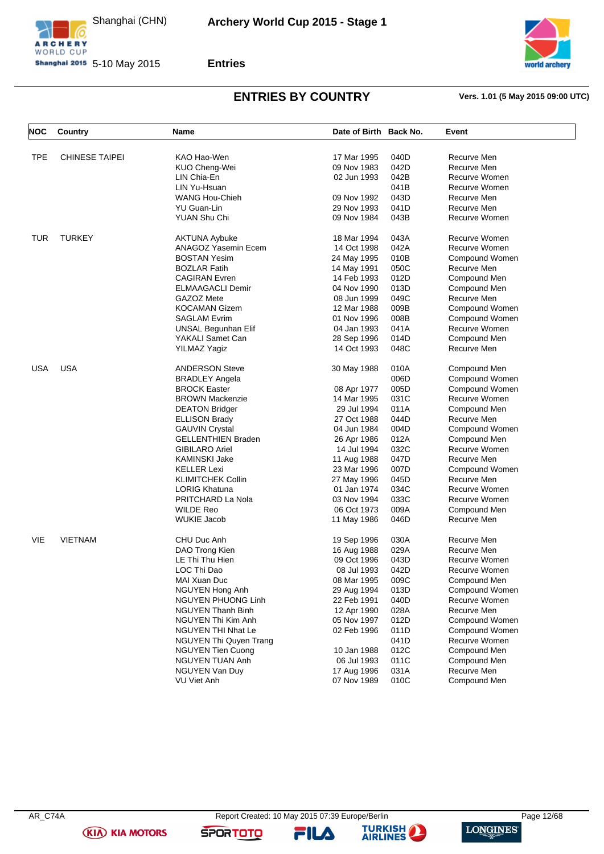





### **ENTRIES BY COUNTRY Vers. 1.01 (5 May 2015 09:00 UTC)**

| NOC        | Country               | Name                                           | Date of Birth Back No.     |              | Event                           |
|------------|-----------------------|------------------------------------------------|----------------------------|--------------|---------------------------------|
|            |                       |                                                |                            |              |                                 |
| <b>TPE</b> | <b>CHINESE TAIPEI</b> | KAO Hao-Wen                                    | 17 Mar 1995<br>09 Nov 1983 | 040D<br>042D | Recurve Men<br>Recurve Men      |
|            |                       | KUO Cheng-Wei                                  |                            | 042B         | Recurve Women                   |
|            |                       | LIN Chia-En<br>LIN Yu-Hsuan                    | 02 Jun 1993                | 041B         | Recurve Women                   |
|            |                       | <b>WANG Hou-Chieh</b>                          | 09 Nov 1992                | 043D         | Recurve Men                     |
|            |                       | YU Guan-Lin                                    | 29 Nov 1993                | 041D         | Recurve Men                     |
|            |                       | <b>YUAN Shu Chi</b>                            | 09 Nov 1984                | 043B         | Recurve Women                   |
|            |                       |                                                |                            |              |                                 |
| <b>TUR</b> | <b>TURKEY</b>         | <b>AKTUNA Aybuke</b>                           | 18 Mar 1994                | 043A         | Recurve Women                   |
|            |                       | ANAGOZ Yasemin Ecem                            | 14 Oct 1998                | 042A         | Recurve Women                   |
|            |                       | <b>BOSTAN Yesim</b>                            | 24 May 1995                | 010B         | Compound Women                  |
|            |                       | <b>BOZLAR Fatih</b>                            | 14 May 1991                | 050C         | Recurve Men                     |
|            |                       | <b>CAGIRAN Evren</b>                           | 14 Feb 1993                | 012D         | Compound Men                    |
|            |                       | <b>ELMAAGACLI Demir</b>                        | 04 Nov 1990                | 013D         | Compound Men                    |
|            |                       | GAZOZ Mete                                     | 08 Jun 1999                | 049C         | Recurve Men                     |
|            |                       | <b>KOCAMAN Gizem</b>                           | 12 Mar 1988                | 009B         | Compound Women                  |
|            |                       | <b>SAGLAM Evrim</b>                            | 01 Nov 1996                | 008B         | Compound Women                  |
|            |                       | UNSAL Begunhan Elif                            | 04 Jan 1993                | 041A         | Recurve Women                   |
|            |                       | YAKALI Samet Can                               | 28 Sep 1996                | 014D         | Compound Men                    |
|            |                       | YILMAZ Yagiz                                   | 14 Oct 1993                | 048C         | Recurve Men                     |
| <b>USA</b> | <b>USA</b>            | <b>ANDERSON Steve</b>                          | 30 May 1988                | 010A         | Compound Men                    |
|            |                       | <b>BRADLEY Angela</b>                          |                            | 006D         | Compound Women                  |
|            |                       | <b>BROCK Easter</b>                            | 08 Apr 1977                | 005D         | Compound Women                  |
|            |                       | <b>BROWN Mackenzie</b>                         | 14 Mar 1995                | 031C         | Recurve Women                   |
|            |                       | <b>DEATON Bridger</b>                          | 29 Jul 1994                | 011A         | Compound Men                    |
|            |                       | <b>ELLISON Brady</b>                           | 27 Oct 1988                | 044D         | Recurve Men                     |
|            |                       | <b>GAUVIN Crystal</b>                          | 04 Jun 1984                | 004D         | Compound Women                  |
|            |                       | <b>GELLENTHIEN Braden</b>                      | 26 Apr 1986                | 012A         | Compound Men                    |
|            |                       | <b>GIBILARO Ariel</b>                          | 14 Jul 1994                | 032C         | Recurve Women                   |
|            |                       | <b>KAMINSKI Jake</b>                           | 11 Aug 1988                | 047D         | Recurve Men                     |
|            |                       | <b>KELLER Lexi</b>                             | 23 Mar 1996                | 007D         | Compound Women                  |
|            |                       | <b>KLIMITCHEK Collin</b>                       | 27 May 1996                | 045D         | Recurve Men                     |
|            |                       | <b>LORIG Khatuna</b>                           | 01 Jan 1974                | 034C         | Recurve Women                   |
|            |                       | PRITCHARD La Nola                              | 03 Nov 1994                | 033C         | Recurve Women                   |
|            |                       | <b>WILDE Reo</b>                               | 06 Oct 1973                | 009A         | Compound Men                    |
|            |                       | <b>WUKIE Jacob</b>                             | 11 May 1986                | 046D         | Recurve Men                     |
| VIE        | <b>VIETNAM</b>        | CHU Duc Anh                                    | 19 Sep 1996                | 030A         | Recurve Men                     |
|            |                       | DAO Trong Kien                                 | 16 Aug 1988                | 029A         | Recurve Men                     |
|            |                       | LE Thi Thu Hien                                | 09 Oct 1996                | 043D         | Recurve Women                   |
|            |                       | LOC Thi Dao                                    | 08 Jul 1993                | 042D         | Recurve Women                   |
|            |                       | MAI Xuan Duc                                   | 08 Mar 1995                | 009C         | Compound Men                    |
|            |                       | <b>NGUYEN Hong Anh</b>                         |                            | 013D         | Compound Women                  |
|            |                       |                                                | 29 Aug 1994<br>22 Feb 1991 | 040D         | Recurve Women                   |
|            |                       | NGUYEN PHUONG Linh<br><b>NGUYEN Thanh Binh</b> |                            | 028A         | Recurve Men                     |
|            |                       |                                                | 12 Apr 1990                |              |                                 |
|            |                       | NGUYEN Thi Kim Anh                             | 05 Nov 1997<br>02 Feb 1996 | 012D         | Compound Women                  |
|            |                       | <b>NGUYEN THI Nhat Le</b>                      |                            | 011D<br>041D | Compound Women<br>Recurve Women |
|            |                       | NGUYEN Thi Quyen Trang                         |                            |              |                                 |
|            |                       | <b>NGUYEN Tien Cuong</b><br>NGUYEN TUAN Anh    | 10 Jan 1988<br>06 Jul 1993 | 012C<br>011C | Compound Men                    |
|            |                       |                                                |                            |              | Compound Men                    |
|            |                       | NGUYEN Van Duy                                 | 17 Aug 1996                | 031A<br>010C | Recurve Men                     |
|            |                       | <b>VU Viet Anh</b>                             | 07 Nov 1989                |              | Compound Men                    |

FILA

**SPORTOTO**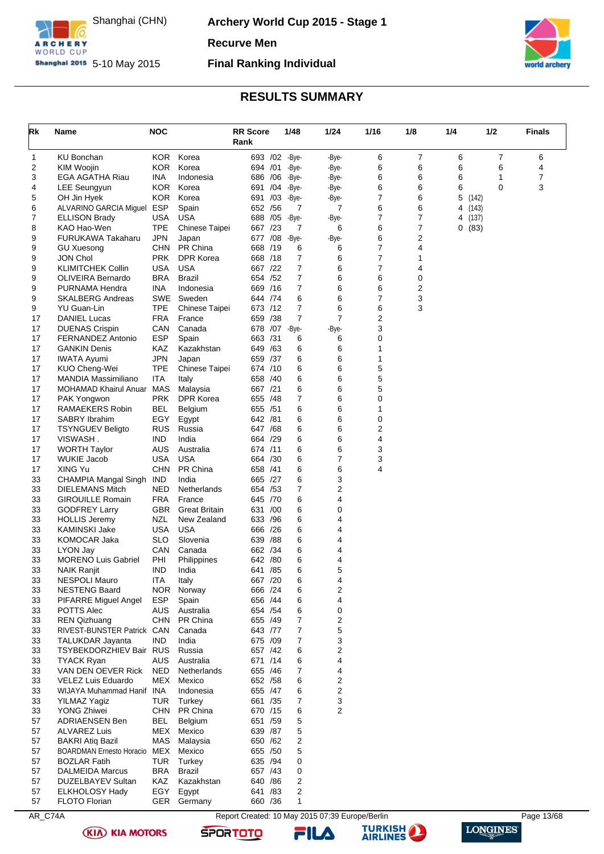

**Archery World Cup 2015 - Stage 1**

**Recurve Men**

**Shanghai 2015** 5-10 May 2015

### **Final Ranking Individual**



### **RESULTS SUMMARY**

<span id="page-13-0"></span>

| Rk           | Name                                         | <b>NOC</b>               |                      | <b>RR</b> Score<br>Rank |     | 1/48                    | 1/24                                            | 1/16                | 1/8    | 1/4                 | 1/2    | <b>Finals</b> |
|--------------|----------------------------------------------|--------------------------|----------------------|-------------------------|-----|-------------------------|-------------------------------------------------|---------------------|--------|---------------------|--------|---------------|
| $\mathbf{1}$ | KU Bonchan                                   | <b>KOR</b>               | Korea                |                         |     | 693 /02 -Bye-           | -Bye-                                           | 6                   | 7      | 6                   | 7      | 6             |
| 2            | <b>KIM Woojin</b>                            | <b>KOR</b>               | Korea                | 694 /01                 |     | -Bye-                   | -Bye-                                           | 6                   | 6      | 6                   | 6      | 4             |
| 3            | EGA AGATHA Riau                              | INA                      | Indonesia            | 686 / 06                |     | -Bye-                   | -Bye-                                           | 6                   | 6      | 6                   | 1<br>0 | 7<br>3        |
| 4<br>5       | <b>LEE Seungyun</b>                          | <b>KOR</b><br><b>KOR</b> | Korea<br>Korea       | 691 /04<br>691 /03      |     | -Bye-<br>-Bye-          | -Bye-                                           | 6<br>$\overline{7}$ | 6<br>6 | 6<br>5              |        |               |
| 6            | OH Jin Hyek<br>ALVARINO GARCIA Miguel        | <b>ESP</b>               | Spain                | 652 / 56                |     | 7                       | -Bye-<br>7                                      | 6                   | 6      | (142)<br>4<br>(143) |        |               |
| 7            | <b>ELLISON Brady</b>                         | USA                      | <b>USA</b>           | 688                     | /05 | -Bye-                   | -Bye-                                           | $\overline{7}$      | 7      | 4 (137)             |        |               |
| 8            | KAO Hao-Wen                                  | <b>TPE</b>               | Chinese Taipei       | 667 /23                 |     | 7                       | 6                                               | 6                   | 7      | 0(83)               |        |               |
| 9            | <b>FURUKAWA Takaharu</b>                     | <b>JPN</b>               | Japan                | 677 / 08                |     | -Bye-                   | -Bye-                                           | 6                   | 2      |                     |        |               |
| 9            | <b>GU Xuesong</b>                            | <b>CHN</b>               | PR China             | 668 /19                 |     | 6                       | 6                                               | $\overline{7}$      | 4      |                     |        |               |
| 9            | <b>JON Chol</b>                              | <b>PRK</b>               | <b>DPR Korea</b>     | 668 /18                 |     | 7                       | 6                                               | 7                   | 1      |                     |        |               |
| 9            | <b>KLIMITCHEK Collin</b>                     | <b>USA</b>               | <b>USA</b>           | 667 /22                 |     | 7                       | 6                                               | $\overline{7}$      | 4      |                     |        |               |
| 9            | OLIVEIRA Bernardo                            | <b>BRA</b>               | <b>Brazil</b>        | 654 / 52                |     | $\overline{7}$          | 6                                               | 6                   | 0      |                     |        |               |
| 9            | PURNAMA Hendra                               | <b>INA</b>               | Indonesia            | 669 /16                 |     | 7                       | 6                                               | 6                   | 2      |                     |        |               |
| 9            | <b>SKALBERG Andreas</b>                      | SWE                      | Sweden               | 644 /74                 |     | 6                       | 6                                               | $\overline{7}$      | 3      |                     |        |               |
| 9            | <b>YU Guan-Lin</b>                           | <b>TPE</b>               | Chinese Taipei       | 673 /12                 |     | $\overline{7}$<br>7     | 6<br>7                                          | 6                   | 3      |                     |        |               |
| 17<br>17     | <b>DANIEL Lucas</b><br><b>DUENAS Crispin</b> | <b>FRA</b><br>CAN        | France<br>Canada     | 659 /38                 |     | 678 / 07 - Bye-         | -Bye-                                           | $\overline{2}$<br>3 |        |                     |        |               |
| 17           | <b>FERNANDEZ Antonio</b>                     | <b>ESP</b>               | Spain                | 663 /31                 |     | 6                       | 6                                               | $\mathbf 0$         |        |                     |        |               |
| 17           | <b>GANKIN Denis</b>                          | KAZ                      | Kazakhstan           | 649 / 63                |     | 6                       | 6                                               | 1                   |        |                     |        |               |
| 17           | <b>IWATA Ayumi</b>                           | <b>JPN</b>               | Japan                | 659 /37                 |     | 6                       | 6                                               | 1                   |        |                     |        |               |
| 17           | KUO Cheng-Wei                                | <b>TPE</b>               | Chinese Taipei       | 674 /10                 |     | 6                       | 6                                               | 5                   |        |                     |        |               |
| 17           | MANDIA Massimiliano                          | ITA                      | Italy                | 658 /40                 |     | 6                       | 6                                               | 5                   |        |                     |        |               |
| 17           | <b>MOHAMAD Khairul Anuar</b>                 | MAS                      | Malaysia             | 667 /21                 |     | 6                       | 6                                               | 5                   |        |                     |        |               |
| 17           | PAK Yongwon                                  | <b>PRK</b>               | DPR Korea            | 655 /48                 |     | 7                       | 6                                               | $\mathbf 0$         |        |                     |        |               |
| 17           | RAMAEKERS Robin                              | BEL                      | Belgium              | 655 /51                 |     | 6                       | 6                                               | 1                   |        |                     |        |               |
| 17           | <b>SABRY Ibrahim</b>                         | EGY                      | Egypt                | 642 /81                 |     | 6                       | 6                                               | $\mathbf 0$         |        |                     |        |               |
| 17           | <b>TSYNGUEV Beligto</b>                      | <b>RUS</b>               | Russia               | 647 / 68                |     | 6                       | 6                                               | 2                   |        |                     |        |               |
| 17<br>17     | VISWASH.<br><b>WORTH Taylor</b>              | IND.<br><b>AUS</b>       | India<br>Australia   | 664 /29<br>674 /11      |     | 6<br>6                  | 6<br>6                                          | 4<br>3              |        |                     |        |               |
| 17           | <b>WUKIE Jacob</b>                           | <b>USA</b>               | <b>USA</b>           | 664 /30                 |     | 6                       | 7                                               | 3                   |        |                     |        |               |
| 17           | XING Yu                                      | <b>CHN</b>               | PR China             | 658 /41                 |     | 6                       | 6                                               | 4                   |        |                     |        |               |
| 33           | CHAMPIA Mangal Singh IND                     |                          | India                | 665 /27                 |     | 6                       | 3                                               |                     |        |                     |        |               |
| 33           | <b>DIELEMANS Mitch</b>                       | <b>NED</b>               | Netherlands          | 654 / 53                |     | 7                       | 2                                               |                     |        |                     |        |               |
| 33           | <b>GIROUILLE Romain</b>                      | <b>FRA</b>               | France               | 645 /70                 |     | 6                       | 4                                               |                     |        |                     |        |               |
| 33           | <b>GODFREY Larry</b>                         | <b>GBR</b>               | <b>Great Britain</b> | 631 /00                 |     | 6                       | 0                                               |                     |        |                     |        |               |
| 33           | <b>HOLLIS Jeremy</b>                         | NZL                      | New Zealand          | 633 / 96                |     | 6                       | 4                                               |                     |        |                     |        |               |
| 33           | <b>KAMINSKI Jake</b>                         | <b>USA</b>               | <b>USA</b>           | 666 /26                 |     | 6                       | 4                                               |                     |        |                     |        |               |
| 33           | KOMOCAR Jaka                                 | <b>SLO</b>               | Slovenia             | 639                     | /88 | 6                       | 4                                               |                     |        |                     |        |               |
| 33           | LYON Jay                                     | CAN                      | Canada               | 662 /34                 |     | 6                       | 4                                               |                     |        |                     |        |               |
| 33           | <b>MORENO Luis Gabriel</b>                   | PHI                      | Philippines          | 642                     | /80 | 6                       | 4                                               |                     |        |                     |        |               |
| 33<br>33     | <b>NAIK Ranjit</b><br><b>NESPOLI Mauro</b>   | <b>IND</b>               | India<br>Italy       | 641 /85<br>667 /20      |     | 6<br>6                  | 5<br>4                                          |                     |        |                     |        |               |
| 33           | <b>NESTENG Baard</b>                         | ITA<br>NOR.              | Norway               | 666 /24                 |     | 6                       | 2                                               |                     |        |                     |        |               |
| 33           | PIFARRE Miguel Angel                         | <b>ESP</b>               | Spain                | 656 /44                 |     | 6                       | 4                                               |                     |        |                     |        |               |
| 33           | POTTS Alec                                   | AUS                      | Australia            | 654 / 54                |     | 6                       | $\mathbf 0$                                     |                     |        |                     |        |               |
| 33           | <b>REN Qizhuang</b>                          | <b>CHN</b>               | PR China             | 655 /49                 |     | $\overline{7}$          | 2                                               |                     |        |                     |        |               |
| 33           | RIVEST-BUNSTER Patrick CAN                   |                          | Canada               | 643 /77                 |     | $\overline{7}$          | 5                                               |                     |        |                     |        |               |
| 33           | TALUKDAR Jayanta                             | IND.                     | India                | 675 /09                 |     | 7                       | 3                                               |                     |        |                     |        |               |
| 33           | TSYBEKDORZHIEV Bair RUS                      |                          | Russia               | 657 /42                 |     | 6                       | 2                                               |                     |        |                     |        |               |
| 33           | <b>TYACK Ryan</b>                            | <b>AUS</b>               | Australia            | 671 /14                 |     | 6                       | 4                                               |                     |        |                     |        |               |
| 33           | VAN DEN OEVER Rick                           | <b>NED</b>               | Netherlands          | 655 /46                 |     | $\overline{7}$          | 4                                               |                     |        |                     |        |               |
| 33           | VELEZ Luis Eduardo                           | MEX                      | Mexico               | 652 / 58                |     | 6                       | 2                                               |                     |        |                     |        |               |
| 33           | WIJAYA Muhammad Hanif INA                    |                          | Indonesia            | 655 /47                 |     | 6                       | 2                                               |                     |        |                     |        |               |
| 33<br>33     | YILMAZ Yagiz<br>YONG Zhiwei                  | TUR<br><b>CHN</b>        | Turkey<br>PR China   | 661 / 35<br>670 /15     |     | $\overline{7}$<br>6     | 3<br>2                                          |                     |        |                     |        |               |
| 57           | <b>ADRIAENSEN Ben</b>                        | BEL                      | Belgium              | 651 /59                 |     | 5                       |                                                 |                     |        |                     |        |               |
| 57           | <b>ALVAREZ Luis</b>                          | MEX                      | Mexico               | 639 / 87                |     | 5                       |                                                 |                     |        |                     |        |               |
| 57           | <b>BAKRI Atiq Bazil</b>                      | MAS                      | Malaysia             | 650 / 62                |     | 2                       |                                                 |                     |        |                     |        |               |
| 57           | <b>BOARDMAN Ernesto Horacio</b>              | MEX                      | Mexico               | 655 / 50                |     | 5                       |                                                 |                     |        |                     |        |               |
| 57           | <b>BOZLAR Fatih</b>                          | <b>TUR</b>               | Turkey               | 635 /94                 |     | 0                       |                                                 |                     |        |                     |        |               |
| 57           | <b>DALMEIDA Marcus</b>                       | <b>BRA</b>               | Brazil               | 657 / 43                |     | 0                       |                                                 |                     |        |                     |        |               |
| 57           | DUZELBAYEV Sultan                            | <b>KAZ</b>               | Kazakhstan           | 640 / 86                |     | 2                       |                                                 |                     |        |                     |        |               |
| 57           | <b>ELKHOLOSY Hady</b>                        | EGY                      | Egypt                | 641 /83                 |     | $\overline{\mathbf{c}}$ |                                                 |                     |        |                     |        |               |
| 57           | <b>FLOTO Florian</b>                         |                          | GER Germany          | 660 / 36                |     | $\mathbf{1}$            |                                                 |                     |        |                     |        |               |
| AR_C74A      |                                              |                          |                      |                         |     |                         | Report Created: 10 May 2015 07:39 Europe/Berlin |                     |        |                     |        | Page 13/68    |

**(KIA) KIA MOTORS** 



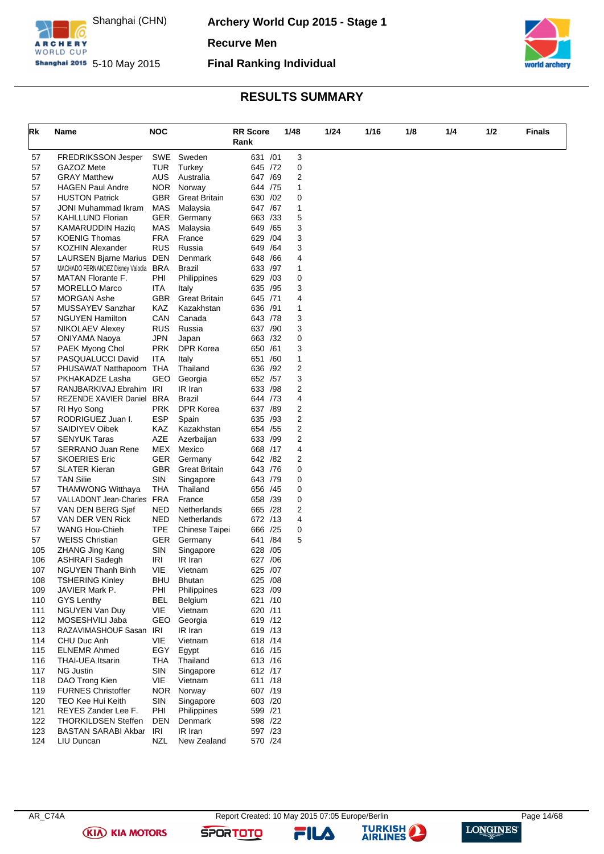

**Archery World Cup 2015 - Stage 1**

**Recurve Men**

**Shanghai 2015** 5-10 May 2015

**Final Ranking Individual**



# **RESULTS SUMMARY**

| Rk         | Name                                                 | <b>NOC</b>               |                                   | <b>RR</b> Score     |     | 1/48                    | 1/24 | 1/16 | 1/8 | 1/4 | 1/2 | <b>Finals</b> |
|------------|------------------------------------------------------|--------------------------|-----------------------------------|---------------------|-----|-------------------------|------|------|-----|-----|-----|---------------|
|            |                                                      |                          |                                   | Rank                |     |                         |      |      |     |     |     |               |
| 57         | <b>FREDRIKSSON Jesper</b>                            | SWE                      | Sweden                            | 631 /01             |     | 3                       |      |      |     |     |     |               |
| 57         | GAZOZ Mete                                           | TUR                      | Turkey                            | 645 /72             |     | 0                       |      |      |     |     |     |               |
| 57         | <b>GRAY Matthew</b>                                  | AUS                      | Australia                         | 647 /69             |     | 2                       |      |      |     |     |     |               |
| 57         | <b>HAGEN Paul Andre</b>                              | NOR.                     | Norway                            | 644 /75             |     | 1                       |      |      |     |     |     |               |
| 57         | <b>HUSTON Patrick</b>                                | <b>GBR</b>               | <b>Great Britain</b>              | 630 /02             |     | 0                       |      |      |     |     |     |               |
| 57         | <b>JONI Muhammad Ikram</b>                           | <b>MAS</b>               | Malaysia                          | 647 /67             |     | 1                       |      |      |     |     |     |               |
| 57         | <b>KAHLLUND Florian</b>                              | <b>GER</b>               | Germany                           | 663 / 33            |     | 5                       |      |      |     |     |     |               |
| 57         | <b>KAMARUDDIN Haziq</b>                              | MAS                      | Malaysia                          | 649 / 65            |     | 3                       |      |      |     |     |     |               |
| 57         | <b>KOENIG Thomas</b>                                 | <b>FRA</b>               | France                            | 629                 | /04 | 3                       |      |      |     |     |     |               |
| 57<br>57   | <b>KOZHIN Alexander</b><br>LAURSEN Bjarne Marius DEN | <b>RUS</b>               | Russia<br>Denmark                 | 649<br>648 / 66     | /64 | 3<br>4                  |      |      |     |     |     |               |
| 57         | MACHADO FERNANDEZ Disney Valodia BRA                 |                          | Brazil                            | 633 /97             |     | 1                       |      |      |     |     |     |               |
| 57         | MATAN Florante F.                                    | PHI                      | Philippines                       | 629                 | /03 | 0                       |      |      |     |     |     |               |
| 57         | <b>MORELLO Marco</b>                                 | <b>ITA</b>               | Italy                             | 635 /95             |     | 3                       |      |      |     |     |     |               |
| 57         | <b>MORGAN Ashe</b>                                   | <b>GBR</b>               | <b>Great Britain</b>              | 645 /71             |     | 4                       |      |      |     |     |     |               |
| 57         | MUSSAYEV Sanzhar                                     | KAZ                      | Kazakhstan                        | 636 /91             |     | 1                       |      |      |     |     |     |               |
| 57         | <b>NGUYEN Hamilton</b>                               | CAN                      | Canada                            | 643 / 78            |     | 3                       |      |      |     |     |     |               |
| 57         | <b>NIKOLAEV Alexey</b>                               | <b>RUS</b>               | Russia                            | 637 /90             |     | 3                       |      |      |     |     |     |               |
| 57         | <b>ONIYAMA Naoya</b>                                 | <b>JPN</b>               | Japan                             | 663 /32             |     | 0                       |      |      |     |     |     |               |
| 57         | PAEK Myong Chol                                      | <b>PRK</b>               | <b>DPR Korea</b>                  | 650 /61             |     | 3                       |      |      |     |     |     |               |
| 57         | PASQUALUCCI David                                    | ITA                      | Italy                             | 651 /60             |     | $\mathbf{1}$            |      |      |     |     |     |               |
| 57         | PHUSAWAT Natthapoom THA                              |                          | Thailand                          | 636 /92             |     | $\overline{\mathbf{c}}$ |      |      |     |     |     |               |
| 57         | PKHAKADZE Lasha                                      | GEO                      | Georgia                           | 652 / 57            |     | 3                       |      |      |     |     |     |               |
| 57         | RANJBARKIVAJ Ebrahim IRI                             |                          | IR Iran                           | 633 /98             |     | 2                       |      |      |     |     |     |               |
| 57         | REZENDE XAVIER Daniel BRA                            |                          | Brazil                            | 644 /73             |     | 4                       |      |      |     |     |     |               |
| 57         | RI Hyo Song                                          | <b>PRK</b>               | DPR Korea                         | 637 /89             |     | 2                       |      |      |     |     |     |               |
| 57         | RODRIGUEZ Juan I.                                    | <b>ESP</b>               | Spain                             | 635 /93             |     | 2                       |      |      |     |     |     |               |
| 57         | SAIDIYEV Oibek                                       | KAZ                      | Kazakhstan                        | 654 / 55            |     | 2                       |      |      |     |     |     |               |
| 57         | <b>SENYUK Taras</b>                                  | AZE                      | Azerbaijan                        | 633 /99             |     | 2                       |      |      |     |     |     |               |
| 57         | <b>SERRANO Juan Rene</b>                             | MEX                      | Mexico                            | 668 /17             |     | 4                       |      |      |     |     |     |               |
| 57         | <b>SKOERIES Eric</b><br><b>SLATER Kieran</b>         | <b>GER</b><br><b>GBR</b> | Germany                           | 642 / 82            |     | 2<br>0                  |      |      |     |     |     |               |
| 57<br>57   | <b>TAN Silie</b>                                     | SIN                      | <b>Great Britain</b><br>Singapore | 643 / 76<br>643 /79 |     | 0                       |      |      |     |     |     |               |
| 57         | <b>THAMWONG Witthaya</b>                             | THA                      | Thailand                          | 656 /45             |     | 0                       |      |      |     |     |     |               |
| 57         | VALLADONT Jean-Charles FRA                           |                          | France                            | 658 /39             |     | 0                       |      |      |     |     |     |               |
| 57         | VAN DEN BERG Sjef                                    | NED                      | Netherlands                       | 665 /28             |     | 2                       |      |      |     |     |     |               |
| 57         | VAN DER VEN Rick                                     | NED                      | Netherlands                       | 672 /13             |     | 4                       |      |      |     |     |     |               |
| 57         | <b>WANG Hou-Chieh</b>                                | <b>TPE</b>               | Chinese Taipei                    | 666 /25             |     | 0                       |      |      |     |     |     |               |
| 57         | <b>WEISS Christian</b>                               | <b>GER</b>               | Germany                           | 641 / 84            |     | 5                       |      |      |     |     |     |               |
| 105        | <b>ZHANG Jing Kang</b>                               | SIN                      | Singapore                         | 628                 | /05 |                         |      |      |     |     |     |               |
| 106        | <b>ASHRAFI Sadegh</b>                                | IRI                      | IR Iran                           | /06<br>627          |     |                         |      |      |     |     |     |               |
| 107        | <b>NGUYEN Thanh Binh</b>                             | VIE                      | Vietnam                           | 625 /07             |     |                         |      |      |     |     |     |               |
| 108        | <b>TSHERING Kinley</b>                               | BHU                      | <b>Bhutan</b>                     | 625 / 08            |     |                         |      |      |     |     |     |               |
| 109        | JAVIER Mark P.                                       | PHI                      | <b>Philippines</b>                | 623 /09             |     |                         |      |      |     |     |     |               |
| 110        | <b>GYS Lenthy</b>                                    | <b>BEL</b>               | Belgium                           | 621 /10             |     |                         |      |      |     |     |     |               |
| 111        | NGUYEN Van Duy                                       | VIE                      | Vietnam                           | 620 /11             |     |                         |      |      |     |     |     |               |
| 112        | MOSESHVILI Jaba                                      | GEO                      | Georgia                           | 619 /12             |     |                         |      |      |     |     |     |               |
| 113        | RAZAVIMASHOUF Sasan IRI                              |                          | IR Iran                           | 619 /13             |     |                         |      |      |     |     |     |               |
| 114        | CHU Duc Anh                                          | VIE                      | Vietnam                           | 618 / 14            |     |                         |      |      |     |     |     |               |
| 115        | <b>ELNEMR Ahmed</b>                                  | EGY                      | Egypt                             | 616 /15             |     |                         |      |      |     |     |     |               |
| 116        | <b>THAI-UEA Itsarin</b><br>NG Justin                 | THA<br>SIN               | Thailand                          | 613 /16             |     |                         |      |      |     |     |     |               |
| 117<br>118 | DAO Trong Kien                                       | VIE                      | Singapore<br>Vietnam              | 612 /17<br>611 /18  |     |                         |      |      |     |     |     |               |
| 119        | <b>FURNES Christoffer</b>                            | <b>NOR</b>               | Norway                            | 607 /19             |     |                         |      |      |     |     |     |               |
| 120        | TEO Kee Hui Keith                                    | SIN                      | Singapore                         | 603 /20             |     |                         |      |      |     |     |     |               |
| 121        | REYES Zander Lee F.                                  | PHI                      | Philippines                       | 599 /21             |     |                         |      |      |     |     |     |               |
| 122        | <b>THORKILDSEN Steffen</b>                           | DEN                      | Denmark                           | 598 /22             |     |                         |      |      |     |     |     |               |
| 123        | BASTAN SARABI Akbar IRI                              |                          | IR Iran                           | 597 /23             |     |                         |      |      |     |     |     |               |
| 124        | LIU Duncan                                           | NZL                      | New Zealand                       | 570 /24             |     |                         |      |      |     |     |     |               |
|            |                                                      |                          |                                   |                     |     |                         |      |      |     |     |     |               |

**(KIA) KIA MOTORS** 

**SPORTOTO** 

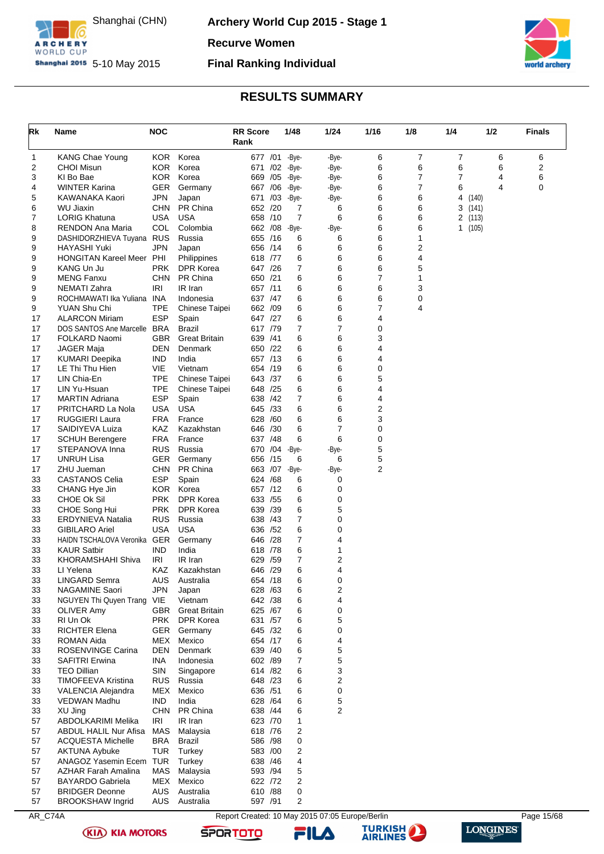

**Archery World Cup 2015 - Stage 1**

**Recurve Women**

**Shanghai 2015** 5-10 May 2015

# **Final Ranking Individual**



### **RESULTS SUMMARY**

<span id="page-15-0"></span>

| $\overline{7}$<br>7<br><b>KANG Chae Young</b><br>KOR.<br>Korea<br>677 /01 -Bye-<br>6<br>6<br>6<br>1<br>-Bye-<br>Korea<br>6<br>6<br>2<br>2<br>KOR.<br>6<br>6<br><b>CHOI Misun</b><br>671 /02<br>-Bye-<br>-Bye-<br>3<br>6<br>$\overline{7}$<br>6<br><b>KOR</b><br>Korea<br>7<br>4<br>KI Bo Bae<br>669 / 05<br>-Bye-<br>-Bye-<br>7<br>4<br><b>WINTER Karina</b><br><b>GER</b><br>667 / 06<br>6<br>6<br>4<br>0<br>Germany<br>-Bye-<br>-Bye-<br>5<br>JPN<br>6<br>6<br>KAWANAKA Kaori<br>Japan<br>671 /03<br>-Bye-<br>-Bye-<br>4<br>(140)<br>6<br><b>CHN</b><br>PR China<br>652 /20<br>6<br>6<br>WU Jiaxin<br>6<br>3<br>(141)<br>7<br>$\overline{7}$<br>7<br>6<br>6<br>USA<br><b>USA</b><br>658 /10<br>6<br><b>LORIG Khatuna</b><br>2<br>(113)<br>6<br>8<br>COL<br>Colombia<br>-Bye-<br>6<br><b>RENDON Ana Maria</b><br>662 / 08<br>-Bye-<br>1(105)<br>6<br>9<br>DASHIDORZHIEVA Tuyana RUS<br>655 /16<br>6<br>Russia<br>1<br>6<br>6<br>2<br>9<br><b>HAYASHI Yuki</b><br>JPN<br>656 /14<br>6<br>6<br>Japan<br>9<br>HONGITAN Kareel Meer PHI<br>Philippines<br>618 /77<br>6<br>6<br>6<br>4<br>9<br>7<br>6<br>6<br>5<br>KANG Un Ju<br><b>PRK</b><br><b>DPR Korea</b><br>647 /26<br>6<br>$\overline{7}$<br>9<br><b>MENG Fanxu</b><br><b>CHN</b><br>PR China<br>650 /21<br>6<br>1<br>6<br>9<br>NEMATI Zahra<br>IRI<br>IR Iran<br>657 /11<br>6<br>6<br>3<br>6<br>6<br>9<br>Indonesia<br>637 / 47<br>6<br>0<br>ROCHMAWATI Ika Yuliana INA<br><b>TPE</b><br>6<br>$\overline{7}$<br>9<br>YUAN Shu Chi<br>662 /09<br>6<br>4<br>Chinese Taipei<br>17<br><b>ESP</b><br>647 /27<br>6<br>6<br>4<br><b>ALARCON Miriam</b><br>Spain<br>$\overline{7}$<br>7<br>17<br>DOS SANTOS Ane Marcelle BRA<br><b>Brazil</b><br>617 /79<br>0<br>17<br>FOLKARD Naomi<br><b>GBR</b><br><b>Great Britain</b><br>639<br>/41<br>6<br>6<br>3<br>17<br>DEN<br>650 /22<br>6<br>6<br>4<br>JAGER Maja<br>Denmark<br>6<br>17<br><b>IND</b><br>India<br>657 /13<br>6<br>4<br>KUMARI Deepika<br>17<br>LE Thi Thu Hien<br>VIE<br>Vietnam<br>654 /19<br>6<br>6<br>0<br>6<br>5<br><b>TPE</b><br>6<br>17<br>LIN Chia-En<br>Chinese Taipei<br>643 / 37<br>17<br><b>TPE</b><br>648 /25<br>6<br>6<br>4<br>LIN Yu-Hsuan<br>Chinese Taipei<br><b>ESP</b><br>7<br>17<br>Spain<br>638 /42<br>6<br>4<br><b>MARTIN Adriana</b><br>6<br>2<br>17<br><b>USA</b><br><b>USA</b><br>645 /33<br>6<br>PRITCHARD La Nola<br>6<br>3<br>17<br><b>RUGGIERI Laura</b><br><b>FRA</b><br>France<br>628<br>/60<br>6<br>$\overline{7}$<br>17<br>KAZ<br>Kazakhstan<br>646 /30<br>0<br>SAIDIYEVA Luiza<br>6<br>6<br>17<br><b>FRA</b><br>France<br>637 /48<br>6<br>0<br><b>SCHUH Berengere</b><br>5<br>17<br><b>RUS</b><br>/04<br>STEPANOVA Inna<br>Russia<br>670<br>-Bye-<br>-Bye-<br>5<br>17<br><b>UNRUH Lisa</b><br><b>GER</b><br>Germany<br>656 /15<br>6<br>6<br>$\overline{2}$<br>17<br><b>CHN</b><br>PR China<br>663 /07<br>-Bye-<br>-Bye-<br>ZHU Jueman<br>33<br><b>CASTANOS Celia</b><br><b>ESP</b><br>Spain<br>624<br>/68<br>6<br>0<br>33<br><b>KOR</b><br>657 /12<br>6<br>$\mathbf 0$<br>CHANG Hye Jin<br>Korea<br>33<br>CHOE Ok Sil<br><b>PRK</b><br><b>DPR Korea</b><br>633 / 55<br>6<br>0<br>6<br>5<br>CHOE Song Hui<br><b>PRK</b><br><b>DPR Korea</b><br>639 /39<br>33<br>33<br>7<br><b>RUS</b><br>Russia<br>638 /43<br>0<br><b>ERDYNIEVA Natalia</b><br>33<br>USA<br><b>USA</b><br>636 / 52<br>6<br>0<br><b>GIBILARO Ariel</b><br>33<br>HAIDN TSCHALOVA Veronika GER<br>646 /28<br>7<br>4<br>Germany<br>33<br><b>KAUR Satbir</b><br><b>IND</b><br>India<br>6<br>1<br>618 / 78<br>7<br>2<br>33<br>KHORAMSHAHI Shiva<br>/59<br>IRI<br>IR Iran<br>629<br>6<br>4<br>33<br>KAZ<br>646 /29<br>LI Yelena<br>Kazakhstan<br>33<br><b>LINGARD Semra</b><br>AUS<br>Australia<br>654 /18<br>6<br>0<br>2<br>33<br><b>NAGAMINE Saori</b><br>JPN<br>628 /63<br>6<br>Japan<br>4<br>33<br>NGUYEN Thi Quyen Trang VIE<br>Vietnam<br>642 /38<br>6<br>33<br><b>Great Britain</b><br>625 /67<br>6<br>0<br>OLIVER Amy<br>GBR<br><b>PRK</b><br>DPR Korea<br>5<br>33<br>RI Un Ok<br>631 /57<br>6<br><b>RICHTER Elena</b><br>33<br>GER<br>645 /32<br>0<br>Germany<br>6<br>33<br>Mexico<br>6<br>4<br>ROMAN Aida<br>MEX<br>654 /17<br>5<br>6<br>33<br>ROSENVINGE Carina<br>DEN<br>Denmark<br>639 /40<br>5<br>33<br><b>INA</b><br>602 /89<br>$\overline{7}$<br><b>SAFITRI Erwina</b><br>Indonesia<br>3<br>33<br><b>TEO Dillian</b><br>SIN<br>Singapore<br>614 /82<br>6<br>2<br>33<br>TIMOFEEVA Kristina<br><b>RUS</b><br>Russia<br>648 /23<br>6<br>33<br>MEX<br>Mexico<br>0<br>VALENCIA Alejandra<br>636 / 51<br>6<br>5<br>33<br>VEDWAN Madhu<br><b>IND</b><br>India<br>6<br>628 / 64<br>2<br>33<br>XU Jing<br>CHN<br>PR China<br>638 /44<br>6<br>57<br>ABDOLKARIMI Melika<br>IRI<br>IR Iran<br>623 /70<br>$\mathbf{1}$<br>57<br><b>ABDUL HALIL Nur Afisa</b><br>MAS<br>618 /76<br>2<br>Malaysia<br><b>ACQUESTA Michelle</b><br>BRA<br>Brazil<br>586 /98<br>0<br>57<br>2<br>57<br>TUR<br>583 /00<br><b>AKTUNA Aybuke</b><br>Turkey<br>57<br>ANAGOZ Yasemin Ecem TUR<br>638 /46<br>4<br>Turkey<br>5<br>MAS<br>593 /94<br>57<br>AZHAR Farah Amalina<br>Malaysia<br>2<br>57<br><b>BAYARDO Gabriela</b><br>MEX<br>Mexico<br>622 /72<br>57<br><b>BRIDGER Deonne</b><br><b>AUS</b><br>Australia<br>610 /88<br>0<br>2<br>57<br><b>BROOKSHAW Ingrid</b><br>AUS<br>Australia<br>597 /91<br>AR_C74A<br>Report Created: 10 May 2015 07:05 Europe/Berlin<br>Page 15/68 | Rk | Name | <b>NOC</b> | <b>RR Score</b><br>Rank | 1/48 | 1/24 | 1/16 | 1/8 | 1/4 | 1/2 | <b>Finals</b> |
|---------------------------------------------------------------------------------------------------------------------------------------------------------------------------------------------------------------------------------------------------------------------------------------------------------------------------------------------------------------------------------------------------------------------------------------------------------------------------------------------------------------------------------------------------------------------------------------------------------------------------------------------------------------------------------------------------------------------------------------------------------------------------------------------------------------------------------------------------------------------------------------------------------------------------------------------------------------------------------------------------------------------------------------------------------------------------------------------------------------------------------------------------------------------------------------------------------------------------------------------------------------------------------------------------------------------------------------------------------------------------------------------------------------------------------------------------------------------------------------------------------------------------------------------------------------------------------------------------------------------------------------------------------------------------------------------------------------------------------------------------------------------------------------------------------------------------------------------------------------------------------------------------------------------------------------------------------------------------------------------------------------------------------------------------------------------------------------------------------------------------------------------------------------------------------------------------------------------------------------------------------------------------------------------------------------------------------------------------------------------------------------------------------------------------------------------------------------------------------------------------------------------------------------------------------------------------------------------------------------------------------------------------------------------------------------------------------------------------------------------------------------------------------------------------------------------------------------------------------------------------------------------------------------------------------------------------------------------------------------------------------------------------------------------------------------------------------------------------------------------------------------------------------------------------------------------------------------------------------------------------------------------------------------------------------------------------------------------------------------------------------------------------------------------------------------------------------------------------------------------------------------------------------------------------------------------------------------------------------------------------------------------------------------------------------------------------------------------------------------------------------------------------------------------------------------------------------------------------------------------------------------------------------------------------------------------------------------------------------------------------------------------------------------------------------------------------------------------------------------------------------------------------------------------------------------------------------------------------------------------------------------------------------------------------------------------------------------------------------------------------------------------------------------------------------------------------------------------------------------------------------------------------------------------------------------------------------------------------------------------------------------------------------------------------------------------------------------------------------------------------------------------------------------------------------------------------------------------------------------------------------------------------------------------------------------------------------------------------------------------------------------------------------------------------------------------------------------------------------------------------------------------------------------------------------------------------------------------------------------------------------------------------------------------------------------------------------------------------------------|----|------|------------|-------------------------|------|------|------|-----|-----|-----|---------------|
|                                                                                                                                                                                                                                                                                                                                                                                                                                                                                                                                                                                                                                                                                                                                                                                                                                                                                                                                                                                                                                                                                                                                                                                                                                                                                                                                                                                                                                                                                                                                                                                                                                                                                                                                                                                                                                                                                                                                                                                                                                                                                                                                                                                                                                                                                                                                                                                                                                                                                                                                                                                                                                                                                                                                                                                                                                                                                                                                                                                                                                                                                                                                                                                                                                                                                                                                                                                                                                                                                                                                                                                                                                                                                                                                                                                                                                                                                                                                                                                                                                                                                                                                                                                                                                                                                                                                                                                                                                                                                                                                                                                                                                                                                                                                                                                                                                                                                                                                                                                                                                                                                                                                                                                                                                                                                                                                                               |    |      |            |                         |      |      |      |     |     |     |               |
|                                                                                                                                                                                                                                                                                                                                                                                                                                                                                                                                                                                                                                                                                                                                                                                                                                                                                                                                                                                                                                                                                                                                                                                                                                                                                                                                                                                                                                                                                                                                                                                                                                                                                                                                                                                                                                                                                                                                                                                                                                                                                                                                                                                                                                                                                                                                                                                                                                                                                                                                                                                                                                                                                                                                                                                                                                                                                                                                                                                                                                                                                                                                                                                                                                                                                                                                                                                                                                                                                                                                                                                                                                                                                                                                                                                                                                                                                                                                                                                                                                                                                                                                                                                                                                                                                                                                                                                                                                                                                                                                                                                                                                                                                                                                                                                                                                                                                                                                                                                                                                                                                                                                                                                                                                                                                                                                                               |    |      |            |                         |      |      |      |     |     |     |               |
|                                                                                                                                                                                                                                                                                                                                                                                                                                                                                                                                                                                                                                                                                                                                                                                                                                                                                                                                                                                                                                                                                                                                                                                                                                                                                                                                                                                                                                                                                                                                                                                                                                                                                                                                                                                                                                                                                                                                                                                                                                                                                                                                                                                                                                                                                                                                                                                                                                                                                                                                                                                                                                                                                                                                                                                                                                                                                                                                                                                                                                                                                                                                                                                                                                                                                                                                                                                                                                                                                                                                                                                                                                                                                                                                                                                                                                                                                                                                                                                                                                                                                                                                                                                                                                                                                                                                                                                                                                                                                                                                                                                                                                                                                                                                                                                                                                                                                                                                                                                                                                                                                                                                                                                                                                                                                                                                                               |    |      |            |                         |      |      |      |     |     |     |               |
|                                                                                                                                                                                                                                                                                                                                                                                                                                                                                                                                                                                                                                                                                                                                                                                                                                                                                                                                                                                                                                                                                                                                                                                                                                                                                                                                                                                                                                                                                                                                                                                                                                                                                                                                                                                                                                                                                                                                                                                                                                                                                                                                                                                                                                                                                                                                                                                                                                                                                                                                                                                                                                                                                                                                                                                                                                                                                                                                                                                                                                                                                                                                                                                                                                                                                                                                                                                                                                                                                                                                                                                                                                                                                                                                                                                                                                                                                                                                                                                                                                                                                                                                                                                                                                                                                                                                                                                                                                                                                                                                                                                                                                                                                                                                                                                                                                                                                                                                                                                                                                                                                                                                                                                                                                                                                                                                                               |    |      |            |                         |      |      |      |     |     |     |               |
|                                                                                                                                                                                                                                                                                                                                                                                                                                                                                                                                                                                                                                                                                                                                                                                                                                                                                                                                                                                                                                                                                                                                                                                                                                                                                                                                                                                                                                                                                                                                                                                                                                                                                                                                                                                                                                                                                                                                                                                                                                                                                                                                                                                                                                                                                                                                                                                                                                                                                                                                                                                                                                                                                                                                                                                                                                                                                                                                                                                                                                                                                                                                                                                                                                                                                                                                                                                                                                                                                                                                                                                                                                                                                                                                                                                                                                                                                                                                                                                                                                                                                                                                                                                                                                                                                                                                                                                                                                                                                                                                                                                                                                                                                                                                                                                                                                                                                                                                                                                                                                                                                                                                                                                                                                                                                                                                                               |    |      |            |                         |      |      |      |     |     |     |               |
|                                                                                                                                                                                                                                                                                                                                                                                                                                                                                                                                                                                                                                                                                                                                                                                                                                                                                                                                                                                                                                                                                                                                                                                                                                                                                                                                                                                                                                                                                                                                                                                                                                                                                                                                                                                                                                                                                                                                                                                                                                                                                                                                                                                                                                                                                                                                                                                                                                                                                                                                                                                                                                                                                                                                                                                                                                                                                                                                                                                                                                                                                                                                                                                                                                                                                                                                                                                                                                                                                                                                                                                                                                                                                                                                                                                                                                                                                                                                                                                                                                                                                                                                                                                                                                                                                                                                                                                                                                                                                                                                                                                                                                                                                                                                                                                                                                                                                                                                                                                                                                                                                                                                                                                                                                                                                                                                                               |    |      |            |                         |      |      |      |     |     |     |               |
|                                                                                                                                                                                                                                                                                                                                                                                                                                                                                                                                                                                                                                                                                                                                                                                                                                                                                                                                                                                                                                                                                                                                                                                                                                                                                                                                                                                                                                                                                                                                                                                                                                                                                                                                                                                                                                                                                                                                                                                                                                                                                                                                                                                                                                                                                                                                                                                                                                                                                                                                                                                                                                                                                                                                                                                                                                                                                                                                                                                                                                                                                                                                                                                                                                                                                                                                                                                                                                                                                                                                                                                                                                                                                                                                                                                                                                                                                                                                                                                                                                                                                                                                                                                                                                                                                                                                                                                                                                                                                                                                                                                                                                                                                                                                                                                                                                                                                                                                                                                                                                                                                                                                                                                                                                                                                                                                                               |    |      |            |                         |      |      |      |     |     |     |               |
|                                                                                                                                                                                                                                                                                                                                                                                                                                                                                                                                                                                                                                                                                                                                                                                                                                                                                                                                                                                                                                                                                                                                                                                                                                                                                                                                                                                                                                                                                                                                                                                                                                                                                                                                                                                                                                                                                                                                                                                                                                                                                                                                                                                                                                                                                                                                                                                                                                                                                                                                                                                                                                                                                                                                                                                                                                                                                                                                                                                                                                                                                                                                                                                                                                                                                                                                                                                                                                                                                                                                                                                                                                                                                                                                                                                                                                                                                                                                                                                                                                                                                                                                                                                                                                                                                                                                                                                                                                                                                                                                                                                                                                                                                                                                                                                                                                                                                                                                                                                                                                                                                                                                                                                                                                                                                                                                                               |    |      |            |                         |      |      |      |     |     |     |               |
|                                                                                                                                                                                                                                                                                                                                                                                                                                                                                                                                                                                                                                                                                                                                                                                                                                                                                                                                                                                                                                                                                                                                                                                                                                                                                                                                                                                                                                                                                                                                                                                                                                                                                                                                                                                                                                                                                                                                                                                                                                                                                                                                                                                                                                                                                                                                                                                                                                                                                                                                                                                                                                                                                                                                                                                                                                                                                                                                                                                                                                                                                                                                                                                                                                                                                                                                                                                                                                                                                                                                                                                                                                                                                                                                                                                                                                                                                                                                                                                                                                                                                                                                                                                                                                                                                                                                                                                                                                                                                                                                                                                                                                                                                                                                                                                                                                                                                                                                                                                                                                                                                                                                                                                                                                                                                                                                                               |    |      |            |                         |      |      |      |     |     |     |               |
|                                                                                                                                                                                                                                                                                                                                                                                                                                                                                                                                                                                                                                                                                                                                                                                                                                                                                                                                                                                                                                                                                                                                                                                                                                                                                                                                                                                                                                                                                                                                                                                                                                                                                                                                                                                                                                                                                                                                                                                                                                                                                                                                                                                                                                                                                                                                                                                                                                                                                                                                                                                                                                                                                                                                                                                                                                                                                                                                                                                                                                                                                                                                                                                                                                                                                                                                                                                                                                                                                                                                                                                                                                                                                                                                                                                                                                                                                                                                                                                                                                                                                                                                                                                                                                                                                                                                                                                                                                                                                                                                                                                                                                                                                                                                                                                                                                                                                                                                                                                                                                                                                                                                                                                                                                                                                                                                                               |    |      |            |                         |      |      |      |     |     |     |               |
|                                                                                                                                                                                                                                                                                                                                                                                                                                                                                                                                                                                                                                                                                                                                                                                                                                                                                                                                                                                                                                                                                                                                                                                                                                                                                                                                                                                                                                                                                                                                                                                                                                                                                                                                                                                                                                                                                                                                                                                                                                                                                                                                                                                                                                                                                                                                                                                                                                                                                                                                                                                                                                                                                                                                                                                                                                                                                                                                                                                                                                                                                                                                                                                                                                                                                                                                                                                                                                                                                                                                                                                                                                                                                                                                                                                                                                                                                                                                                                                                                                                                                                                                                                                                                                                                                                                                                                                                                                                                                                                                                                                                                                                                                                                                                                                                                                                                                                                                                                                                                                                                                                                                                                                                                                                                                                                                                               |    |      |            |                         |      |      |      |     |     |     |               |
|                                                                                                                                                                                                                                                                                                                                                                                                                                                                                                                                                                                                                                                                                                                                                                                                                                                                                                                                                                                                                                                                                                                                                                                                                                                                                                                                                                                                                                                                                                                                                                                                                                                                                                                                                                                                                                                                                                                                                                                                                                                                                                                                                                                                                                                                                                                                                                                                                                                                                                                                                                                                                                                                                                                                                                                                                                                                                                                                                                                                                                                                                                                                                                                                                                                                                                                                                                                                                                                                                                                                                                                                                                                                                                                                                                                                                                                                                                                                                                                                                                                                                                                                                                                                                                                                                                                                                                                                                                                                                                                                                                                                                                                                                                                                                                                                                                                                                                                                                                                                                                                                                                                                                                                                                                                                                                                                                               |    |      |            |                         |      |      |      |     |     |     |               |
|                                                                                                                                                                                                                                                                                                                                                                                                                                                                                                                                                                                                                                                                                                                                                                                                                                                                                                                                                                                                                                                                                                                                                                                                                                                                                                                                                                                                                                                                                                                                                                                                                                                                                                                                                                                                                                                                                                                                                                                                                                                                                                                                                                                                                                                                                                                                                                                                                                                                                                                                                                                                                                                                                                                                                                                                                                                                                                                                                                                                                                                                                                                                                                                                                                                                                                                                                                                                                                                                                                                                                                                                                                                                                                                                                                                                                                                                                                                                                                                                                                                                                                                                                                                                                                                                                                                                                                                                                                                                                                                                                                                                                                                                                                                                                                                                                                                                                                                                                                                                                                                                                                                                                                                                                                                                                                                                                               |    |      |            |                         |      |      |      |     |     |     |               |
|                                                                                                                                                                                                                                                                                                                                                                                                                                                                                                                                                                                                                                                                                                                                                                                                                                                                                                                                                                                                                                                                                                                                                                                                                                                                                                                                                                                                                                                                                                                                                                                                                                                                                                                                                                                                                                                                                                                                                                                                                                                                                                                                                                                                                                                                                                                                                                                                                                                                                                                                                                                                                                                                                                                                                                                                                                                                                                                                                                                                                                                                                                                                                                                                                                                                                                                                                                                                                                                                                                                                                                                                                                                                                                                                                                                                                                                                                                                                                                                                                                                                                                                                                                                                                                                                                                                                                                                                                                                                                                                                                                                                                                                                                                                                                                                                                                                                                                                                                                                                                                                                                                                                                                                                                                                                                                                                                               |    |      |            |                         |      |      |      |     |     |     |               |
|                                                                                                                                                                                                                                                                                                                                                                                                                                                                                                                                                                                                                                                                                                                                                                                                                                                                                                                                                                                                                                                                                                                                                                                                                                                                                                                                                                                                                                                                                                                                                                                                                                                                                                                                                                                                                                                                                                                                                                                                                                                                                                                                                                                                                                                                                                                                                                                                                                                                                                                                                                                                                                                                                                                                                                                                                                                                                                                                                                                                                                                                                                                                                                                                                                                                                                                                                                                                                                                                                                                                                                                                                                                                                                                                                                                                                                                                                                                                                                                                                                                                                                                                                                                                                                                                                                                                                                                                                                                                                                                                                                                                                                                                                                                                                                                                                                                                                                                                                                                                                                                                                                                                                                                                                                                                                                                                                               |    |      |            |                         |      |      |      |     |     |     |               |
|                                                                                                                                                                                                                                                                                                                                                                                                                                                                                                                                                                                                                                                                                                                                                                                                                                                                                                                                                                                                                                                                                                                                                                                                                                                                                                                                                                                                                                                                                                                                                                                                                                                                                                                                                                                                                                                                                                                                                                                                                                                                                                                                                                                                                                                                                                                                                                                                                                                                                                                                                                                                                                                                                                                                                                                                                                                                                                                                                                                                                                                                                                                                                                                                                                                                                                                                                                                                                                                                                                                                                                                                                                                                                                                                                                                                                                                                                                                                                                                                                                                                                                                                                                                                                                                                                                                                                                                                                                                                                                                                                                                                                                                                                                                                                                                                                                                                                                                                                                                                                                                                                                                                                                                                                                                                                                                                                               |    |      |            |                         |      |      |      |     |     |     |               |
|                                                                                                                                                                                                                                                                                                                                                                                                                                                                                                                                                                                                                                                                                                                                                                                                                                                                                                                                                                                                                                                                                                                                                                                                                                                                                                                                                                                                                                                                                                                                                                                                                                                                                                                                                                                                                                                                                                                                                                                                                                                                                                                                                                                                                                                                                                                                                                                                                                                                                                                                                                                                                                                                                                                                                                                                                                                                                                                                                                                                                                                                                                                                                                                                                                                                                                                                                                                                                                                                                                                                                                                                                                                                                                                                                                                                                                                                                                                                                                                                                                                                                                                                                                                                                                                                                                                                                                                                                                                                                                                                                                                                                                                                                                                                                                                                                                                                                                                                                                                                                                                                                                                                                                                                                                                                                                                                                               |    |      |            |                         |      |      |      |     |     |     |               |
|                                                                                                                                                                                                                                                                                                                                                                                                                                                                                                                                                                                                                                                                                                                                                                                                                                                                                                                                                                                                                                                                                                                                                                                                                                                                                                                                                                                                                                                                                                                                                                                                                                                                                                                                                                                                                                                                                                                                                                                                                                                                                                                                                                                                                                                                                                                                                                                                                                                                                                                                                                                                                                                                                                                                                                                                                                                                                                                                                                                                                                                                                                                                                                                                                                                                                                                                                                                                                                                                                                                                                                                                                                                                                                                                                                                                                                                                                                                                                                                                                                                                                                                                                                                                                                                                                                                                                                                                                                                                                                                                                                                                                                                                                                                                                                                                                                                                                                                                                                                                                                                                                                                                                                                                                                                                                                                                                               |    |      |            |                         |      |      |      |     |     |     |               |
|                                                                                                                                                                                                                                                                                                                                                                                                                                                                                                                                                                                                                                                                                                                                                                                                                                                                                                                                                                                                                                                                                                                                                                                                                                                                                                                                                                                                                                                                                                                                                                                                                                                                                                                                                                                                                                                                                                                                                                                                                                                                                                                                                                                                                                                                                                                                                                                                                                                                                                                                                                                                                                                                                                                                                                                                                                                                                                                                                                                                                                                                                                                                                                                                                                                                                                                                                                                                                                                                                                                                                                                                                                                                                                                                                                                                                                                                                                                                                                                                                                                                                                                                                                                                                                                                                                                                                                                                                                                                                                                                                                                                                                                                                                                                                                                                                                                                                                                                                                                                                                                                                                                                                                                                                                                                                                                                                               |    |      |            |                         |      |      |      |     |     |     |               |
|                                                                                                                                                                                                                                                                                                                                                                                                                                                                                                                                                                                                                                                                                                                                                                                                                                                                                                                                                                                                                                                                                                                                                                                                                                                                                                                                                                                                                                                                                                                                                                                                                                                                                                                                                                                                                                                                                                                                                                                                                                                                                                                                                                                                                                                                                                                                                                                                                                                                                                                                                                                                                                                                                                                                                                                                                                                                                                                                                                                                                                                                                                                                                                                                                                                                                                                                                                                                                                                                                                                                                                                                                                                                                                                                                                                                                                                                                                                                                                                                                                                                                                                                                                                                                                                                                                                                                                                                                                                                                                                                                                                                                                                                                                                                                                                                                                                                                                                                                                                                                                                                                                                                                                                                                                                                                                                                                               |    |      |            |                         |      |      |      |     |     |     |               |
|                                                                                                                                                                                                                                                                                                                                                                                                                                                                                                                                                                                                                                                                                                                                                                                                                                                                                                                                                                                                                                                                                                                                                                                                                                                                                                                                                                                                                                                                                                                                                                                                                                                                                                                                                                                                                                                                                                                                                                                                                                                                                                                                                                                                                                                                                                                                                                                                                                                                                                                                                                                                                                                                                                                                                                                                                                                                                                                                                                                                                                                                                                                                                                                                                                                                                                                                                                                                                                                                                                                                                                                                                                                                                                                                                                                                                                                                                                                                                                                                                                                                                                                                                                                                                                                                                                                                                                                                                                                                                                                                                                                                                                                                                                                                                                                                                                                                                                                                                                                                                                                                                                                                                                                                                                                                                                                                                               |    |      |            |                         |      |      |      |     |     |     |               |
|                                                                                                                                                                                                                                                                                                                                                                                                                                                                                                                                                                                                                                                                                                                                                                                                                                                                                                                                                                                                                                                                                                                                                                                                                                                                                                                                                                                                                                                                                                                                                                                                                                                                                                                                                                                                                                                                                                                                                                                                                                                                                                                                                                                                                                                                                                                                                                                                                                                                                                                                                                                                                                                                                                                                                                                                                                                                                                                                                                                                                                                                                                                                                                                                                                                                                                                                                                                                                                                                                                                                                                                                                                                                                                                                                                                                                                                                                                                                                                                                                                                                                                                                                                                                                                                                                                                                                                                                                                                                                                                                                                                                                                                                                                                                                                                                                                                                                                                                                                                                                                                                                                                                                                                                                                                                                                                                                               |    |      |            |                         |      |      |      |     |     |     |               |
|                                                                                                                                                                                                                                                                                                                                                                                                                                                                                                                                                                                                                                                                                                                                                                                                                                                                                                                                                                                                                                                                                                                                                                                                                                                                                                                                                                                                                                                                                                                                                                                                                                                                                                                                                                                                                                                                                                                                                                                                                                                                                                                                                                                                                                                                                                                                                                                                                                                                                                                                                                                                                                                                                                                                                                                                                                                                                                                                                                                                                                                                                                                                                                                                                                                                                                                                                                                                                                                                                                                                                                                                                                                                                                                                                                                                                                                                                                                                                                                                                                                                                                                                                                                                                                                                                                                                                                                                                                                                                                                                                                                                                                                                                                                                                                                                                                                                                                                                                                                                                                                                                                                                                                                                                                                                                                                                                               |    |      |            |                         |      |      |      |     |     |     |               |
|                                                                                                                                                                                                                                                                                                                                                                                                                                                                                                                                                                                                                                                                                                                                                                                                                                                                                                                                                                                                                                                                                                                                                                                                                                                                                                                                                                                                                                                                                                                                                                                                                                                                                                                                                                                                                                                                                                                                                                                                                                                                                                                                                                                                                                                                                                                                                                                                                                                                                                                                                                                                                                                                                                                                                                                                                                                                                                                                                                                                                                                                                                                                                                                                                                                                                                                                                                                                                                                                                                                                                                                                                                                                                                                                                                                                                                                                                                                                                                                                                                                                                                                                                                                                                                                                                                                                                                                                                                                                                                                                                                                                                                                                                                                                                                                                                                                                                                                                                                                                                                                                                                                                                                                                                                                                                                                                                               |    |      |            |                         |      |      |      |     |     |     |               |
|                                                                                                                                                                                                                                                                                                                                                                                                                                                                                                                                                                                                                                                                                                                                                                                                                                                                                                                                                                                                                                                                                                                                                                                                                                                                                                                                                                                                                                                                                                                                                                                                                                                                                                                                                                                                                                                                                                                                                                                                                                                                                                                                                                                                                                                                                                                                                                                                                                                                                                                                                                                                                                                                                                                                                                                                                                                                                                                                                                                                                                                                                                                                                                                                                                                                                                                                                                                                                                                                                                                                                                                                                                                                                                                                                                                                                                                                                                                                                                                                                                                                                                                                                                                                                                                                                                                                                                                                                                                                                                                                                                                                                                                                                                                                                                                                                                                                                                                                                                                                                                                                                                                                                                                                                                                                                                                                                               |    |      |            |                         |      |      |      |     |     |     |               |
|                                                                                                                                                                                                                                                                                                                                                                                                                                                                                                                                                                                                                                                                                                                                                                                                                                                                                                                                                                                                                                                                                                                                                                                                                                                                                                                                                                                                                                                                                                                                                                                                                                                                                                                                                                                                                                                                                                                                                                                                                                                                                                                                                                                                                                                                                                                                                                                                                                                                                                                                                                                                                                                                                                                                                                                                                                                                                                                                                                                                                                                                                                                                                                                                                                                                                                                                                                                                                                                                                                                                                                                                                                                                                                                                                                                                                                                                                                                                                                                                                                                                                                                                                                                                                                                                                                                                                                                                                                                                                                                                                                                                                                                                                                                                                                                                                                                                                                                                                                                                                                                                                                                                                                                                                                                                                                                                                               |    |      |            |                         |      |      |      |     |     |     |               |
|                                                                                                                                                                                                                                                                                                                                                                                                                                                                                                                                                                                                                                                                                                                                                                                                                                                                                                                                                                                                                                                                                                                                                                                                                                                                                                                                                                                                                                                                                                                                                                                                                                                                                                                                                                                                                                                                                                                                                                                                                                                                                                                                                                                                                                                                                                                                                                                                                                                                                                                                                                                                                                                                                                                                                                                                                                                                                                                                                                                                                                                                                                                                                                                                                                                                                                                                                                                                                                                                                                                                                                                                                                                                                                                                                                                                                                                                                                                                                                                                                                                                                                                                                                                                                                                                                                                                                                                                                                                                                                                                                                                                                                                                                                                                                                                                                                                                                                                                                                                                                                                                                                                                                                                                                                                                                                                                                               |    |      |            |                         |      |      |      |     |     |     |               |
|                                                                                                                                                                                                                                                                                                                                                                                                                                                                                                                                                                                                                                                                                                                                                                                                                                                                                                                                                                                                                                                                                                                                                                                                                                                                                                                                                                                                                                                                                                                                                                                                                                                                                                                                                                                                                                                                                                                                                                                                                                                                                                                                                                                                                                                                                                                                                                                                                                                                                                                                                                                                                                                                                                                                                                                                                                                                                                                                                                                                                                                                                                                                                                                                                                                                                                                                                                                                                                                                                                                                                                                                                                                                                                                                                                                                                                                                                                                                                                                                                                                                                                                                                                                                                                                                                                                                                                                                                                                                                                                                                                                                                                                                                                                                                                                                                                                                                                                                                                                                                                                                                                                                                                                                                                                                                                                                                               |    |      |            |                         |      |      |      |     |     |     |               |
|                                                                                                                                                                                                                                                                                                                                                                                                                                                                                                                                                                                                                                                                                                                                                                                                                                                                                                                                                                                                                                                                                                                                                                                                                                                                                                                                                                                                                                                                                                                                                                                                                                                                                                                                                                                                                                                                                                                                                                                                                                                                                                                                                                                                                                                                                                                                                                                                                                                                                                                                                                                                                                                                                                                                                                                                                                                                                                                                                                                                                                                                                                                                                                                                                                                                                                                                                                                                                                                                                                                                                                                                                                                                                                                                                                                                                                                                                                                                                                                                                                                                                                                                                                                                                                                                                                                                                                                                                                                                                                                                                                                                                                                                                                                                                                                                                                                                                                                                                                                                                                                                                                                                                                                                                                                                                                                                                               |    |      |            |                         |      |      |      |     |     |     |               |
|                                                                                                                                                                                                                                                                                                                                                                                                                                                                                                                                                                                                                                                                                                                                                                                                                                                                                                                                                                                                                                                                                                                                                                                                                                                                                                                                                                                                                                                                                                                                                                                                                                                                                                                                                                                                                                                                                                                                                                                                                                                                                                                                                                                                                                                                                                                                                                                                                                                                                                                                                                                                                                                                                                                                                                                                                                                                                                                                                                                                                                                                                                                                                                                                                                                                                                                                                                                                                                                                                                                                                                                                                                                                                                                                                                                                                                                                                                                                                                                                                                                                                                                                                                                                                                                                                                                                                                                                                                                                                                                                                                                                                                                                                                                                                                                                                                                                                                                                                                                                                                                                                                                                                                                                                                                                                                                                                               |    |      |            |                         |      |      |      |     |     |     |               |
|                                                                                                                                                                                                                                                                                                                                                                                                                                                                                                                                                                                                                                                                                                                                                                                                                                                                                                                                                                                                                                                                                                                                                                                                                                                                                                                                                                                                                                                                                                                                                                                                                                                                                                                                                                                                                                                                                                                                                                                                                                                                                                                                                                                                                                                                                                                                                                                                                                                                                                                                                                                                                                                                                                                                                                                                                                                                                                                                                                                                                                                                                                                                                                                                                                                                                                                                                                                                                                                                                                                                                                                                                                                                                                                                                                                                                                                                                                                                                                                                                                                                                                                                                                                                                                                                                                                                                                                                                                                                                                                                                                                                                                                                                                                                                                                                                                                                                                                                                                                                                                                                                                                                                                                                                                                                                                                                                               |    |      |            |                         |      |      |      |     |     |     |               |
|                                                                                                                                                                                                                                                                                                                                                                                                                                                                                                                                                                                                                                                                                                                                                                                                                                                                                                                                                                                                                                                                                                                                                                                                                                                                                                                                                                                                                                                                                                                                                                                                                                                                                                                                                                                                                                                                                                                                                                                                                                                                                                                                                                                                                                                                                                                                                                                                                                                                                                                                                                                                                                                                                                                                                                                                                                                                                                                                                                                                                                                                                                                                                                                                                                                                                                                                                                                                                                                                                                                                                                                                                                                                                                                                                                                                                                                                                                                                                                                                                                                                                                                                                                                                                                                                                                                                                                                                                                                                                                                                                                                                                                                                                                                                                                                                                                                                                                                                                                                                                                                                                                                                                                                                                                                                                                                                                               |    |      |            |                         |      |      |      |     |     |     |               |
|                                                                                                                                                                                                                                                                                                                                                                                                                                                                                                                                                                                                                                                                                                                                                                                                                                                                                                                                                                                                                                                                                                                                                                                                                                                                                                                                                                                                                                                                                                                                                                                                                                                                                                                                                                                                                                                                                                                                                                                                                                                                                                                                                                                                                                                                                                                                                                                                                                                                                                                                                                                                                                                                                                                                                                                                                                                                                                                                                                                                                                                                                                                                                                                                                                                                                                                                                                                                                                                                                                                                                                                                                                                                                                                                                                                                                                                                                                                                                                                                                                                                                                                                                                                                                                                                                                                                                                                                                                                                                                                                                                                                                                                                                                                                                                                                                                                                                                                                                                                                                                                                                                                                                                                                                                                                                                                                                               |    |      |            |                         |      |      |      |     |     |     |               |
|                                                                                                                                                                                                                                                                                                                                                                                                                                                                                                                                                                                                                                                                                                                                                                                                                                                                                                                                                                                                                                                                                                                                                                                                                                                                                                                                                                                                                                                                                                                                                                                                                                                                                                                                                                                                                                                                                                                                                                                                                                                                                                                                                                                                                                                                                                                                                                                                                                                                                                                                                                                                                                                                                                                                                                                                                                                                                                                                                                                                                                                                                                                                                                                                                                                                                                                                                                                                                                                                                                                                                                                                                                                                                                                                                                                                                                                                                                                                                                                                                                                                                                                                                                                                                                                                                                                                                                                                                                                                                                                                                                                                                                                                                                                                                                                                                                                                                                                                                                                                                                                                                                                                                                                                                                                                                                                                                               |    |      |            |                         |      |      |      |     |     |     |               |
|                                                                                                                                                                                                                                                                                                                                                                                                                                                                                                                                                                                                                                                                                                                                                                                                                                                                                                                                                                                                                                                                                                                                                                                                                                                                                                                                                                                                                                                                                                                                                                                                                                                                                                                                                                                                                                                                                                                                                                                                                                                                                                                                                                                                                                                                                                                                                                                                                                                                                                                                                                                                                                                                                                                                                                                                                                                                                                                                                                                                                                                                                                                                                                                                                                                                                                                                                                                                                                                                                                                                                                                                                                                                                                                                                                                                                                                                                                                                                                                                                                                                                                                                                                                                                                                                                                                                                                                                                                                                                                                                                                                                                                                                                                                                                                                                                                                                                                                                                                                                                                                                                                                                                                                                                                                                                                                                                               |    |      |            |                         |      |      |      |     |     |     |               |
|                                                                                                                                                                                                                                                                                                                                                                                                                                                                                                                                                                                                                                                                                                                                                                                                                                                                                                                                                                                                                                                                                                                                                                                                                                                                                                                                                                                                                                                                                                                                                                                                                                                                                                                                                                                                                                                                                                                                                                                                                                                                                                                                                                                                                                                                                                                                                                                                                                                                                                                                                                                                                                                                                                                                                                                                                                                                                                                                                                                                                                                                                                                                                                                                                                                                                                                                                                                                                                                                                                                                                                                                                                                                                                                                                                                                                                                                                                                                                                                                                                                                                                                                                                                                                                                                                                                                                                                                                                                                                                                                                                                                                                                                                                                                                                                                                                                                                                                                                                                                                                                                                                                                                                                                                                                                                                                                                               |    |      |            |                         |      |      |      |     |     |     |               |
|                                                                                                                                                                                                                                                                                                                                                                                                                                                                                                                                                                                                                                                                                                                                                                                                                                                                                                                                                                                                                                                                                                                                                                                                                                                                                                                                                                                                                                                                                                                                                                                                                                                                                                                                                                                                                                                                                                                                                                                                                                                                                                                                                                                                                                                                                                                                                                                                                                                                                                                                                                                                                                                                                                                                                                                                                                                                                                                                                                                                                                                                                                                                                                                                                                                                                                                                                                                                                                                                                                                                                                                                                                                                                                                                                                                                                                                                                                                                                                                                                                                                                                                                                                                                                                                                                                                                                                                                                                                                                                                                                                                                                                                                                                                                                                                                                                                                                                                                                                                                                                                                                                                                                                                                                                                                                                                                                               |    |      |            |                         |      |      |      |     |     |     |               |
|                                                                                                                                                                                                                                                                                                                                                                                                                                                                                                                                                                                                                                                                                                                                                                                                                                                                                                                                                                                                                                                                                                                                                                                                                                                                                                                                                                                                                                                                                                                                                                                                                                                                                                                                                                                                                                                                                                                                                                                                                                                                                                                                                                                                                                                                                                                                                                                                                                                                                                                                                                                                                                                                                                                                                                                                                                                                                                                                                                                                                                                                                                                                                                                                                                                                                                                                                                                                                                                                                                                                                                                                                                                                                                                                                                                                                                                                                                                                                                                                                                                                                                                                                                                                                                                                                                                                                                                                                                                                                                                                                                                                                                                                                                                                                                                                                                                                                                                                                                                                                                                                                                                                                                                                                                                                                                                                                               |    |      |            |                         |      |      |      |     |     |     |               |
|                                                                                                                                                                                                                                                                                                                                                                                                                                                                                                                                                                                                                                                                                                                                                                                                                                                                                                                                                                                                                                                                                                                                                                                                                                                                                                                                                                                                                                                                                                                                                                                                                                                                                                                                                                                                                                                                                                                                                                                                                                                                                                                                                                                                                                                                                                                                                                                                                                                                                                                                                                                                                                                                                                                                                                                                                                                                                                                                                                                                                                                                                                                                                                                                                                                                                                                                                                                                                                                                                                                                                                                                                                                                                                                                                                                                                                                                                                                                                                                                                                                                                                                                                                                                                                                                                                                                                                                                                                                                                                                                                                                                                                                                                                                                                                                                                                                                                                                                                                                                                                                                                                                                                                                                                                                                                                                                                               |    |      |            |                         |      |      |      |     |     |     |               |
|                                                                                                                                                                                                                                                                                                                                                                                                                                                                                                                                                                                                                                                                                                                                                                                                                                                                                                                                                                                                                                                                                                                                                                                                                                                                                                                                                                                                                                                                                                                                                                                                                                                                                                                                                                                                                                                                                                                                                                                                                                                                                                                                                                                                                                                                                                                                                                                                                                                                                                                                                                                                                                                                                                                                                                                                                                                                                                                                                                                                                                                                                                                                                                                                                                                                                                                                                                                                                                                                                                                                                                                                                                                                                                                                                                                                                                                                                                                                                                                                                                                                                                                                                                                                                                                                                                                                                                                                                                                                                                                                                                                                                                                                                                                                                                                                                                                                                                                                                                                                                                                                                                                                                                                                                                                                                                                                                               |    |      |            |                         |      |      |      |     |     |     |               |
|                                                                                                                                                                                                                                                                                                                                                                                                                                                                                                                                                                                                                                                                                                                                                                                                                                                                                                                                                                                                                                                                                                                                                                                                                                                                                                                                                                                                                                                                                                                                                                                                                                                                                                                                                                                                                                                                                                                                                                                                                                                                                                                                                                                                                                                                                                                                                                                                                                                                                                                                                                                                                                                                                                                                                                                                                                                                                                                                                                                                                                                                                                                                                                                                                                                                                                                                                                                                                                                                                                                                                                                                                                                                                                                                                                                                                                                                                                                                                                                                                                                                                                                                                                                                                                                                                                                                                                                                                                                                                                                                                                                                                                                                                                                                                                                                                                                                                                                                                                                                                                                                                                                                                                                                                                                                                                                                                               |    |      |            |                         |      |      |      |     |     |     |               |
|                                                                                                                                                                                                                                                                                                                                                                                                                                                                                                                                                                                                                                                                                                                                                                                                                                                                                                                                                                                                                                                                                                                                                                                                                                                                                                                                                                                                                                                                                                                                                                                                                                                                                                                                                                                                                                                                                                                                                                                                                                                                                                                                                                                                                                                                                                                                                                                                                                                                                                                                                                                                                                                                                                                                                                                                                                                                                                                                                                                                                                                                                                                                                                                                                                                                                                                                                                                                                                                                                                                                                                                                                                                                                                                                                                                                                                                                                                                                                                                                                                                                                                                                                                                                                                                                                                                                                                                                                                                                                                                                                                                                                                                                                                                                                                                                                                                                                                                                                                                                                                                                                                                                                                                                                                                                                                                                                               |    |      |            |                         |      |      |      |     |     |     |               |
|                                                                                                                                                                                                                                                                                                                                                                                                                                                                                                                                                                                                                                                                                                                                                                                                                                                                                                                                                                                                                                                                                                                                                                                                                                                                                                                                                                                                                                                                                                                                                                                                                                                                                                                                                                                                                                                                                                                                                                                                                                                                                                                                                                                                                                                                                                                                                                                                                                                                                                                                                                                                                                                                                                                                                                                                                                                                                                                                                                                                                                                                                                                                                                                                                                                                                                                                                                                                                                                                                                                                                                                                                                                                                                                                                                                                                                                                                                                                                                                                                                                                                                                                                                                                                                                                                                                                                                                                                                                                                                                                                                                                                                                                                                                                                                                                                                                                                                                                                                                                                                                                                                                                                                                                                                                                                                                                                               |    |      |            |                         |      |      |      |     |     |     |               |
|                                                                                                                                                                                                                                                                                                                                                                                                                                                                                                                                                                                                                                                                                                                                                                                                                                                                                                                                                                                                                                                                                                                                                                                                                                                                                                                                                                                                                                                                                                                                                                                                                                                                                                                                                                                                                                                                                                                                                                                                                                                                                                                                                                                                                                                                                                                                                                                                                                                                                                                                                                                                                                                                                                                                                                                                                                                                                                                                                                                                                                                                                                                                                                                                                                                                                                                                                                                                                                                                                                                                                                                                                                                                                                                                                                                                                                                                                                                                                                                                                                                                                                                                                                                                                                                                                                                                                                                                                                                                                                                                                                                                                                                                                                                                                                                                                                                                                                                                                                                                                                                                                                                                                                                                                                                                                                                                                               |    |      |            |                         |      |      |      |     |     |     |               |
|                                                                                                                                                                                                                                                                                                                                                                                                                                                                                                                                                                                                                                                                                                                                                                                                                                                                                                                                                                                                                                                                                                                                                                                                                                                                                                                                                                                                                                                                                                                                                                                                                                                                                                                                                                                                                                                                                                                                                                                                                                                                                                                                                                                                                                                                                                                                                                                                                                                                                                                                                                                                                                                                                                                                                                                                                                                                                                                                                                                                                                                                                                                                                                                                                                                                                                                                                                                                                                                                                                                                                                                                                                                                                                                                                                                                                                                                                                                                                                                                                                                                                                                                                                                                                                                                                                                                                                                                                                                                                                                                                                                                                                                                                                                                                                                                                                                                                                                                                                                                                                                                                                                                                                                                                                                                                                                                                               |    |      |            |                         |      |      |      |     |     |     |               |
|                                                                                                                                                                                                                                                                                                                                                                                                                                                                                                                                                                                                                                                                                                                                                                                                                                                                                                                                                                                                                                                                                                                                                                                                                                                                                                                                                                                                                                                                                                                                                                                                                                                                                                                                                                                                                                                                                                                                                                                                                                                                                                                                                                                                                                                                                                                                                                                                                                                                                                                                                                                                                                                                                                                                                                                                                                                                                                                                                                                                                                                                                                                                                                                                                                                                                                                                                                                                                                                                                                                                                                                                                                                                                                                                                                                                                                                                                                                                                                                                                                                                                                                                                                                                                                                                                                                                                                                                                                                                                                                                                                                                                                                                                                                                                                                                                                                                                                                                                                                                                                                                                                                                                                                                                                                                                                                                                               |    |      |            |                         |      |      |      |     |     |     |               |
|                                                                                                                                                                                                                                                                                                                                                                                                                                                                                                                                                                                                                                                                                                                                                                                                                                                                                                                                                                                                                                                                                                                                                                                                                                                                                                                                                                                                                                                                                                                                                                                                                                                                                                                                                                                                                                                                                                                                                                                                                                                                                                                                                                                                                                                                                                                                                                                                                                                                                                                                                                                                                                                                                                                                                                                                                                                                                                                                                                                                                                                                                                                                                                                                                                                                                                                                                                                                                                                                                                                                                                                                                                                                                                                                                                                                                                                                                                                                                                                                                                                                                                                                                                                                                                                                                                                                                                                                                                                                                                                                                                                                                                                                                                                                                                                                                                                                                                                                                                                                                                                                                                                                                                                                                                                                                                                                                               |    |      |            |                         |      |      |      |     |     |     |               |
|                                                                                                                                                                                                                                                                                                                                                                                                                                                                                                                                                                                                                                                                                                                                                                                                                                                                                                                                                                                                                                                                                                                                                                                                                                                                                                                                                                                                                                                                                                                                                                                                                                                                                                                                                                                                                                                                                                                                                                                                                                                                                                                                                                                                                                                                                                                                                                                                                                                                                                                                                                                                                                                                                                                                                                                                                                                                                                                                                                                                                                                                                                                                                                                                                                                                                                                                                                                                                                                                                                                                                                                                                                                                                                                                                                                                                                                                                                                                                                                                                                                                                                                                                                                                                                                                                                                                                                                                                                                                                                                                                                                                                                                                                                                                                                                                                                                                                                                                                                                                                                                                                                                                                                                                                                                                                                                                                               |    |      |            |                         |      |      |      |     |     |     |               |
|                                                                                                                                                                                                                                                                                                                                                                                                                                                                                                                                                                                                                                                                                                                                                                                                                                                                                                                                                                                                                                                                                                                                                                                                                                                                                                                                                                                                                                                                                                                                                                                                                                                                                                                                                                                                                                                                                                                                                                                                                                                                                                                                                                                                                                                                                                                                                                                                                                                                                                                                                                                                                                                                                                                                                                                                                                                                                                                                                                                                                                                                                                                                                                                                                                                                                                                                                                                                                                                                                                                                                                                                                                                                                                                                                                                                                                                                                                                                                                                                                                                                                                                                                                                                                                                                                                                                                                                                                                                                                                                                                                                                                                                                                                                                                                                                                                                                                                                                                                                                                                                                                                                                                                                                                                                                                                                                                               |    |      |            |                         |      |      |      |     |     |     |               |
|                                                                                                                                                                                                                                                                                                                                                                                                                                                                                                                                                                                                                                                                                                                                                                                                                                                                                                                                                                                                                                                                                                                                                                                                                                                                                                                                                                                                                                                                                                                                                                                                                                                                                                                                                                                                                                                                                                                                                                                                                                                                                                                                                                                                                                                                                                                                                                                                                                                                                                                                                                                                                                                                                                                                                                                                                                                                                                                                                                                                                                                                                                                                                                                                                                                                                                                                                                                                                                                                                                                                                                                                                                                                                                                                                                                                                                                                                                                                                                                                                                                                                                                                                                                                                                                                                                                                                                                                                                                                                                                                                                                                                                                                                                                                                                                                                                                                                                                                                                                                                                                                                                                                                                                                                                                                                                                                                               |    |      |            |                         |      |      |      |     |     |     |               |
|                                                                                                                                                                                                                                                                                                                                                                                                                                                                                                                                                                                                                                                                                                                                                                                                                                                                                                                                                                                                                                                                                                                                                                                                                                                                                                                                                                                                                                                                                                                                                                                                                                                                                                                                                                                                                                                                                                                                                                                                                                                                                                                                                                                                                                                                                                                                                                                                                                                                                                                                                                                                                                                                                                                                                                                                                                                                                                                                                                                                                                                                                                                                                                                                                                                                                                                                                                                                                                                                                                                                                                                                                                                                                                                                                                                                                                                                                                                                                                                                                                                                                                                                                                                                                                                                                                                                                                                                                                                                                                                                                                                                                                                                                                                                                                                                                                                                                                                                                                                                                                                                                                                                                                                                                                                                                                                                                               |    |      |            |                         |      |      |      |     |     |     |               |
|                                                                                                                                                                                                                                                                                                                                                                                                                                                                                                                                                                                                                                                                                                                                                                                                                                                                                                                                                                                                                                                                                                                                                                                                                                                                                                                                                                                                                                                                                                                                                                                                                                                                                                                                                                                                                                                                                                                                                                                                                                                                                                                                                                                                                                                                                                                                                                                                                                                                                                                                                                                                                                                                                                                                                                                                                                                                                                                                                                                                                                                                                                                                                                                                                                                                                                                                                                                                                                                                                                                                                                                                                                                                                                                                                                                                                                                                                                                                                                                                                                                                                                                                                                                                                                                                                                                                                                                                                                                                                                                                                                                                                                                                                                                                                                                                                                                                                                                                                                                                                                                                                                                                                                                                                                                                                                                                                               |    |      |            |                         |      |      |      |     |     |     |               |
|                                                                                                                                                                                                                                                                                                                                                                                                                                                                                                                                                                                                                                                                                                                                                                                                                                                                                                                                                                                                                                                                                                                                                                                                                                                                                                                                                                                                                                                                                                                                                                                                                                                                                                                                                                                                                                                                                                                                                                                                                                                                                                                                                                                                                                                                                                                                                                                                                                                                                                                                                                                                                                                                                                                                                                                                                                                                                                                                                                                                                                                                                                                                                                                                                                                                                                                                                                                                                                                                                                                                                                                                                                                                                                                                                                                                                                                                                                                                                                                                                                                                                                                                                                                                                                                                                                                                                                                                                                                                                                                                                                                                                                                                                                                                                                                                                                                                                                                                                                                                                                                                                                                                                                                                                                                                                                                                                               |    |      |            |                         |      |      |      |     |     |     |               |
|                                                                                                                                                                                                                                                                                                                                                                                                                                                                                                                                                                                                                                                                                                                                                                                                                                                                                                                                                                                                                                                                                                                                                                                                                                                                                                                                                                                                                                                                                                                                                                                                                                                                                                                                                                                                                                                                                                                                                                                                                                                                                                                                                                                                                                                                                                                                                                                                                                                                                                                                                                                                                                                                                                                                                                                                                                                                                                                                                                                                                                                                                                                                                                                                                                                                                                                                                                                                                                                                                                                                                                                                                                                                                                                                                                                                                                                                                                                                                                                                                                                                                                                                                                                                                                                                                                                                                                                                                                                                                                                                                                                                                                                                                                                                                                                                                                                                                                                                                                                                                                                                                                                                                                                                                                                                                                                                                               |    |      |            |                         |      |      |      |     |     |     |               |
|                                                                                                                                                                                                                                                                                                                                                                                                                                                                                                                                                                                                                                                                                                                                                                                                                                                                                                                                                                                                                                                                                                                                                                                                                                                                                                                                                                                                                                                                                                                                                                                                                                                                                                                                                                                                                                                                                                                                                                                                                                                                                                                                                                                                                                                                                                                                                                                                                                                                                                                                                                                                                                                                                                                                                                                                                                                                                                                                                                                                                                                                                                                                                                                                                                                                                                                                                                                                                                                                                                                                                                                                                                                                                                                                                                                                                                                                                                                                                                                                                                                                                                                                                                                                                                                                                                                                                                                                                                                                                                                                                                                                                                                                                                                                                                                                                                                                                                                                                                                                                                                                                                                                                                                                                                                                                                                                                               |    |      |            |                         |      |      |      |     |     |     |               |
|                                                                                                                                                                                                                                                                                                                                                                                                                                                                                                                                                                                                                                                                                                                                                                                                                                                                                                                                                                                                                                                                                                                                                                                                                                                                                                                                                                                                                                                                                                                                                                                                                                                                                                                                                                                                                                                                                                                                                                                                                                                                                                                                                                                                                                                                                                                                                                                                                                                                                                                                                                                                                                                                                                                                                                                                                                                                                                                                                                                                                                                                                                                                                                                                                                                                                                                                                                                                                                                                                                                                                                                                                                                                                                                                                                                                                                                                                                                                                                                                                                                                                                                                                                                                                                                                                                                                                                                                                                                                                                                                                                                                                                                                                                                                                                                                                                                                                                                                                                                                                                                                                                                                                                                                                                                                                                                                                               |    |      |            |                         |      |      |      |     |     |     |               |
|                                                                                                                                                                                                                                                                                                                                                                                                                                                                                                                                                                                                                                                                                                                                                                                                                                                                                                                                                                                                                                                                                                                                                                                                                                                                                                                                                                                                                                                                                                                                                                                                                                                                                                                                                                                                                                                                                                                                                                                                                                                                                                                                                                                                                                                                                                                                                                                                                                                                                                                                                                                                                                                                                                                                                                                                                                                                                                                                                                                                                                                                                                                                                                                                                                                                                                                                                                                                                                                                                                                                                                                                                                                                                                                                                                                                                                                                                                                                                                                                                                                                                                                                                                                                                                                                                                                                                                                                                                                                                                                                                                                                                                                                                                                                                                                                                                                                                                                                                                                                                                                                                                                                                                                                                                                                                                                                                               |    |      |            |                         |      |      |      |     |     |     |               |
|                                                                                                                                                                                                                                                                                                                                                                                                                                                                                                                                                                                                                                                                                                                                                                                                                                                                                                                                                                                                                                                                                                                                                                                                                                                                                                                                                                                                                                                                                                                                                                                                                                                                                                                                                                                                                                                                                                                                                                                                                                                                                                                                                                                                                                                                                                                                                                                                                                                                                                                                                                                                                                                                                                                                                                                                                                                                                                                                                                                                                                                                                                                                                                                                                                                                                                                                                                                                                                                                                                                                                                                                                                                                                                                                                                                                                                                                                                                                                                                                                                                                                                                                                                                                                                                                                                                                                                                                                                                                                                                                                                                                                                                                                                                                                                                                                                                                                                                                                                                                                                                                                                                                                                                                                                                                                                                                                               |    |      |            |                         |      |      |      |     |     |     |               |

**(KIA) KIA MOTORS** 





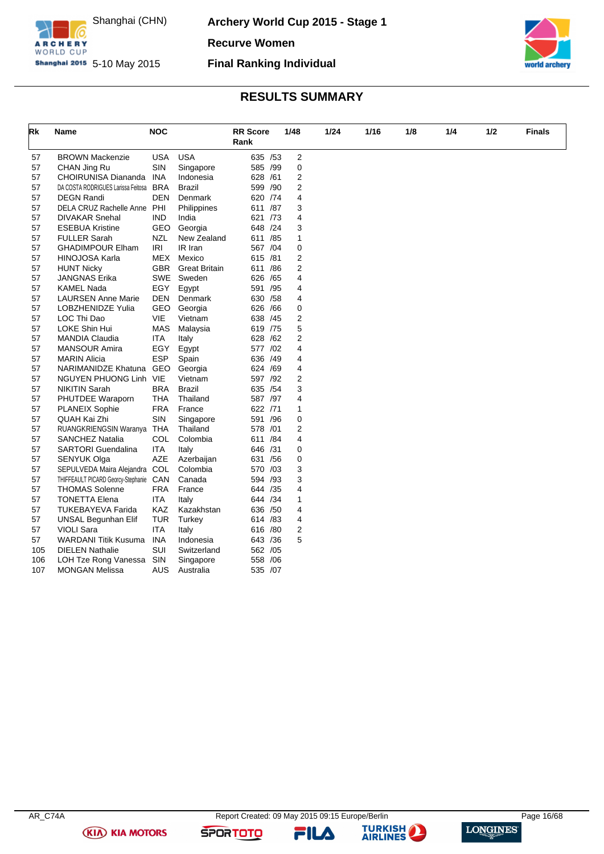

**Archery World Cup 2015 - Stage 1**

**Recurve Women**

**Shanghai 2015** 5-10 May 2015

### **Final Ranking Individual**



# **RESULTS SUMMARY**

| Rk  | Name                                   | <b>NOC</b> |                      | <b>RR</b> Score<br>Rank |     | 1/48                    | 1/24 | 1/16 | 1/8 | 1/4 | 1/2 | Finals |
|-----|----------------------------------------|------------|----------------------|-------------------------|-----|-------------------------|------|------|-----|-----|-----|--------|
| 57  | <b>BROWN Mackenzie</b>                 | <b>USA</b> | <b>USA</b>           | 635 /53                 |     | $\overline{c}$          |      |      |     |     |     |        |
| 57  | CHAN Jing Ru                           | <b>SIN</b> | Singapore            | 585 /99                 |     | $\mathbf 0$             |      |      |     |     |     |        |
| 57  | CHOIRUNISA Diananda                    | <b>INA</b> | Indonesia            | 628 /61                 |     | $\overline{\mathbf{c}}$ |      |      |     |     |     |        |
| 57  | DA COSTA RODRIGUES Larissa Feitosa     | BRA        | <b>Brazil</b>        | 599                     | /90 | 2                       |      |      |     |     |     |        |
| 57  | <b>DEGN Randi</b>                      | <b>DEN</b> | Denmark              | 620 / 74                |     | 4                       |      |      |     |     |     |        |
| 57  | DELA CRUZ Rachelle Anne PHI            |            | Philippines          | 611                     | /87 | 3                       |      |      |     |     |     |        |
| 57  | <b>DIVAKAR Snehal</b>                  | <b>IND</b> | India                | 621                     | /73 | 4                       |      |      |     |     |     |        |
| 57  | <b>ESEBUA Kristine</b>                 | GEO        | Georgia              | 648 /24                 |     | 3                       |      |      |     |     |     |        |
| 57  | <b>FULLER Sarah</b>                    | <b>NZL</b> | New Zealand          | 611                     | /85 | 1                       |      |      |     |     |     |        |
| 57  | <b>GHADIMPOUR Elham</b>                | <b>IRI</b> | IR Iran              | 567 /04                 |     | 0                       |      |      |     |     |     |        |
| 57  | <b>HINOJOSA Karla</b>                  | MEX        | Mexico               | 615 /81                 |     | $\overline{\mathbf{c}}$ |      |      |     |     |     |        |
| 57  | <b>HUNT Nicky</b>                      | <b>GBR</b> | <b>Great Britain</b> | 611                     | /86 | $\overline{2}$          |      |      |     |     |     |        |
| 57  | <b>JANGNAS Erika</b>                   | SWE        | Sweden               | 626                     | /65 | 4                       |      |      |     |     |     |        |
| 57  | <b>KAMEL Nada</b>                      | EGY        | Egypt                | 591 /95                 |     | 4                       |      |      |     |     |     |        |
| 57  | <b>LAURSEN Anne Marie</b>              | <b>DEN</b> | Denmark              | 630 / 58                |     | 4                       |      |      |     |     |     |        |
| 57  | LOBZHENIDZE Yulia                      | GEO        | Georgia              | 626                     | /66 | $\mathbf 0$             |      |      |     |     |     |        |
| 57  | LOC Thi Dao                            | VIE        | Vietnam              | 638 /45                 |     | 2                       |      |      |     |     |     |        |
| 57  | LOKE Shin Hui                          | <b>MAS</b> | Malaysia             | 619 /75                 |     | 5                       |      |      |     |     |     |        |
| 57  | <b>MANDIA Claudia</b>                  | <b>ITA</b> | Italy                | 628                     | /62 | 2                       |      |      |     |     |     |        |
| 57  | <b>MANSOUR Amira</b>                   | EGY        | Egypt                | 577 /02                 |     | 4                       |      |      |     |     |     |        |
| 57  | <b>MARIN Alicia</b>                    | <b>ESP</b> | Spain                | 636 /49                 |     | 4                       |      |      |     |     |     |        |
| 57  | NARIMANIDZE Khatuna GEO                |            | Georgia              | 624 /69                 |     | 4                       |      |      |     |     |     |        |
| 57  | NGUYEN PHUONG Linh VIE                 |            | Vietnam              | 597 /92                 |     | 2                       |      |      |     |     |     |        |
| 57  | <b>NIKITIN Sarah</b>                   | <b>BRA</b> | <b>Brazil</b>        | 635 / 54                |     | 3                       |      |      |     |     |     |        |
| 57  | PHUTDEE Waraporn                       | THA        | Thailand             | 587 /97                 |     | 4                       |      |      |     |     |     |        |
| 57  | <b>PLANEIX Sophie</b>                  | <b>FRA</b> | France               | 622 /71                 |     | 1                       |      |      |     |     |     |        |
| 57  | QUAH Kai Zhi                           | SIN        | Singapore            | 591                     | /96 | 0                       |      |      |     |     |     |        |
| 57  | RUANGKRIENGSIN Waranya THA             |            | Thailand             | 578 /01                 |     | 2                       |      |      |     |     |     |        |
| 57  | <b>SANCHEZ Natalia</b>                 | COL        | Colombia             | 611 / 84                |     | 4                       |      |      |     |     |     |        |
| 57  | <b>SARTORI</b> Guendalina              | <b>ITA</b> | Italy                | 646                     | /31 | 0                       |      |      |     |     |     |        |
| 57  | <b>SENYUK Olga</b>                     | <b>AZE</b> | Azerbaijan           | 631 / 56                |     | 0                       |      |      |     |     |     |        |
| 57  | SEPULVEDA Maira Alejandra COL          |            | Colombia             | 570 /03                 |     | 3                       |      |      |     |     |     |        |
| 57  | THIFFEAULT PICARD Georcy-Stephanie CAN |            | Canada               | 594                     | /93 | 3                       |      |      |     |     |     |        |
| 57  | <b>THOMAS Solenne</b>                  | <b>FRA</b> | France               | 644 / 35                |     | 4                       |      |      |     |     |     |        |
| 57  | <b>TONETTA Elena</b>                   | <b>ITA</b> | Italy                | 644 / 34                |     | $\mathbf{1}$            |      |      |     |     |     |        |
| 57  | <b>TUKEBAYEVA Farida</b>               | KAZ        | Kazakhstan           | 636 / 50                |     | 4                       |      |      |     |     |     |        |
| 57  | UNSAL Begunhan Elif                    | <b>TUR</b> | Turkey               | 614 /83                 |     | 4                       |      |      |     |     |     |        |
| 57  | <b>VIOLI Sara</b>                      | ITA        | Italy                | 616 /80                 |     | $\overline{\mathbf{c}}$ |      |      |     |     |     |        |
| 57  | <b>WARDANI Titik Kusuma</b>            | INA        | Indonesia            | 643 / 36                |     | 5                       |      |      |     |     |     |        |
| 105 | <b>DIELEN Nathalie</b>                 | SUI        | Switzerland          | 562 /05                 |     |                         |      |      |     |     |     |        |
| 106 | LOH Tze Rong Vanessa                   | SIN        | Singapore            | 558                     | /06 |                         |      |      |     |     |     |        |
| 107 | <b>MONGAN Melissa</b>                  | AUS        | Australia            | 535 /07                 |     |                         |      |      |     |     |     |        |

**(KIA) KIA MOTORS** 

**SPORTOTO** 



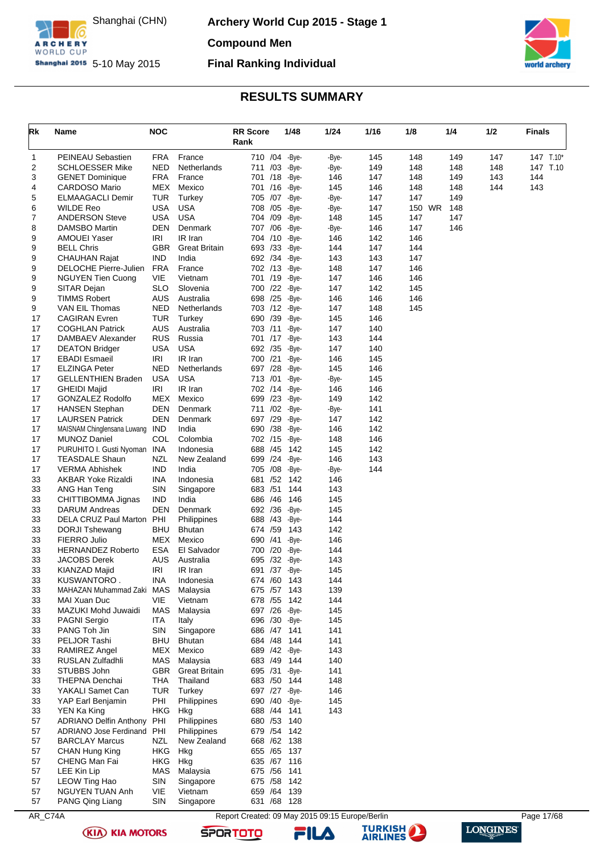

**Archery World Cup 2015 - Stage 1**

**Compound Men**

**Shanghai 2015** 5-10 May 2015

# **Final Ranking Individual**



### **RESULTS SUMMARY**

<span id="page-17-0"></span>

| Rk       | Name                                          | <b>NOC</b>               |                         | <b>RR Score</b><br>Rank      | 1/48           | 1/24         | 1/16       | 1/8           | 1/4 |            | 1/2 | <b>Finals</b> |           |
|----------|-----------------------------------------------|--------------------------|-------------------------|------------------------------|----------------|--------------|------------|---------------|-----|------------|-----|---------------|-----------|
| 1        | PEINEAU Sebastien                             | <b>FRA</b>               | France                  | 710 /04 -Bye-                |                | -Bye-        | 145        | 148           |     | 149        | 147 |               | 147 T.10* |
| 2        | <b>SCHLOESSER Mike</b>                        | <b>NED</b>               | Netherlands             | 711 /03 -Bye-                |                | -Bye-        | 149        | 148           |     | 148        | 148 |               | 147 T.10  |
| 3        | <b>GENET Dominique</b>                        | <b>FRA</b>               | France                  | 701 /18 - Bye-               |                | 146          | 147        | 148           |     | 149        | 143 | 144           |           |
| 4        | <b>CARDOSO Mario</b>                          | MEX                      | Mexico                  | 701 /16 -Bye-                |                | 145          | 146        | 148           |     | 148        | 144 | 143           |           |
| 5<br>6   | <b>ELMAAGACLI Demir</b><br><b>WILDE Reo</b>   | <b>TUR</b><br><b>USA</b> | Turkey<br><b>USA</b>    | 705 /07 -Bye-<br>708 /05     |                | -Bye-        | 147        | 147<br>150 WR |     | 149<br>148 |     |               |           |
| 7        | <b>ANDERSON Steve</b>                         | <b>USA</b>               | <b>USA</b>              | 704 /09                      | -Bye-<br>-Bye- | -Bye-<br>148 | 147<br>145 | 147           |     | 147        |     |               |           |
| 8        | DAMSBO Martin                                 | DEN                      | Denmark                 | 707 /06 -Bye-                |                | -Bye-        | 146        | 147           |     | 146        |     |               |           |
| 9        | <b>AMOUEI Yaser</b>                           | <b>IRI</b>               | IR Iran                 | 704 /10                      | -Bye-          | 146          | 142        | 146           |     |            |     |               |           |
| 9        | <b>BELL Chris</b>                             | <b>GBR</b>               | <b>Great Britain</b>    | 693 /33 - Bye-               |                | 144          | 147        | 144           |     |            |     |               |           |
| 9        | <b>CHAUHAN Rajat</b>                          | <b>IND</b>               | India                   | 692 /34 - Bye-               |                | 143          | 143        | 147           |     |            |     |               |           |
| 9        | DELOCHE Pierre-Julien                         | <b>FRA</b>               | France                  | 702 /13                      | -Bye-          | 148          | 147        | 146           |     |            |     |               |           |
| 9        | <b>NGUYEN Tien Cuong</b>                      | VIE                      | Vietnam                 | 701 /19                      | -Bye-          | 147          | 146        | 146           |     |            |     |               |           |
| 9        | SITAR Dejan                                   | <b>SLO</b>               | Slovenia                | 700 /22 -Bye-                |                | 147          | 142        | 145           |     |            |     |               |           |
| 9        | <b>TIMMS Robert</b>                           | <b>AUS</b>               | Australia               | 698 /25                      | -Bye-          | 146          | 146        | 146           |     |            |     |               |           |
| 9        | VAN EIL Thomas                                | <b>NED</b>               | Netherlands             | 703 /12 -Bye-                |                | 147          | 148        | 145           |     |            |     |               |           |
| 17       | <b>CAGIRAN Evren</b>                          | TUR                      | Turkey                  | 690 /39 - Bye-               |                | 145          | 146        |               |     |            |     |               |           |
| 17       | <b>COGHLAN Patrick</b>                        | <b>AUS</b>               | Australia               | 703 /11                      | -Bye-          | 147          | 140        |               |     |            |     |               |           |
| 17       | DAMBAEV Alexander                             | <b>RUS</b>               | Russia                  | 701 /17                      | -Bye-          | 143          | 144        |               |     |            |     |               |           |
| 17<br>17 | <b>DEATON Bridger</b><br><b>EBADI</b> Esmaeil | USA<br>IRI               | <b>USA</b><br>IR Iran   | 692 /35 - Bye-<br>700 /21    | -Bye-          | 147<br>146   | 140        |               |     |            |     |               |           |
| 17       | <b>ELZINGA Peter</b>                          | <b>NED</b>               | Netherlands             | 697 /28                      | -Bye-          | 145          | 145<br>146 |               |     |            |     |               |           |
| 17       | <b>GELLENTHIEN Braden</b>                     | <b>USA</b>               | <b>USA</b>              | 713 /01                      | -Bye-          | -Bye-        | 145        |               |     |            |     |               |           |
| 17       | <b>GHEIDI Majid</b>                           | IRI                      | IR Iran                 | 702 /14                      | -Bye-          | 146          | 146        |               |     |            |     |               |           |
| 17       | <b>GONZALEZ Rodolfo</b>                       | MEX                      | Mexico                  | 699 /23                      | -Bye-          | 149          | 142        |               |     |            |     |               |           |
| 17       | <b>HANSEN Stephan</b>                         | DEN                      | Denmark                 | 711 /02 -Bye-                |                | -Bye-        | 141        |               |     |            |     |               |           |
| 17       | <b>LAURSEN Patrick</b>                        | DEN                      | Denmark                 | 697 /29 - Bye-               |                | 147          | 142        |               |     |            |     |               |           |
| 17       | MAISNAM Chinglensana Luwang                   | <b>IND</b>               | India                   | 690 /38                      | -Bye-          | 146          | 142        |               |     |            |     |               |           |
| 17       | <b>MUNOZ Daniel</b>                           | COL                      | Colombia                | 702 /15                      | -Bye-          | 148          | 146        |               |     |            |     |               |           |
| 17       | PURUHITO I. Gusti Nyoman INA                  |                          | Indonesia               | 688 / 45                     | 142            | 145          | 142        |               |     |            |     |               |           |
| 17       | <b>TEASDALE Shaun</b>                         | NZL                      | New Zealand             | 699 /24                      | -Bye-          | 146          | 143        |               |     |            |     |               |           |
| 17       | <b>VERMA Abhishek</b>                         | <b>IND</b>               | India                   | 705 /08                      | -Bye-          | -Bye-        | 144        |               |     |            |     |               |           |
| 33       | AKBAR Yoke Rizaldi                            | <b>INA</b>               | Indonesia               | 681 /52                      | 142            | 146          |            |               |     |            |     |               |           |
| 33<br>33 | ANG Han Teng<br>CHITTIBOMMA Jignas            | SIN<br><b>IND</b>        | Singapore<br>India      | 683 / 51<br>686 /46          | 144<br>146     | 143<br>145   |            |               |     |            |     |               |           |
| 33       | <b>DARUM Andreas</b>                          | DEN                      | Denmark                 | 692 /36                      | -Bye-          | 145          |            |               |     |            |     |               |           |
| 33       | DELA CRUZ Paul Marton PHI                     |                          | Philippines             | 688 / 43                     | -Bye-          | 144          |            |               |     |            |     |               |           |
| 33       | <b>DORJI Tshewang</b>                         | BHU                      | <b>Bhutan</b>           | 674 /59                      | 143            | 142          |            |               |     |            |     |               |           |
| 33       | FIERRO Julio                                  | MEX                      | Mexico                  | 690 /41                      | -Bye-          | 146          |            |               |     |            |     |               |           |
| 33       | <b>HERNANDEZ Roberto</b>                      | <b>ESA</b>               | El Salvador             | 700 /20 - Bye-               |                | 144          |            |               |     |            |     |               |           |
| 33       | <b>JACOBS Derek</b>                           | <b>AUS</b>               | Australia               | 695 /32                      | -Bye-          | 143          |            |               |     |            |     |               |           |
| 33       | KIANZAD Majid                                 | <b>IRI</b>               | IR Iran                 | 691 /37 -Bye-                |                | 145          |            |               |     |            |     |               |           |
| 33       | KUSWANTORO.                                   | INA                      | Indonesia               | 674 /60                      | 143            | 144          |            |               |     |            |     |               |           |
| 33       | MAHAZAN Muhammad Zaki MAS                     |                          | Malaysia                | 675 / 57 143                 |                | 139          |            |               |     |            |     |               |           |
| 33       | MAI Xuan Duc                                  | <b>VIE</b>               | Vietnam                 | 678 / 55 142                 |                | 144          |            |               |     |            |     |               |           |
| 33       | MAZUKI Mohd Juwaidi                           | MAS                      | Malaysia                | 697 /26 -Bye-                |                | 145          |            |               |     |            |     |               |           |
| 33       | PAGNI Sergio                                  | <b>ITA</b>               | Italy                   | 696 /30 - Bye-               |                | 145          |            |               |     |            |     |               |           |
| 33       | PANG Toh Jin                                  | SIN                      | Singapore               | 686 /47 141                  |                | 141          |            |               |     |            |     |               |           |
| 33<br>33 | PELJOR Tashi<br>RAMIREZ Angel                 | BHU<br>MEX               | <b>Bhutan</b><br>Mexico | 684 /48 144<br>689 /42 -Bye- |                | 141<br>143   |            |               |     |            |     |               |           |
| 33       | RUSLAN Zulfadhli                              | MAS                      | Malaysia                | 683 /49 144                  |                | 140          |            |               |     |            |     |               |           |
| 33       | STUBBS John                                   | <b>GBR</b>               | <b>Great Britain</b>    | 695 /31 -Bye-                |                | 141          |            |               |     |            |     |               |           |
| 33       | <b>THEPNA Denchai</b>                         | <b>THA</b>               | Thailand                | 683 / 50                     | 144            | 148          |            |               |     |            |     |               |           |
| 33       | YAKALI Samet Can                              | <b>TUR</b>               | Turkey                  | 697 /27 -Bye-                |                | 146          |            |               |     |            |     |               |           |
| 33       | YAP Earl Benjamin                             | PHI                      | Philippines             | 690 /40 -Bye-                |                | 145          |            |               |     |            |     |               |           |
| 33       | YEN Ka King                                   | <b>HKG</b>               | Hkg                     | 688 /44 141                  |                | 143          |            |               |     |            |     |               |           |
| 57       | ADRIANO Delfin Anthony PHI                    |                          | Philippines             | 680 / 53 140                 |                |              |            |               |     |            |     |               |           |
| 57       | ADRIANO Jose Ferdinand PHI                    |                          | Philippines             | 679 / 54 142                 |                |              |            |               |     |            |     |               |           |
| 57       | <b>BARCLAY Marcus</b>                         | NZL                      | New Zealand             | 668 /62 138                  |                |              |            |               |     |            |     |               |           |
| 57       | CHAN Hung King                                | <b>HKG</b>               | Hkg                     | 655 / 65 137                 |                |              |            |               |     |            |     |               |           |
| 57       | CHENG Man Fai                                 | <b>HKG</b>               | Hkg                     | 635 /67 116                  |                |              |            |               |     |            |     |               |           |
| 57       | LEE Kin Lip                                   | <b>MAS</b>               | Malaysia                | 675 / 56 141                 |                |              |            |               |     |            |     |               |           |
| 57       | LEOW Ting Hao                                 | SIN                      | Singapore               | 675 / 58 142                 |                |              |            |               |     |            |     |               |           |
| 57       | NGUYEN TUAN Anh                               | VIE                      | Vietnam                 | 659 / 64 139                 |                |              |            |               |     |            |     |               |           |
| 57       | PANG Qing Liang                               | SIN                      | Singapore               | 631 /68 128                  |                |              |            |               |     |            |     |               |           |

AR\_C74A Report Created: 09 May 2015 09:15 Europe/Berlin Page 17/68 **TURKISH** 



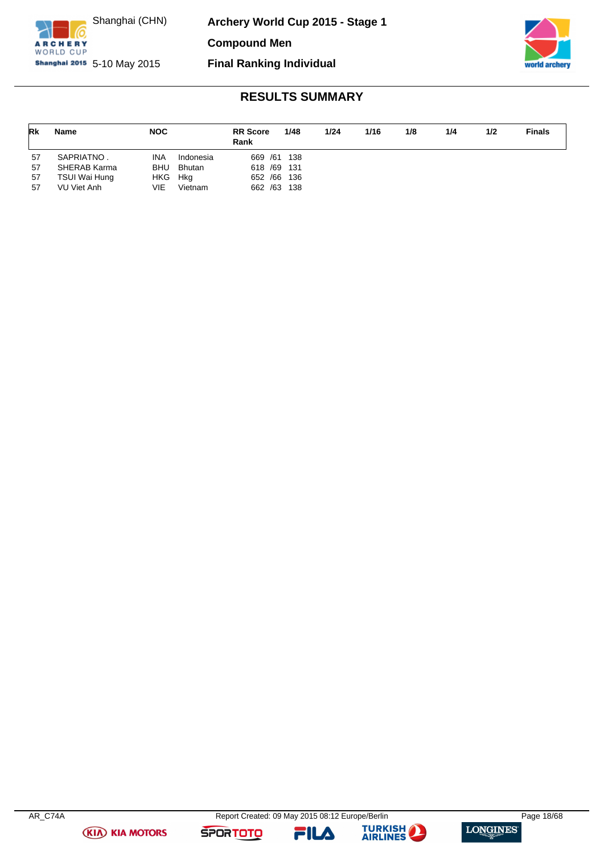

**Archery World Cup 2015 - Stage 1**

**Compound Men**

**Shanghai 2015** 5-10 May 2015



# **Final Ranking Individual**

# **RESULTS SUMMARY**

| Rk       | <b>Name</b>                  | <b>NOC</b> |                | <b>RR</b> Score<br>Rank     | 1/48 | 1/24 | 1/16 | 1/8 | 1/4 | 1/2 | <b>Finals</b> |
|----------|------------------------------|------------|----------------|-----------------------------|------|------|------|-----|-----|-----|---------------|
| 57       | SAPRIATNO.                   | INA        | Indonesia      | 669 / 61 138                |      |      |      |     |     |     |               |
| 57       | SHERAB Karma                 | <b>BHU</b> | <b>Bhutan</b>  | 618 /69 131                 |      |      |      |     |     |     |               |
| 57<br>57 | TSUI Wai Hung<br>VU Viet Anh | HKG<br>VIE | Hka<br>Vietnam | 652 / 66 136<br>662 /63 138 |      |      |      |     |     |     |               |

**(KIA) KIA MOTORS** 

**SPORTOTO** 



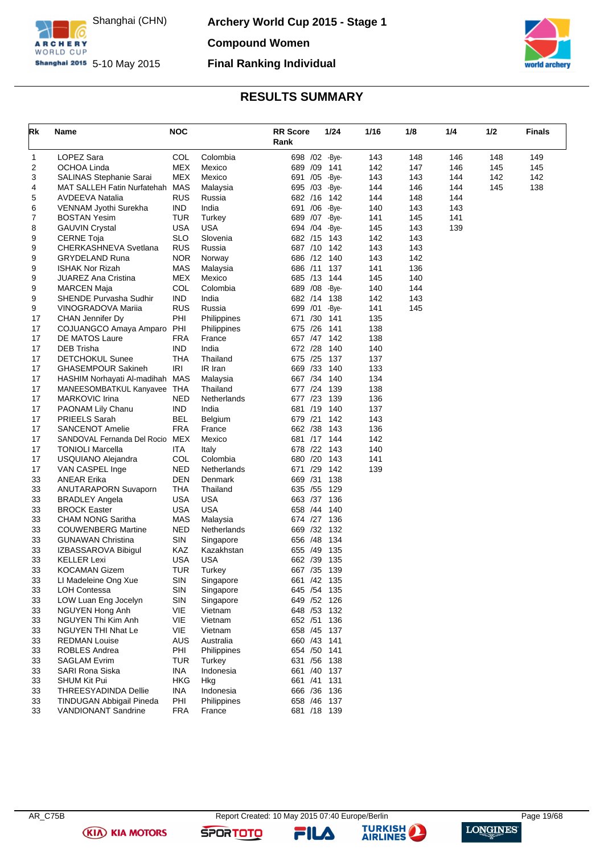

**Archery World Cup 2015 - Stage 1 Compound Women**

**Final Ranking Individual**



# **RESULTS SUMMARY**

<span id="page-19-0"></span>

| Rk | Name                            | <b>NOC</b> |             | <b>RR Score</b><br>Rank | 1/24 |       | 1/16 | 1/8 | 1/4 | 1/2 | <b>Finals</b> |
|----|---------------------------------|------------|-------------|-------------------------|------|-------|------|-----|-----|-----|---------------|
| 1  | LOPEZ Sara                      | <b>COL</b> | Colombia    | 698 /02 -Bye-           |      |       | 143  | 148 | 146 | 148 | 149           |
| 2  | <b>OCHOA Linda</b>              | MEX        | Mexico      | 689 /09                 |      | 141   | 142  | 147 | 146 | 145 | 145           |
| 3  | SALINAS Stephanie Sarai         | MEX        | Mexico      | 691 /05                 |      | -Bye- | 143  | 143 | 144 | 142 | 142           |
| 4  | MAT SALLEH Fatin Nurfatehah     | MAS        | Malaysia    | 695 /03                 |      | -Bye- | 144  | 146 | 144 | 145 | 138           |
| 5  | AVDEEVA Natalia                 | <b>RUS</b> | Russia      | 682 /16                 |      | 142   | 144  | 148 | 144 |     |               |
| 6  | VENNAM Jyothi Surekha           | IND.       | India       | 691 /06                 |      | -Bye- | 140  | 143 | 143 |     |               |
| 7  | BOSTAN Yesim                    | TUR        | Turkey      | 689 /07                 |      | -Bye- | 141  | 145 | 141 |     |               |
| 8  | <b>GAUVIN Crystal</b>           | USA        | USA         | 694 /04                 |      | -Bye- | 145  | 143 | 139 |     |               |
| 9  | CERNE Toja                      | <b>SLO</b> | Slovenia    | 682 /15 143             |      |       | 142  | 143 |     |     |               |
| 9  | CHERKASHNEVA Svetlana           | <b>RUS</b> | Russia      | 687 /10 142             |      |       | 143  | 143 |     |     |               |
| 9  | <b>GRYDELAND Runa</b>           | NOR        | Norway      | 686 /12 140             |      |       | 143  | 142 |     |     |               |
| 9  | ISHAK Nor Rizah                 | MAS        | Malaysia    | 686 /11 137             |      |       | 141  | 136 |     |     |               |
| 9  | JUAREZ Ana Cristina             | MEX        | Mexico      | 685 /13                 |      | 144   | 145  | 140 |     |     |               |
| 9  | MARCEN Maja                     | COL        | Colombia    | 689 / 08                |      | -Bye- | 140  | 144 |     |     |               |
| 9  | SHENDE Purvasha Sudhir          | <b>IND</b> | India       | 682 /14                 |      | 138   | 142  | 143 |     |     |               |
| 9  | <b>VINOGRADOVA Marija</b>       | <b>RUS</b> | Russia      | 699 /01                 |      | -Bye- | 141  | 145 |     |     |               |
| 17 | CHAN Jennifer Dy                | PHI        | Philippines | 671 /30                 |      | 141   | 135  |     |     |     |               |
| 17 | COJUANGCO Amaya Amparo          | PHI        | Philippines | 675 /26                 |      | 141   | 138  |     |     |     |               |
| 17 | <b>DE MATOS Laure</b>           | <b>FRA</b> | France      | 657 / 47                |      | 142   | 138  |     |     |     |               |
| 17 | DEB Trisha                      | <b>IND</b> | India       | 672 /28                 |      | 140   | 140  |     |     |     |               |
| 17 | <b>DETCHOKUL Sunee</b>          | THA        | Thailand    | 675 /25                 |      | 137   | 137  |     |     |     |               |
| 17 | <b>GHASEMPOUR Sakineh</b>       | IRI        | IR Iran     | 669 /33                 |      | 140   | 133  |     |     |     |               |
| 17 | HASHIM Norhayati Al-madihah     | MAS        | Malaysia    | 667 /34                 |      | 140   | 134  |     |     |     |               |
| 17 | MANEESOMBATKUL Kanyavee THA     |            | Thailand    | 677 /24                 |      | 139   | 138  |     |     |     |               |
| 17 | MARKOVIC Irina                  | NED        | Netherlands | 677 /23                 |      | 139   | 136  |     |     |     |               |
| 17 | PAONAM Lily Chanu               | IND.       | India       | 681 /19                 |      | 140   | 137  |     |     |     |               |
| 17 | PRIEELS Sarah                   | BEL        | Belgium     | 679 /21                 |      | 142   | 143  |     |     |     |               |
| 17 | <b>SANCENOT Amelie</b>          | <b>FRA</b> | France      | 662 /38                 |      | 143   | 136  |     |     |     |               |
| 17 | SANDOVAL Fernanda Del Rocio MEX |            | Mexico      | 681 /17 144             |      |       | 142  |     |     |     |               |
| 17 | <b>TONIOLI Marcella</b>         | ITA        | Italy       | 678 /22                 |      | 143   | 140  |     |     |     |               |
| 17 | USQUIANO Alejandra              | COL        | Colombia    | 680 /20                 |      | 143   | 141  |     |     |     |               |
| 17 | VAN CASPEL Inge                 | NED        | Netherlands | 671 /29                 |      | 142   | 139  |     |     |     |               |
| 33 | ANEAR Erika                     | DEN        | Denmark     | 669 /31                 |      | 138   |      |     |     |     |               |
| 33 | <b>ANUTARAPORN Suvaporn</b>     | THA        | Thailand    | 635 / 55                |      | 129   |      |     |     |     |               |
| 33 | <b>BRADLEY Angela</b>           | <b>USA</b> | USA         | 663 /37                 |      | 136   |      |     |     |     |               |
| 33 | <b>BROCK Easter</b>             | <b>USA</b> | <b>USA</b>  | 658 /44                 |      | 140   |      |     |     |     |               |
| 33 | <b>CHAM NONG Saritha</b>        | <b>MAS</b> | Malaysia    | 674 /27                 |      | 136   |      |     |     |     |               |
| 33 | <b>COUWENBERG Martine</b>       | <b>NED</b> | Netherlands | 669 /32                 |      | 132   |      |     |     |     |               |
| 33 | <b>GUNAWAN Christina</b>        | <b>SIN</b> | Singapore   | 656 /48                 |      | 134   |      |     |     |     |               |
| 33 | IZBASSAROVA Bibigul             | KAZ        | Kazakhstan  | 655 /49                 |      | 135   |      |     |     |     |               |
| 33 | <b>KELLER Lexi</b>              | <b>USA</b> | USA         | 662 /39                 |      | 135   |      |     |     |     |               |
| 33 | KOCAMAN Gizem                   | TUR        | Turkey      | 667 /35                 | 139  |       |      |     |     |     |               |
| 33 | LI Madeleine Ong Xue            | SIN        | Singapore   | 661 /42 135             |      |       |      |     |     |     |               |
| 33 | <b>LOH Contessa</b>             | <b>SIN</b> | Singapore   | 645 / 54 135            |      |       |      |     |     |     |               |
| 33 | LOW Luan Eng Jocelyn            | <b>SIN</b> | Singapore   | 649 / 52 126            |      |       |      |     |     |     |               |
| 33 | NGUYEN Hong Anh                 | VIE        | Vietnam     | 648 / 53 132            |      |       |      |     |     |     |               |
| 33 | NGUYEN Thi Kim Anh              | VIE        | Vietnam     | 652 /51                 | 136  |       |      |     |     |     |               |
| 33 | NGUYEN THI Nhat Le              | VIE        | Vietnam     | 658 /45 137             |      |       |      |     |     |     |               |
| 33 | <b>REDMAN Louise</b>            | <b>AUS</b> | Australia   | 660 /43 141             |      |       |      |     |     |     |               |
| 33 | ROBLES Andrea                   | PHI        | Philippines | 654 / 50 141            |      |       |      |     |     |     |               |
| 33 | <b>SAGLAM Evrim</b>             | <b>TUR</b> | Turkey      | 631 / 56 138            |      |       |      |     |     |     |               |
| 33 | SARI Rona Siska                 | <b>INA</b> | Indonesia   | 661 /40                 | 137  |       |      |     |     |     |               |
| 33 | SHUM Kit Pui                    | <b>HKG</b> | Hkg         | 661 /41 131             |      |       |      |     |     |     |               |
| 33 | THREESYADINDA Dellie            | INA        | Indonesia   | 666 / 36 136            |      |       |      |     |     |     |               |
| 33 | TINDUGAN Abbigail Pineda        | PHI        | Philippines | 658 /46 137             |      |       |      |     |     |     |               |
| 33 | VANDIONANT Sandrine             | <b>FRA</b> | France      | 681 /18 139             |      |       |      |     |     |     |               |

**(KIA) KIA MOTORS** 

**SPORTOTO** 

FILA

**TURKISH** 

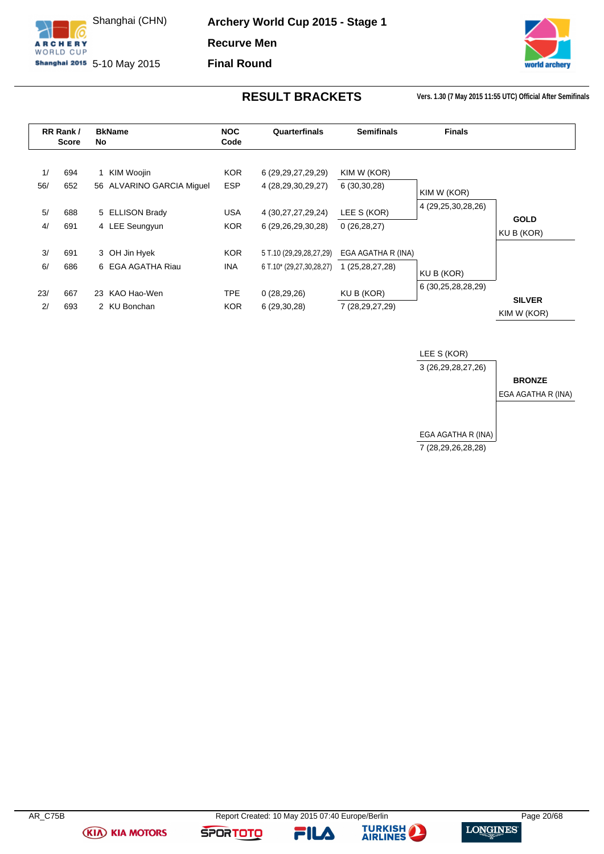

**Archery World Cup 2015 - Stage 1 Recurve Men**

**Final Round**



**RESULT BRACKETS Vers. 1.30 (7 May 2015 11:55 UTC) Official After Semifinals**

<span id="page-20-0"></span>

|           | RR Rank/<br><b>Score</b> | No | <b>BkName</b>                           | <b>NOC</b><br>Code       | Quarterfinals                                       | <b>Semifinals</b>                     | <b>Finals</b>      |                              |
|-----------|--------------------------|----|-----------------------------------------|--------------------------|-----------------------------------------------------|---------------------------------------|--------------------|------------------------------|
| 1/<br>56/ | 694<br>652               |    | KIM Woojin<br>56 ALVARINO GARCIA Miquel | <b>KOR</b><br><b>ESP</b> | 6 (29, 29, 27, 29, 29)<br>4 (28,29,30,29,27)        | KIM W (KOR)<br>6(30,30,28)            | KIM W (KOR)        |                              |
| 5/<br>4/  | 688<br>691               |    | 5 ELLISON Brady<br>4 LEE Seungyun       | <b>USA</b><br><b>KOR</b> | 4 (30,27,27,29,24)<br>6 (29,26,29,30,28)            | LEE S (KOR)<br>0(26, 28, 27)          | 4 (29,25,30,28,26) | <b>GOLD</b><br>KU B (KOR)    |
| 3/<br>6/  | 691<br>686               |    | 3 OH Jin Hyek<br>6 EGA AGATHA Riau      | KOR.<br>INA.             | 5 T.10 (29,29,28,27,29)<br>6 T.10* (29,27,30,28,27) | EGA AGATHA R (INA)<br>1 (25,28,27,28) | KU B (KOR)         |                              |
| 23/<br>2/ | 667<br>693               |    | 23 KAO Hao-Wen<br>2 KU Bonchan          | <b>TPE</b><br><b>KOR</b> | 0(28, 29, 26)<br>6(29,30,28)                        | KU B (KOR)<br>7 (28,29,27,29)         | 6 (30,25,28,28,29) | <b>SILVER</b><br>KIM W (KOR) |



**(KIA) KIA MOTORS** 

FILA

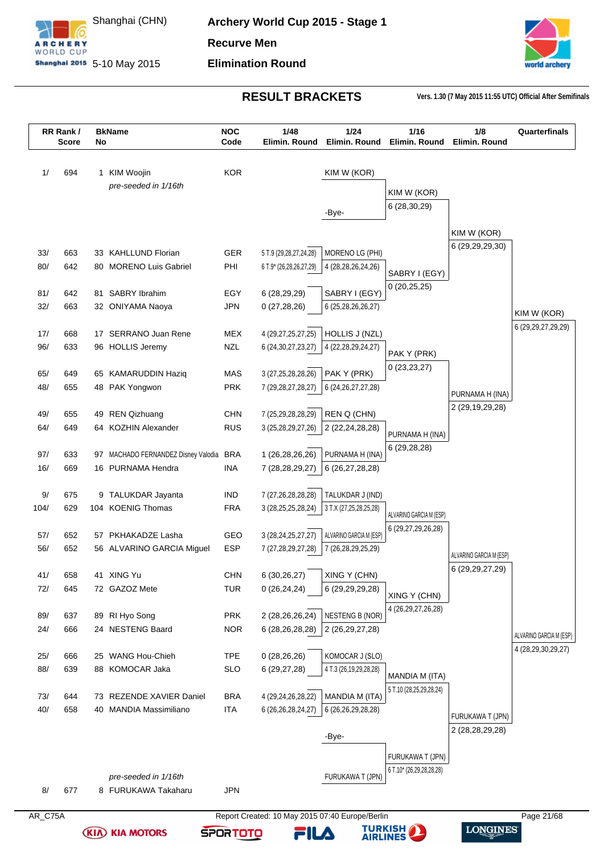



|            | RR Rank/<br><b>Score</b> | No | <b>BkName</b>                                 | <b>NOC</b><br>Code | 1/48<br>Elimin. Round                             | 1/24<br>Elimin. Round                 | 1/16<br>Elimin. Round    | 1/8<br>Elimin. Round                   | Quarterfinals                         |
|------------|--------------------------|----|-----------------------------------------------|--------------------|---------------------------------------------------|---------------------------------------|--------------------------|----------------------------------------|---------------------------------------|
| 1/         | 694                      |    | 1 KIM Woojin                                  | <b>KOR</b>         |                                                   | KIM W (KOR)                           |                          |                                        |                                       |
|            |                          |    | pre-seeded in 1/16th                          |                    |                                                   |                                       |                          |                                        |                                       |
|            |                          |    |                                               |                    |                                                   |                                       | KIM W (KOR)              |                                        |                                       |
|            |                          |    |                                               |                    |                                                   | -Bye-                                 | 6 (28,30,29)             |                                        |                                       |
|            |                          |    |                                               |                    |                                                   |                                       |                          | KIM W (KOR)                            |                                       |
|            |                          |    |                                               |                    |                                                   |                                       |                          | 6 (29,29,29,30)                        |                                       |
| 33/<br>80/ | 663<br>642               |    | 33 KAHLLUND Florian<br>80 MORENO Luis Gabriel | <b>GER</b><br>PHI  | 5 T.9 (29,28,27,24,28)<br>6 T.9* (26,28,26,27,29) | MORENO LG (PHI)<br>4 (28,28,26,24,26) |                          |                                        |                                       |
|            |                          |    |                                               |                    |                                                   |                                       | SABRY I (EGY)            |                                        |                                       |
| 81/        | 642                      |    | 81 SABRY Ibrahim                              | EGY                | 6 (28,29,29)                                      | SABRY I (EGY)                         | 0(20,25,25)              |                                        |                                       |
| 32/        | 663                      |    | 32 ONIYAMA Naoya                              | <b>JPN</b>         | 0(27, 28, 26)                                     | 6 (25, 28, 26, 26, 27)                |                          |                                        |                                       |
|            |                          |    |                                               |                    |                                                   |                                       |                          |                                        | KIM W (KOR)<br>6 (29, 29, 27, 29, 29) |
| 17/        | 668                      |    | 17 SERRANO Juan Rene                          | <b>MEX</b>         | 4 (29,27,25,27,25)                                | HOLLIS J (NZL)                        |                          |                                        |                                       |
| 96/        | 633                      |    | 96 HOLLIS Jeremy                              | <b>NZL</b>         | 6 (24, 30, 27, 23, 27)                            | 4 (22, 28, 29, 24, 27)                | PAK Y (PRK)              |                                        |                                       |
|            |                          |    |                                               |                    |                                                   |                                       | 0(23, 23, 27)            |                                        |                                       |
| 65/<br>48/ | 649<br>655               |    | 65 KAMARUDDIN Haziq                           | MAS<br><b>PRK</b>  | 3 (27, 25, 28, 28, 26)                            | PAK Y (PRK)                           |                          |                                        |                                       |
|            |                          |    | 48 PAK Yongwon                                |                    | 7 (29, 28, 27, 28, 27)                            | 6 (24, 26, 27, 27, 28)                |                          | PURNAMA H (INA)                        |                                       |
| 49/        | 655                      |    | 49 REN Qizhuang                               | <b>CHN</b>         | 7 (25,29,28,28,29)                                | REN Q (CHN)                           |                          | 2 (29,19,29,28)                        |                                       |
| 64/        | 649                      |    | 64 KOZHIN Alexander                           | <b>RUS</b>         | 3 (25,28,29,27,26)                                | 2 (22,24,28,28)                       |                          |                                        |                                       |
|            |                          |    |                                               |                    |                                                   |                                       | PURNAMA H (INA)          |                                        |                                       |
| 97/        | 633                      |    | 97 MACHADO FERNANDEZ Disney Valodia BRA       |                    | 1 (26,28,26,26)                                   | PURNAMA H (INA)                       | 6(29, 28, 28)            |                                        |                                       |
| 16/        | 669                      |    | 16 PURNAMA Hendra                             | <b>INA</b>         | 7 (28,28,29,27)                                   | 6 (26,27,28,28)                       |                          |                                        |                                       |
|            |                          |    |                                               |                    |                                                   |                                       |                          |                                        |                                       |
| 9/         | 675                      |    | 9 TALUKDAR Jayanta                            | <b>IND</b>         | 7 (27,26,28,28,28)                                | TALUKDAR J (IND)                      |                          |                                        |                                       |
| 104/       | 629                      |    | 104 KOENIG Thomas                             | <b>FRA</b>         | 3 (28, 25, 25, 28, 24)                            | 3 T.X (27,25,28,25,28)                | ALVARINO GARCIA M (ESP)  |                                        |                                       |
| 57/        | 652                      |    | 57 PKHAKADZE Lasha                            | GEO                | 3 (28, 24, 25, 27, 27)                            | ALVARINO GARCIA M (ESP)               | 6 (29,27,29,26,28)       |                                        |                                       |
| 56/        | 652                      |    | 56 ALVARINO GARCIA Miguel                     | <b>ESP</b>         | 7 (27,28,29,27,28)                                | 7 (26,28,29,25,29)                    |                          |                                        |                                       |
|            |                          |    |                                               |                    |                                                   |                                       |                          | ALVARINO GARCIA M (ESP)                |                                       |
| 41/        | 658                      |    | 41 XING Yu                                    | CHN                | 6 (30,26,27)                                      | XING Y (CHN)                          |                          | 6 (29, 29, 27, 29)                     |                                       |
| 72/        | 645                      |    | 72 GAZOZ Mete                                 | <b>TUR</b>         | 0(26, 24, 24)                                     | 6 (29,29,29,28)                       | XING Y (CHN)             |                                        |                                       |
|            |                          |    |                                               |                    |                                                   |                                       | 4 (26, 29, 27, 26, 28)   |                                        |                                       |
| 89/        | 637                      |    | 89 RI Hyo Song                                | <b>PRK</b>         | 2 (28,26,26,24)                                   | <b>NESTENG B (NOR)</b>                |                          |                                        |                                       |
| 24/        | 666                      |    | 24 NESTENG Baard                              | <b>NOR</b>         | 6 (28,26,28,28)                                   | 2 (26,29,27,28)                       |                          |                                        | ALVARINO GARCIA M (ESP)               |
| 25/        | 666                      |    | 25 WANG Hou-Chieh                             | <b>TPE</b>         | 0(28, 26, 26)                                     | KOMOCAR J (SLO)                       |                          |                                        | 4 (28,29,30,29,27)                    |
| 88/        | 639                      |    | 88 KOMOCAR Jaka                               | <b>SLO</b>         | 6 (29,27,28)                                      | 4 T.3 (26,19,29,28,28)                |                          |                                        |                                       |
|            |                          |    |                                               |                    |                                                   |                                       | MANDIA M (ITA)           |                                        |                                       |
| 73/        | 644                      |    | 73 REZENDE XAVIER Daniel                      | <b>BRA</b>         | 4 (29,24,26,28,22)                                | MANDIA M (ITA)                        | 5 T.10 (28,25,29,28,24)  |                                        |                                       |
| 40/        | 658                      |    | 40 MANDIA Massimiliano                        | <b>ITA</b>         | 6 (26,26,28,24,27)                                | 6 (26,26,29,28,28)                    |                          |                                        |                                       |
|            |                          |    |                                               |                    |                                                   |                                       |                          | FURUKAWA T (JPN)<br>2 (28, 28, 29, 28) |                                       |
|            |                          |    |                                               |                    |                                                   | -Bye-                                 |                          |                                        |                                       |
|            |                          |    |                                               |                    |                                                   |                                       | FURUKAWA T (JPN)         |                                        |                                       |
|            |                          |    |                                               |                    |                                                   |                                       | 6 T.10* (26,29,28,28,28) |                                        |                                       |
|            | 677                      |    | pre-seeded in 1/16th<br>8 FURUKAWA Takaharu   | <b>JPN</b>         |                                                   | FURUKAWA T (JPN)                      |                          |                                        |                                       |
| 8/         |                          |    |                                               |                    |                                                   |                                       |                          |                                        |                                       |

**(KIA) KIA MOTORS** 



**TURKISH**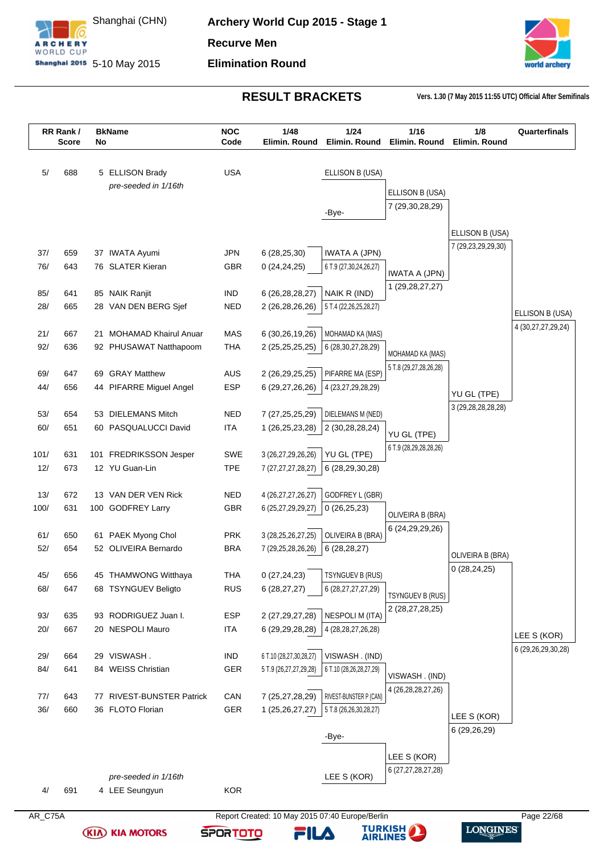



|         | RR Rank/<br><b>Score</b> | No  | <b>BkName</b>                 | <b>NOC</b><br>Code | 1/48<br>Elimin. Round                           | 1/24<br>Elimin. Round   | 1/16<br>Elimin, Round   | 1/8<br>Elimin, Round   | Quarterfinals      |
|---------|--------------------------|-----|-------------------------------|--------------------|-------------------------------------------------|-------------------------|-------------------------|------------------------|--------------------|
|         |                          |     |                               |                    |                                                 |                         |                         |                        |                    |
| 5/      | 688                      |     | 5 ELLISON Brady               | <b>USA</b>         |                                                 | ELLISON B (USA)         |                         |                        |                    |
|         |                          |     | pre-seeded in 1/16th          |                    |                                                 |                         | ELLISON B (USA)         |                        |                    |
|         |                          |     |                               |                    |                                                 | -Bye-                   | 7 (29,30,28,29)         |                        |                    |
|         |                          |     |                               |                    |                                                 |                         |                         |                        |                    |
|         |                          |     |                               |                    |                                                 |                         |                         | ELLISON B (USA)        |                    |
| 37/     | 659                      |     | 37 IWATA Ayumi                | <b>JPN</b>         | 6(28, 25, 30)                                   | <b>IWATA A (JPN)</b>    |                         | 7 (29,23,29,29,30)     |                    |
| 76/     | 643                      |     | 76 SLATER Kieran              | GBR                | 0(24, 24, 25)                                   | 6 T.9 (27,30,24,26,27)  | <b>IWATA A (JPN)</b>    |                        |                    |
|         |                          |     |                               |                    |                                                 |                         | 1 (29, 28, 27, 27)      |                        |                    |
| 85/     | 641                      |     | 85 NAIK Ranjit                | <b>IND</b>         | 6 (26,28,28,27)                                 | NAIK R (IND)            |                         |                        |                    |
| 28/     | 665                      |     | 28 VAN DEN BERG Sjef          | <b>NED</b>         | 2 (26,28,26,26)                                 | 5 T.4 (22,26,25,28,27)  |                         |                        | ELLISON B (USA)    |
| 21/     | 667                      | 21  | <b>MOHAMAD Khairul Anuar</b>  | <b>MAS</b>         | 6 (30,26,19,26)                                 | MOHAMAD KA (MAS)        |                         |                        | 4 (30,27,27,29,24) |
| 92/     | 636                      |     | 92 PHUSAWAT Natthapoom        | <b>THA</b>         | 2 (25,25,25,25)                                 | 6 (28, 30, 27, 28, 29)  |                         |                        |                    |
|         |                          |     |                               |                    |                                                 |                         | MOHAMAD KA (MAS)        |                        |                    |
| 69/     | 647                      | 69  | <b>GRAY Matthew</b>           | <b>AUS</b>         | 2 (26,29,25,25)                                 | PIFARRE MA (ESP)        | 5 T.8 (29,27,28,26,28)  |                        |                    |
| 44/     | 656                      |     | 44 PIFARRE Miguel Angel       | <b>ESP</b>         | 6 (29,27,26,26)                                 | 4 (23,27,29,28,29)      |                         | YU GL (TPE)            |                    |
|         |                          |     |                               |                    |                                                 |                         |                         | 3 (29, 28, 28, 28, 28) |                    |
| 53/     | 654                      |     | 53 DIELEMANS Mitch            | <b>NED</b>         | 7 (27, 25, 25, 29)                              | DIELEMANS M (NED)       |                         |                        |                    |
| 60/     | 651                      |     | 60 PASQUALUCCI David          | <b>ITA</b>         | 1 (26,25,23,28)                                 | 2 (30,28,28,24)         | YU GL (TPE)             |                        |                    |
| 101/    | 631                      | 101 | FREDRIKSSON Jesper            | <b>SWE</b>         | 3 (26,27,29,26,26)                              | YU GL (TPE)             | 6 T.9 (28,29,28,28,26)  |                        |                    |
| 12/     | 673                      |     | 12 YU Guan-Lin                | <b>TPE</b>         | 7 (27,27,27,28,27)                              | 6 (28,29,30,28)         |                         |                        |                    |
|         |                          |     |                               |                    |                                                 |                         |                         |                        |                    |
| 13/     | 672                      |     | 13 VAN DER VEN Rick           | <b>NED</b>         | 4 (26,27,27,26,27)                              | GODFREY L (GBR)         |                         |                        |                    |
| 100/    | 631                      |     | 100 GODFREY Larry             | <b>GBR</b>         | 6 (25,27,29,29,27)                              | 0(26,25,23)             | OLIVEIRA B (BRA)        |                        |                    |
|         |                          |     |                               |                    |                                                 |                         | 6 (24, 29, 29, 26)      |                        |                    |
| 61/     | 650                      |     | 61 PAEK Myong Chol            | <b>PRK</b>         | 3 (28, 25, 26, 27, 25)                          | OLIVEIRA B (BRA)        |                         |                        |                    |
| 52/     | 654                      |     | 52 OLIVEIRA Bernardo          | <b>BRA</b>         | 7 (29,25,28,26,26)                              | 6(28, 28, 27)           |                         | OLIVEIRA B (BRA)       |                    |
| 45/     | 656                      |     | 45 THAMWONG Witthaya          | <b>THA</b>         | 0(27, 24, 23)                                   | TSYNGUEV B (RUS)        |                         | 0(28, 24, 25)          |                    |
| 68/     | 647                      |     | 68 TSYNGUEV Beligto           | <b>RUS</b>         | 6(28, 27, 27)                                   | 6 (28,27,27,27,29)      |                         |                        |                    |
|         |                          |     |                               |                    |                                                 |                         | <b>TSYNGUEV B (RUS)</b> |                        |                    |
| 93/     | 635                      |     | 93 RODRIGUEZ Juan I.          | <b>ESP</b>         | 2 (27, 29, 27, 28)                              | NESPOLI M (ITA)         | 2 (28,27,28,25)         |                        |                    |
| 20/     | 667                      |     | 20 NESPOLI Mauro              | <b>ITA</b>         | 6 (29, 29, 28, 28)                              | 4 (28, 28, 27, 26, 28)  |                         |                        | LEE S (KOR)        |
|         |                          |     |                               |                    |                                                 |                         |                         |                        | 6 (29,26,29,30,28) |
| 29/     | 664                      |     | 29 VISWASH.                   | <b>IND</b>         | 6 T.10 (28,27,30,28,27)                         | VISWASH. (IND)          |                         |                        |                    |
| 84/     | 641                      |     | 84 WEISS Christian            | GER                | 5 T.9 (26,27,27,29,28)                          | 6 T.10 (28,26,28,27,29) | VISWASH. (IND)          |                        |                    |
| 77/     | 643                      | 77  | <b>RIVEST-BUNSTER Patrick</b> | CAN                | 7 (25,27,28,29)                                 | RIVEST-BUNSTER P (CAN)  | 4 (26, 28, 28, 27, 26)  |                        |                    |
| 36/     | 660                      |     | 36 FLOTO Florian              | GER                | 1 (25,26,27,27)                                 | 5 T.8 (26,26,30,28,27)  |                         |                        |                    |
|         |                          |     |                               |                    |                                                 |                         |                         | LEE S (KOR)            |                    |
|         |                          |     |                               |                    |                                                 | -Bye-                   |                         | 6 (29,26,29)           |                    |
|         |                          |     |                               |                    |                                                 |                         | LEE S (KOR)             |                        |                    |
|         |                          |     |                               |                    |                                                 |                         | 6 (27,27,28,27,28)      |                        |                    |
|         |                          |     | pre-seeded in 1/16th          |                    |                                                 | LEE S (KOR)             |                         |                        |                    |
| 4/      | 691                      |     | 4 LEE Seungyun                | <b>KOR</b>         |                                                 |                         |                         |                        |                    |
| AR_C75A |                          |     |                               |                    | Report Created: 10 May 2015 07:40 Europe/Berlin |                         |                         |                        | Page 22/68         |

**SPORTOTO** 

**(KIA) KIA MOTORS** 

**TURKISH<br>AIRLINES** 

FILA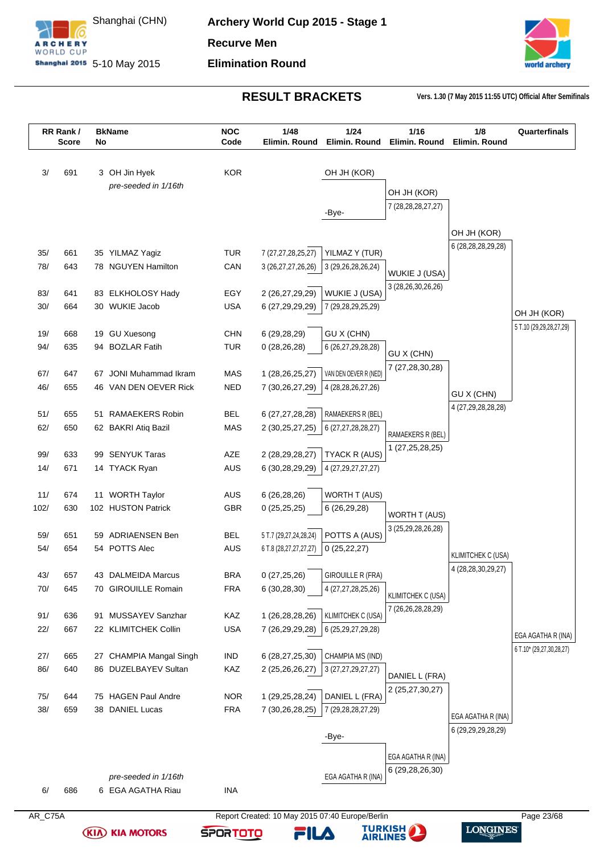



|            | RR Rank/<br><b>Score</b> | No | <b>BkName</b>                             | <b>NOC</b><br>Code       | 1/48<br>Elimin. Round                           | 1/24<br>Elimin. Round               | 1/16<br>Elimin. Round                      | 1/8<br>Elimin. Round      | Quarterfinals                                  |
|------------|--------------------------|----|-------------------------------------------|--------------------------|-------------------------------------------------|-------------------------------------|--------------------------------------------|---------------------------|------------------------------------------------|
|            |                          |    |                                           |                          |                                                 |                                     |                                            |                           |                                                |
| 3/         | 691                      |    | 3 OH Jin Hyek                             | <b>KOR</b>               |                                                 | OH JH (KOR)                         |                                            |                           |                                                |
|            |                          |    | pre-seeded in 1/16th                      |                          |                                                 |                                     | OH JH (KOR)                                |                           |                                                |
|            |                          |    |                                           |                          |                                                 |                                     | 7 (28, 28, 28, 27, 27)                     |                           |                                                |
|            |                          |    |                                           |                          |                                                 | -Bye-                               |                                            |                           |                                                |
|            |                          |    |                                           |                          |                                                 |                                     |                                            | OH JH (KOR)               |                                                |
| 35/        | 661                      |    | 35 YILMAZ Yagiz                           | <b>TUR</b>               | 7 (27,27,28,25,27)                              | YILMAZ Y (TUR)                      |                                            | 6 (28,28,28,29,28)        |                                                |
| 78/        | 643                      |    | 78 NGUYEN Hamilton                        | CAN                      | 3 (26,27,27,26,26)                              | 3 (29, 26, 28, 26, 24)              |                                            |                           |                                                |
|            |                          |    |                                           |                          |                                                 |                                     | WUKIE J (USA)                              |                           |                                                |
| 83/        | 641                      |    | 83 ELKHOLOSY Hady                         | EGY                      | 2 (26,27,29,29)                                 | WUKIE J (USA)                       | 3 (28,26,30,26,26)                         |                           |                                                |
| 30/        | 664                      |    | 30 WUKIE Jacob                            | <b>USA</b>               | 6 (27, 29, 29, 29)                              | 7 (29,28,29,25,29)                  |                                            |                           | OH JH (KOR)                                    |
|            |                          |    |                                           |                          |                                                 |                                     |                                            |                           | 5 T.10 (29,29,28,27,29)                        |
| 19/        | 668                      |    | 19 GU Xuesong                             | <b>CHN</b>               | 6 (29,28,29)                                    | GU X (CHN)                          |                                            |                           |                                                |
| 94/        | 635                      |    | 94 BOZLAR Fatih                           | <b>TUR</b>               | 0(28, 26, 28)                                   | 6 (26, 27, 29, 28, 28)              | GU X (CHN)                                 |                           |                                                |
| 67/        | 647                      | 67 | JONI Muhammad Ikram                       | <b>MAS</b>               | 1 (28,26,25,27)                                 | VAN DEN OEVER R (NED)               | 7 (27,28,30,28)                            |                           |                                                |
| 46/        | 655                      |    | 46 VAN DEN OEVER Rick                     | <b>NED</b>               | 7 (30,26,27,29)                                 | 4 (28, 28, 26, 27, 26)              |                                            |                           |                                                |
|            |                          |    |                                           |                          |                                                 |                                     |                                            | GU X (CHN)                |                                                |
| 51/        | 655                      |    | 51 RAMAEKERS Robin                        | <b>BEL</b>               | 6 (27,27,28,28)                                 | RAMAEKERS R (BEL)                   |                                            | 4 (27,29,28,28,28)        |                                                |
| 62/        | 650                      |    | 62 BAKRI Atiq Bazil                       | <b>MAS</b>               | 2 (30,25,27,25)                                 | 6 (27,27,28,28,27)                  | RAMAEKERS R (BEL)                          |                           |                                                |
|            |                          |    |                                           |                          |                                                 |                                     | 1 (27,25,28,25)                            |                           |                                                |
| 99/<br>14/ | 633<br>671               |    | 99 SENYUK Taras<br>14 TYACK Ryan          | AZE<br><b>AUS</b>        | 2 (28,29,28,27)<br>6 (30,28,29,29)              | TYACK R (AUS)<br>4 (27,29,27,27,27) |                                            |                           |                                                |
|            |                          |    |                                           |                          |                                                 |                                     |                                            |                           |                                                |
| 11/        | 674                      |    | 11 WORTH Taylor                           | AUS                      | 6(26, 28, 26)                                   | WORTH T (AUS)                       |                                            |                           |                                                |
| 102/       | 630                      |    | 102 HUSTON Patrick                        | GBR                      | 0(25,25,25)                                     | 6 (26,29,28)                        |                                            |                           |                                                |
|            |                          |    |                                           |                          |                                                 |                                     | <b>WORTH T (AUS)</b><br>3 (25,29,28,26,28) |                           |                                                |
| 59/        | 651                      |    | 59 ADRIAENSEN Ben                         | <b>BEL</b>               | 5 T.7 (29,27,24,28,24)                          | POTTS A (AUS)                       |                                            |                           |                                                |
| 54/        | 654                      |    | 54 POTTS Alec                             | <b>AUS</b>               | 6 T.8 (28,27,27,27,27)                          | 0(25, 22, 27)                       |                                            | <b>KLIMITCHEK C (USA)</b> |                                                |
|            |                          |    |                                           |                          |                                                 |                                     |                                            | 4 (28,28,30,29,27)        |                                                |
| 43/<br>70/ | 657<br>645               |    | 43 DALMEIDA Marcus<br>70 GIROUILLE Romain | <b>BRA</b><br><b>FRA</b> | 0(27,25,26)                                     | <b>GIROUILLE R (FRA)</b>            |                                            |                           |                                                |
|            |                          |    |                                           |                          | 6 (30,28,30)                                    | 4 (27,27,28,25,26)                  | KLIMITCHEK C (USA)                         |                           |                                                |
| 91/        | 636                      |    | 91 MUSSAYEV Sanzhar                       | KAZ                      | 1 (26,28,28,26)                                 | KLIMITCHEK C (USA)                  | 7 (26,26,28,28,29)                         |                           |                                                |
| 22/        | 667                      |    | 22 KLIMITCHEK Collin                      | <b>USA</b>               | 7 (26,29,29,28)                                 | 6 (25, 29, 27, 29, 28)              |                                            |                           |                                                |
|            |                          |    |                                           |                          |                                                 |                                     |                                            |                           | EGA AGATHA R (INA)<br>6 T.10* (29,27,30,28,27) |
| 27/        | 665                      |    | 27 CHAMPIA Mangal Singh                   | IND                      | 6 (28,27,25,30)                                 | CHAMPIA MS (IND)                    |                                            |                           |                                                |
| 86/        | 640                      |    | 86 DUZELBAYEV Sultan                      | KAZ                      | 2 (25,26,26,27)                                 | 3 (27, 27, 29, 27, 27)              | DANIEL L (FRA)                             |                           |                                                |
|            |                          |    |                                           |                          |                                                 |                                     | 2 (25,27,30,27)                            |                           |                                                |
| 75/<br>38/ | 644<br>659               |    | 75 HAGEN Paul Andre<br>38 DANIEL Lucas    | <b>NOR</b><br><b>FRA</b> | 1 (29,25,28,24)<br>7 (30,26,28,25)              | DANIEL L (FRA)                      |                                            |                           |                                                |
|            |                          |    |                                           |                          |                                                 | 7(29, 28, 28, 27, 29)               |                                            | EGA AGATHA R (INA)        |                                                |
|            |                          |    |                                           |                          |                                                 | -Bye-                               |                                            | 6 (29,29,29,28,29)        |                                                |
|            |                          |    |                                           |                          |                                                 |                                     |                                            |                           |                                                |
|            |                          |    |                                           |                          |                                                 |                                     | EGA AGATHA R (INA)                         |                           |                                                |
|            |                          |    | pre-seeded in 1/16th                      |                          |                                                 | EGA AGATHA R (INA)                  | 6 (29,28,26,30)                            |                           |                                                |
| 6/         | 686                      |    | 6 EGA AGATHA Riau                         | <b>INA</b>               |                                                 |                                     |                                            |                           |                                                |
|            |                          |    |                                           |                          |                                                 |                                     |                                            |                           |                                                |
| AR_C75A    |                          |    |                                           |                          | Report Created: 10 May 2015 07:40 Europe/Berlin |                                     |                                            |                           | Page 23/68                                     |

**SPORTOTO** 

**(KIA) KIA MOTORS** 

**TURKISH<br>AIRLINES** 

FILA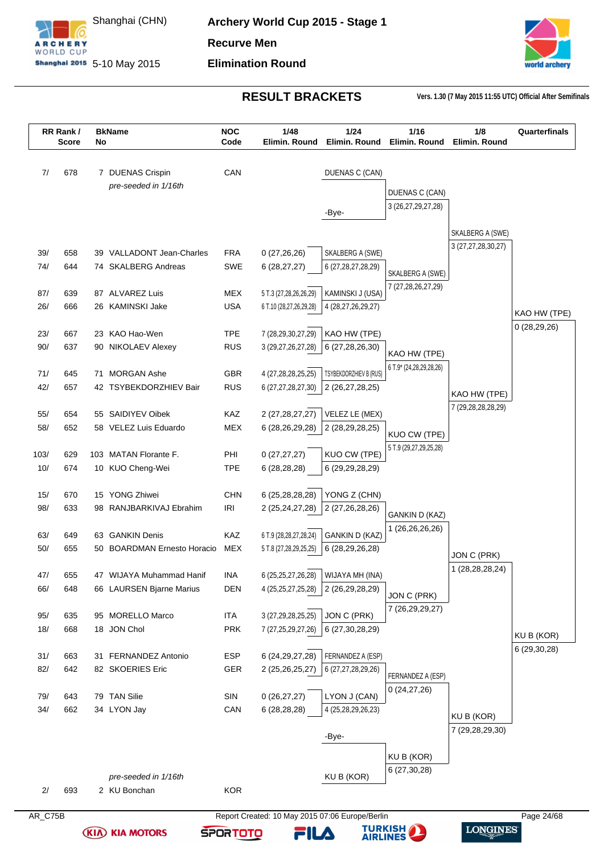





**(KIA) KIA MOTORS** 



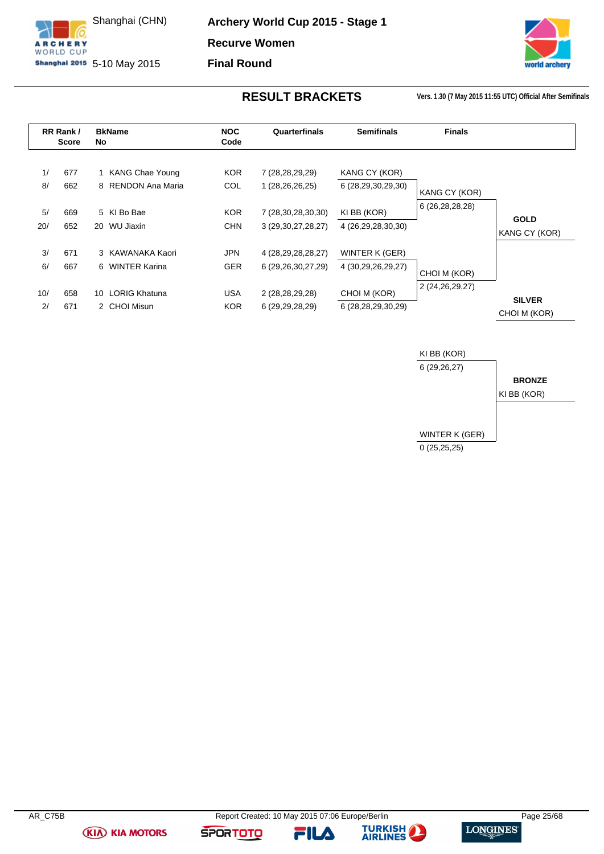

**Archery World Cup 2015 - Stage 1 Recurve Women Final Round**

rid archery

**RESULT BRACKETS Vers. 1.30 (7 May 2015 11:55 UTC) Official After Semifinals**

<span id="page-25-0"></span>

|     | RR Rank/     | <b>BkName</b>      | <b>NOC</b> | Quarterfinals          | <b>Semifinals</b>  | <b>Finals</b>   |                               |
|-----|--------------|--------------------|------------|------------------------|--------------------|-----------------|-------------------------------|
|     | <b>Score</b> | No                 | Code       |                        |                    |                 |                               |
| 1/  | 677          | 1 KANG Chae Young  | <b>KOR</b> | 7 (28,28,29,29)        | KANG CY (KOR)      |                 |                               |
| 8/  | 662          | 8 RENDON Ana Maria | COL        | 1 (28,26,26,25)        | 6 (28,29,30,29,30) | KANG CY (KOR)   |                               |
| 5/  | 669          | 5 KI Bo Bae        | <b>KOR</b> | 7 (28,30,28,30,30)     | KI BB (KOR)        | 6 (26,28,28,28) |                               |
| 20/ | 652          | 20 WU Jiaxin       | <b>CHN</b> | 3 (29, 30, 27, 28, 27) | 4 (26,29,28,30,30) |                 | <b>GOLD</b><br>KANG CY (KOR)  |
| 3/  | 671          | 3 KAWANAKA Kaori   | <b>JPN</b> | 4 (28, 29, 28, 28, 27) | WINTER K (GER)     |                 |                               |
| 6/  | 667          | 6 WINTER Karina    | <b>GER</b> | 6 (29,26,30,27,29)     | 4 (30,29,26,29,27) | CHOI M (KOR)    |                               |
| 10/ | 658          | 10 LORIG Khatuna   | <b>USA</b> | 2 (28,28,29,28)        | CHOI M (KOR)       | 2 (24,26,29,27) |                               |
| 2/  | 671          | 2 CHOI Misun       | <b>KOR</b> | 6 (29,29,28,29)        | 6 (28,28,29,30,29) |                 | <b>SILVER</b><br>CHOI M (KOR) |



FILA



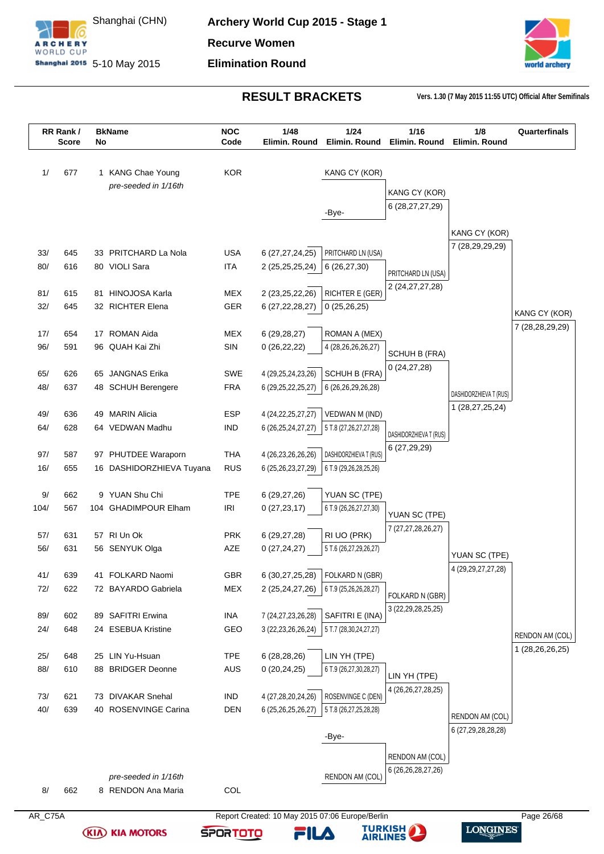



| <b>KOR</b><br>KANG CY (KOR)<br>677<br>1 KANG Chae Young<br>pre-seeded in 1/16th<br>KANG CY (KOR)<br>6 (28, 27, 27, 29)<br>-Bye-<br>KANG CY (KOR)<br>7 (28,29,29,29)<br><b>USA</b><br>PRITCHARD LN (USA)<br>33 PRITCHARD La Nola<br>6 (27,27,24,25)<br>645<br>616<br>80 VIOLI Sara<br><b>ITA</b><br>2 (25,25,25,24)<br>6(26, 27, 30)<br>PRITCHARD LN (USA)<br>2 (24, 27, 27, 28)<br>RICHTER E (GER)<br>81 HINOJOSA Karla<br><b>MEX</b><br>2 (23,25,22,26)<br>615<br>32 RICHTER Elena<br>GER<br>6 (27, 22, 28, 27)<br>645<br>0(25,26,25)<br>MEX<br>17 ROMAN Aida<br>6(29, 28, 27)<br>ROMAN A (MEX)<br>654<br>591<br>SIN<br>96 QUAH Kai Zhi<br>0(26, 22, 22)<br>4 (28,26,26,26,27)<br>SCHUH B (FRA)<br>0(24, 27, 28)<br>65 JANGNAS Erika<br><b>SWE</b><br>SCHUH B (FRA)<br>626<br>4 (29,25,24,23,26)<br><b>FRA</b><br>637<br>48 SCHUH Berengere<br>6 (29, 25, 22, 25, 27)<br>6 (26,26,29,26,28)<br>DASHIDORZHIEVA T (RUS)<br>1 (28,27,25,24)<br>49 MARIN Alicia<br>VEDWAN M (IND)<br>ESP<br>4 (24, 22, 25, 27, 27)<br>636<br><b>IND</b><br>628<br>64 VEDWAN Madhu<br>6 (26, 25, 24, 27, 27)<br>5 T.8 (27, 26, 27, 27, 28)<br>DASHIDORZHIEVA T (RUS)<br>6 (27,29,29)<br><b>THA</b><br>DASHIDORZHIEVA T (RUS)<br>587<br>97 PHUTDEE Waraporn<br>4 (26,23,26,26,26)<br><b>RUS</b><br>16/<br>655<br>16 DASHIDORZHIEVA Tuyana<br>6 (25,26,23,27,29)<br>6 T.9 (29,26,28,25,26)<br>9 YUAN Shu Chi<br><b>TPE</b><br>YUAN SC (TPE)<br>662<br>6(29, 27, 26)<br>104 GHADIMPOUR Elham<br><b>IRI</b><br>567<br>0(27, 23, 17)<br>6 T.9 (26,26,27,27,30)<br>YUAN SC (TPE)<br>7 (27,27,28,26,27)<br><b>PRK</b><br>RI UO (PRK)<br>631<br>57 RI Un Ok<br>6(29, 27, 28)<br>56 SENYUK Olga<br>AZE<br>631<br>0(27, 24, 27)<br>5 T.6 (26,27,29,26,27)<br>YUAN SC (TPE)<br>4 (29, 29, 27, 27, 28)<br>GBR<br>FOLKARD N (GBR)<br>639<br>41 FOLKARD Naomi<br>6 (30,27,25,28)<br>622<br>72 BAYARDO Gabriela<br>MEX<br>2 (25,24,27,26)<br>6 T.9 (25,26,26,28,27)<br>FOLKARD N (GBR)<br>3 (22, 29, 28, 25, 25)<br>SAFITRI E (INA)<br>89 SAFITRI Erwina<br>602<br>INA<br>7 (24, 27, 23, 26, 28)<br>24 ESEBUA Kristine<br>GEO<br>648<br>3 (22, 23, 26, 26, 24)<br>5 T.7 (28,30,24,27,27)<br><b>TPE</b><br>25 LIN Yu-Hsuan<br>6(28, 28, 26)<br>LIN YH (TPE)<br>648<br>610<br>88 BRIDGER Deonne<br>AUS<br>0(20, 24, 25)<br>6 T.9 (26,27,30,28,27)<br>LIN YH (TPE)<br>4 (26,26,27,28,25)<br>73 DIVAKAR Snehal<br>ROSENVINGE C (DEN)<br>621<br>IND<br>4 (27,28,20,24,26)<br><b>DEN</b><br>639<br>40 ROSENVINGE Carina<br>6 (25,26,25,26,27)<br>5 T.8 (26,27,25,28,28)<br>RENDON AM (COL)<br>6 (27,29,28,28,28)<br>-Bye-<br>RENDON AM (COL)<br>6 (26, 26, 28, 27, 26)<br>pre-seeded in 1/16th<br>RENDON AM (COL)<br>8 RENDON Ana Maria<br>COL<br>662 |      | RR Rank/<br><b>Score</b> | No | <b>BkName</b> | <b>NOC</b><br>Code | 1/48<br>Elimin. Round | 1/24<br>Elimin, Round | 1/16<br>Elimin. Round | 1/8<br>Elimin. Round | Quarterfinals   |
|--------------------------------------------------------------------------------------------------------------------------------------------------------------------------------------------------------------------------------------------------------------------------------------------------------------------------------------------------------------------------------------------------------------------------------------------------------------------------------------------------------------------------------------------------------------------------------------------------------------------------------------------------------------------------------------------------------------------------------------------------------------------------------------------------------------------------------------------------------------------------------------------------------------------------------------------------------------------------------------------------------------------------------------------------------------------------------------------------------------------------------------------------------------------------------------------------------------------------------------------------------------------------------------------------------------------------------------------------------------------------------------------------------------------------------------------------------------------------------------------------------------------------------------------------------------------------------------------------------------------------------------------------------------------------------------------------------------------------------------------------------------------------------------------------------------------------------------------------------------------------------------------------------------------------------------------------------------------------------------------------------------------------------------------------------------------------------------------------------------------------------------------------------------------------------------------------------------------------------------------------------------------------------------------------------------------------------------------------------------------------------------------------------------------------------------------------------------------------------------------------------------------------------------------------------------------------------------------------------------------------------------------------------------------------------------------------------------|------|--------------------------|----|---------------|--------------------|-----------------------|-----------------------|-----------------------|----------------------|-----------------|
|                                                                                                                                                                                                                                                                                                                                                                                                                                                                                                                                                                                                                                                                                                                                                                                                                                                                                                                                                                                                                                                                                                                                                                                                                                                                                                                                                                                                                                                                                                                                                                                                                                                                                                                                                                                                                                                                                                                                                                                                                                                                                                                                                                                                                                                                                                                                                                                                                                                                                                                                                                                                                                                                                                              |      |                          |    |               |                    |                       |                       |                       |                      |                 |
|                                                                                                                                                                                                                                                                                                                                                                                                                                                                                                                                                                                                                                                                                                                                                                                                                                                                                                                                                                                                                                                                                                                                                                                                                                                                                                                                                                                                                                                                                                                                                                                                                                                                                                                                                                                                                                                                                                                                                                                                                                                                                                                                                                                                                                                                                                                                                                                                                                                                                                                                                                                                                                                                                                              | 1/   |                          |    |               |                    |                       |                       |                       |                      |                 |
|                                                                                                                                                                                                                                                                                                                                                                                                                                                                                                                                                                                                                                                                                                                                                                                                                                                                                                                                                                                                                                                                                                                                                                                                                                                                                                                                                                                                                                                                                                                                                                                                                                                                                                                                                                                                                                                                                                                                                                                                                                                                                                                                                                                                                                                                                                                                                                                                                                                                                                                                                                                                                                                                                                              |      |                          |    |               |                    |                       |                       |                       |                      |                 |
|                                                                                                                                                                                                                                                                                                                                                                                                                                                                                                                                                                                                                                                                                                                                                                                                                                                                                                                                                                                                                                                                                                                                                                                                                                                                                                                                                                                                                                                                                                                                                                                                                                                                                                                                                                                                                                                                                                                                                                                                                                                                                                                                                                                                                                                                                                                                                                                                                                                                                                                                                                                                                                                                                                              |      |                          |    |               |                    |                       |                       |                       |                      |                 |
|                                                                                                                                                                                                                                                                                                                                                                                                                                                                                                                                                                                                                                                                                                                                                                                                                                                                                                                                                                                                                                                                                                                                                                                                                                                                                                                                                                                                                                                                                                                                                                                                                                                                                                                                                                                                                                                                                                                                                                                                                                                                                                                                                                                                                                                                                                                                                                                                                                                                                                                                                                                                                                                                                                              |      |                          |    |               |                    |                       |                       |                       |                      |                 |
|                                                                                                                                                                                                                                                                                                                                                                                                                                                                                                                                                                                                                                                                                                                                                                                                                                                                                                                                                                                                                                                                                                                                                                                                                                                                                                                                                                                                                                                                                                                                                                                                                                                                                                                                                                                                                                                                                                                                                                                                                                                                                                                                                                                                                                                                                                                                                                                                                                                                                                                                                                                                                                                                                                              |      |                          |    |               |                    |                       |                       |                       |                      |                 |
|                                                                                                                                                                                                                                                                                                                                                                                                                                                                                                                                                                                                                                                                                                                                                                                                                                                                                                                                                                                                                                                                                                                                                                                                                                                                                                                                                                                                                                                                                                                                                                                                                                                                                                                                                                                                                                                                                                                                                                                                                                                                                                                                                                                                                                                                                                                                                                                                                                                                                                                                                                                                                                                                                                              |      |                          |    |               |                    |                       |                       |                       |                      |                 |
|                                                                                                                                                                                                                                                                                                                                                                                                                                                                                                                                                                                                                                                                                                                                                                                                                                                                                                                                                                                                                                                                                                                                                                                                                                                                                                                                                                                                                                                                                                                                                                                                                                                                                                                                                                                                                                                                                                                                                                                                                                                                                                                                                                                                                                                                                                                                                                                                                                                                                                                                                                                                                                                                                                              | 33/  |                          |    |               |                    |                       |                       |                       |                      |                 |
|                                                                                                                                                                                                                                                                                                                                                                                                                                                                                                                                                                                                                                                                                                                                                                                                                                                                                                                                                                                                                                                                                                                                                                                                                                                                                                                                                                                                                                                                                                                                                                                                                                                                                                                                                                                                                                                                                                                                                                                                                                                                                                                                                                                                                                                                                                                                                                                                                                                                                                                                                                                                                                                                                                              | 80/  |                          |    |               |                    |                       |                       |                       |                      |                 |
|                                                                                                                                                                                                                                                                                                                                                                                                                                                                                                                                                                                                                                                                                                                                                                                                                                                                                                                                                                                                                                                                                                                                                                                                                                                                                                                                                                                                                                                                                                                                                                                                                                                                                                                                                                                                                                                                                                                                                                                                                                                                                                                                                                                                                                                                                                                                                                                                                                                                                                                                                                                                                                                                                                              | 81/  |                          |    |               |                    |                       |                       |                       |                      |                 |
|                                                                                                                                                                                                                                                                                                                                                                                                                                                                                                                                                                                                                                                                                                                                                                                                                                                                                                                                                                                                                                                                                                                                                                                                                                                                                                                                                                                                                                                                                                                                                                                                                                                                                                                                                                                                                                                                                                                                                                                                                                                                                                                                                                                                                                                                                                                                                                                                                                                                                                                                                                                                                                                                                                              | 32/  |                          |    |               |                    |                       |                       |                       |                      |                 |
|                                                                                                                                                                                                                                                                                                                                                                                                                                                                                                                                                                                                                                                                                                                                                                                                                                                                                                                                                                                                                                                                                                                                                                                                                                                                                                                                                                                                                                                                                                                                                                                                                                                                                                                                                                                                                                                                                                                                                                                                                                                                                                                                                                                                                                                                                                                                                                                                                                                                                                                                                                                                                                                                                                              |      |                          |    |               |                    |                       |                       |                       |                      | KANG CY (KOR)   |
|                                                                                                                                                                                                                                                                                                                                                                                                                                                                                                                                                                                                                                                                                                                                                                                                                                                                                                                                                                                                                                                                                                                                                                                                                                                                                                                                                                                                                                                                                                                                                                                                                                                                                                                                                                                                                                                                                                                                                                                                                                                                                                                                                                                                                                                                                                                                                                                                                                                                                                                                                                                                                                                                                                              | 17/  |                          |    |               |                    |                       |                       |                       |                      | 7 (28,28,29,29) |
|                                                                                                                                                                                                                                                                                                                                                                                                                                                                                                                                                                                                                                                                                                                                                                                                                                                                                                                                                                                                                                                                                                                                                                                                                                                                                                                                                                                                                                                                                                                                                                                                                                                                                                                                                                                                                                                                                                                                                                                                                                                                                                                                                                                                                                                                                                                                                                                                                                                                                                                                                                                                                                                                                                              | 96/  |                          |    |               |                    |                       |                       |                       |                      |                 |
|                                                                                                                                                                                                                                                                                                                                                                                                                                                                                                                                                                                                                                                                                                                                                                                                                                                                                                                                                                                                                                                                                                                                                                                                                                                                                                                                                                                                                                                                                                                                                                                                                                                                                                                                                                                                                                                                                                                                                                                                                                                                                                                                                                                                                                                                                                                                                                                                                                                                                                                                                                                                                                                                                                              |      |                          |    |               |                    |                       |                       |                       |                      |                 |
|                                                                                                                                                                                                                                                                                                                                                                                                                                                                                                                                                                                                                                                                                                                                                                                                                                                                                                                                                                                                                                                                                                                                                                                                                                                                                                                                                                                                                                                                                                                                                                                                                                                                                                                                                                                                                                                                                                                                                                                                                                                                                                                                                                                                                                                                                                                                                                                                                                                                                                                                                                                                                                                                                                              | 65/  |                          |    |               |                    |                       |                       |                       |                      |                 |
|                                                                                                                                                                                                                                                                                                                                                                                                                                                                                                                                                                                                                                                                                                                                                                                                                                                                                                                                                                                                                                                                                                                                                                                                                                                                                                                                                                                                                                                                                                                                                                                                                                                                                                                                                                                                                                                                                                                                                                                                                                                                                                                                                                                                                                                                                                                                                                                                                                                                                                                                                                                                                                                                                                              | 48/  |                          |    |               |                    |                       |                       |                       |                      |                 |
|                                                                                                                                                                                                                                                                                                                                                                                                                                                                                                                                                                                                                                                                                                                                                                                                                                                                                                                                                                                                                                                                                                                                                                                                                                                                                                                                                                                                                                                                                                                                                                                                                                                                                                                                                                                                                                                                                                                                                                                                                                                                                                                                                                                                                                                                                                                                                                                                                                                                                                                                                                                                                                                                                                              |      |                          |    |               |                    |                       |                       |                       |                      |                 |
|                                                                                                                                                                                                                                                                                                                                                                                                                                                                                                                                                                                                                                                                                                                                                                                                                                                                                                                                                                                                                                                                                                                                                                                                                                                                                                                                                                                                                                                                                                                                                                                                                                                                                                                                                                                                                                                                                                                                                                                                                                                                                                                                                                                                                                                                                                                                                                                                                                                                                                                                                                                                                                                                                                              | 49/  |                          |    |               |                    |                       |                       |                       |                      |                 |
|                                                                                                                                                                                                                                                                                                                                                                                                                                                                                                                                                                                                                                                                                                                                                                                                                                                                                                                                                                                                                                                                                                                                                                                                                                                                                                                                                                                                                                                                                                                                                                                                                                                                                                                                                                                                                                                                                                                                                                                                                                                                                                                                                                                                                                                                                                                                                                                                                                                                                                                                                                                                                                                                                                              | 64/  |                          |    |               |                    |                       |                       |                       |                      |                 |
|                                                                                                                                                                                                                                                                                                                                                                                                                                                                                                                                                                                                                                                                                                                                                                                                                                                                                                                                                                                                                                                                                                                                                                                                                                                                                                                                                                                                                                                                                                                                                                                                                                                                                                                                                                                                                                                                                                                                                                                                                                                                                                                                                                                                                                                                                                                                                                                                                                                                                                                                                                                                                                                                                                              |      |                          |    |               |                    |                       |                       |                       |                      |                 |
|                                                                                                                                                                                                                                                                                                                                                                                                                                                                                                                                                                                                                                                                                                                                                                                                                                                                                                                                                                                                                                                                                                                                                                                                                                                                                                                                                                                                                                                                                                                                                                                                                                                                                                                                                                                                                                                                                                                                                                                                                                                                                                                                                                                                                                                                                                                                                                                                                                                                                                                                                                                                                                                                                                              | 97/  |                          |    |               |                    |                       |                       |                       |                      |                 |
|                                                                                                                                                                                                                                                                                                                                                                                                                                                                                                                                                                                                                                                                                                                                                                                                                                                                                                                                                                                                                                                                                                                                                                                                                                                                                                                                                                                                                                                                                                                                                                                                                                                                                                                                                                                                                                                                                                                                                                                                                                                                                                                                                                                                                                                                                                                                                                                                                                                                                                                                                                                                                                                                                                              |      |                          |    |               |                    |                       |                       |                       |                      |                 |
|                                                                                                                                                                                                                                                                                                                                                                                                                                                                                                                                                                                                                                                                                                                                                                                                                                                                                                                                                                                                                                                                                                                                                                                                                                                                                                                                                                                                                                                                                                                                                                                                                                                                                                                                                                                                                                                                                                                                                                                                                                                                                                                                                                                                                                                                                                                                                                                                                                                                                                                                                                                                                                                                                                              | 9/   |                          |    |               |                    |                       |                       |                       |                      |                 |
|                                                                                                                                                                                                                                                                                                                                                                                                                                                                                                                                                                                                                                                                                                                                                                                                                                                                                                                                                                                                                                                                                                                                                                                                                                                                                                                                                                                                                                                                                                                                                                                                                                                                                                                                                                                                                                                                                                                                                                                                                                                                                                                                                                                                                                                                                                                                                                                                                                                                                                                                                                                                                                                                                                              | 104/ |                          |    |               |                    |                       |                       |                       |                      |                 |
|                                                                                                                                                                                                                                                                                                                                                                                                                                                                                                                                                                                                                                                                                                                                                                                                                                                                                                                                                                                                                                                                                                                                                                                                                                                                                                                                                                                                                                                                                                                                                                                                                                                                                                                                                                                                                                                                                                                                                                                                                                                                                                                                                                                                                                                                                                                                                                                                                                                                                                                                                                                                                                                                                                              |      |                          |    |               |                    |                       |                       |                       |                      |                 |
|                                                                                                                                                                                                                                                                                                                                                                                                                                                                                                                                                                                                                                                                                                                                                                                                                                                                                                                                                                                                                                                                                                                                                                                                                                                                                                                                                                                                                                                                                                                                                                                                                                                                                                                                                                                                                                                                                                                                                                                                                                                                                                                                                                                                                                                                                                                                                                                                                                                                                                                                                                                                                                                                                                              | 57/  |                          |    |               |                    |                       |                       |                       |                      |                 |
|                                                                                                                                                                                                                                                                                                                                                                                                                                                                                                                                                                                                                                                                                                                                                                                                                                                                                                                                                                                                                                                                                                                                                                                                                                                                                                                                                                                                                                                                                                                                                                                                                                                                                                                                                                                                                                                                                                                                                                                                                                                                                                                                                                                                                                                                                                                                                                                                                                                                                                                                                                                                                                                                                                              | 56/  |                          |    |               |                    |                       |                       |                       |                      |                 |
|                                                                                                                                                                                                                                                                                                                                                                                                                                                                                                                                                                                                                                                                                                                                                                                                                                                                                                                                                                                                                                                                                                                                                                                                                                                                                                                                                                                                                                                                                                                                                                                                                                                                                                                                                                                                                                                                                                                                                                                                                                                                                                                                                                                                                                                                                                                                                                                                                                                                                                                                                                                                                                                                                                              |      |                          |    |               |                    |                       |                       |                       |                      |                 |
|                                                                                                                                                                                                                                                                                                                                                                                                                                                                                                                                                                                                                                                                                                                                                                                                                                                                                                                                                                                                                                                                                                                                                                                                                                                                                                                                                                                                                                                                                                                                                                                                                                                                                                                                                                                                                                                                                                                                                                                                                                                                                                                                                                                                                                                                                                                                                                                                                                                                                                                                                                                                                                                                                                              | 41/  |                          |    |               |                    |                       |                       |                       |                      |                 |
|                                                                                                                                                                                                                                                                                                                                                                                                                                                                                                                                                                                                                                                                                                                                                                                                                                                                                                                                                                                                                                                                                                                                                                                                                                                                                                                                                                                                                                                                                                                                                                                                                                                                                                                                                                                                                                                                                                                                                                                                                                                                                                                                                                                                                                                                                                                                                                                                                                                                                                                                                                                                                                                                                                              | 72/  |                          |    |               |                    |                       |                       |                       |                      |                 |
|                                                                                                                                                                                                                                                                                                                                                                                                                                                                                                                                                                                                                                                                                                                                                                                                                                                                                                                                                                                                                                                                                                                                                                                                                                                                                                                                                                                                                                                                                                                                                                                                                                                                                                                                                                                                                                                                                                                                                                                                                                                                                                                                                                                                                                                                                                                                                                                                                                                                                                                                                                                                                                                                                                              |      |                          |    |               |                    |                       |                       |                       |                      |                 |
|                                                                                                                                                                                                                                                                                                                                                                                                                                                                                                                                                                                                                                                                                                                                                                                                                                                                                                                                                                                                                                                                                                                                                                                                                                                                                                                                                                                                                                                                                                                                                                                                                                                                                                                                                                                                                                                                                                                                                                                                                                                                                                                                                                                                                                                                                                                                                                                                                                                                                                                                                                                                                                                                                                              | 89/  |                          |    |               |                    |                       |                       |                       |                      |                 |
|                                                                                                                                                                                                                                                                                                                                                                                                                                                                                                                                                                                                                                                                                                                                                                                                                                                                                                                                                                                                                                                                                                                                                                                                                                                                                                                                                                                                                                                                                                                                                                                                                                                                                                                                                                                                                                                                                                                                                                                                                                                                                                                                                                                                                                                                                                                                                                                                                                                                                                                                                                                                                                                                                                              | 24/  |                          |    |               |                    |                       |                       |                       |                      | RENDON AM (COL) |
|                                                                                                                                                                                                                                                                                                                                                                                                                                                                                                                                                                                                                                                                                                                                                                                                                                                                                                                                                                                                                                                                                                                                                                                                                                                                                                                                                                                                                                                                                                                                                                                                                                                                                                                                                                                                                                                                                                                                                                                                                                                                                                                                                                                                                                                                                                                                                                                                                                                                                                                                                                                                                                                                                                              | 25/  |                          |    |               |                    |                       |                       |                       |                      | 1 (28,26,26,25) |
|                                                                                                                                                                                                                                                                                                                                                                                                                                                                                                                                                                                                                                                                                                                                                                                                                                                                                                                                                                                                                                                                                                                                                                                                                                                                                                                                                                                                                                                                                                                                                                                                                                                                                                                                                                                                                                                                                                                                                                                                                                                                                                                                                                                                                                                                                                                                                                                                                                                                                                                                                                                                                                                                                                              | 88/  |                          |    |               |                    |                       |                       |                       |                      |                 |
|                                                                                                                                                                                                                                                                                                                                                                                                                                                                                                                                                                                                                                                                                                                                                                                                                                                                                                                                                                                                                                                                                                                                                                                                                                                                                                                                                                                                                                                                                                                                                                                                                                                                                                                                                                                                                                                                                                                                                                                                                                                                                                                                                                                                                                                                                                                                                                                                                                                                                                                                                                                                                                                                                                              |      |                          |    |               |                    |                       |                       |                       |                      |                 |
|                                                                                                                                                                                                                                                                                                                                                                                                                                                                                                                                                                                                                                                                                                                                                                                                                                                                                                                                                                                                                                                                                                                                                                                                                                                                                                                                                                                                                                                                                                                                                                                                                                                                                                                                                                                                                                                                                                                                                                                                                                                                                                                                                                                                                                                                                                                                                                                                                                                                                                                                                                                                                                                                                                              | 73/  |                          |    |               |                    |                       |                       |                       |                      |                 |
|                                                                                                                                                                                                                                                                                                                                                                                                                                                                                                                                                                                                                                                                                                                                                                                                                                                                                                                                                                                                                                                                                                                                                                                                                                                                                                                                                                                                                                                                                                                                                                                                                                                                                                                                                                                                                                                                                                                                                                                                                                                                                                                                                                                                                                                                                                                                                                                                                                                                                                                                                                                                                                                                                                              | 40/  |                          |    |               |                    |                       |                       |                       |                      |                 |
|                                                                                                                                                                                                                                                                                                                                                                                                                                                                                                                                                                                                                                                                                                                                                                                                                                                                                                                                                                                                                                                                                                                                                                                                                                                                                                                                                                                                                                                                                                                                                                                                                                                                                                                                                                                                                                                                                                                                                                                                                                                                                                                                                                                                                                                                                                                                                                                                                                                                                                                                                                                                                                                                                                              |      |                          |    |               |                    |                       |                       |                       |                      |                 |
|                                                                                                                                                                                                                                                                                                                                                                                                                                                                                                                                                                                                                                                                                                                                                                                                                                                                                                                                                                                                                                                                                                                                                                                                                                                                                                                                                                                                                                                                                                                                                                                                                                                                                                                                                                                                                                                                                                                                                                                                                                                                                                                                                                                                                                                                                                                                                                                                                                                                                                                                                                                                                                                                                                              |      |                          |    |               |                    |                       |                       |                       |                      |                 |
|                                                                                                                                                                                                                                                                                                                                                                                                                                                                                                                                                                                                                                                                                                                                                                                                                                                                                                                                                                                                                                                                                                                                                                                                                                                                                                                                                                                                                                                                                                                                                                                                                                                                                                                                                                                                                                                                                                                                                                                                                                                                                                                                                                                                                                                                                                                                                                                                                                                                                                                                                                                                                                                                                                              |      |                          |    |               |                    |                       |                       |                       |                      |                 |
|                                                                                                                                                                                                                                                                                                                                                                                                                                                                                                                                                                                                                                                                                                                                                                                                                                                                                                                                                                                                                                                                                                                                                                                                                                                                                                                                                                                                                                                                                                                                                                                                                                                                                                                                                                                                                                                                                                                                                                                                                                                                                                                                                                                                                                                                                                                                                                                                                                                                                                                                                                                                                                                                                                              |      |                          |    |               |                    |                       |                       |                       |                      |                 |
|                                                                                                                                                                                                                                                                                                                                                                                                                                                                                                                                                                                                                                                                                                                                                                                                                                                                                                                                                                                                                                                                                                                                                                                                                                                                                                                                                                                                                                                                                                                                                                                                                                                                                                                                                                                                                                                                                                                                                                                                                                                                                                                                                                                                                                                                                                                                                                                                                                                                                                                                                                                                                                                                                                              |      |                          |    |               |                    |                       |                       |                       |                      |                 |
|                                                                                                                                                                                                                                                                                                                                                                                                                                                                                                                                                                                                                                                                                                                                                                                                                                                                                                                                                                                                                                                                                                                                                                                                                                                                                                                                                                                                                                                                                                                                                                                                                                                                                                                                                                                                                                                                                                                                                                                                                                                                                                                                                                                                                                                                                                                                                                                                                                                                                                                                                                                                                                                                                                              | 8/   |                          |    |               |                    |                       |                       |                       |                      |                 |
| AR_C75A<br>Report Created: 10 May 2015 07:06 Europe/Berlin<br>Page 26/68                                                                                                                                                                                                                                                                                                                                                                                                                                                                                                                                                                                                                                                                                                                                                                                                                                                                                                                                                                                                                                                                                                                                                                                                                                                                                                                                                                                                                                                                                                                                                                                                                                                                                                                                                                                                                                                                                                                                                                                                                                                                                                                                                                                                                                                                                                                                                                                                                                                                                                                                                                                                                                     |      |                          |    |               |                    |                       |                       |                       |                      |                 |

**SPORTOTO** 

**(KIA) KIA MOTORS** 

**TURKISH** 

FILA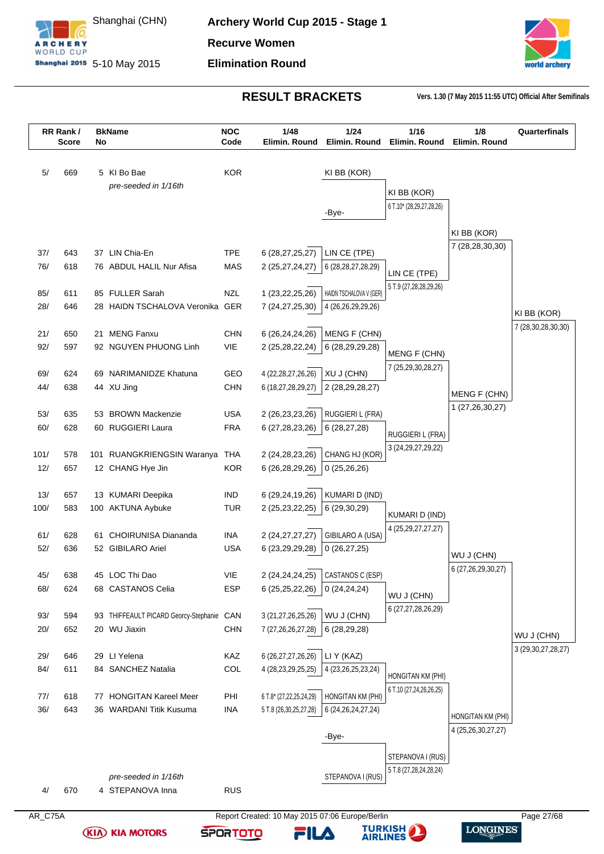



**LONGINES** 

|             | RR Rank/<br><b>Score</b> | No | <b>BkName</b>                                  | <b>NOC</b><br>Code | 1/48<br>Elimin. Round                           | 1/24<br>Elimin. Round         | 1/16<br>Elimin. Round                    | 1/8<br>Elimin. Round   | Quarterfinals          |
|-------------|--------------------------|----|------------------------------------------------|--------------------|-------------------------------------------------|-------------------------------|------------------------------------------|------------------------|------------------------|
| 5/          | 669                      |    | 5 KI Bo Bae                                    | <b>KOR</b>         |                                                 | KI BB (KOR)                   |                                          |                        |                        |
|             |                          |    | pre-seeded in 1/16th                           |                    |                                                 |                               |                                          |                        |                        |
|             |                          |    |                                                |                    |                                                 |                               | KI BB (KOR)                              |                        |                        |
|             |                          |    |                                                |                    |                                                 | -Bye-                         | 6 T.10* (28,29,27,28,26)                 |                        |                        |
|             |                          |    |                                                |                    |                                                 |                               |                                          | KI BB (KOR)            |                        |
| 37/         | 643                      |    | 37 LIN Chia-En                                 | <b>TPE</b>         |                                                 | LIN CE (TPE)                  |                                          | 7 (28,28,30,30)        |                        |
| 76/         | 618                      |    | 76 ABDUL HALIL Nur Afisa                       | MAS                | 6 (28,27,25,27)<br>2 (25,27,24,27)              | 6(28,28,27,28,29)             |                                          |                        |                        |
|             |                          |    |                                                |                    |                                                 |                               | LIN CE (TPE)                             |                        |                        |
| 85/         | 611                      |    | 85 FULLER Sarah                                | <b>NZL</b>         | 1 (23, 22, 25, 26)                              | HAIDN TSCHALOVA V (GER)       | 5 T.9 (27, 28, 28, 29, 26)               |                        |                        |
| 28/         | 646                      |    | 28 HAIDN TSCHALOVA Veronika GER                |                    | 7 (24,27,25,30)                                 | 4 (26,26,29,29,26)            |                                          |                        | KI BB (KOR)            |
|             |                          |    |                                                |                    |                                                 |                               |                                          |                        | 7 (28, 30, 28, 30, 30) |
| 21/         | 650                      | 21 | <b>MENG Fanxu</b>                              | <b>CHN</b>         | 6 (26,24,24,26)                                 | MENG F (CHN)                  |                                          |                        |                        |
| 92/         | 597                      |    | 92 NGUYEN PHUONG Linh                          | <b>VIE</b>         | 2 (25,28,22,24)                                 | 6 (28,29,29,28)               | <b>MENG F (CHN)</b>                      |                        |                        |
| 69/         | 624                      |    | 69 NARIMANIDZE Khatuna                         | GEO                | 4 (22, 28, 27, 26, 26)                          | XU J (CHN)                    | 7 (25,29,30,28,27)                       |                        |                        |
| 44/         | 638                      |    | 44 XU Jing                                     | <b>CHN</b>         | 6 (18,27,28,29,27)                              | 2 (28,29,28,27)               |                                          |                        |                        |
|             |                          |    |                                                |                    |                                                 |                               |                                          | MENG F (CHN)           |                        |
| 53/         | 635                      |    | 53 BROWN Mackenzie                             | <b>USA</b>         | 2 (26, 23, 23, 26)                              | <b>RUGGIERI L (FRA)</b>       |                                          | 1 (27,26,30,27)        |                        |
| 60/         | 628                      |    | 60 RUGGIERI Laura                              | <b>FRA</b>         | 6 (27, 28, 23, 26)                              | 6(28, 27, 28)                 | RUGGIERI L (FRA)                         |                        |                        |
|             |                          |    |                                                |                    |                                                 |                               | 3 (24, 29, 27, 29, 22)                   |                        |                        |
| 101/<br>12/ | 578<br>657               |    | 101 RUANGKRIENGSIN Waranya<br>12 CHANG Hye Jin | THA<br><b>KOR</b>  | 2 (24, 28, 23, 26)<br>6 (26,28,29,26)           | CHANG HJ (KOR)<br>0(25,26,26) |                                          |                        |                        |
|             |                          |    |                                                |                    |                                                 |                               |                                          |                        |                        |
| 13/         | 657                      |    | 13 KUMARI Deepika                              | <b>IND</b>         | 6 (29,24,19,26)                                 | KUMARI D (IND)                |                                          |                        |                        |
| 100/        | 583                      |    | 100 AKTUNA Aybuke                              | <b>TUR</b>         | 2 (25, 23, 22, 25)                              | 6 (29,30,29)                  |                                          |                        |                        |
|             |                          |    |                                                |                    |                                                 |                               | KUMARI D (IND)<br>4 (25, 29, 27, 27, 27) |                        |                        |
| 61/         | 628                      | 61 | <b>CHOIRUNISA Diananda</b>                     | <b>INA</b>         | 2 (24, 27, 27, 27)                              | GIBILARO A (USA)              |                                          |                        |                        |
| 52/         | 636                      |    | 52 GIBILARO Ariel                              | <b>USA</b>         | 6 (23,29,29,28)                                 | 0(26, 27, 25)                 |                                          | WU J (CHN)             |                        |
|             |                          |    | 45 LOC Thi Dao                                 | VIE                |                                                 | CASTANOS C (ESP)              |                                          | 6 (27, 26, 29, 30, 27) |                        |
| 45/<br>68/  | 638<br>624               |    | 68 CASTANOS Celia                              | <b>ESP</b>         | 2 (24, 24, 24, 25)<br>6 (25,25,22,26)           | 0(24,24,24)                   |                                          |                        |                        |
|             |                          |    |                                                |                    |                                                 |                               | WU J (CHN)                               |                        |                        |
| 93/         | 594                      |    | 93 THIFFEAULT PICARD Georcy-Stephanie CAN      |                    | 3 (21,27,26,25,26)                              | WU J (CHN)                    | 6 (27,27,28,26,29)                       |                        |                        |
| 20/         | 652                      |    | 20 WU Jiaxin                                   | <b>CHN</b>         | 7 (27, 26, 26, 27, 28)                          | 6(28, 29, 28)                 |                                          |                        | WU J (CHN)             |
|             |                          |    |                                                |                    |                                                 |                               |                                          |                        | 3 (29, 30, 27, 28, 27) |
| 29/         | 646                      |    | 29 LI Yelena                                   | KAZ                | 6 (26,27,27,26,26)                              | LI Y (KAZ)                    |                                          |                        |                        |
| 84/         | 611                      |    | 84 SANCHEZ Natalia                             | COL                | 4 (28,23,29,25,25)                              | 4 (23, 26, 25, 23, 24)        | HONGITAN KM (PHI)                        |                        |                        |
| 77/         | 618                      |    | 77 HONGITAN Kareel Meer                        | PHI                | 6 T.8* (27,22,25,24,29)                         | <b>HONGITAN KM (PHI)</b>      | 6 T.10 (27,24,26,26,25)                  |                        |                        |
| 36/         | 643                      |    | 36 WARDANI Titik Kusuma                        | <b>INA</b>         | 5 T.8 (26,30,25,27,28)                          | 6 (24, 26, 24, 27, 24)        |                                          |                        |                        |
|             |                          |    |                                                |                    |                                                 |                               |                                          | HONGITAN KM (PHI)      |                        |
|             |                          |    |                                                |                    |                                                 | -Bye-                         |                                          | 4 (25, 26, 30, 27, 27) |                        |
|             |                          |    |                                                |                    |                                                 |                               | STEPANOVA I (RUS)                        |                        |                        |
|             |                          |    |                                                |                    |                                                 |                               | 5 T.8 (27, 28, 24, 28, 24)               |                        |                        |
|             |                          |    | pre-seeded in 1/16th                           |                    |                                                 | STEPANOVA I (RUS)             |                                          |                        |                        |
| 4/          | 670                      |    | 4 STEPANOVA Inna                               | <b>RUS</b>         |                                                 |                               |                                          |                        |                        |
| AR_C75A     |                          |    |                                                |                    | Report Created: 10 May 2015 07:06 Europe/Berlin |                               |                                          |                        | Page 27/68             |

**(KIA) KIA MOTORS** 



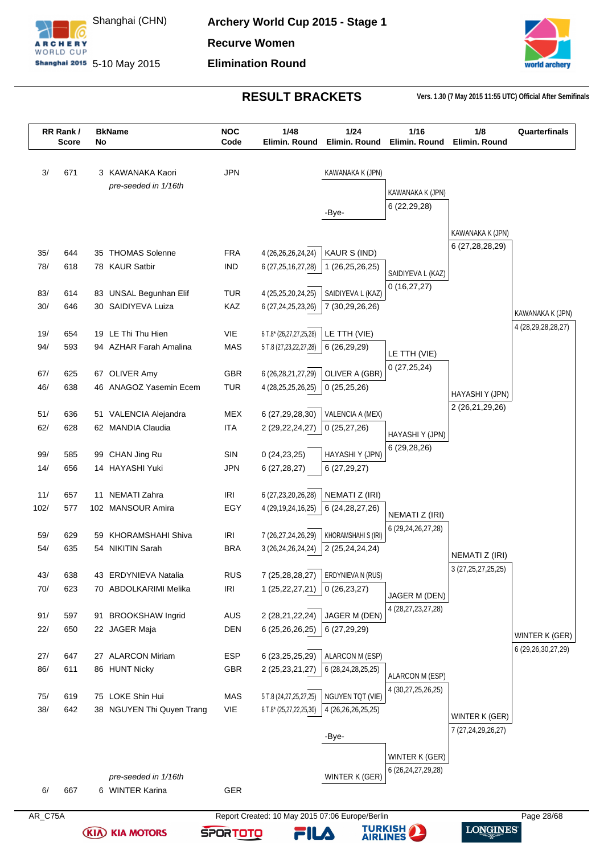



|      | RR Rank/<br><b>Score</b> | No | <b>BkName</b>             | <b>NOC</b><br>Code                | 1/48<br>Elimin. Round      | 1/24<br>Elimin, Round | 1/16<br>Elimin. Round  | 1/8<br>Elimin. Round   | Quarterfinals                          |
|------|--------------------------|----|---------------------------|-----------------------------------|----------------------------|-----------------------|------------------------|------------------------|----------------------------------------|
|      |                          |    |                           |                                   |                            |                       |                        |                        |                                        |
| 3/   | 671                      |    | 3 KAWANAKA Kaori          | <b>JPN</b>                        |                            | KAWANAKA K (JPN)      |                        |                        |                                        |
|      |                          |    | pre-seeded in 1/16th      |                                   |                            |                       | KAWANAKA K (JPN)       |                        |                                        |
|      |                          |    |                           |                                   |                            |                       | 6(22, 29, 28)          |                        |                                        |
|      |                          |    |                           |                                   |                            | -Bye-                 |                        |                        |                                        |
|      |                          |    |                           |                                   |                            |                       |                        | KAWANAKA K (JPN)       |                                        |
| 35/  | 644                      |    | 35 THOMAS Solenne         | <b>FRA</b>                        | 4 (26,26,26,24,24)         | KAUR S (IND)          |                        | 6 (27,28,28,29)        |                                        |
| 78/  | 618                      |    | 78 KAUR Satbir            | <b>IND</b>                        | 6 (27, 25, 16, 27, 28)     | 1 (26,25,26,25)       |                        |                        |                                        |
|      |                          |    |                           |                                   |                            |                       | SAIDIYEVA L (KAZ)      |                        |                                        |
| 83/  | 614                      |    | 83 UNSAL Begunhan Elif    | <b>TUR</b>                        | 4 (25,25,20,24,25)         | SAIDIYEVA L (KAZ)     | 0(16, 27, 27)          |                        |                                        |
| 30/  | 646                      |    | 30 SAIDIYEVA Luiza        | KAZ                               | 6 (27,24,25,23,26)         | 7 (30,29,26,26)       |                        |                        |                                        |
|      |                          |    |                           |                                   |                            |                       |                        |                        | KAWANAKA K (JPN)<br>4 (28,29,28,28,27) |
| 19/  | 654                      |    | 19 LE Thi Thu Hien        | VIE                               | 6 T.8* (26,27,27,25,28)    | LE TTH (VIE)          |                        |                        |                                        |
| 94/  | 593                      |    | 94 AZHAR Farah Amalina    | <b>MAS</b>                        | 5 T.8 (27, 23, 22, 27, 28) | 6 (26,29,29)          | LE TTH (VIE)           |                        |                                        |
|      |                          |    |                           |                                   |                            |                       | 0(27,25,24)            |                        |                                        |
| 67/  | 625                      |    | 67 OLIVER Amy             | <b>GBR</b>                        | 6 (26, 28, 21, 27, 29)     | OLIVER A (GBR)        |                        |                        |                                        |
| 46/  | 638                      |    | 46 ANAGOZ Yasemin Ecem    | <b>TUR</b>                        | 4 (28, 25, 25, 26, 25)     | 0(25,25,26)           |                        | HAYASHIY (JPN)         |                                        |
| 51/  | 636                      |    | 51 VALENCIA Alejandra     | MEX                               | 6 (27,29,28,30)            | VALENCIA A (MEX)      |                        | 2 (26,21,29,26)        |                                        |
| 62/  | 628                      |    | 62 MANDIA Claudia         | <b>ITA</b>                        | 2 (29, 22, 24, 27)         | 0(25, 27, 26)         |                        |                        |                                        |
|      |                          |    |                           |                                   |                            |                       | HAYASHIY (JPN)         |                        |                                        |
| 99/  | 585                      |    | 99 CHAN Jing Ru           | SIN                               | 0(24, 23, 25)              | HAYASHI Y (JPN)       | 6 (29,28,26)           |                        |                                        |
| 14/  | 656                      |    | 14 HAYASHI Yuki           | <b>JPN</b>                        | 6(27, 28, 27)              | 6(27, 29, 27)         |                        |                        |                                        |
|      |                          |    |                           |                                   |                            |                       |                        |                        |                                        |
| 11/  | 657                      | 11 | <b>NEMATI Zahra</b>       | IRI                               | 6 (27,23,20,26,28)         | NEMATI Z (IRI)        |                        |                        |                                        |
| 102/ | 577                      |    | 102 MANSOUR Amira         | EGY                               | 4 (29, 19, 24, 16, 25)     | 6 (24, 28, 27, 26)    | NEMATI Z (IRI)         |                        |                                        |
|      |                          |    |                           |                                   |                            |                       | 6 (29,24,26,27,28)     |                        |                                        |
| 59/  | 629                      |    | 59 KHORAMSHAHI Shiva      | IRI                               | 7 (26,27,24,26,29)         | KHORAMSHAHI S (IRI)   |                        |                        |                                        |
| 54/  | 635                      |    | 54 NIKITIN Sarah          | <b>BRA</b>                        | 3 (26,24,26,24,24)         | 2 (25,24,24,24)       |                        | NEMATI Z (IRI)         |                                        |
| 43/  | 638                      |    | 43 ERDYNIEVA Natalia      | <b>RUS</b>                        | 7 (25,28,28,27)            | ERDYNIEVA N (RUS)     |                        | 3 (27, 25, 27, 25, 25) |                                        |
| 70/  | 623                      |    | 70 ABDOLKARIMI Melika     | $\ensuremath{\mathsf{IR}}\xspace$ | 1 (25,22,27,21)            | 0(26, 23, 27)         |                        |                        |                                        |
|      |                          |    |                           |                                   |                            |                       | JAGER M (DEN)          |                        |                                        |
| 91/  | 597                      |    | 91 BROOKSHAW Ingrid       | AUS                               | 2 (28,21,22,24)            | JAGER M (DEN)         | 4 (28,27,23,27,28)     |                        |                                        |
| 22/  | 650                      |    | 22 JAGER Maja             | DEN                               | 6 (25,26,26,25)            | 6(27, 29, 29)         |                        |                        |                                        |
|      |                          |    |                           |                                   |                            |                       |                        |                        | WINTER K (GER)                         |
| 27/  | 647                      |    | 27 ALARCON Miriam         | <b>ESP</b>                        | 6 (23, 25, 25, 29)         | ALARCON M (ESP)       |                        |                        | 6 (29, 26, 30, 27, 29)                 |
| 86/  | 611                      |    | 86 HUNT Nicky             | GBR                               | 2 (25, 23, 21, 27)         | 6 (28,24,28,25,25)    | ALARCON M (ESP)        |                        |                                        |
|      |                          |    |                           |                                   |                            |                       | 4 (30,27,25,26,25)     |                        |                                        |
| 75/  | 619                      |    | 75 LOKE Shin Hui          | MAS                               | 5 T.8 (24,27,25,27,25)     | NGUYEN TQT (VIE)      |                        |                        |                                        |
| 38/  | 642                      |    | 38 NGUYEN Thi Quyen Trang | VIE                               | 6 T.8* (25,27,22,25,30)    | 4 (26,26,26,25,25)    |                        | WINTER K (GER)         |                                        |
|      |                          |    |                           |                                   |                            |                       |                        | 7 (27,24,29,26,27)     |                                        |
|      |                          |    |                           |                                   |                            | -Bye-                 |                        |                        |                                        |
|      |                          |    |                           |                                   |                            |                       | WINTER K (GER)         |                        |                                        |
|      |                          |    | pre-seeded in 1/16th      |                                   |                            | WINTER K (GER)        | 6 (26, 24, 27, 29, 28) |                        |                                        |
|      |                          |    | 6 WINTER Karina           |                                   |                            |                       |                        |                        |                                        |
| 6/   | 667                      |    |                           | GER                               |                            |                       |                        |                        |                                        |

**(KIA) KIA MOTORS** 



FILA

**TURKISH**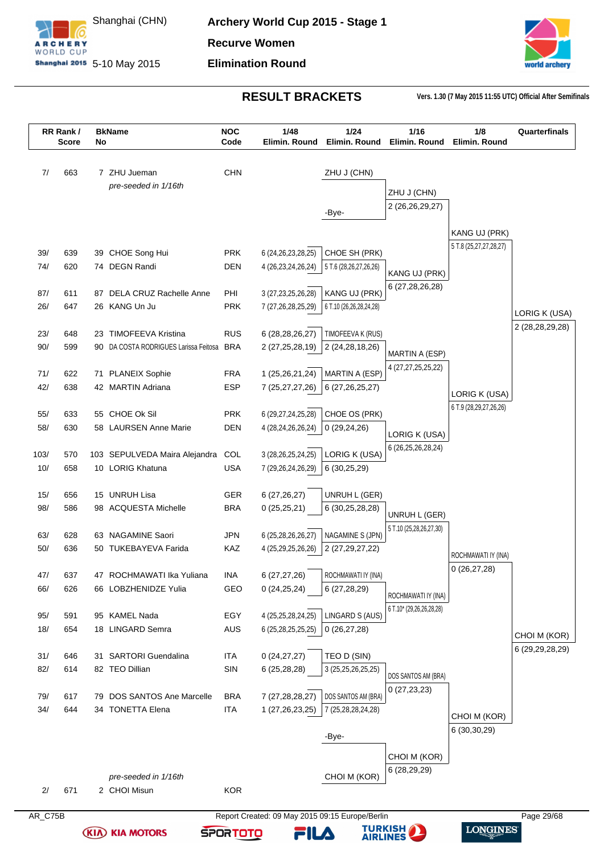

**Archery World Cup 2015 - Stage 1 Recurve Women Elimination Round**



**RESULT BRACKETS Vers. 1.30 (7 May 2015 11:55 UTC) Official After Semifinals**

|         | RR Rank/<br><b>Score</b> | No | <b>BkName</b>                             | <b>NOC</b><br>Code | 1/48<br>Elimin. Round                           | 1/24<br>Elimin. Round   | 1/16<br>Elimin, Round    | 1/8<br>Elimin, Round   | Quarterfinals      |
|---------|--------------------------|----|-------------------------------------------|--------------------|-------------------------------------------------|-------------------------|--------------------------|------------------------|--------------------|
|         |                          |    |                                           |                    |                                                 |                         |                          |                        |                    |
| 7/      | 663                      |    | 7 ZHU Jueman                              | <b>CHN</b>         |                                                 | ZHU J (CHN)             |                          |                        |                    |
|         |                          |    | pre-seeded in 1/16th                      |                    |                                                 |                         | ZHU J (CHN)              |                        |                    |
|         |                          |    |                                           |                    |                                                 |                         | 2 (26,26,29,27)          |                        |                    |
|         |                          |    |                                           |                    |                                                 | -Bye-                   |                          |                        |                    |
|         |                          |    |                                           |                    |                                                 |                         |                          | KANG UJ (PRK)          |                    |
| 39/     | 639                      |    | 39 CHOE Song Hui                          | <b>PRK</b>         | 6 (24, 26, 23, 28, 25)                          | CHOE SH (PRK)           |                          | 5 T.8 (25,27,27,28,27) |                    |
| 74/     | 620                      |    | 74 DEGN Randi                             | <b>DEN</b>         | 4 (26,23,24,26,24)                              | 5 T.6 (28,26,27,26,26)  | KANG UJ (PRK)            |                        |                    |
|         |                          |    |                                           |                    |                                                 |                         | 6 (27,28,26,28)          |                        |                    |
| 87/     | 611                      |    | 87 DELA CRUZ Rachelle Anne                | PHI                | 3 (27, 23, 25, 26, 28)                          | KANG UJ (PRK)           |                          |                        |                    |
| 26/     | 647                      |    | 26 KANG Un Ju                             | <b>PRK</b>         | 7 (27,26,28,25,29)                              | 6 T.10 (26,26,28,24,28) |                          |                        | LORIG K (USA)      |
| 23/     | 648                      | 23 | <b>TIMOFEEVA Kristina</b>                 | <b>RUS</b>         | 6 (28,28,26,27)                                 | TIMOFEEVA K (RUS)       |                          |                        | 2 (28, 28, 29, 28) |
| 90/     | 599                      |    | 90 DA COSTA RODRIGUES Larissa Feitosa BRA |                    | 2 (27, 25, 28, 19)                              | 2 (24, 28, 18, 26)      |                          |                        |                    |
|         |                          |    |                                           |                    |                                                 |                         | MARTIN A (ESP)           |                        |                    |
| 71/     | 622                      |    | 71 PLANEIX Sophie                         | <b>FRA</b>         | 1 (25,26,21,24)                                 | MARTIN A (ESP)          | 4 (27,27,25,25,22)       |                        |                    |
| 42/     | 638                      |    | 42 MARTIN Adriana                         | <b>ESP</b>         | 7 (25,27,27,26)                                 | 6 (27, 26, 25, 27)      |                          | LORIG K (USA)          |                    |
|         |                          |    |                                           |                    |                                                 |                         |                          | 6 T.9 (28,29,27,26,26) |                    |
| 55/     | 633                      |    | 55 CHOE Ok Sil                            | <b>PRK</b>         | 6 (29,27,24,25,28)                              | CHOE OS (PRK)           |                          |                        |                    |
| 58/     | 630                      |    | 58 LAURSEN Anne Marie                     | <b>DEN</b>         | 4 (28,24,26,26,24)                              | 0(29, 24, 26)           | LORIG K (USA)            |                        |                    |
| 103/    | 570                      |    | 103 SEPULVEDA Maira Alejandra             | COL                | 3 (28, 26, 25, 24, 25)                          | LORIG K (USA)           | 6 (26, 25, 26, 28, 24)   |                        |                    |
| 10/     | 658                      |    | 10 LORIG Khatuna                          | <b>USA</b>         | 7 (29,26,24,26,29)                              | 6(30,25,29)             |                          |                        |                    |
|         |                          |    |                                           |                    |                                                 |                         |                          |                        |                    |
| 15/     | 656                      |    | 15 UNRUH Lisa                             | <b>GER</b>         | 6(27, 26, 27)                                   | UNRUH L (GER)           |                          |                        |                    |
| 98/     | 586                      |    | 98 ACQUESTA Michelle                      | <b>BRA</b>         | 0(25,25,21)                                     | 6 (30,25,28,28)         | UNRUH L (GER)            |                        |                    |
|         |                          |    |                                           |                    |                                                 |                         | 5 T.10 (25,28,26,27,30)  |                        |                    |
| 63/     | 628                      |    | 63 NAGAMINE Saori                         | JPN                | 6 (25,28,26,26,27)                              | NAGAMINE S (JPN)        |                          |                        |                    |
| 50/     | 636                      |    | 50 TUKEBAYEVA Farida                      | KAZ                | 4 (25,29,25,26,26)                              | 2 (27, 29, 27, 22)      |                          | ROCHMAWATI IY (INA)    |                    |
| 47/     | 637                      |    | 47 ROCHMAWATI Ika Yuliana                 | INA                | 6(27, 27, 26)                                   | ROCHMAWATI IY (INA)     |                          | 0(26, 27, 28)          |                    |
| 66/     | 626                      |    | 66 LOBZHENIDZE Yulia                      | GEO                | 0(24,25,24)                                     | 6 (27,28,29)            |                          |                        |                    |
|         |                          |    |                                           |                    |                                                 |                         | ROCHMAWATI IY (INA)      |                        |                    |
| 95/     | 591                      |    | 95 KAMEL Nada                             | EGY                | 4 (25,25,28,24,25)                              | LINGARD S (AUS)         | 6 T.10* (29,26,26,28,28) |                        |                    |
| 18/     | 654                      |    | 18 LINGARD Semra                          | <b>AUS</b>         | 6 (25,28,25,25,25)                              | 0(26, 27, 28)           |                          |                        | CHOI M (KOR)       |
|         |                          |    |                                           |                    |                                                 |                         |                          |                        | 6 (29, 29, 28, 29) |
| 31/     | 646                      |    | 31 SARTORI Guendalina                     | <b>ITA</b>         | 0(24, 27, 27)                                   | TEO D (SIN)             |                          |                        |                    |
| 82/     | 614                      |    | 82 TEO Dillian                            | SIN                | 6(25, 28, 28)                                   | 3 (25, 25, 26, 25, 25)  | DOS SANTOS AM (BRA)      |                        |                    |
| 79/     | 617                      |    | 79 DOS SANTOS Ane Marcelle                | <b>BRA</b>         | 7 (27, 28, 28, 27)                              | DOS SANTOS AM (BRA)     | 0(27,23,23)              |                        |                    |
| 34/     | 644                      |    | 34 TONETTA Elena                          | <b>ITA</b>         | 1 (27,26,23,25)                                 | 7 (25,28,28,24,28)      |                          |                        |                    |
|         |                          |    |                                           |                    |                                                 |                         |                          | CHOI M (KOR)           |                    |
|         |                          |    |                                           |                    |                                                 | -Bye-                   |                          | 6 (30, 30, 29)         |                    |
|         |                          |    |                                           |                    |                                                 |                         | CHOI M (KOR)             |                        |                    |
|         |                          |    |                                           |                    |                                                 |                         | 6 (28,29,29)             |                        |                    |
|         |                          |    | pre-seeded in 1/16th                      |                    |                                                 | CHOI M (KOR)            |                          |                        |                    |
| 2/      | 671                      |    | 2 CHOI Misun                              | <b>KOR</b>         |                                                 |                         |                          |                        |                    |
| AR_C75B |                          |    |                                           |                    | Report Created: 09 May 2015 09:15 Europe/Berlin |                         |                          |                        | Page 29/68         |

**TURKISH<br>AIRLINES** 

FILA

**LONGINES** 

**(KIA) KIA MOTORS**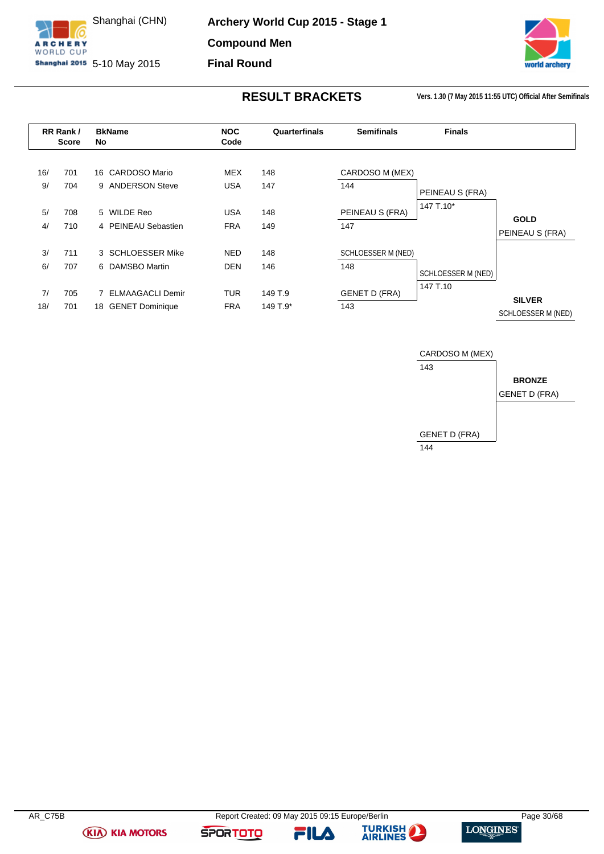

**Archery World Cup 2015 - Stage 1 Compound Men**

**Final Round**

**Shanghai 2015** 5-10 May 2015



**RESULT BRACKETS Vers. 1.30 (7 May 2015 11:55 UTC) Official After Semifinals**

<span id="page-30-0"></span>

|           | RR Rank/<br><b>Score</b> | <b>BkName</b><br>No                  | <b>NOC</b><br>Code | Quarterfinals | <b>Semifinals</b>      | <b>Finals</b>      |                                |
|-----------|--------------------------|--------------------------------------|--------------------|---------------|------------------------|--------------------|--------------------------------|
| 16/<br>9/ | 701<br>704               | 16 CARDOSO Mario<br>9 ANDERSON Steve | MEX<br><b>USA</b>  | 148<br>147    | CARDOSO M (MEX)<br>144 | PEINEAU S (FRA)    |                                |
| 5/        | 708                      | 5 WILDE Reo                          | <b>USA</b>         | 148           | PEINEAU S (FRA)        | 147 T.10*          |                                |
| 4/        | 710                      | 4 PEINEAU Sebastien                  | <b>FRA</b>         | 149           | 147                    |                    | <b>GOLD</b><br>PEINEAU S (FRA) |
| 3/        | 711                      | 3 SCHLOESSER Mike                    | <b>NED</b>         | 148           | SCHLOESSER M (NED)     |                    |                                |
| 6/        | 707                      | 6 DAMSBO Martin                      | <b>DEN</b>         | 146           | 148                    | SCHLOESSER M (NED) |                                |
| 7/        | 705                      | <b>ELMAAGACLI Demir</b><br>7         | <b>TUR</b>         | 149 T.9       | <b>GENET D (FRA)</b>   | 147 T.10           | <b>SILVER</b>                  |
| 18/       | 701                      | <b>GENET Dominique</b><br>18         | <b>FRA</b>         | 149 T.9*      | 143                    |                    | SCHLOESSER M (NED)             |





**SPORTOTO** 



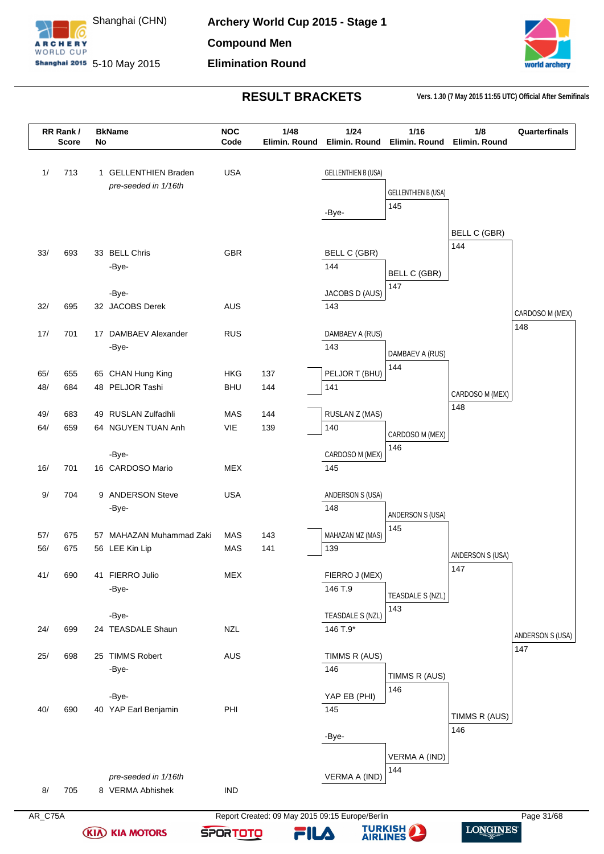



|       | RR Rank/<br><b>Score</b> | No | <b>BkName</b>            | <b>NOC</b><br>Code | 1/48<br>Elimin. Round | 1/24<br>Elimin. Round      | 1/16<br>Elimin. Round      | 1/8<br>Elimin. Round | Quarterfinals           |
|-------|--------------------------|----|--------------------------|--------------------|-----------------------|----------------------------|----------------------------|----------------------|-------------------------|
|       |                          |    |                          |                    |                       |                            |                            |                      |                         |
| 1/    | 713                      |    | 1 GELLENTHIEN Braden     | <b>USA</b>         |                       | <b>GELLENTHIEN B (USA)</b> |                            |                      |                         |
|       |                          |    | pre-seeded in 1/16th     |                    |                       |                            | <b>GELLENTHIEN B (USA)</b> |                      |                         |
|       |                          |    |                          |                    |                       |                            | 145                        |                      |                         |
|       |                          |    |                          |                    |                       | -Bye-                      |                            |                      |                         |
|       |                          |    |                          |                    |                       |                            |                            | <b>BELL C (GBR)</b>  |                         |
|       |                          |    |                          |                    |                       |                            |                            | 144                  |                         |
| 33/   | 693                      |    | 33 BELL Chris            | <b>GBR</b>         |                       | <b>BELL C (GBR)</b>        |                            |                      |                         |
|       |                          |    | -Bye-                    |                    |                       | 144                        | <b>BELL C (GBR)</b>        |                      |                         |
|       |                          |    |                          |                    |                       |                            | 147                        |                      |                         |
|       |                          |    | -Bye-                    |                    |                       | JACOBS D (AUS)             |                            |                      |                         |
| 32/   | 695                      |    | 32 JACOBS Derek          | <b>AUS</b>         |                       | 143                        |                            |                      | CARDOSO M (MEX)         |
| 17/   | 701                      |    | 17 DAMBAEV Alexander     | <b>RUS</b>         |                       | DAMBAEV A (RUS)            |                            |                      | 148                     |
|       |                          |    | -Bye-                    |                    |                       | 143                        |                            |                      |                         |
|       |                          |    |                          |                    |                       |                            | DAMBAEV A (RUS)            |                      |                         |
| 65/   | 655                      |    | 65 CHAN Hung King        | <b>HKG</b>         | 137                   | PELJOR T (BHU)             | 144                        |                      |                         |
| 48/   | 684                      |    | 48 PELJOR Tashi          | <b>BHU</b>         | 144                   | 141                        |                            |                      |                         |
|       |                          |    |                          |                    |                       |                            |                            | CARDOSO M (MEX)      |                         |
| 49/   | 683                      |    | 49 RUSLAN Zulfadhli      | MAS                | 144                   | RUSLAN Z (MAS)             |                            | 148                  |                         |
| 64/   | 659                      |    | 64 NGUYEN TUAN Anh       | VIE                | 139                   | 140                        |                            |                      |                         |
|       |                          |    |                          |                    |                       |                            | CARDOSO M (MEX)<br>146     |                      |                         |
|       |                          |    | -Bye-                    |                    |                       | CARDOSO M (MEX)            |                            |                      |                         |
| 16/   | 701                      |    | 16 CARDOSO Mario         | <b>MEX</b>         |                       | 145                        |                            |                      |                         |
|       |                          |    |                          |                    |                       |                            |                            |                      |                         |
| 9/    | 704                      |    | 9 ANDERSON Steve         | <b>USA</b>         |                       | ANDERSON S (USA)<br>148    |                            |                      |                         |
|       |                          |    | -Bye-                    |                    |                       |                            | ANDERSON S (USA)           |                      |                         |
| 57/   | 675                      |    | 57 MAHAZAN Muhammad Zaki | MAS                | 143                   | MAHAZAN MZ (MAS)           | 145                        |                      |                         |
| 56/   | 675                      |    | 56 LEE Kin Lip           | MAS                | 141                   | 139                        |                            |                      |                         |
|       |                          |    |                          |                    |                       |                            |                            | ANDERSON S (USA)     |                         |
| 41/   | 690                      |    | 41 FIERRO Julio          | MEX                |                       | FIERRO J (MEX)             |                            | 147                  |                         |
|       |                          |    | -Bye-                    |                    |                       | 146 T.9                    |                            |                      |                         |
|       |                          |    |                          |                    |                       |                            | TEASDALE S (NZL)           |                      |                         |
|       |                          |    | -Bye-                    |                    |                       | TEASDALE S (NZL)           | 143                        |                      |                         |
| 24/   | 699                      |    | 24 TEASDALE Shaun        | <b>NZL</b>         |                       | 146 T.9*                   |                            |                      |                         |
|       |                          |    |                          |                    |                       |                            |                            |                      | ANDERSON S (USA)<br>147 |
| $25/$ | 698                      |    | 25 TIMMS Robert          | <b>AUS</b>         |                       | TIMMS R (AUS)              |                            |                      |                         |
|       |                          |    | -Bye-                    |                    |                       | 146                        | TIMMS R (AUS)              |                      |                         |
|       |                          |    |                          |                    |                       |                            | 146                        |                      |                         |
|       |                          |    | -Bye-                    |                    |                       | YAP EB (PHI)               |                            |                      |                         |
| 40/   | 690                      |    | 40 YAP Earl Benjamin     | PHI                |                       | 145                        |                            | TIMMS R (AUS)        |                         |
|       |                          |    |                          |                    |                       |                            |                            | 146                  |                         |
|       |                          |    |                          |                    |                       | -Bye-                      |                            |                      |                         |
|       |                          |    |                          |                    |                       |                            | VERMA A (IND)              |                      |                         |
|       |                          |    |                          |                    |                       |                            | 144                        |                      |                         |
|       |                          |    | pre-seeded in 1/16th     |                    |                       | VERMA A (IND)              |                            |                      |                         |
| $8/$  | 705                      |    | 8 VERMA Abhishek         | $\mathsf{IND}$     |                       |                            |                            |                      |                         |
|       |                          |    |                          |                    |                       |                            |                            |                      |                         |

**(KIA) KIA MOTORS** 

AR\_C75A Report Created: 09 May 2015 09:15 Europe/Berlin Page 31/68 **SPORTOTO** FILA

**TURKISH** 

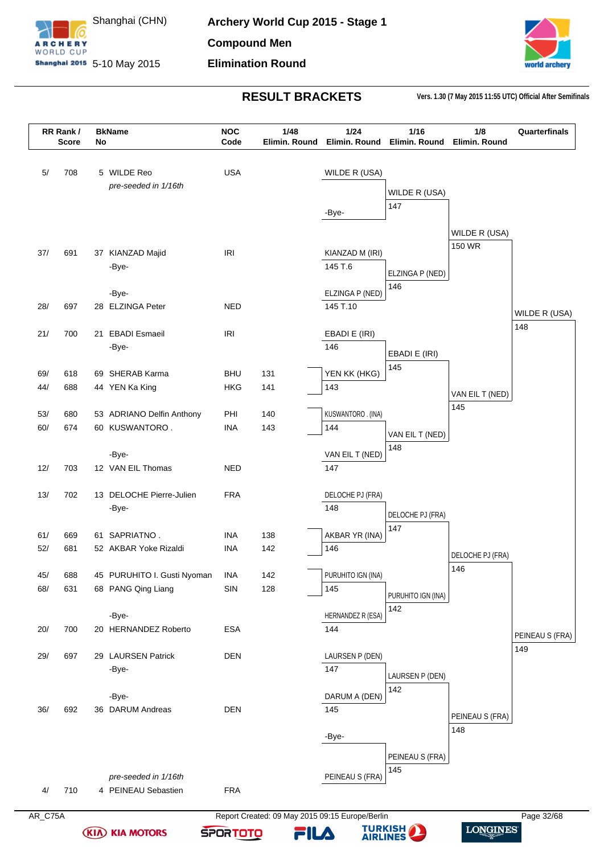



|            | RR Rank/<br><b>Score</b> | No | <b>BkName</b>               | <b>NOC</b><br>Code | 1/48<br>Elimin. Round | 1/24<br>Elimin. Round  | 1/16<br>Elimin. Round   | 1/8<br>Elimin. Round | Quarterfinals          |
|------------|--------------------------|----|-----------------------------|--------------------|-----------------------|------------------------|-------------------------|----------------------|------------------------|
|            |                          |    |                             |                    |                       |                        |                         |                      |                        |
| 5/         | 708                      |    | 5 WILDE Reo                 | <b>USA</b>         |                       | WILDE R (USA)          |                         |                      |                        |
|            |                          |    | pre-seeded in 1/16th        |                    |                       |                        | WILDE R (USA)           |                      |                        |
|            |                          |    |                             |                    |                       |                        | 147                     |                      |                        |
|            |                          |    |                             |                    |                       | -Bye-                  |                         |                      |                        |
|            |                          |    |                             |                    |                       |                        |                         | WILDE R (USA)        |                        |
| 37/        | 691                      |    | 37 KIANZAD Majid            | <b>IRI</b>         |                       | KIANZAD M (IRI)        |                         | 150 WR               |                        |
|            |                          |    | -Bye-                       |                    |                       | 145 T.6                |                         |                      |                        |
|            |                          |    |                             |                    |                       |                        | ELZINGA P (NED)         |                      |                        |
|            |                          |    | -Bye-                       |                    |                       | ELZINGA P (NED)        | 146                     |                      |                        |
| 28/        | 697                      |    | 28 ELZINGA Peter            | <b>NED</b>         |                       | 145 T.10               |                         |                      | WILDE R (USA)          |
|            |                          |    |                             |                    |                       |                        |                         |                      | 148                    |
| 21/        | 700                      | 21 | <b>EBADI</b> Esmaeil        | <b>IRI</b>         |                       | EBADI E (IRI)          |                         |                      |                        |
|            |                          |    | -Bye-                       |                    |                       | 146                    | EBADI E (IRI)           |                      |                        |
| 69/        | 618                      |    | 69 SHERAB Karma             | <b>BHU</b>         | 131                   | YEN KK (HKG)           | 145                     |                      |                        |
| 44/        | 688                      |    | 44 YEN Ka King              | HKG                | 141                   | 143                    |                         |                      |                        |
|            |                          |    |                             |                    |                       |                        |                         | VAN EIL T (NED)      |                        |
| 53/        | 680                      |    | 53 ADRIANO Delfin Anthony   | PHI                | 140                   | KUSWANTORO . (INA)     |                         | 145                  |                        |
| 60/        | 674                      |    | 60 KUSWANTORO.              | <b>INA</b>         | 143                   | 144                    | VAN EIL T (NED)         |                      |                        |
|            |                          |    |                             |                    |                       |                        | 148                     |                      |                        |
|            |                          |    | -Bye-                       | <b>NED</b>         |                       | VAN EIL T (NED)<br>147 |                         |                      |                        |
| 12/        | 703                      |    | 12 VAN EIL Thomas           |                    |                       |                        |                         |                      |                        |
| 13/        | 702                      |    | 13 DELOCHE Pierre-Julien    | <b>FRA</b>         |                       | DELOCHE PJ (FRA)       |                         |                      |                        |
|            |                          |    | -Bye-                       |                    |                       | 148                    |                         |                      |                        |
|            |                          |    |                             |                    |                       |                        | DELOCHE PJ (FRA)<br>147 |                      |                        |
| 61/        | 669                      |    | 61 SAPRIATNO.               | <b>INA</b>         | 138                   | AKBAR YR (INA)         |                         |                      |                        |
| 52/        | 681                      |    | 52 AKBAR Yoke Rizaldi       | <b>INA</b>         | 142                   | 146                    |                         | DELOCHE PJ (FRA)     |                        |
|            |                          |    | 45 PURUHITO I. Gusti Nyoman |                    |                       | PURUHITO IGN (INA)     |                         | 146                  |                        |
| 45/<br>68/ | 688<br>631               |    | 68 PANG Qing Liang          | <b>INA</b><br>SIN  | 142<br>128            | 145                    |                         |                      |                        |
|            |                          |    |                             |                    |                       |                        | PURUHITO IGN (INA)      |                      |                        |
|            |                          |    | -Bye-                       |                    |                       | HERNANDEZ R (ESA)      | 142                     |                      |                        |
| 20/        | 700                      |    | 20 HERNANDEZ Roberto        | <b>ESA</b>         |                       | 144                    |                         |                      |                        |
|            |                          |    |                             |                    |                       |                        |                         |                      | PEINEAU S (FRA)<br>149 |
| 29/        | 697                      |    | 29 LAURSEN Patrick          | <b>DEN</b>         |                       | LAURSEN P (DEN)        |                         |                      |                        |
|            |                          |    | -Bye-                       |                    |                       | 147                    | LAURSEN P (DEN)         |                      |                        |
|            |                          |    | -Bye-                       |                    |                       | DARUM A (DEN)          | 142                     |                      |                        |
| 36/        | 692                      |    | 36 DARUM Andreas            | <b>DEN</b>         |                       | 145                    |                         |                      |                        |
|            |                          |    |                             |                    |                       |                        |                         | PEINEAU S (FRA)      |                        |
|            |                          |    |                             |                    |                       | -Bye-                  |                         | 148                  |                        |
|            |                          |    |                             |                    |                       |                        | PEINEAU S (FRA)         |                      |                        |
|            |                          |    |                             |                    |                       |                        | 145                     |                      |                        |
|            |                          |    | pre-seeded in 1/16th        |                    |                       | PEINEAU S (FRA)        |                         |                      |                        |
| 4/         | 710                      |    | 4 PEINEAU Sebastien         | <b>FRA</b>         |                       |                        |                         |                      |                        |

**(KIA) KIA MOTORS** 

AR\_C75A Report Created: 09 May 2015 09:15 Europe/Berlin Page 32/68 **TURKISH** 

**SPORTOTO** 

FILA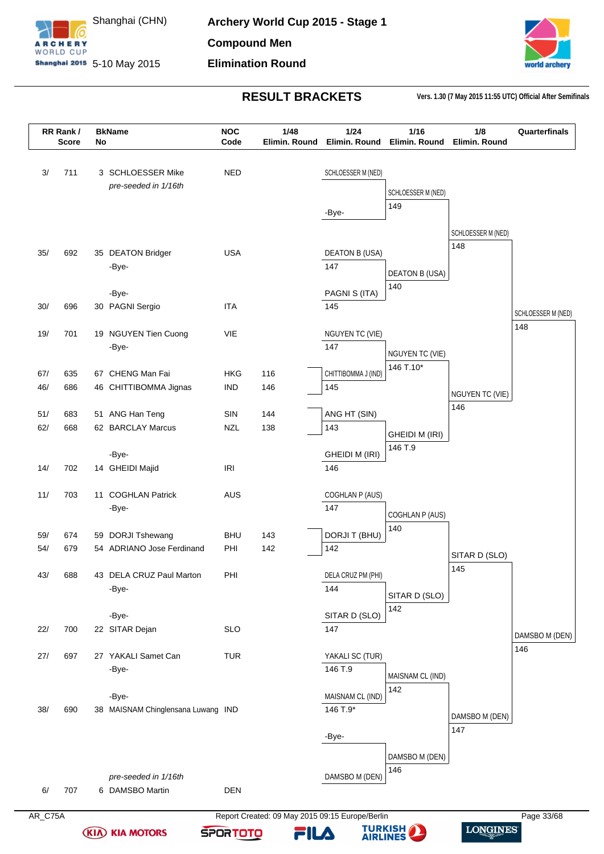



LONGINES

| 3/<br>711<br>3 SCHLOESSER Mike<br><b>NED</b><br>SCHLOESSER M (NED)<br>pre-seeded in 1/16th<br>SCHLOESSER M (NED)<br>149<br>-Bye-<br>SCHLOESSER M (NED)<br>148<br>35/<br>692<br><b>USA</b><br><b>DEATON B (USA)</b><br>35 DEATON Bridger<br>147<br>-Bye-<br><b>DEATON B (USA)</b><br>140<br>PAGNI S (ITA)<br>-Bye-<br><b>ITA</b><br>30 PAGNI Sergio<br>30/<br>696<br>145<br>148<br>19/<br>701<br>VIE<br>19 NGUYEN Tien Cuong<br>NGUYEN TC (VIE)<br>147<br>-Bye-<br><b>NGUYEN TC (VIE)</b><br>146 T.10*<br>67 CHENG Man Fai<br>CHITTIBOMMA J (IND)<br>67/<br>635<br><b>HKG</b><br>116<br>46/<br>686<br><b>IND</b><br>146<br>145<br>46 CHITTIBOMMA Jignas<br><b>NGUYEN TC (VIE)</b><br>146<br>51/<br>51 ANG Han Teng<br>SIN<br>144<br>ANG HT (SIN)<br>683<br>143<br>62/<br>668<br>62 BARCLAY Marcus<br><b>NZL</b><br>138<br><b>GHEIDI M (IRI)</b><br>146 T.9<br>-Bye-<br><b>GHEIDI M (IRI)</b><br>14/<br>702<br>14 GHEIDI Majid<br><b>IRI</b><br>146<br>11/<br>703<br>11 COGHLAN Patrick<br><b>AUS</b><br>COGHLAN P (AUS)<br>-Bye-<br>147<br>COGHLAN P (AUS)<br>140<br>DORJI T (BHU)<br>59 DORJI Tshewang<br><b>BHU</b><br>143<br>59/<br>674<br>142<br>54/<br>679<br>54 ADRIANO Jose Ferdinand<br>PHI<br>142<br>SITAR D (SLO)<br>145<br>43/<br>688<br>43 DELA CRUZ Paul Marton<br>PHI<br>DELA CRUZ PM (PHI)<br>144<br>-Bye-<br>SITAR D (SLO)<br>142<br>SITAR D (SLO)<br>-Bye-<br>22 SITAR Dejan<br><b>SLO</b><br>22/<br>700<br>147<br>DAMSBO M (DEN)<br>146<br>697<br>27 YAKALI Samet Can<br><b>TUR</b><br>YAKALI SC (TUR)<br>27/<br>146 T.9<br>-Bye-<br>MAISNAM CL (IND)<br>142<br>MAISNAM CL (IND)<br>-Bye-<br>38/<br>690<br>146 T.9*<br>38 MAISNAM Chinglensana Luwang IND<br>DAMSBO M (DEN)<br>147<br>-Bye-<br>DAMSBO M (DEN)<br>146<br>pre-seeded in 1/16th<br>DAMSBO M (DEN)<br>707<br>6 DAMSBO Martin<br><b>DEN</b><br>6/ | RR Rank/<br><b>Score</b> | No | <b>BkName</b> | <b>NOC</b><br>Code | 1/48<br>Elimin. Round | 1/24<br>Elimin. Round | 1/16<br>Elimin. Round | 1/8<br>Elimin, Round | Quarterfinals      |
|-------------------------------------------------------------------------------------------------------------------------------------------------------------------------------------------------------------------------------------------------------------------------------------------------------------------------------------------------------------------------------------------------------------------------------------------------------------------------------------------------------------------------------------------------------------------------------------------------------------------------------------------------------------------------------------------------------------------------------------------------------------------------------------------------------------------------------------------------------------------------------------------------------------------------------------------------------------------------------------------------------------------------------------------------------------------------------------------------------------------------------------------------------------------------------------------------------------------------------------------------------------------------------------------------------------------------------------------------------------------------------------------------------------------------------------------------------------------------------------------------------------------------------------------------------------------------------------------------------------------------------------------------------------------------------------------------------------------------------------------------------------------------------------------------------------------------------|--------------------------|----|---------------|--------------------|-----------------------|-----------------------|-----------------------|----------------------|--------------------|
|                                                                                                                                                                                                                                                                                                                                                                                                                                                                                                                                                                                                                                                                                                                                                                                                                                                                                                                                                                                                                                                                                                                                                                                                                                                                                                                                                                                                                                                                                                                                                                                                                                                                                                                                                                                                                               |                          |    |               |                    |                       |                       |                       |                      |                    |
|                                                                                                                                                                                                                                                                                                                                                                                                                                                                                                                                                                                                                                                                                                                                                                                                                                                                                                                                                                                                                                                                                                                                                                                                                                                                                                                                                                                                                                                                                                                                                                                                                                                                                                                                                                                                                               |                          |    |               |                    |                       |                       |                       |                      |                    |
|                                                                                                                                                                                                                                                                                                                                                                                                                                                                                                                                                                                                                                                                                                                                                                                                                                                                                                                                                                                                                                                                                                                                                                                                                                                                                                                                                                                                                                                                                                                                                                                                                                                                                                                                                                                                                               |                          |    |               |                    |                       |                       |                       |                      |                    |
|                                                                                                                                                                                                                                                                                                                                                                                                                                                                                                                                                                                                                                                                                                                                                                                                                                                                                                                                                                                                                                                                                                                                                                                                                                                                                                                                                                                                                                                                                                                                                                                                                                                                                                                                                                                                                               |                          |    |               |                    |                       |                       |                       |                      |                    |
|                                                                                                                                                                                                                                                                                                                                                                                                                                                                                                                                                                                                                                                                                                                                                                                                                                                                                                                                                                                                                                                                                                                                                                                                                                                                                                                                                                                                                                                                                                                                                                                                                                                                                                                                                                                                                               |                          |    |               |                    |                       |                       |                       |                      |                    |
|                                                                                                                                                                                                                                                                                                                                                                                                                                                                                                                                                                                                                                                                                                                                                                                                                                                                                                                                                                                                                                                                                                                                                                                                                                                                                                                                                                                                                                                                                                                                                                                                                                                                                                                                                                                                                               |                          |    |               |                    |                       |                       |                       |                      |                    |
|                                                                                                                                                                                                                                                                                                                                                                                                                                                                                                                                                                                                                                                                                                                                                                                                                                                                                                                                                                                                                                                                                                                                                                                                                                                                                                                                                                                                                                                                                                                                                                                                                                                                                                                                                                                                                               |                          |    |               |                    |                       |                       |                       |                      | SCHLOESSER M (NED) |
|                                                                                                                                                                                                                                                                                                                                                                                                                                                                                                                                                                                                                                                                                                                                                                                                                                                                                                                                                                                                                                                                                                                                                                                                                                                                                                                                                                                                                                                                                                                                                                                                                                                                                                                                                                                                                               |                          |    |               |                    |                       |                       |                       |                      |                    |
|                                                                                                                                                                                                                                                                                                                                                                                                                                                                                                                                                                                                                                                                                                                                                                                                                                                                                                                                                                                                                                                                                                                                                                                                                                                                                                                                                                                                                                                                                                                                                                                                                                                                                                                                                                                                                               |                          |    |               |                    |                       |                       |                       |                      |                    |
|                                                                                                                                                                                                                                                                                                                                                                                                                                                                                                                                                                                                                                                                                                                                                                                                                                                                                                                                                                                                                                                                                                                                                                                                                                                                                                                                                                                                                                                                                                                                                                                                                                                                                                                                                                                                                               |                          |    |               |                    |                       |                       |                       |                      |                    |
|                                                                                                                                                                                                                                                                                                                                                                                                                                                                                                                                                                                                                                                                                                                                                                                                                                                                                                                                                                                                                                                                                                                                                                                                                                                                                                                                                                                                                                                                                                                                                                                                                                                                                                                                                                                                                               |                          |    |               |                    |                       |                       |                       |                      |                    |
|                                                                                                                                                                                                                                                                                                                                                                                                                                                                                                                                                                                                                                                                                                                                                                                                                                                                                                                                                                                                                                                                                                                                                                                                                                                                                                                                                                                                                                                                                                                                                                                                                                                                                                                                                                                                                               |                          |    |               |                    |                       |                       |                       |                      |                    |
|                                                                                                                                                                                                                                                                                                                                                                                                                                                                                                                                                                                                                                                                                                                                                                                                                                                                                                                                                                                                                                                                                                                                                                                                                                                                                                                                                                                                                                                                                                                                                                                                                                                                                                                                                                                                                               |                          |    |               |                    |                       |                       |                       |                      |                    |
|                                                                                                                                                                                                                                                                                                                                                                                                                                                                                                                                                                                                                                                                                                                                                                                                                                                                                                                                                                                                                                                                                                                                                                                                                                                                                                                                                                                                                                                                                                                                                                                                                                                                                                                                                                                                                               |                          |    |               |                    |                       |                       |                       |                      |                    |
|                                                                                                                                                                                                                                                                                                                                                                                                                                                                                                                                                                                                                                                                                                                                                                                                                                                                                                                                                                                                                                                                                                                                                                                                                                                                                                                                                                                                                                                                                                                                                                                                                                                                                                                                                                                                                               |                          |    |               |                    |                       |                       |                       |                      |                    |
|                                                                                                                                                                                                                                                                                                                                                                                                                                                                                                                                                                                                                                                                                                                                                                                                                                                                                                                                                                                                                                                                                                                                                                                                                                                                                                                                                                                                                                                                                                                                                                                                                                                                                                                                                                                                                               |                          |    |               |                    |                       |                       |                       |                      |                    |
|                                                                                                                                                                                                                                                                                                                                                                                                                                                                                                                                                                                                                                                                                                                                                                                                                                                                                                                                                                                                                                                                                                                                                                                                                                                                                                                                                                                                                                                                                                                                                                                                                                                                                                                                                                                                                               |                          |    |               |                    |                       |                       |                       |                      |                    |
|                                                                                                                                                                                                                                                                                                                                                                                                                                                                                                                                                                                                                                                                                                                                                                                                                                                                                                                                                                                                                                                                                                                                                                                                                                                                                                                                                                                                                                                                                                                                                                                                                                                                                                                                                                                                                               |                          |    |               |                    |                       |                       |                       |                      |                    |
|                                                                                                                                                                                                                                                                                                                                                                                                                                                                                                                                                                                                                                                                                                                                                                                                                                                                                                                                                                                                                                                                                                                                                                                                                                                                                                                                                                                                                                                                                                                                                                                                                                                                                                                                                                                                                               |                          |    |               |                    |                       |                       |                       |                      |                    |
|                                                                                                                                                                                                                                                                                                                                                                                                                                                                                                                                                                                                                                                                                                                                                                                                                                                                                                                                                                                                                                                                                                                                                                                                                                                                                                                                                                                                                                                                                                                                                                                                                                                                                                                                                                                                                               |                          |    |               |                    |                       |                       |                       |                      |                    |
|                                                                                                                                                                                                                                                                                                                                                                                                                                                                                                                                                                                                                                                                                                                                                                                                                                                                                                                                                                                                                                                                                                                                                                                                                                                                                                                                                                                                                                                                                                                                                                                                                                                                                                                                                                                                                               |                          |    |               |                    |                       |                       |                       |                      |                    |
|                                                                                                                                                                                                                                                                                                                                                                                                                                                                                                                                                                                                                                                                                                                                                                                                                                                                                                                                                                                                                                                                                                                                                                                                                                                                                                                                                                                                                                                                                                                                                                                                                                                                                                                                                                                                                               |                          |    |               |                    |                       |                       |                       |                      |                    |
|                                                                                                                                                                                                                                                                                                                                                                                                                                                                                                                                                                                                                                                                                                                                                                                                                                                                                                                                                                                                                                                                                                                                                                                                                                                                                                                                                                                                                                                                                                                                                                                                                                                                                                                                                                                                                               |                          |    |               |                    |                       |                       |                       |                      |                    |
|                                                                                                                                                                                                                                                                                                                                                                                                                                                                                                                                                                                                                                                                                                                                                                                                                                                                                                                                                                                                                                                                                                                                                                                                                                                                                                                                                                                                                                                                                                                                                                                                                                                                                                                                                                                                                               |                          |    |               |                    |                       |                       |                       |                      |                    |
|                                                                                                                                                                                                                                                                                                                                                                                                                                                                                                                                                                                                                                                                                                                                                                                                                                                                                                                                                                                                                                                                                                                                                                                                                                                                                                                                                                                                                                                                                                                                                                                                                                                                                                                                                                                                                               |                          |    |               |                    |                       |                       |                       |                      |                    |
|                                                                                                                                                                                                                                                                                                                                                                                                                                                                                                                                                                                                                                                                                                                                                                                                                                                                                                                                                                                                                                                                                                                                                                                                                                                                                                                                                                                                                                                                                                                                                                                                                                                                                                                                                                                                                               |                          |    |               |                    |                       |                       |                       |                      |                    |
|                                                                                                                                                                                                                                                                                                                                                                                                                                                                                                                                                                                                                                                                                                                                                                                                                                                                                                                                                                                                                                                                                                                                                                                                                                                                                                                                                                                                                                                                                                                                                                                                                                                                                                                                                                                                                               |                          |    |               |                    |                       |                       |                       |                      |                    |
|                                                                                                                                                                                                                                                                                                                                                                                                                                                                                                                                                                                                                                                                                                                                                                                                                                                                                                                                                                                                                                                                                                                                                                                                                                                                                                                                                                                                                                                                                                                                                                                                                                                                                                                                                                                                                               |                          |    |               |                    |                       |                       |                       |                      |                    |
|                                                                                                                                                                                                                                                                                                                                                                                                                                                                                                                                                                                                                                                                                                                                                                                                                                                                                                                                                                                                                                                                                                                                                                                                                                                                                                                                                                                                                                                                                                                                                                                                                                                                                                                                                                                                                               |                          |    |               |                    |                       |                       |                       |                      |                    |
|                                                                                                                                                                                                                                                                                                                                                                                                                                                                                                                                                                                                                                                                                                                                                                                                                                                                                                                                                                                                                                                                                                                                                                                                                                                                                                                                                                                                                                                                                                                                                                                                                                                                                                                                                                                                                               |                          |    |               |                    |                       |                       |                       |                      |                    |
|                                                                                                                                                                                                                                                                                                                                                                                                                                                                                                                                                                                                                                                                                                                                                                                                                                                                                                                                                                                                                                                                                                                                                                                                                                                                                                                                                                                                                                                                                                                                                                                                                                                                                                                                                                                                                               |                          |    |               |                    |                       |                       |                       |                      |                    |
|                                                                                                                                                                                                                                                                                                                                                                                                                                                                                                                                                                                                                                                                                                                                                                                                                                                                                                                                                                                                                                                                                                                                                                                                                                                                                                                                                                                                                                                                                                                                                                                                                                                                                                                                                                                                                               |                          |    |               |                    |                       |                       |                       |                      |                    |
|                                                                                                                                                                                                                                                                                                                                                                                                                                                                                                                                                                                                                                                                                                                                                                                                                                                                                                                                                                                                                                                                                                                                                                                                                                                                                                                                                                                                                                                                                                                                                                                                                                                                                                                                                                                                                               |                          |    |               |                    |                       |                       |                       |                      |                    |

**(KIA) KIA MOTORS** 

AR\_C75A Report Created: 09 May 2015 09:15 Europe/Berlin Page 33/68 **TURKISH** 

**SPORTOTO**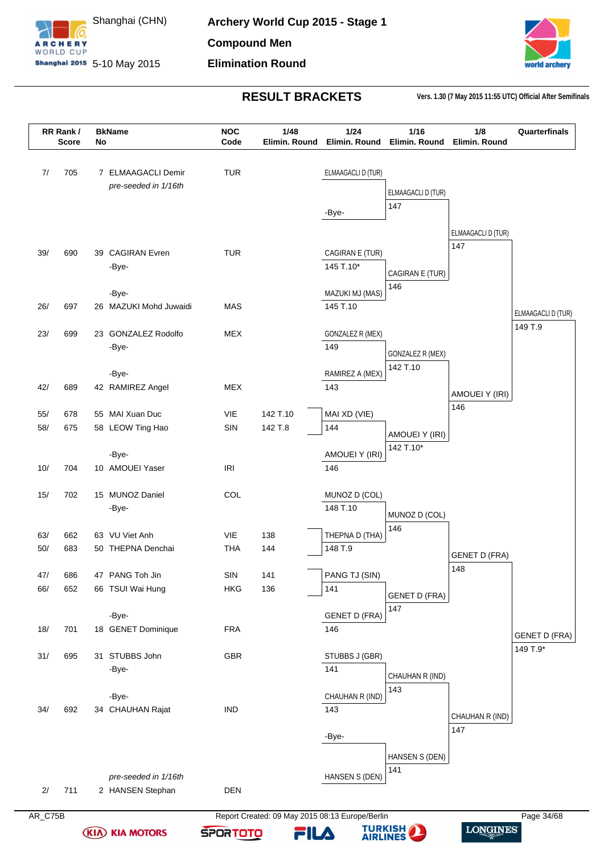



|     | RR Rank/<br><b>Score</b> | No | <b>BkName</b>          | <b>NOC</b><br>Code | 1/48<br>Elimin. Round | 1/24<br>Elimin. Round | 1/16<br>Elimin, Round | 1/8<br>Elimin. Round | Quarterfinals                    |
|-----|--------------------------|----|------------------------|--------------------|-----------------------|-----------------------|-----------------------|----------------------|----------------------------------|
|     |                          |    |                        |                    |                       |                       |                       |                      |                                  |
| 7/  | 705                      |    | 7 ELMAAGACLI Demir     | <b>TUR</b>         |                       | ELMAAGACLI D (TUR)    |                       |                      |                                  |
|     |                          |    | pre-seeded in 1/16th   |                    |                       |                       | ELMAAGACLI D (TUR)    |                      |                                  |
|     |                          |    |                        |                    |                       |                       | 147                   |                      |                                  |
|     |                          |    |                        |                    |                       | -Bye-                 |                       |                      |                                  |
|     |                          |    |                        |                    |                       |                       |                       | ELMAAGACLI D (TUR)   |                                  |
| 39/ | 690                      |    | 39 CAGIRAN Evren       | <b>TUR</b>         |                       | CAGIRAN E (TUR)       |                       | 147                  |                                  |
|     |                          |    | -Bye-                  |                    |                       | 145 T.10*             |                       |                      |                                  |
|     |                          |    |                        |                    |                       |                       | CAGIRAN E (TUR)       |                      |                                  |
|     |                          |    | -Bye-                  |                    |                       | MAZUKI MJ (MAS)       | 146                   |                      |                                  |
| 26/ | 697                      |    | 26 MAZUKI Mohd Juwaidi | MAS                |                       | 145 T.10              |                       |                      | ELMAAGACLI D (TUR)               |
|     |                          |    |                        |                    |                       |                       |                       |                      | 149 T.9                          |
| 23/ | 699                      |    | 23 GONZALEZ Rodolfo    | <b>MEX</b>         |                       | GONZALEZ R (MEX)      |                       |                      |                                  |
|     |                          |    | -Bye-                  |                    |                       | 149                   | GONZALEZ R (MEX)      |                      |                                  |
|     |                          |    |                        |                    |                       |                       | 142 T.10              |                      |                                  |
|     |                          |    | -Bye-                  |                    |                       | RAMIREZ A (MEX)       |                       |                      |                                  |
| 42/ | 689                      |    | 42 RAMIREZ Angel       | <b>MEX</b>         |                       | 143                   |                       | AMOUEI Y (IRI)       |                                  |
| 55/ | 678                      |    | 55 MAI Xuan Duc        | VIE                | 142 T.10              | MAI XD (VIE)          |                       | 146                  |                                  |
| 58/ | 675                      |    | 58 LEOW Ting Hao       | SIN                | 142 T.8               | 144                   |                       |                      |                                  |
|     |                          |    |                        |                    |                       |                       | AMOUEI Y (IRI)        |                      |                                  |
|     |                          |    | -Bye-                  |                    |                       | AMOUEI Y (IRI)        | 142 T.10*             |                      |                                  |
| 10/ | 704                      |    | 10 AMOUEI Yaser        | <b>IRI</b>         |                       | 146                   |                       |                      |                                  |
|     |                          |    |                        |                    |                       |                       |                       |                      |                                  |
| 15/ | 702                      |    | 15 MUNOZ Daniel        | COL                |                       | MUNOZ D (COL)         |                       |                      |                                  |
|     |                          |    | -Bye-                  |                    |                       | 148 T.10              | MUNOZ D (COL)         |                      |                                  |
|     |                          |    |                        |                    |                       |                       | 146                   |                      |                                  |
| 63/ | 662                      |    | 63 VU Viet Anh         | VIE                | 138                   | THEPNA D (THA)        |                       |                      |                                  |
| 50/ | 683                      |    | 50 THEPNA Denchai      | <b>THA</b>         | 144                   | 148 T.9               |                       | <b>GENET D (FRA)</b> |                                  |
| 47/ | 686                      |    | 47 PANG Toh Jin        | $\mathsf{SIN}$     | 141                   | PANG TJ (SIN)         |                       | 148                  |                                  |
| 66/ | 652                      |    | 66 TSUI Wai Hung       | <b>HKG</b>         | 136                   | 141                   |                       |                      |                                  |
|     |                          |    |                        |                    |                       |                       | <b>GENET D (FRA)</b>  |                      |                                  |
|     |                          |    | -Bye-                  |                    |                       | <b>GENET D (FRA)</b>  | 147                   |                      |                                  |
| 18/ | 701                      |    | 18 GENET Dominique     | <b>FRA</b>         |                       | 146                   |                       |                      |                                  |
|     |                          |    |                        |                    |                       |                       |                       |                      | <b>GENET D (FRA)</b><br>149 T.9* |
| 31/ | 695                      |    | 31 STUBBS John         | GBR                |                       | STUBBS J (GBR)        |                       |                      |                                  |
|     |                          |    | -Bye-                  |                    |                       | 141                   | CHAUHAN R (IND)       |                      |                                  |
|     |                          |    |                        |                    |                       |                       | 143                   |                      |                                  |
|     |                          |    | -Bye-                  |                    |                       | CHAUHAN R (IND)       |                       |                      |                                  |
| 34/ | 692                      |    | 34 CHAUHAN Rajat       | <b>IND</b>         |                       | 143                   |                       | CHAUHAN R (IND)      |                                  |
|     |                          |    |                        |                    |                       | -Bye-                 |                       | 147                  |                                  |
|     |                          |    |                        |                    |                       |                       |                       |                      |                                  |
|     |                          |    |                        |                    |                       |                       | HANSEN S (DEN)        |                      |                                  |
|     |                          |    | pre-seeded in 1/16th   |                    |                       | HANSEN S (DEN)        | 141                   |                      |                                  |
|     |                          |    |                        |                    |                       |                       |                       |                      |                                  |

**(KIA) KIA MOTORS** 



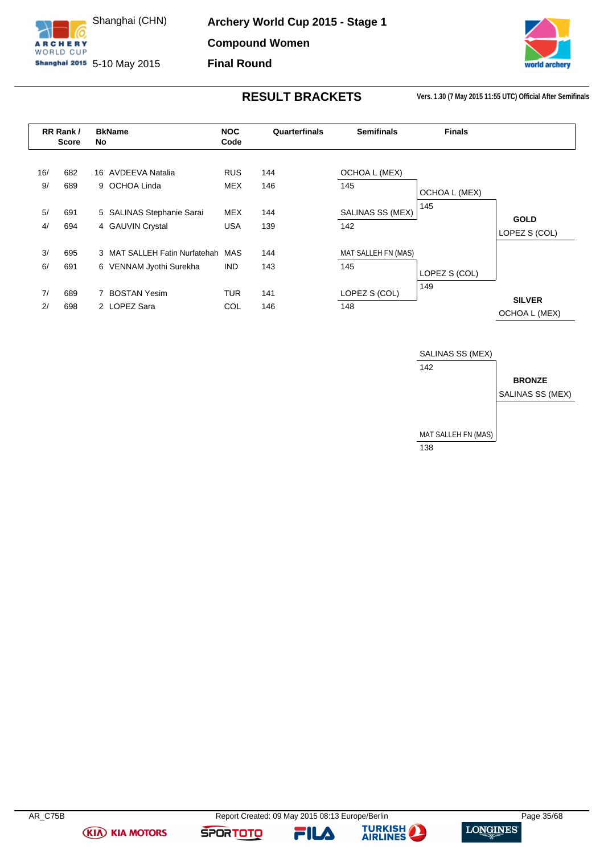

**Archery World Cup 2015 - Stage 1 Compound Women**

**Final Round**



**RESULT BRACKETS Vers. 1.30 (7 May 2015 11:55 UTC) Official After Semifinals**

<span id="page-35-0"></span>

|     | RR Rank/<br>Score | No | <b>BkName</b>                     | <b>NOC</b><br>Code | Quarterfinals | <b>Semifinals</b>   | <b>Finals</b> |               |
|-----|-------------------|----|-----------------------------------|--------------------|---------------|---------------------|---------------|---------------|
| 16/ | 682               |    | 16 AVDEEVA Natalia                | <b>RUS</b>         | 144           | OCHOA L (MEX)       |               |               |
| 9/  | 689               |    | 9 OCHOA Linda                     | MEX                | 146           | 145                 | OCHOA L (MEX) |               |
| 5/  | 691               |    | 5 SALINAS Stephanie Sarai         | MEX                | 144           | SALINAS SS (MEX)    | 145           | <b>GOLD</b>   |
| 4/  | 694               |    | 4 GAUVIN Crystal                  | <b>USA</b>         | 139           | 142                 |               | LOPEZ S (COL) |
| 3/  | 695               |    | 3 MAT SALLEH Fatin Nurfatehah MAS |                    | 144           | MAT SALLEH FN (MAS) |               |               |
| 6/  | 691               |    | 6 VENNAM Jyothi Surekha           | <b>IND</b>         | 143           | 145                 | LOPEZ S (COL) |               |
| 7/  | 689               |    | <b>BOSTAN Yesim</b>               | <b>TUR</b>         | 141           | LOPEZ S (COL)       | 149           | <b>SILVER</b> |
| 2/  | 698               |    | 2 LOPEZ Sara                      | COL                | 146           | 148                 |               | OCHOA L (MEX) |



**(KIA) KIA MOTORS** 

**SPORTOTO** 

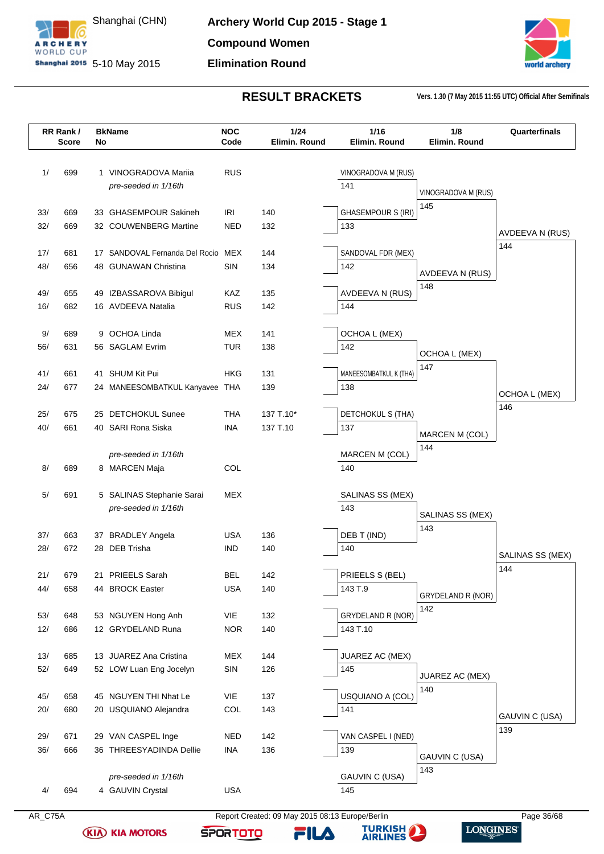



**LONGINES** 

|            | RR Rank/<br>Score | No | <b>BkName</b>                                | <b>NOC</b><br>Code       | 1/24<br>Elimin. Round | 1/16<br>Elimin. Round     | 1/8<br>Elimin. Round | Quarterfinals    |
|------------|-------------------|----|----------------------------------------------|--------------------------|-----------------------|---------------------------|----------------------|------------------|
| 1/         | 699               |    | 1 VINOGRADOVA Mariia                         | <b>RUS</b>               |                       | VINOGRADOVA M (RUS)       |                      |                  |
|            |                   |    | pre-seeded in 1/16th                         |                          |                       | 141                       |                      |                  |
|            |                   |    |                                              |                          |                       |                           | VINOGRADOVA M (RUS)  |                  |
| 33/        | 669               |    | 33 GHASEMPOUR Sakineh                        | IRI                      | 140                   | <b>GHASEMPOUR S (IRI)</b> | 145                  |                  |
| 32/        | 669               |    | 32 COUWENBERG Martine                        | NED                      | 132                   | 133                       |                      | AVDEEVA N (RUS)  |
|            |                   |    |                                              |                          |                       |                           |                      | 144              |
| 17/        | 681               |    | 17 SANDOVAL Fernanda Del Rocio               | MEX                      | 144                   | SANDOVAL FDR (MEX)        |                      |                  |
| 48/        | 656               |    | 48 GUNAWAN Christina                         | SIN                      | 134                   | 142                       | AVDEEVA N (RUS)      |                  |
| 49/        | 655               |    |                                              | KAZ                      | 135                   | AVDEEVA N (RUS)           | 148                  |                  |
| 16/        | 682               |    | 49 IZBASSAROVA Bibigul<br>16 AVDEEVA Natalia | <b>RUS</b>               | 142                   | 144                       |                      |                  |
|            |                   |    |                                              |                          |                       |                           |                      |                  |
| 9/         | 689               |    | 9 OCHOA Linda                                | MEX                      | 141                   | OCHOA L (MEX)             |                      |                  |
| 56/        | 631               |    | 56 SAGLAM Evrim                              | <b>TUR</b>               | 138                   | 142                       |                      |                  |
|            |                   |    |                                              |                          |                       |                           | OCHOA L (MEX)<br>147 |                  |
| 41/        | 661               |    | 41 SHUM Kit Pui                              | HKG                      | 131                   | MANEESOMBATKUL K (THA)    |                      |                  |
| 24/        | 677               |    | 24 MANEESOMBATKUL Kanyavee THA               |                          | 139                   | 138                       |                      | OCHOA L (MEX)    |
|            |                   |    |                                              |                          |                       |                           |                      | 146              |
| 25/<br>40/ | 675<br>661        |    | 25 DETCHOKUL Sunee<br>40 SARI Rona Siska     | <b>THA</b><br><b>INA</b> | 137 T.10*             | DETCHOKUL S (THA)         |                      |                  |
|            |                   |    |                                              |                          | 137 T.10              | 137                       | MARCEN M (COL)       |                  |
|            |                   |    | pre-seeded in 1/16th                         |                          |                       | MARCEN M (COL)            | 144                  |                  |
| 8/         | 689               |    | 8 MARCEN Maja                                | COL                      |                       | 140                       |                      |                  |
|            |                   |    |                                              |                          |                       |                           |                      |                  |
| 5/         | 691               |    | 5 SALINAS Stephanie Sarai                    | MEX                      |                       | SALINAS SS (MEX)          |                      |                  |
|            |                   |    | pre-seeded in 1/16th                         |                          |                       | 143                       | SALINAS SS (MEX)     |                  |
|            |                   |    |                                              |                          |                       |                           | 143                  |                  |
| 37/        | 663               |    | 37 BRADLEY Angela                            | USA                      | 136                   | DEB T (IND)               |                      |                  |
| 28/        | 672               |    | 28 DEB Trisha                                | <b>IND</b>               | 140                   | 140                       |                      | SALINAS SS (MEX) |
| 21/        | 679               |    | 21 PRIEELS Sarah                             | <b>BEL</b>               | 142                   | PRIEELS S (BEL)           |                      | 144              |
| 44/        | 658               |    | 44 BROCK Easter                              | <b>USA</b>               | 140                   | 143 T.9                   |                      |                  |
|            |                   |    |                                              |                          |                       |                           | GRYDELAND R (NOR)    |                  |
| 53/        | 648               |    | 53 NGUYEN Hong Anh                           | VIE                      | 132                   | GRYDELAND R (NOR)         | 142                  |                  |
| 12/        | 686               |    | 12 GRYDELAND Runa                            | <b>NOR</b>               | 140                   | 143 T.10                  |                      |                  |
|            |                   |    |                                              |                          |                       |                           |                      |                  |
| 13/        | 685               |    | 13 JUAREZ Ana Cristina                       | MEX                      | 144                   | JUAREZ AC (MEX)           |                      |                  |
| 52/        | 649               |    | 52 LOW Luan Eng Jocelyn                      | SIN                      | 126                   | 145                       | JUAREZ AC (MEX)      |                  |
|            |                   |    |                                              |                          |                       |                           | 140                  |                  |
| 45/<br>20/ | 658<br>680        |    | 45 NGUYEN THI Nhat Le                        | VIE<br>COL               | 137<br>143            | USQUIANO A (COL)<br>141   |                      |                  |
|            |                   |    | 20 USQUIANO Alejandra                        |                          |                       |                           |                      | GAUVIN C (USA)   |
| 29/        | 671               |    | 29 VAN CASPEL Inge                           | <b>NED</b>               | 142                   | VAN CASPEL I (NED)        |                      | 139              |
| 36/        | 666               |    | 36 THREESYADINDA Dellie                      | <b>INA</b>               | 136                   | 139                       |                      |                  |
|            |                   |    |                                              |                          |                       |                           | GAUVIN C (USA)       |                  |
|            |                   |    | pre-seeded in 1/16th                         |                          |                       |                           | 143                  |                  |
|            |                   |    |                                              |                          |                       | GAUVIN C (USA)            |                      |                  |

**(KIA) KIA MOTORS** 

**TURKISH SPORTOTO** FILA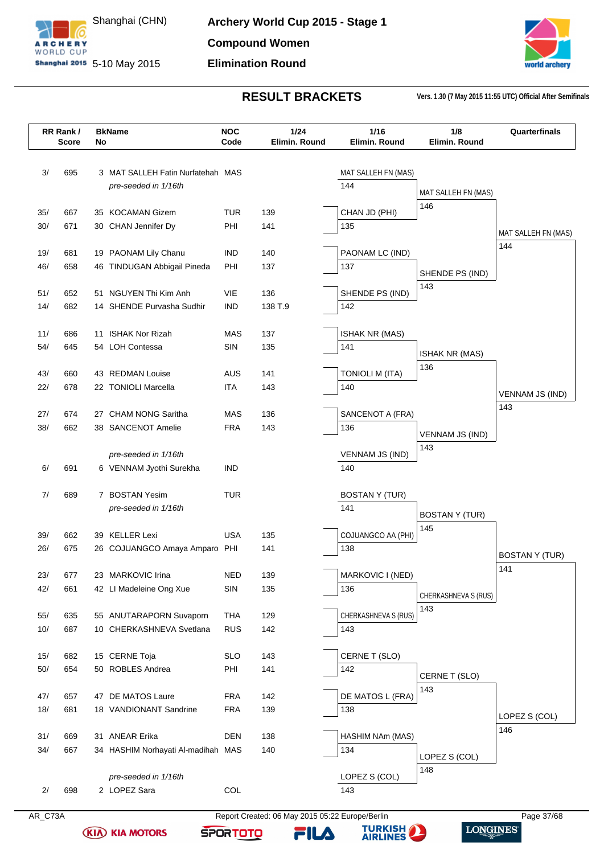



|     | RR Rank/<br>Score | No | <b>BkName</b>                               | <b>NOC</b><br>Code       | 1/24<br>Elimin. Round | 1/16<br>Elimin. Round   | 1/8<br>Elimin. Round  | Quarterfinals          |
|-----|-------------------|----|---------------------------------------------|--------------------------|-----------------------|-------------------------|-----------------------|------------------------|
| 3/  | 695               |    | 3 MAT SALLEH Fatin Nurfatehah MAS           |                          |                       | MAT SALLEH FN (MAS)     |                       |                        |
|     |                   |    | pre-seeded in 1/16th                        |                          |                       | 144                     |                       |                        |
|     |                   |    |                                             |                          |                       |                         | MAT SALLEH FN (MAS)   |                        |
| 35/ | 667               |    | 35 KOCAMAN Gizem                            | <b>TUR</b>               | 139                   | CHAN JD (PHI)           | 146                   |                        |
| 30/ | 671               |    | 30 CHAN Jennifer Dy                         | PHI                      | 141                   | 135                     |                       |                        |
|     |                   |    |                                             |                          |                       |                         |                       | MAT SALLEH FN (MAS)    |
| 19/ | 681               |    | 19 PAONAM Lily Chanu                        | <b>IND</b>               | 140                   | PAONAM LC (IND)         |                       | 144                    |
| 46/ | 658               |    | 46 TINDUGAN Abbigail Pineda                 | PHI                      | 137                   | 137                     | SHENDE PS (IND)       |                        |
|     |                   |    |                                             |                          |                       |                         | 143                   |                        |
| 51/ | 652               |    | 51 NGUYEN Thi Kim Anh                       | VIE                      | 136                   | SHENDE PS (IND)         |                       |                        |
| 14/ | 682               |    | 14 SHENDE Purvasha Sudhir                   | <b>IND</b>               | 138 T.9               | 142                     |                       |                        |
| 11/ | 686               |    | 11 ISHAK Nor Rizah                          | MAS                      | 137                   | <b>ISHAK NR (MAS)</b>   |                       |                        |
| 54/ | 645               |    | 54 LOH Contessa                             | SIN                      | 135                   | 141                     |                       |                        |
|     |                   |    |                                             |                          |                       |                         | <b>ISHAK NR (MAS)</b> |                        |
| 43/ | 660               |    | 43 REDMAN Louise                            | AUS                      | 141                   | <b>TONIOLI M (ITA)</b>  | 136                   |                        |
| 22/ | 678               |    | 22 TONIOLI Marcella                         | <b>ITA</b>               | 143                   | 140                     |                       | <b>VENNAM JS (IND)</b> |
|     |                   |    |                                             |                          |                       |                         |                       | 143                    |
| 27/ | 674               |    | 27 CHAM NONG Saritha                        | MAS                      | 136                   | SANCENOT A (FRA)        |                       |                        |
| 38/ | 662               |    | 38 SANCENOT Amelie                          | <b>FRA</b>               | 143                   | 136                     | VENNAM JS (IND)       |                        |
|     |                   |    | pre-seeded in 1/16th                        |                          |                       | <b>VENNAM JS (IND)</b>  | 143                   |                        |
| 6/  | 691               |    | 6 VENNAM Jyothi Surekha                     | <b>IND</b>               |                       | 140                     |                       |                        |
|     |                   |    |                                             |                          |                       |                         |                       |                        |
| 7/  | 689               |    | 7 BOSTAN Yesim                              | <b>TUR</b>               |                       | <b>BOSTAN Y (TUR)</b>   |                       |                        |
|     |                   |    | pre-seeded in 1/16th                        |                          |                       | 141                     | <b>BOSTAN Y (TUR)</b> |                        |
|     |                   |    |                                             |                          |                       |                         | 145                   |                        |
| 39/ | 662               |    | 39 KELLER Lexi                              | <b>USA</b>               | 135                   | COJUANGCO AA (PHI)      |                       |                        |
| 26/ | 675               |    | 26 COJUANGCO Amaya Amparo PHI               |                          | 141                   | 138                     |                       | <b>BOSTAN Y (TUR)</b>  |
| 23/ | 677               |    | 23 MARKOVIC Irina                           | <b>NED</b>               | 139                   | MARKOVIC I (NED)        |                       | 141                    |
| 42/ | 661               |    | 42 LI Madeleine Ong Xue                     | SIN                      | 135                   | 136                     |                       |                        |
|     |                   |    |                                             |                          |                       |                         | CHERKASHNEVA S (RUS)  |                        |
| 55/ | 635               |    | 55 ANUTARAPORN Suvaporn                     | <b>THA</b>               | 129                   | CHERKASHNEVA S (RUS)    | 143                   |                        |
| 10/ | 687               |    | 10 CHERKASHNEVA Svetlana                    | <b>RUS</b>               | 142                   | 143                     |                       |                        |
|     |                   |    |                                             |                          |                       |                         |                       |                        |
| 15/ | 682               |    | 15 CERNE Toja                               | <b>SLO</b>               | 143                   | CERNE T (SLO)           |                       |                        |
| 50/ | 654               |    | 50 ROBLES Andrea                            | PHI                      | 141                   | 142                     | CERNE T (SLO)         |                        |
|     |                   |    |                                             |                          |                       |                         | 143                   |                        |
| 47/ | 657<br>681        |    | 47 DE MATOS Laure<br>18 VANDIONANT Sandrine | <b>FRA</b><br><b>FRA</b> | 142                   | DE MATOS L (FRA)<br>138 |                       |                        |
| 18/ |                   |    |                                             |                          | 139                   |                         |                       | LOPEZ S (COL)          |
| 31/ | 669               |    | 31 ANEAR Erika                              | <b>DEN</b>               | 138                   | HASHIM NAm (MAS)        |                       | 146                    |
| 34/ | 667               |    | 34 HASHIM Norhayati Al-madihah MAS          |                          | 140                   | 134                     |                       |                        |
|     |                   |    |                                             |                          |                       |                         | LOPEZ S (COL)         |                        |
|     |                   |    | pre-seeded in 1/16th                        |                          |                       | LOPEZ S (COL)           | 148                   |                        |
| 2/  | 698               |    | 2 LOPEZ Sara                                | COL                      |                       | 143                     |                       |                        |
|     |                   |    |                                             |                          |                       |                         |                       |                        |

**(KIA) KIA MOTORS** 

AR\_C73A Report Created: 06 May 2015 05:22 Europe/Berlin Page 37/68

FILA

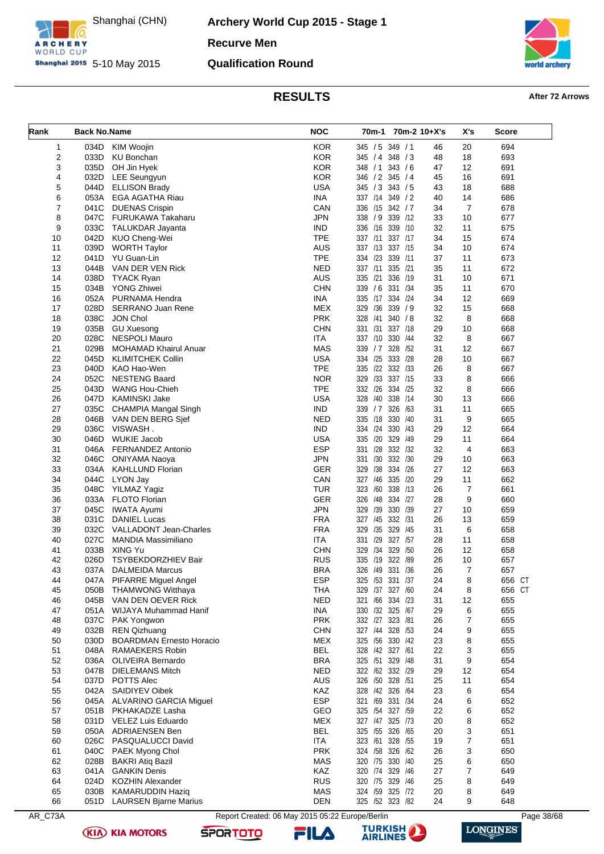

ARCHERY

**Archery World Cup 2015 - Stage 1 Recurve Men Qualification Round**



### **RESULTS After 72 Arrows**

<span id="page-38-0"></span>

| Rank    | <b>Back No.Name</b> |                                 | <b>NOC</b>                                      | 70m-1 70m-2 10+X's    |    | X's            | <b>Score</b> |
|---------|---------------------|---------------------------------|-------------------------------------------------|-----------------------|----|----------------|--------------|
| 1       | 034D                | KIM Woojin                      | <b>KOR</b>                                      | 345 / 5 349 / 1       | 46 | 20             | 694          |
| 2       | 033D                | <b>KU Bonchan</b>               | <b>KOR</b>                                      | 345 / 4 348 / 3       | 48 | 18             | 693          |
| 3       | 035D                | OH Jin Hyek                     | <b>KOR</b>                                      | 348 / 1 343 / 6       | 47 | 12             | 691          |
| 4       | 032D                | <b>LEE Seungyun</b>             | <b>KOR</b>                                      | 346 / 2<br>345/4      | 45 | 16             | 691          |
| 5       | 044D                | <b>ELLISON Brady</b>            | <b>USA</b>                                      | 345 / 3 343 / 5       | 43 | 18             | 688          |
| 6       | 053A                | <b>EGA AGATHA Riau</b>          | <b>INA</b>                                      | 337 /14 349 / 2       | 40 | 14             | 686          |
| 7       | 041C                | <b>DUENAS Crispin</b>           | CAN                                             | 336 /15 342 / 7       | 34 | 7              | 678          |
| 8       | 047C                | FURUKAWA Takaharu               | <b>JPN</b>                                      | 338 / 9 339 / 12      | 33 | 10             | 677          |
| 9       | 033C                | TALUKDAR Jayanta                | <b>IND</b>                                      | 336<br>/16<br>339 /10 | 32 | 11             | 675          |
| 10      | 042D                | KUO Cheng-Wei                   | <b>TPE</b>                                      | 337 /11 337 /17       | 34 | 15             | 674          |
| 11      | 039D                | <b>WORTH Taylor</b>             | <b>AUS</b>                                      | 337 /13 337 /15       | 34 | 10             | 674          |
| 12      | 041D                | YU Guan-Lin                     | <b>TPE</b>                                      | 334 /23<br>339 /11    | 37 | 11             | 673          |
| 13      | 044B                |                                 | <b>NED</b>                                      | 337 /11<br>335 /21    | 35 |                | 672          |
|         |                     | VAN DER VEN Rick                | <b>AUS</b>                                      |                       |    | 11             |              |
| 14      | 038D                | <b>TYACK Ryan</b>               |                                                 | 335 /21<br>336 /19    | 31 | 10             | 671          |
| 15      | 034B                | <b>YONG Zhiwei</b>              | <b>CHN</b>                                      | 339 / 6 331 /34       | 35 | 11             | 670          |
| 16      | 052A                | PURNAMA Hendra                  | <b>INA</b>                                      | 335 /17 334 /24       | 34 | 12             | 669          |
| 17      | 028D                | <b>SERRANO Juan Rene</b>        | <b>MEX</b>                                      | 329<br>/36<br>339 / 9 | 32 | 15             | 668          |
| 18      | 038C                | JON Chol                        | <b>PRK</b>                                      | 328<br>/41<br>340 / 8 | 32 | 8              | 668          |
| 19      | 035B                | <b>GU Xuesong</b>               | <b>CHN</b>                                      | 331 /31 337 /18       | 29 | 10             | 668          |
| 20      | 028C                | <b>NESPOLI Mauro</b>            | <b>ITA</b>                                      | 337 /10 330 /44       | 32 | 8              | 667          |
| 21      | 029B                | <b>MOHAMAD Khairul Anuar</b>    | <b>MAS</b>                                      | 328 /52<br>339 / 7    | 31 | 12             | 667          |
| 22      | 045D                | <b>KLIMITCHEK Collin</b>        | <b>USA</b>                                      | 334 /25<br>333 /28    | 28 | 10             | 667          |
| 23      | 040D                | KAO Hao-Wen                     | <b>TPE</b>                                      | 335 /22 332 /33       | 26 | 8              | 667          |
| 24      | 052C                | <b>NESTENG Baard</b>            | <b>NOR</b>                                      | 329<br>/33<br>337 /15 | 33 | 8              | 666          |
| 25      | 043D                | <b>WANG Hou-Chieh</b>           | <b>TPE</b>                                      | 332 /26<br>334 /25    | 32 | 8              | 666          |
| 26      | 047D                | <b>KAMINSKI Jake</b>            | <b>USA</b>                                      | 328<br>/40 338 /14    | 30 | 13             | 666          |
| 27      | 035C                | CHAMPIA Mangal Singh            | <b>IND</b>                                      | 339 / 7<br>326 /63    | 31 | 11             | 665          |
| 28      | 046B                | VAN DEN BERG Sjef               | <b>NED</b>                                      | 335 /18 330 /40       | 31 | 9              | 665          |
| 29      | 036C                | VISWASH.                        | <b>IND</b>                                      | 334 /24 330 /43       | 29 | 12             | 664          |
| 30      | 046D                | <b>WUKIE Jacob</b>              | <b>USA</b>                                      | /20<br>329 /49<br>335 | 29 | 11             | 664          |
| 31      | 046A                | <b>FERNANDEZ Antonio</b>        | <b>ESP</b>                                      | 331 /28 332 /32       | 32 | $\overline{4}$ | 663          |
| 32      | 046C                | ONIYAMA Naoya                   | <b>JPN</b>                                      | 332 /30<br>331<br>/30 | 29 | 10             | 663          |
| 33      | 034A                | <b>KAHLLUND Florian</b>         | <b>GER</b>                                      | /38<br>334 /26<br>329 | 27 | 12             | 663          |
| 34      | 044C                | LYON Jay                        | CAN                                             | 327 /46<br>335 /20    | 29 | 11             | 662          |
| 35      | 048C                | YILMAZ Yagiz                    | <b>TUR</b>                                      | 338 /13<br>323<br>/60 | 26 | 7              | 661          |
|         |                     |                                 |                                                 |                       |    |                |              |
| 36      | 033A                | <b>FLOTO Florian</b>            | <b>GER</b>                                      | 326<br>/48<br>334 /27 | 28 | 9              | 660          |
| 37      | 045C                | <b>IWATA Ayumi</b>              | <b>JPN</b>                                      | 330 /39<br>329 /39    | 27 | 10             | 659          |
| 38      | 031C                | <b>DANIEL Lucas</b>             | <b>FRA</b>                                      | 327 /45<br>332 /31    | 26 | 13             | 659          |
| 39      | 032C                | <b>VALLADONT Jean-Charles</b>   | <b>FRA</b>                                      | /35<br>329 /45<br>329 | 31 | 6              | 658          |
| 40      | 027C                | <b>MANDIA Massimiliano</b>      | ITA                                             | 331 /29 327 /57       | 28 | 11             | 658          |
| 41      | 033B                | XING Yu                         | <b>CHN</b>                                      | /34 329<br>/50<br>329 | 26 | 12             | 658          |
| 42      | 026D                | TSYBEKDORZHIEV Bair             | <b>RUS</b>                                      | 335 /19 322 /89       | 26 | 10             | 657          |
| 43      |                     | 037A DALMEIDA Marcus            | <b>BRA</b>                                      | 326<br>/49 331 /36    | 26 | 7              | 657          |
| 44      |                     | 047A PIFARRE Miguel Angel       | <b>ESP</b>                                      | 325 /53 331 /37       | 24 | 8              | 656 CT       |
| 45      | 050B                | <b>THAMWONG Witthaya</b>        | <b>THA</b>                                      | /37 327 /60<br>329    | 24 | 8              | 656 CT       |
| 46      | 045B                | VAN DEN OEVER Rick              | <b>NED</b>                                      | 321 /66 334 /23       | 31 | 12             | 655          |
| 47      | 051A                | WIJAYA Muhammad Hanif           | <b>INA</b>                                      | 330 /32 325 /67       | 29 | 6              | 655          |
| 48      | 037C                | PAK Yongwon                     | <b>PRK</b>                                      | 332 /27 323 /81       | 26 | 7              | 655          |
| 49      | 032B                | <b>REN Qizhuang</b>             | <b>CHN</b>                                      | 327 /44 328 /53       | 24 | 9              | 655          |
| 50      | 030D                | <b>BOARDMAN Ernesto Horacio</b> | <b>MEX</b>                                      | 325 /56<br>330 /42    | 23 | 8              | 655          |
| 51      | 048A                | RAMAEKERS Robin                 | <b>BEL</b>                                      | 328 /42 327 /61       | 22 | 3              | 655          |
| 52      | 036A                | <b>OLIVEIRA Bernardo</b>        | <b>BRA</b>                                      | 325 /51 329 /48       | 31 | 9              | 654          |
| 53      | 047B                | <b>DIELEMANS Mitch</b>          | <b>NED</b>                                      | 322 /62 332 /29       | 29 | 12             | 654          |
| 54      |                     | 037D POTTS Alec                 | <b>AUS</b>                                      | 326 /50 328 /51       | 25 | 11             | 654          |
| 55      | 042A                | <b>SAIDIYEV Oibek</b>           | KAZ                                             | 328 /42 326 /64       | 23 | 6              | 654          |
| 56      | 045A                | ALVARINO GARCIA Miguel          | <b>ESP</b>                                      | 321 /69<br>331 /34    | 24 | 6              | 652          |
| 57      |                     | 051B PKHAKADZE Lasha            | GEO                                             | 325 /54 327 /59       | 22 | 6              | 652          |
| 58      | 031D                | VELEZ Luis Eduardo              | <b>MEX</b>                                      | 327 /47 325 /73       | 20 | 8              | 652          |
|         |                     |                                 | <b>BEL</b>                                      |                       |    |                |              |
| 59      | 050A                | ADRIAENSEN Ben                  |                                                 | 325 /55 326 /65       | 20 | 3              | 651          |
| 60      | 026C                | PASQUALUCCI David               | ITA                                             | 323 /61 328 /55       | 19 | 7              | 651          |
| 61      | 040C                | PAEK Myong Chol                 | <b>PRK</b>                                      | 324 / 58 326 / 62     | 26 | 3              | 650          |
| 62      | 028B                | <b>BAKRI Atiq Bazil</b>         | MAS                                             | 320 /75 330 /40       | 25 | 6              | 650          |
| 63      | 041A                | <b>GANKIN Denis</b>             | KAZ                                             | 320 /74 329 /46       | 27 | 7              | 649          |
| 64      | 024D                | <b>KOZHIN Alexander</b>         | <b>RUS</b>                                      | 320 /75 329 /46       | 25 | 8              | 649          |
| 65      | 030B                | <b>KAMARUDDIN Haziq</b>         | MAS                                             | 324 /59 325 /72       | 20 | 8              | 649          |
| 66      |                     | 051D LAURSEN Bjarne Marius      | <b>DEN</b>                                      | 325 /52 323 /82       | 24 | 9              | 648          |
| AR_C73A |                     |                                 | Report Created: 06 May 2015 05:22 Europe/Berlin |                       |    |                | Page 38/68   |

**(KIA) KIA MOTORS** 





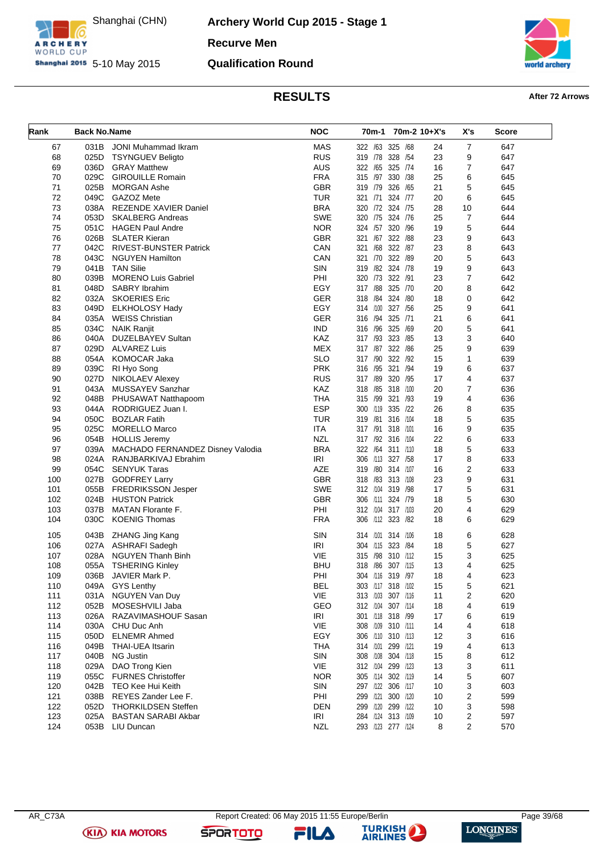

ARCHERY

**Archery World Cup 2015 - Stage 1 Recurve Men Qualification Round**



# **RESULTS After 72 Arrows**

|            |                     |                                                 | <b>NOC</b>               |                                        |              |          |                      |            |
|------------|---------------------|-------------------------------------------------|--------------------------|----------------------------------------|--------------|----------|----------------------|------------|
| Rank       | <b>Back No.Name</b> |                                                 |                          | 70m-1                                  | 70m-2 10+X's |          | X's                  | Score      |
| 67         | 031B                | <b>JONI Muhammad Ikram</b>                      | <b>MAS</b>               | 322 /63 325 /68                        |              | 24       | 7                    | 647        |
| 68         | 025D                | <b>TSYNGUEV Beligto</b>                         | <b>RUS</b>               | 319 /78 328 /54                        |              | 23       | 9                    | 647        |
| 69         | 036D                | <b>GRAY Matthew</b>                             | <b>AUS</b>               | 322 /65 325 /74                        |              | 16       | 7                    | 647        |
| 70         | 029C                | <b>GIROUILLE Romain</b>                         | <b>FRA</b>               | 315 /97 330 /38                        |              | 25       | 6                    | 645        |
| 71         | 025B                | <b>MORGAN Ashe</b>                              | <b>GBR</b>               | 319 /79                                | 326 /65      | 21       | 5                    | 645        |
| 72         | 049C                | GAZOZ Mete                                      | <b>TUR</b>               | 321 /71 324 /77                        |              | 20       | 6                    | 645        |
| 73<br>74   | 038A                | <b>REZENDE XAVIER Daniel</b>                    | <b>BRA</b><br><b>SWE</b> | 320 /72 324 /75<br>320 /75 324 /76     |              | 28<br>25 | 10<br>$\overline{7}$ | 644        |
|            | 053D                | <b>SKALBERG Andreas</b>                         | <b>NOR</b>               | 324 /57 320 /96                        |              |          |                      | 644        |
| 75<br>76   | 051C<br>026B        | <b>HAGEN Paul Andre</b><br><b>SLATER Kieran</b> | <b>GBR</b>               | 321 /67 322 /88                        |              | 19<br>23 | 5<br>9               | 644<br>643 |
| 77         | 042C                | <b>RIVEST-BUNSTER Patrick</b>                   | CAN                      | 321 /68 322 /87                        |              | 23       | 8                    | 643        |
| 78         | 043C                | <b>NGUYEN Hamilton</b>                          | CAN                      | 321 /70 322 /89                        |              | 20       | 5                    | 643        |
| 79         | 041B                | <b>TAN Silie</b>                                | SIN                      | 319 / 82 324 / 78                      |              | 19       | 9                    | 643        |
| 80         | 039B                | <b>MORENO Luis Gabriel</b>                      | PHI                      | 320 /73 322 /91                        |              | 23       | $\overline{7}$       | 642        |
| 81         | 048D                | SABRY Ibrahim                                   | EGY                      | 317 /88 325 /70                        |              | 20       | 8                    | 642        |
| 82         | 032A                | <b>SKOERIES Eric</b>                            | <b>GER</b>               | 318 / 84 324 / 80                      |              | 18       | 0                    | 642        |
| 83         | 049D                | <b>ELKHOLOSY Hady</b>                           | EGY                      | 314 /100                               | 327 /56      | 25       | 9                    | 641        |
| 84         | 035A                | <b>WEISS Christian</b>                          | <b>GER</b>               | 316 /94                                | 325 /71      | 21       | 6                    | 641        |
| 85         | 034C                | <b>NAIK Ranjit</b>                              | <b>IND</b>               | 316 /96                                | 325<br>/69   | 20       | 5                    | 641        |
| 86         | 040A                | DUZELBAYEV Sultan                               | <b>KAZ</b>               | 317 /93                                | 323 /85      | 13       | 3                    | 640        |
| 87         | 029D                | <b>ALVAREZ Luis</b>                             | MEX                      | 317 /87 322 /86                        |              | 25       | 9                    | 639        |
| 88         | 054A                | <b>KOMOCAR Jaka</b>                             | <b>SLO</b>               | 317 /90                                | 322 /92      | 15       | 1                    | 639        |
| 89         | 039C                | RI Hyo Song                                     | <b>PRK</b>               | 316 /95                                | 321 /94      | 19       | 6                    | 637        |
| 90         | 027D                | NIKOLAEV Alexey                                 | <b>RUS</b>               | 317 /89 320 /95                        |              | 17       | 4                    | 637        |
| 91         | 043A                | MUSSAYEV Sanzhar                                | KAZ                      | 318 /85 318 /100                       |              | 20       | 7                    | 636        |
| 92         | 048B                | PHUSAWAT Natthapoom                             | <b>THA</b>               | 315 /99 321 /93                        |              | 19       | 4                    | 636        |
| 93         | 044A                | RODRIGUEZ Juan I.                               | <b>ESP</b>               | 300 /119 335 /22                       |              | 26       | 8                    | 635        |
| 94         | 050C                | <b>BOZLAR Fatih</b>                             | <b>TUR</b>               | 319 /81                                | 316 /104     | 18       | 5                    | 635        |
| 95         | 025C                | <b>MORELLO Marco</b>                            | <b>ITA</b>               | 317 /91 318 /101                       |              | 16       | 9                    | 635        |
| 96         | 054B                | <b>HOLLIS Jeremy</b>                            | <b>NZL</b>               | 317 /92 316 /104                       |              | 22       | 6                    | 633        |
| 97         | 039A                | MACHADO FERNANDEZ Disney Valodia                | <b>BRA</b>               | 322 /64 311 /110                       |              | 18       | 5                    | 633        |
| 98         | 024A                | RANJBARKIVAJ Ebrahim                            | <b>IRI</b>               | 306 /113 327 /58                       |              | 17       | 8                    | 633        |
| 99         | 054C                | <b>SENYUK Taras</b>                             | <b>AZE</b>               | 319 /80 314 /107                       |              | 16       | 2                    | 633        |
| 100        | 027B                | <b>GODFREY Larry</b>                            | <b>GBR</b>               | 318 /83 313 /108                       |              | 23       | 9                    | 631        |
| 101        | 055B                | <b>FREDRIKSSON Jesper</b>                       | <b>SWE</b>               | 312 /104 319 /98                       |              | 17       | 5                    | 631        |
| 102        | 024B                | <b>HUSTON Patrick</b>                           | <b>GBR</b>               | 306 /111 324 /79                       |              | 18       | 5                    | 630        |
| 103        | 037B                | <b>MATAN Florante F.</b>                        | PHI                      | 312 /104 317 /103                      |              | 20       | 4                    | 629        |
| 104        | 030C                | <b>KOENIG Thomas</b>                            | <b>FRA</b>               | 306 /112 323 /82                       |              | 18       | 6                    | 629        |
| 105        | 043B                | ZHANG Jing Kang                                 | <b>SIN</b>               | 314 /101 314 /106                      |              | 18       | 6                    | 628        |
| 106        | 027A                | ASHRAFI Sadegh                                  | <b>IRI</b>               | 304 /115 323 /84                       |              | 18       | 5                    | 627        |
| 107        | 028A                | <b>NGUYEN Thanh Binh</b>                        | VIE                      | 315 /98                                | 310 /112     | 15       | 3                    | 625        |
| 108        | 055A                | <b>TSHERING Kinley</b>                          | <b>BHU</b>               | 318 / 86 307 / 115                     |              | 13       | 4                    | 625        |
| 109        | 036B                | JAVIER Mark P.                                  | PHI                      | 304 /116 319 /97                       |              | 18       | 4                    | 623        |
| 110        |                     | 049A GYS Lenthy                                 | <b>BEL</b>               | 303 /117 318 /102                      |              | 15       | 5                    | 621        |
| 111        | 031A                | NGUYEN Van Duy                                  | <b>VIE</b>               | 313 /103 307 /116                      |              | 11       | 2                    | 620        |
| 112        | 052B                | MOSESHVILI Jaba                                 | <b>GEO</b>               | 312 /104 307 /114                      |              | 18       | 4                    | 619        |
| 113        | 026A                | RAZAVIMASHOUF Sasan                             | IRI                      | 301 /118 318 /99                       |              | 17       | 6                    | 619        |
| 114        | 030A                | CHU Duc Anh                                     | VIE                      | 308 /109 310 /111                      |              | 14       | 4                    | 618        |
| 115        | 050D                | <b>ELNEMR Ahmed</b>                             | EGY                      | 306 /110 310 /113                      |              | 12       | 3                    | 616        |
| 116        | 049B                | THAI-UEA Itsarin                                | <b>THA</b>               | 314 /101 299 /121                      |              | 19       | 4                    | 613        |
| 117        | 040B                | <b>NG Justin</b>                                | SIN                      | 308 /108 304 /118                      |              | 15       | 8                    | 612        |
| 118        | 029A                | DAO Trong Kien<br><b>FURNES Christoffer</b>     | <b>VIE</b>               | 312 /104 299 /123                      |              | 13       | 3                    | 611        |
| 119<br>120 | 055C                | 042B TEO Kee Hui Keith                          | <b>NOR</b><br>SIN        | 305 /114 302 /119<br>297 /122 306 /117 |              | 14<br>10 | 5                    | 607<br>603 |
| 121        | 038B                | REYES Zander Lee F.                             | PHI                      | 299 /121 300 /120                      |              |          | 3<br>2               | 599        |
| 122        | 052D                | <b>THORKILDSEN Steffen</b>                      | <b>DEN</b>               | 299 /120 299 /122                      |              | 10<br>10 | 3                    | 598        |
| 123        | 025A                | <b>BASTAN SARABI Akbar</b>                      | IRI                      | 284 /124 313 /109                      |              | 10       | 2                    | 597        |
| 124        |                     | 053B LIU Duncan                                 | <b>NZL</b>               | 293 /123 277 /124                      |              | 8        | 2                    | 570        |
|            |                     |                                                 |                          |                                        |              |          |                      |            |

**(KIA) KIA MOTORS** 

**SPORTOTO** 

FILA

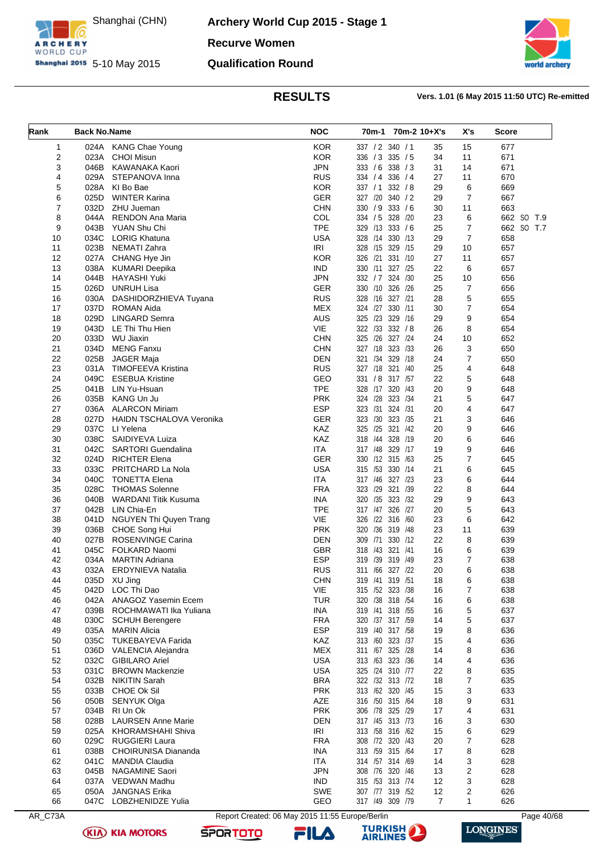

**Archery World Cup 2015 - Stage 1 Recurve Women Qualification Round**



### **RESULTS Vers. 1.01 (6 May 2015 11:50 UTC) Re-emitted**

<span id="page-40-0"></span>

| Rank     | <b>Back No.Name</b> | 70m-1 70m-2 10+X's             |                                                 | X's                                 | <b>Score</b>      |                |            |
|----------|---------------------|--------------------------------|-------------------------------------------------|-------------------------------------|-------------------|----------------|------------|
| 1        |                     | 024A KANG Chae Young           | <b>KOR</b>                                      | 337 / 2 340 / 1                     | 35                | 15             | 677        |
| 2        | 023A                | <b>CHOI Misun</b>              | <b>KOR</b>                                      | 336 / 3 335 / 5                     | 34                | 11             | 671        |
| 3        | 046B                | KAWANAKA Kaori                 | <b>JPN</b>                                      | 333 / 6 338 / 3                     | 31                | 14             | 671        |
| 4        | 029A                | STEPANOVA Inna                 | <b>RUS</b>                                      | 334 / 4 336 / 4                     | 27                | 11             | 670        |
| 5        | 028A                | KI Bo Bae                      | <b>KOR</b>                                      | 337 / 1<br>332 / 8                  | 29                | 6              | 669        |
| 6        | 025D                | <b>WINTER Karina</b>           | <b>GER</b>                                      | 327 /20 340 / 2                     | 29                | $\overline{7}$ | 667        |
| 7        | 032D                | ZHU Jueman                     | <b>CHN</b>                                      | 330 / 9 333 / 6                     | 30                | 11             | 663        |
| 8        | 044A                | RENDON Ana Maria               | COL                                             | 334 / 5 328 / 20                    | 23                | 6              | 662 SO T.9 |
| 9        | 043B                | YUAN Shu Chi                   | <b>TPE</b>                                      | 329 /13 333 /6                      | 25                | $\overline{7}$ | 662 SO T.7 |
| 10       | 034C                | <b>LORIG Khatuna</b>           | <b>USA</b>                                      | 328 /14 330 /13                     | 29                | $\overline{7}$ | 658        |
| 11       | 023B                | NEMATI Zahra<br>CHANG Hye Jin  | <b>IRI</b>                                      | 328 /15 329 /15                     | 29                | 10             | 657        |
| 12       | 027A                |                                | <b>KOR</b><br><b>IND</b>                        | 326 /21 331 /10                     | 27<br>22          | 11<br>6        | 657<br>657 |
| 13<br>14 | 038A<br>044B        | KUMARI Deepika<br>HAYASHI Yuki | <b>JPN</b>                                      | 330 /11 327 /25<br>332 / 7 324 / 30 | 25                | 10             | 656        |
| 15       | 026D                | <b>UNRUH Lisa</b>              | <b>GER</b>                                      | 330 /10 326 /26                     | 25                | $\overline{7}$ | 656        |
| 16       | 030A                | DASHIDORZHIEVA Tuyana          | <b>RUS</b>                                      | 328 /16 327 /21                     | 28                | 5              | 655        |
| 17       | 037D                | <b>ROMAN Aida</b>              | <b>MEX</b>                                      | 324 /27 330 /11                     | 30                | $\overline{7}$ | 654        |
| 18       | 029D                | <b>LINGARD Semra</b>           | AUS                                             | 325 /23 329 /16                     | 29                | 9              | 654        |
| 19       | 043D                | LE Thi Thu Hien                | VIE                                             | 322 /33 332 / 8                     | 26                | 8              | 654        |
| 20       | 033D                | WU Jiaxin                      | <b>CHN</b>                                      | 325 /26 327 /24                     | 24                | 10             | 652        |
| 21       | 034D                | <b>MENG Fanxu</b>              | <b>CHN</b>                                      | 327 /18 323 /33                     | 26                | 3              | 650        |
| 22       | 025B                | <b>JAGER Maja</b>              | <b>DEN</b>                                      | 321 /34 329 /18                     | 24                | 7              | 650        |
| 23       | 031A                | TIMOFEEVA Kristina             | <b>RUS</b>                                      | 327 /18 321 /40                     | 25                | 4              | 648        |
| 24       | 049C                | <b>ESEBUA Kristine</b>         | GEO                                             | 331 / 8 317 /57                     | 22                | 5              | 648        |
| 25       | 041B                | LIN Yu-Hsuan                   | <b>TPE</b>                                      | 328 /17 320 /43                     | 20                | 9              | 648        |
| 26       | 035B                | KANG Un Ju                     | <b>PRK</b>                                      | 324 /28 323 /34                     | 21                | 5              | 647        |
| 27       | 036A                | <b>ALARCON Miriam</b>          | <b>ESP</b>                                      | 323 /31 324 /31                     | 20                | 4              | 647        |
| 28       | 027D                | HAIDN TSCHALOVA Veronika       | <b>GER</b>                                      | 323 /30 323 /35                     | 21                | 3              | 646        |
| 29       |                     | 037C LI Yelena                 | KAZ                                             | 325 /25 321 /42                     | 20                | 9              | 646        |
| 30       | 038C                | SAIDIYEVA Luiza                | KAZ                                             | 318 /44 328 /19                     | 20                | 6              | 646        |
| 31       | 042C                | <b>SARTORI Guendalina</b>      | <b>ITA</b>                                      | 317 /48 329 /17                     | 19                | 9              | 646        |
| 32       | 024D                | <b>RICHTER Elena</b>           | <b>GER</b>                                      | 330 /12 315 /63                     | 25                | 7              | 645        |
| 33       | 033C                | PRITCHARD La Nola              | <b>USA</b>                                      | 315 /53 330 /14                     | 21                | 6              | 645        |
| 34       | 040C                | <b>TONETTA Elena</b>           | <b>ITA</b>                                      | 317 / 46<br>327 /23                 | 23                | 6              | 644        |
| 35       | 028C                | <b>THOMAS Solenne</b>          | <b>FRA</b>                                      | 323 /29 321 /39                     | 22                | 8              | 644        |
| 36       | 040B                | <b>WARDANI Titik Kusuma</b>    | INA                                             | 320 /35 323 /32                     | 29                | 9              | 643        |
| 37       | 042B                | LIN Chia-En                    | <b>TPE</b>                                      | 317 /47 326 /27                     | 20                | 5              | 643        |
| 38       | 041D                | NGUYEN Thi Quyen Trang         | VIE                                             | 326 /22 316 /60                     | 23                | 6              | 642        |
| 39       | 036B                | CHOE Song Hui                  | <b>PRK</b>                                      | 320 /36 319 /48                     | 23                | 11             | 639        |
| 40       | 027B                | <b>ROSENVINGE Carina</b>       | DEN                                             | 309 /71 330 /12                     | 22                | 8              | 639        |
| 41       | 045C                | <b>FOLKARD Naomi</b>           | <b>GBR</b>                                      | 318 /43 321 /41                     | 16                | 6              | 639        |
| 42       | 034A                | <b>MARTIN Adriana</b>          | <b>ESP</b>                                      | 319 /39 319 /49                     | 23                | 7              | 638        |
| 43       | 032A                | ERDYNIEVA Natalia              | <b>RUS</b>                                      | 311 /66 327 /22                     | 20                | 6              | 638        |
| 44       |                     | 035D XU Jing                   | <b>CHN</b>                                      | 319 /41 319 /51                     | 18                | 6              | 638        |
| 45       | 042D                | LOC Thi Dao                    | <b>VIE</b>                                      | 315 /52 323 /38                     | 16                | 7              | 638        |
| 46       |                     | 042A ANAGOZ Yasemin Ecem       | <b>TUR</b>                                      | 320 /38 318 /54                     | 16                | 6              | 638        |
| 47       | 039B                | ROCHMAWATI Ika Yuliana         | INA.                                            | 319 /41 318 /55                     | 16                | 5              | 637        |
| 48       |                     | 030C SCHUH Berengere           | <b>FRA</b>                                      | 320 /37 317 /59                     | 14                | 5              | 637        |
| 49       | 035A                | <b>MARIN Alicia</b>            | <b>ESP</b>                                      | 319 /40 317 /58                     | 19                | 8              | 636        |
| 50       | 035C                | <b>TUKEBAYEVA Farida</b>       | KAZ                                             | 313 /60 323 /37                     | 15                | 4              | 636        |
| 51       |                     | 036D VALENCIA Alejandra        | <b>MEX</b>                                      | 311 /67 325 /28                     | 14                | 8              | 636        |
| 52       | 032C                | <b>GIBILARO Ariel</b>          | <b>USA</b>                                      | 313 /63 323 /36                     | 14                | 4              | 636        |
| 53       | 031C                | <b>BROWN Mackenzie</b>         | USA                                             | 325 /24 310 /77                     | 22                | 8              | 635        |
| 54       | 032B                | NIKITIN Sarah                  | <b>BRA</b>                                      | 322 /32 313 /72                     | 18                | 7              | 635        |
| 55       | 033B                | CHOE Ok Sil                    | <b>PRK</b>                                      | 313 /62 320 /45                     | 15                | 3              | 633        |
| 56       | 050B                | SENYUK Olga                    | AZE                                             | 316 /50 315 /64                     | 18                | 9              | 631        |
| 57       | 034B                | RI Un Ok                       | <b>PRK</b>                                      | 306 /78 325 /29                     | 17                | 4              | 631        |
| 58       | 028B                | <b>LAURSEN Anne Marie</b>      | <b>DEN</b>                                      | 317 /45 313 /73                     | 16                | 3              | 630        |
| 59       | 025A                | KHORAMSHAHI Shiva              | <b>IRI</b>                                      | 313 /58 316 /62                     | 15                | 6              | 629        |
| 60       | 029C                | <b>RUGGIERI Laura</b>          | <b>FRA</b>                                      | 308 /72 320 /43                     | 20                | 7              | 628        |
| 61       | 038B                | CHOIRUNISA Diananda            | <b>INA</b>                                      | 313 /59 315 /64                     | 17                | 8              | 628        |
| 62       | 041C                | <b>MANDIA Claudia</b>          | ITA                                             | 314 /57 314 /69                     | 14                | 3              | 628        |
| 63       | 045B                | NAGAMINE Saori                 | JPN                                             | 308 / 76 320 / 46                   | 13                | $\overline{2}$ | 628        |
| 64       | 037A                | VEDWAN Madhu                   | IND.                                            | 315 /53 313 /74                     | $12 \overline{ }$ | 3              | 628        |
| 65       | 050A                | <b>JANGNAS Erika</b>           | SWE                                             | 307 /77 319 /52                     | 12                | $\overline{2}$ | 626        |
| 66       |                     | 047C LOBZHENIDZE Yulia         | GEO                                             | 317 /49 309 /79                     | $\overline{7}$    | $\mathbf{1}$   | 626        |
| AR_C73A  |                     |                                | Report Created: 06 May 2015 11:55 Europe/Berlin |                                     |                   |                | Page 40/68 |

**(KIA) KIA MOTORS** 







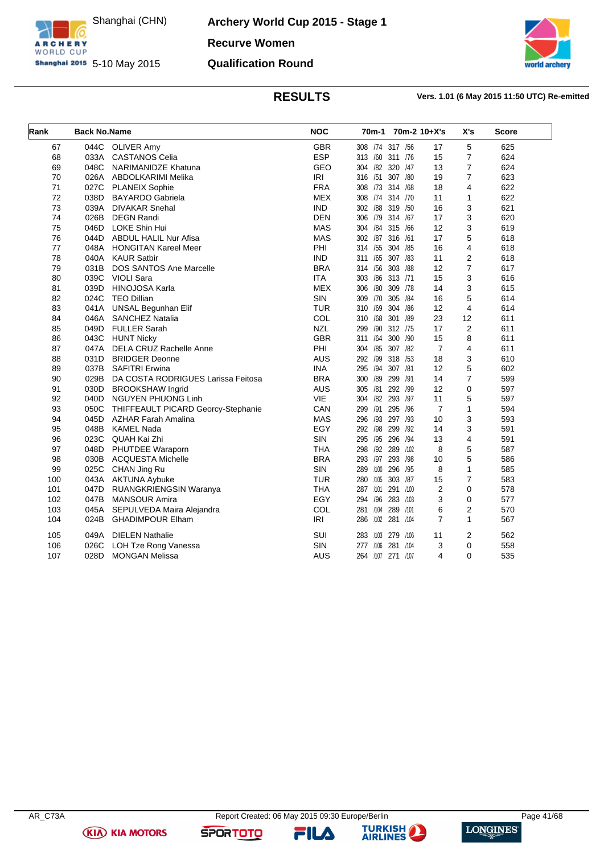

Shanghai (CHN)

**Archery World Cup 2015 - Stage 1 Recurve Women Qualification Round**



### **RESULTS Vers. 1.01 (6 May 2015 11:50 UTC) Re-emitted**

| Rank | <b>Back No.Name</b> |                                    | <b>NOC</b> |                   | 70m-1 70m-2 10+X's      | X's            | <b>Score</b> |
|------|---------------------|------------------------------------|------------|-------------------|-------------------------|----------------|--------------|
| 67   | 044C                | <b>OLIVER Amy</b>                  | <b>GBR</b> | 308 /74 317 /56   | 17                      | 5              | 625          |
| 68   | 033A                | <b>CASTANOS Celia</b>              | <b>ESP</b> | 313 /60 311 /76   | 15                      | $\overline{7}$ | 624          |
| 69   | 048C                | NARIMANIDZE Khatuna                | <b>GEO</b> | 304 /82 320 /47   | 13                      | 7              | 624          |
| 70   | 026A                | ABDOLKARIMI Melika                 | <b>IRI</b> | 316 /51 307 /80   | 19                      | $\overline{7}$ | 623          |
| 71   | 027C                | <b>PLANEIX Sophie</b>              | <b>FRA</b> | 308 /73 314 /68   | 18                      | 4              | 622          |
| 72   | 038D                | <b>BAYARDO</b> Gabriela            | <b>MEX</b> | 308 /74 314 /70   | 11                      | $\mathbf{1}$   | 622          |
| 73   | 039A                | <b>DIVAKAR Snehal</b>              | <b>IND</b> | 302 /88 319 /50   | 16                      | 3              | 621          |
| 74   | 026B                | <b>DEGN Randi</b>                  | <b>DEN</b> | 306 /79 314 /67   | 17                      | 3              | 620          |
| 75   | 046D                | LOKE Shin Hui                      | <b>MAS</b> | 304 /84 315 /66   | 12                      | 3              | 619          |
| 76   | 044D                | <b>ABDUL HALIL Nur Afisa</b>       | <b>MAS</b> | 302 /87 316 /61   | 17                      | 5              | 618          |
| 77   | 048A                | <b>HONGITAN Kareel Meer</b>        | PHI        | 314 /55 304 /85   | 16                      | 4              | 618          |
| 78   | 040A                | <b>KAUR Satbir</b>                 | <b>IND</b> | 311 /65 307 /83   | 11                      | 2              | 618          |
| 79   | 031B                | <b>DOS SANTOS Ane Marcelle</b>     | <b>BRA</b> | 314 /56           | 303 /88<br>12           | 7              | 617          |
| 80   |                     | 039C VIOLI Sara                    | <b>ITA</b> | 303 /86 313 /71   | 15                      | 3              | 616          |
| 81   | 039D                | <b>HINOJOSA Karla</b>              | <b>MEX</b> | 306 /80 309 /78   | 14                      | 3              | 615          |
| 82   | 024C                | <b>TEO Dillian</b>                 | SIN        | 309 /70           | 305 /84<br>16           | 5              | 614          |
| 83   | 041A                | <b>UNSAL Begunhan Elif</b>         | <b>TUR</b> | 310 /69           | 304 /86<br>12           | 4              | 614          |
| 84   | 046A                | <b>SANCHEZ Natalia</b>             | COL        | 310 /68 301 /89   | 23                      | 12             | 611          |
| 85   | 049D                | <b>FULLER Sarah</b>                | <b>NZL</b> | 299 /90 312 /75   | 17                      | $\overline{2}$ | 611          |
| 86   |                     | 043C HUNT Nicky                    | <b>GBR</b> | 311 /64 300 /90   | 15                      | 8              | 611          |
| 87   | 047A                | <b>DELA CRUZ Rachelle Anne</b>     | PHI        | 304 / 85 307 / 82 | $\overline{7}$          | 4              | 611          |
| 88   | 031D                | <b>BRIDGER Deonne</b>              | <b>AUS</b> | 292 /99 318 /53   | 18                      | 3              | 610          |
| 89   | 037B                | <b>SAFITRI Erwina</b>              | <b>INA</b> | 295 /94           | 307 /81<br>12           | 5              | 602          |
| 90   | 029B                | DA COSTA RODRIGUES Larissa Feitosa | <b>BRA</b> | 300 /89 299 /91   | 14                      | $\overline{7}$ | 599          |
| 91   | 030D                | <b>BROOKSHAW Ingrid</b>            | <b>AUS</b> | 305 /81 292 /99   | 12                      | 0              | 597          |
| 92   | 040D                | <b>NGUYEN PHUONG Linh</b>          | <b>VIE</b> | 304 /82 293 /97   | 11                      | 5              | 597          |
| 93   | 050C                | THIFFEAULT PICARD Georcy-Stephanie | CAN        | 299 /91 295 /96   | $\overline{7}$          | $\mathbf{1}$   | 594          |
| 94   | 045D                | <b>AZHAR Farah Amalina</b>         | <b>MAS</b> | 296 /93 297 /93   | 10                      | 3              | 593          |
| 95   | 048B                | <b>KAMEL Nada</b>                  | EGY        | 292 /98 299 /92   | 14                      | 3              | 591          |
| 96   | 023C                | QUAH Kai Zhi                       | SIN        | 295 /95<br>296    | 13<br>/94               | 4              | 591          |
| 97   | 048D                | PHUTDEE Waraporn                   | <b>THA</b> | 298 /92 289 /102  | 8                       | 5              | 587          |
| 98   | 030B                | <b>ACQUESTA Michelle</b>           | <b>BRA</b> | 293 /97 293 /98   | 10                      | 5              | 586          |
| 99   | 025C                | CHAN Jing Ru                       | <b>SIN</b> | 289 /100 296 /95  | 8                       | $\mathbf{1}$   | 585          |
| 100  |                     | 043A AKTUNA Aybuke                 | <b>TUR</b> | 280 /105          | 303 /87<br>15           | $\overline{7}$ | 583          |
| 101  | 047D                | RUANGKRIENGSIN Waranya             | <b>THA</b> | 287 /101 291 /100 | $\overline{\mathbf{c}}$ | 0              | 578          |
| 102  | 047B                | <b>MANSOUR Amira</b>               | EGY        | 294 /96 283 /103  | 3                       | 0              | 577          |
| 103  | 045A                | SEPULVEDA Maira Alejandra          | COL        | 281 /104          | 6<br>289 /101           | 2              | 570          |
| 104  | 024B                | <b>GHADIMPOUR Elham</b>            | <b>IRI</b> | 286 /102 281 /104 | $\overline{7}$          | $\mathbf{1}$   | 567          |
| 105  | 049A                | <b>DIELEN Nathalie</b>             | SUI        | 283 /103 279 /106 | 11                      | 2              | 562          |
| 106  | 026C                | LOH Tze Rong Vanessa               | SIN        | 277 /106          | 3<br>281 /104           | 0              | 558          |
| 107  | 028D                | <b>MONGAN Melissa</b>              | <b>AUS</b> | 264 /107 271 /107 | 4                       | 0              | 535          |

**(KIA) KIA MOTORS** 

FILA

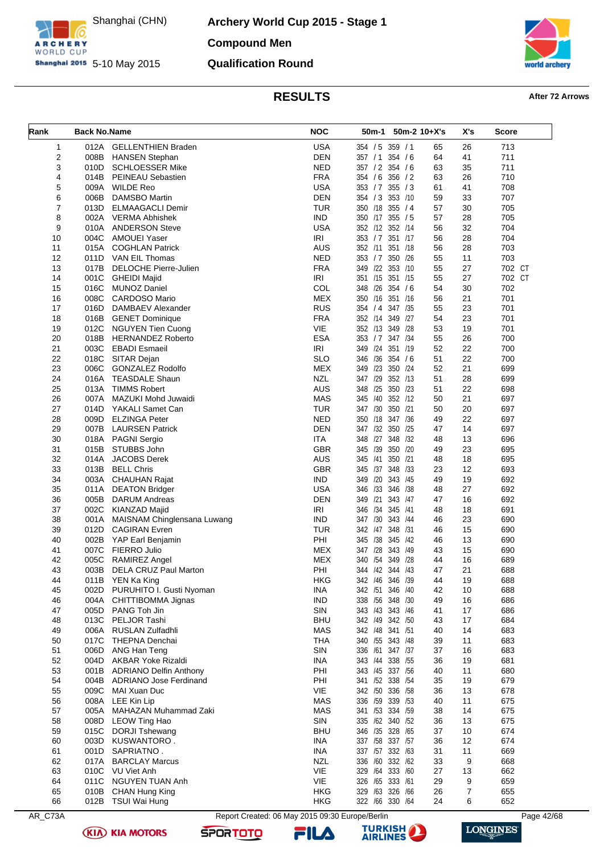

ARCHERY

**Archery World Cup 2015 - Stage 1 Compound Men Qualification Round**

**orld archery** 

# **RESULTS After 72 Arrows**

<span id="page-42-0"></span>

| Rank                | <b>Back No.Name</b> |                                                    | <b>NOC</b>               | 50m-1<br>$50m-2$ 10+X's            |          | X's      | <b>Score</b>  |
|---------------------|---------------------|----------------------------------------------------|--------------------------|------------------------------------|----------|----------|---------------|
|                     |                     |                                                    |                          |                                    |          |          |               |
| 1<br>$\overline{2}$ | 012A<br>008B        | <b>GELLENTHIEN Braden</b><br><b>HANSEN Stephan</b> | <b>USA</b><br><b>DEN</b> | 354 / 5 359 / 1<br>357 / 1 354 / 6 | 65<br>64 | 26<br>41 | 713<br>711    |
| 3                   | 010D                | SCHLOESSER Mike                                    | <b>NED</b>               | 357 / 2 354 / 6                    | 63       | 35       | 711           |
| $\overline{4}$      | 014B                | <b>PEINEAU Sebastien</b>                           | <b>FRA</b>               | 354 / 6 356 / 2                    | 63       | 26       | 710           |
| 5                   | 009A                | <b>WILDE Reo</b>                                   | <b>USA</b>               | 353 / 7 355 / 3                    | 61       | 41       | 708           |
| 6                   | 006B                | <b>DAMSBO Martin</b>                               | <b>DEN</b>               | 354 / 3 353 /10                    | 59       | 33       | 707           |
| 7                   | 013D                | <b>ELMAAGACLI Demir</b>                            | <b>TUR</b>               | 350 /18 355 / 4                    | 57       | 30       | 705           |
| 8                   |                     | 002A VERMA Abhishek                                | <b>IND</b>               | 350 /17 355 / 5                    | 57       | 28       | 705           |
| 9                   | 010A                | <b>ANDERSON Steve</b>                              | <b>USA</b>               | 352 /12 352 /14                    | 56       | 32       | 704           |
| 10                  | 004C                | AMOUEI Yaser                                       | IRI                      | 353 / 7 351 /17                    | 56       | 28       | 704           |
| 11                  | 015A                | <b>COGHLAN Patrick</b>                             | AUS                      | 352 /11<br>351 /18                 | 56       | 28       | 703           |
| 12                  | 011D                | VAN EIL Thomas                                     | <b>NED</b>               | 353 / 7 350 / 26                   | 55       | 11       | 703           |
| 13                  | 017B                | DELOCHE Pierre-Julien                              | <b>FRA</b>               | 349 /22 353 /10                    | 55       | 27       | 702 CT        |
| 14<br>15            | 016C                | 001C GHEIDI Majid<br><b>MUNOZ Daniel</b>           | <b>IRI</b><br>COL        | 351 /15 351 /15<br>348 /26 354 / 6 | 55<br>54 | 27<br>30 | 702 CT<br>702 |
| 16                  | 008C                | CARDOSO Mario                                      | <b>MEX</b>               | 350 /16 351 /16                    | 56       | 21       | 701           |
| 17                  | 016D                | DAMBAEV Alexander                                  | <b>RUS</b>               | 354 / 4 347 / 35                   | 55       | 23       | 701           |
| 18                  | 016B                | <b>GENET Dominique</b>                             | <b>FRA</b>               | 352 /14 349 /27                    | 54       | 23       | 701           |
| 19                  | 012C                | <b>NGUYEN Tien Cuong</b>                           | VIE                      | 352 /13 349 /28                    | 53       | 19       | 701           |
| 20                  | 018B                | <b>HERNANDEZ Roberto</b>                           | <b>ESA</b>               | 353 / 7 347 / 34                   | 55       | 26       | 700           |
| 21                  | 003C                | <b>EBADI</b> Esmaeil                               | IRI                      | 349 /24 351 /19                    | 52       | 22       | 700           |
| 22                  |                     | 018C SITAR Dejan                                   | <b>SLO</b>               | 346 /36 354 / 6                    | 51       | 22       | 700           |
| 23                  | 006C                | <b>GONZALEZ Rodolfo</b>                            | <b>MEX</b>               | 349 /23 350 /24                    | 52       | 21       | 699           |
| 24                  | 016A                | <b>TEASDALE Shaun</b>                              | <b>NZL</b>               | 347 /29 352 /13                    | 51       | 28       | 699           |
| 25                  |                     | 013A TIMMS Robert                                  | <b>AUS</b>               | 348 /25 350 /23                    | 51       | 22       | 698           |
| 26                  | 007A                | MAZUKI Mohd Juwaidi                                | <b>MAS</b>               | 345 /40 352 /12                    | 50       | 21       | 697           |
| 27                  | 014D                | YAKALI Samet Can                                   | <b>TUR</b>               | 347 /30 350 /21                    | 50       | 20       | 697           |
| 28<br>29            | 009D<br>007B        | <b>ELZINGA Peter</b><br><b>LAURSEN Patrick</b>     | <b>NED</b><br><b>DEN</b> | 350 /18 347 /36<br>347 /32 350 /25 | 49<br>47 | 22<br>14 | 697<br>697    |
| 30                  | 018A                | <b>PAGNI Sergio</b>                                | <b>ITA</b>               | 348 /27 348 /32                    | 48       | 13       | 696           |
| 31                  | 015B                | STUBBS John                                        | <b>GBR</b>               | 345 /39 350 /20                    | 49       | 23       | 695           |
| 32                  | 014A                | <b>JACOBS Derek</b>                                | <b>AUS</b>               | 350 /21<br>345 /41                 | 48       | 18       | 695           |
| 33                  | 013B                | <b>BELL Chris</b>                                  | <b>GBR</b>               | 345 /37 348 /33                    | 23       | 12       | 693           |
| 34                  |                     | 003A CHAUHAN Rajat                                 | <b>IND</b>               | 349 /20 343 /45                    | 49       | 19       | 692           |
| 35                  | 011A                | <b>DEATON Bridger</b>                              | <b>USA</b>               | 346 /33 346 /38                    | 48       | 27       | 692           |
| 36                  | 005B                | <b>DARUM Andreas</b>                               | <b>DEN</b>               | 349 /21<br>343 /47                 | 47       | 16       | 692           |
| 37                  | 002C                | KIANZAD Majid                                      | IRI                      | 346 /34 345 /41                    | 48       | 18       | 691           |
| 38                  | 001A                | MAISNAM Chinglensana Luwang                        | <b>IND</b>               | 347 /30 343 /44                    | 46       | 23       | 690           |
| 39                  | 012D                | <b>CAGIRAN Evren</b>                               | <b>TUR</b>               | 342 /47 348 /31                    | 46       | 15       | 690           |
| 40                  | 002B                | YAP Earl Benjamin                                  | PHI                      | 345 /38 345 /42                    | 46       | 13       | 690           |
| 41<br>42            | 007C<br>005C        | FIERRO Julio<br><b>RAMIREZ Angel</b>               | MEX<br><b>MEX</b>        | 347 /28 343 /49<br>340 /54 349 /28 | 43<br>44 | 15<br>16 | 690<br>689    |
| 43                  |                     | 003B DELA CRUZ Paul Marton                         | PHI                      | 344 /42 344 /43                    | 47       | 21       | 688           |
| 44                  |                     | 011B YEN Ka King                                   | <b>HKG</b>               | 342 /46 346 /39                    | 44       | 19       | 688           |
| 45                  |                     | 002D PURUHITO I. Gusti Nyoman                      | <b>INA</b>               | 342 /51 346 /40                    | 42       | 10       | 688           |
| 46                  |                     | 004A CHITTIBOMMA Jignas                            | <b>IND</b>               | 338 / 56 348 / 30                  | 49       | 16       | 686           |
| 47                  | 005D                | PANG Toh Jin                                       | SIN                      | 343 /43 343 /46                    | 41       | 17       | 686           |
| 48                  |                     | 013C PELJOR Tashi                                  | <b>BHU</b>               | 342 /49 342 /50                    | 43       | 17       | 684           |
| 49                  | 006A                | RUSLAN Zulfadhli                                   | MAS                      | 342 /48 341 /51                    | 40       | 14       | 683           |
| 50                  | 017C                | THEPNA Denchai                                     | <b>THA</b>               | 340 / 55 343 / 48                  | 39       | 11       | 683           |
| 51                  | 006D                | ANG Han Teng                                       | SIN                      | 336 /61 347 /37                    | 37       | 16       | 683           |
| 52                  |                     | 004D AKBAR Yoke Rizaldi                            | <b>INA</b>               | 343 /44 338 /55                    | 36       | 19       | 681           |
| 53                  | 001B                | <b>ADRIANO Delfin Anthony</b>                      | PHI                      | 343 /45 337 /56                    | 40       | 11       | 680           |
| 54<br>55            | 004B<br>009C        | ADRIANO Jose Ferdinand                             | PHI<br>VIE               | 341 /52 338 /54                    | 35       | 19       | 679<br>678    |
| 56                  | 008A                | MAI Xuan Duc<br>LEE Kin Lip                        | <b>MAS</b>               | 342 /50 336 /58<br>336 /59 339 /53 | 36<br>40 | 13<br>11 | 675           |
| 57                  | 005A                | MAHAZAN Muhammad Zaki                              | <b>MAS</b>               | 341 /53 334 /59                    | 38       | 14       | 675           |
| 58                  | 008D                | LEOW Ting Hao                                      | SIN                      | 335 /62 340 /52                    | 36       | 13       | 675           |
| 59                  | 015C                | <b>DORJI Tshewang</b>                              | <b>BHU</b>               | 346 /35 328 /65                    | 37       | 10       | 674           |
| 60                  | 003D                | KUSWANTORO.                                        | <b>INA</b>               | 337 /58 337 /57                    | 36       | 12       | 674           |
| 61                  | 001D                | SAPRIATNO.                                         | <b>INA</b>               | 337 /57 332 /63                    | 31       | 11       | 669           |
| 62                  | 017A                | <b>BARCLAY Marcus</b>                              | <b>NZL</b>               | 336 /60 332 /62                    | 33       | 9        | 668           |
| 63                  | 010C                | VU Viet Anh                                        | VIE                      | 329 /64 333 /60                    | 27       | 13       | 662           |
| 64                  | 011C                | NGUYEN TUAN Anh                                    | VIE                      | 326 /65 333 /61                    | 29       | 9        | 659           |
| 65                  | 010B                | CHAN Hung King                                     | <b>HKG</b>               | 329 /63 326 /66                    | 26       | 7        | 655           |
| 66                  |                     | 012B TSUI Wai Hung                                 | <b>HKG</b>               | 322 /66 330 /64                    | 24       | 6        | 652           |

AR\_C73A Report Created: 06 May 2015 09:30 Europe/Berlin Page 42/68

**(KIA) KIA MOTORS** 





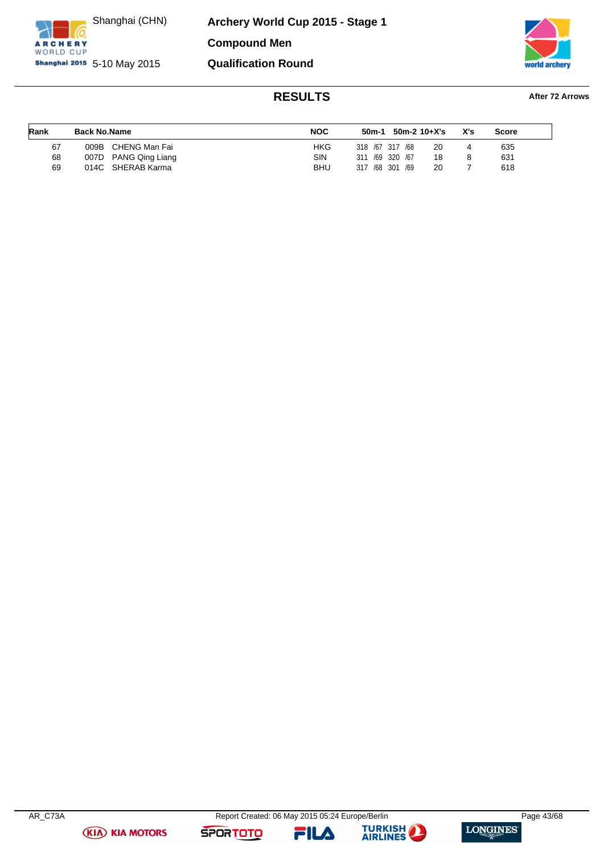

**ARCHERY** WORLD CUP **Archery World Cup 2015 - Stage 1 Compound Men Qualification Round**



### **RESULTS After 72 Arrows**

### **Rank Back No.Name NOC 50m-1 50m-2 10+X's X's Score** 67 009B CHENG Man Fai HKG 318 /67 317 /68 20 4 635 68 007D PANG Qing Liang SIN 311 /69 320 /67 18 8 631 69 014C SHERAB Karma BHU 317 /68 301 /69 20 7 618

**(KIA) KIA MOTORS** 





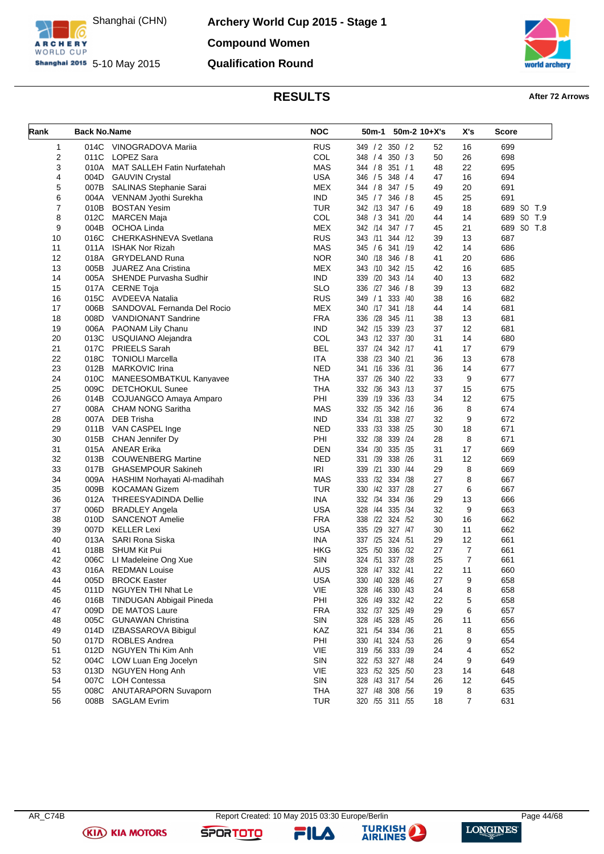

ARCHERY

**Archery World Cup 2015 - Stage 1 Compound Women Qualification Round**



# **RESULTS After 72 Arrows**

<span id="page-44-0"></span>

| Rank | <b>Back No.Name</b> |                                  | <b>NOC</b> | 50m-1             | $50m-2$ 10+X's<br>X's |    |                | <b>Score</b> |  |  |
|------|---------------------|----------------------------------|------------|-------------------|-----------------------|----|----------------|--------------|--|--|
| 1    |                     | 014C VINOGRADOVA Mariia          | <b>RUS</b> | 349 / 2 350 / 2   |                       | 52 | 16             | 699          |  |  |
| 2    | 011C                | LOPEZ Sara                       | COL        | 348 / 4 350 / 3   |                       | 50 | 26             | 698          |  |  |
| 3    |                     | 010A MAT SALLEH Fatin Nurfatehah | <b>MAS</b> | 344 / 8 351 / 1   |                       | 48 | 22             | 695          |  |  |
| 4    |                     | 004D GAUVIN Crystal              | <b>USA</b> | 346 / 5 348 / 4   |                       | 47 | 16             | 694          |  |  |
| 5    | 007B                | SALINAS Stephanie Sarai          | MEX        | 344 / 8 347 / 5   |                       | 49 | 20             | 691          |  |  |
| 6    |                     | 004A VENNAM Jyothi Surekha       | <b>IND</b> | 345 / 7 346 / 8   |                       | 45 | 25             | 691          |  |  |
| 7    |                     | 010B BOSTAN Yesim                | <b>TUR</b> | 342 /13 347 / 6   |                       | 49 | 18             | 689 SO T.9   |  |  |
| 8    | 012C                | MARCEN Maja                      | COL        | 348 / 3 341 / 20  |                       | 44 | 14             | 689 SO T.9   |  |  |
| 9    |                     | 004B OCHOA Linda                 | <b>MEX</b> | 342 /14 347 / 7   |                       | 45 | 21             | 689 SO T.8   |  |  |
| 10   | 016C                | CHERKASHNEVA Svetlana            | <b>RUS</b> | 343 /11 344 /12   |                       | 39 | 13             | 687          |  |  |
| 11   | 011A                | ISHAK Nor Rizah                  | <b>MAS</b> | 345 / 6 341 /19   |                       | 42 | 14             | 686          |  |  |
| 12   |                     | 018A GRYDELAND Runa              | <b>NOR</b> | 340 /18 346 / 8   |                       | 41 | 20             | 686          |  |  |
| 13   | 005B                | <b>JUAREZ Ana Cristina</b>       | <b>MEX</b> | 343 /10 342 /15   |                       | 42 | 16             | 685          |  |  |
| 14   |                     | 005A SHENDE Purvasha Sudhir      | <b>IND</b> | 339 /20 343 /14   |                       | 40 | 13             | 682          |  |  |
| 15   |                     | 017A CERNE Toja                  | <b>SLO</b> | 336 /27 346 / 8   |                       | 39 | 13             | 682          |  |  |
| 16   |                     | 015C AVDEEVA Natalia             | <b>RUS</b> | 349 / 1 333 / 40  |                       | 38 | 16             | 682          |  |  |
| 17   | 006B                | SANDOVAL Fernanda Del Rocio      | <b>MEX</b> | 340 /17 341 /18   |                       | 44 | 14             | 681          |  |  |
| 18   |                     | 008D VANDIONANT Sandrine         | <b>FRA</b> | 336 /28 345 /11   |                       | 38 | 13             | 681          |  |  |
| 19   |                     | 006A PAONAM Lily Chanu           | <b>IND</b> | 342 /15 339 /23   |                       | 37 | 12             | 681          |  |  |
| 20   |                     | 013C USQUIANO Alejandra          | COL        | 343 /12 337 /30   |                       | 31 | 14             | 680          |  |  |
| 21   | 017C                | <b>PRIEELS Sarah</b>             | <b>BEL</b> | 337 /24 342 /17   |                       | 41 | 17             | 679          |  |  |
| 22   | 018C                | <b>TONIOLI Marcella</b>          | ITA        | 338 /23 340 /21   |                       | 36 | 13             | 678          |  |  |
| 23   | 012B                | <b>MARKOVIC Irina</b>            | <b>NED</b> | 341 /16 336 /31   |                       | 36 | 14             | 677          |  |  |
| 24   | 010C                | MANEESOMBATKUL Kanyavee          | <b>THA</b> | 337 /26 340 /22   |                       | 33 | 9              | 677          |  |  |
| 25   | 009C                | <b>DETCHOKUL Sunee</b>           | THA        | 332 /36 343 /13   |                       | 37 | 15             | 675          |  |  |
| 26   |                     | 014B COJUANGCO Amaya Amparo      | PHI        | 339 /19 336 /33   |                       | 34 | 12             | 675          |  |  |
| 27   |                     | 008A CHAM NONG Saritha           | <b>MAS</b> | 332 /35 342 /16   |                       | 36 | 8              | 674          |  |  |
| 28   |                     | 007A DEB Trisha                  | <b>IND</b> | 334 /31 338 /27   |                       | 32 | 9              | 672          |  |  |
| 29   |                     | 011B VAN CASPEL Inge             | <b>NED</b> | 333 /33 338 /25   |                       | 30 | 18             | 671          |  |  |
| 30   | 015B                | <b>CHAN Jennifer Dy</b>          | PHI        | 332 /38 339 /24   |                       | 28 | 8              | 671          |  |  |
| 31   |                     | 015A ANEAR Erika                 | DEN        | 334 /30 335 /35   |                       | 31 | 17             | 669          |  |  |
| 32   |                     | 013B COUWENBERG Martine          | <b>NED</b> | 331 /39 338 /26   |                       | 31 | 12             | 669          |  |  |
| 33   | 017B                | GHASEMPOUR Sakineh               | IRI        | 339 /21 330 /44   |                       | 29 | 8              | 669          |  |  |
| 34   |                     | 009A HASHIM Norhayati Al-madihah | <b>MAS</b> | 333 /32 334 /38   |                       | 27 | 8              | 667          |  |  |
| 35   |                     | 009B KOCAMAN Gizem               | <b>TUR</b> | 330 /42 337 /28   |                       | 27 | 6              | 667          |  |  |
| 36   |                     | 012A THREESYADINDA Dellie        | <b>INA</b> | 332 /34 334 /36   |                       | 29 | 13             | 666          |  |  |
| 37   |                     | 006D BRADLEY Angela              | <b>USA</b> | 328 /44 335 /34   |                       | 32 | 9              | 663          |  |  |
| 38   |                     | 010D SANCENOT Amelie             | <b>FRA</b> | 338 /22 324 /52   |                       | 30 | 16             | 662          |  |  |
| 39   |                     | 007D KELLER Lexi                 | <b>USA</b> | 335 /29 327 /47   |                       | 30 | 11             | 662          |  |  |
| 40   | 013A                | SARI Rona Siska                  | <b>INA</b> | 337 /25 324 /51   |                       | 29 | 12             | 661          |  |  |
| 41   |                     | 018B SHUM Kit Pui                | HKG        | 325 /50 336 /32   |                       | 27 | $\overline{7}$ | 661          |  |  |
| 42   | 006C                | LI Madeleine Ong Xue             | SIN        | 324 /51 337 /28   |                       | 25 | $\overline{7}$ | 661          |  |  |
| 43   |                     | 016A REDMAN Louise               | AUS        | 328 /47 332 /41   |                       | 22 | 11             | 660          |  |  |
| 44   | 005D                | <b>BROCK Easter</b>              | <b>USA</b> | 330 /40 328 /46   |                       | 27 | 9              | 658          |  |  |
| 45   | 011D                | NGUYEN THI Nhat Le               | VIE        | 328 /46 330 /43   |                       | 24 | 8              | 658          |  |  |
| 46   | 016B                | <b>TINDUGAN Abbigail Pineda</b>  | PHI        | 326 /49 332 /42   |                       | 22 | 5              | 658          |  |  |
| 47   | 009D                | DE MATOS Laure                   | <b>FRA</b> | 332 /37 325 /49   |                       | 29 | 6              | 657          |  |  |
| 48   | 005C                | <b>GUNAWAN Christina</b>         | SIN        | 328 /45 328 /45   |                       | 26 | 11             | 656          |  |  |
| 49   | 014D                | IZBASSAROVA Bibigul              | KAZ        | 321 /54 334 /36   |                       | 21 | 8              | 655          |  |  |
| 50   | 017D                | ROBLES Andrea                    | PHI        | 330 /41 324 /53   |                       | 26 | 9              | 654          |  |  |
| 51   | 012D                | <b>NGUYEN Thi Kim Anh</b>        | VIE        | 319 / 56 333 / 39 |                       | 24 | 4              | 652          |  |  |
| 52   | 004C                | LOW Luan Eng Jocelyn             | SIN        | 322 /53 327 /48   |                       | 24 | 9              | 649          |  |  |
| 53   | 013D                | NGUYEN Hong Anh                  | VIE        | 323 /52 325 /50   |                       | 23 | 14             | 648          |  |  |
| 54   | 007C                | <b>LOH Contessa</b>              | SIN        | 328 /43 317 /54   |                       | 26 | 12             | 645          |  |  |
| 55   | 008C                | <b>ANUTARAPORN Suvaporn</b>      | <b>THA</b> | 327 /48 308 /56   |                       | 19 | 8              | 635          |  |  |
| 56   | 008B                | <b>SAGLAM Evrim</b>              | <b>TUR</b> | 320 / 55 311 / 55 |                       | 18 | 7              | 631          |  |  |
|      |                     |                                  |            |                   |                       |    |                |              |  |  |

**(KIA) KIA MOTORS** 

**SPORTOTO**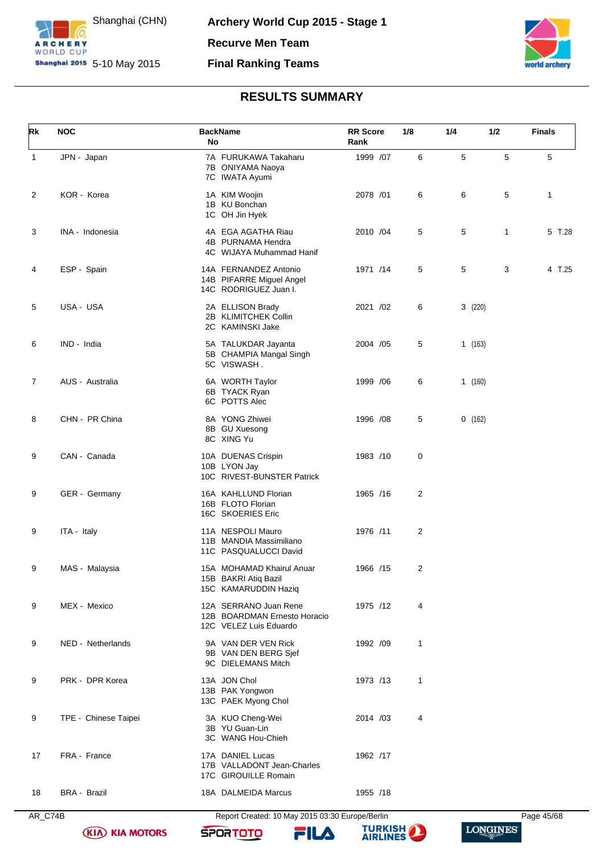



### **RESULTS SUMMARY**

<span id="page-45-0"></span>

| Rk           | <b>NOC</b>           | <b>BackName</b><br>No                                                           | <b>RR</b> Score<br>Rank | 1/8         | 1/4 | 1/2          | <b>Finals</b> |
|--------------|----------------------|---------------------------------------------------------------------------------|-------------------------|-------------|-----|--------------|---------------|
| $\mathbf{1}$ | JPN - Japan          | 7A FURUKAWA Takaharu<br>7B ONIYAMA Naoya<br>7C IWATA Ayumi                      | 1999 /07                | 6           | 5   | 5            | 5             |
| 2            | KOR - Korea          | 1A KIM Woojin<br>1B KU Bonchan<br>1C OH Jin Hyek                                | 2078 /01                | 6           | 6   | 5            | 1             |
| 3            | INA - Indonesia      | 4A EGA AGATHA Riau<br>4B PURNAMA Hendra<br>4C WIJAYA Muhammad Hanif             | 2010 /04                | 5           | 5   | $\mathbf{1}$ | 5 T.28        |
| 4            | ESP - Spain          | 14A FERNANDEZ Antonio<br>14B PIFARRE Miguel Angel<br>14C RODRIGUEZ Juan I.      | 1971 /14                | 5           | 5   | 3            | 4 T.25        |
| 5            | USA - USA            | 2A ELLISON Brady<br>2B KLIMITCHEK Collin<br>2C KAMINSKI Jake                    | 2021 /02                | 6           |     | 3(220)       |               |
| 6            | IND - India          | 5A TALUKDAR Jayanta<br>5B CHAMPIA Mangal Singh<br>5C VISWASH.                   | 2004 /05                | 5           |     | 1(163)       |               |
| 7            | AUS - Australia      | 6A WORTH Taylor<br>6B TYACK Ryan<br>6C POTTS Alec                               | 1999 / 06               | 6           |     | 1(160)       |               |
| 8            | CHN - PR China       | 8A YONG Zhiwei<br>8B GU Xuesong<br>8C XING Yu                                   | 1996 / 08               | 5           |     | 0(162)       |               |
| 9            | CAN - Canada         | 10A DUENAS Crispin<br>10B LYON Jay<br>10C RIVEST-BUNSTER Patrick                | 1983 /10                | $\mathbf 0$ |     |              |               |
| 9            | GER - Germany        | 16A KAHLLUND Florian<br>16B FLOTO Florian<br>16C SKOERIES Eric                  | 1965 /16                | 2           |     |              |               |
| 9            | ITA - Italy          | 11A NESPOLI Mauro<br>11B MANDIA Massimiliano<br>11C PASQUALUCCI David           | 1976 /11                | 2           |     |              |               |
| 9            | MAS - Malaysia       | 15A MOHAMAD Khairul Anuar<br>15B BAKRI Atiq Bazil<br>15C KAMARUDDIN Haziq       | 1966 /15                | 2           |     |              |               |
| 9            | MEX - Mexico         | 12A SERRANO Juan Rene<br>12B BOARDMAN Ernesto Horacio<br>12C VELEZ Luis Eduardo | 1975 /12                | 4           |     |              |               |
| 9            | NED - Netherlands    | 9A VAN DER VEN Rick<br>9B VAN DEN BERG Sjef<br>9C DIELEMANS Mitch               | 1992 /09                | 1           |     |              |               |
| 9            | PRK - DPR Korea      | 13A JON Chol<br>13B PAK Yongwon<br>13C PAEK Myong Chol                          | 1973 /13                | 1           |     |              |               |
| 9            | TPE - Chinese Taipei | 3A KUO Cheng-Wei<br>3B YU Guan-Lin<br>3C WANG Hou-Chieh                         | 2014 /03                | 4           |     |              |               |
| 17           | FRA - France         | 17A DANIEL Lucas<br>17B VALLADONT Jean-Charles<br>17C GIROUILLE Romain          | 1962 /17                |             |     |              |               |
| 18           | <b>BRA - Brazil</b>  | 18A DALMEIDA Marcus                                                             | 1955 /18                |             |     |              |               |

**(KIA) KIA MOTORS** 



**SPORTOTO** 

FILA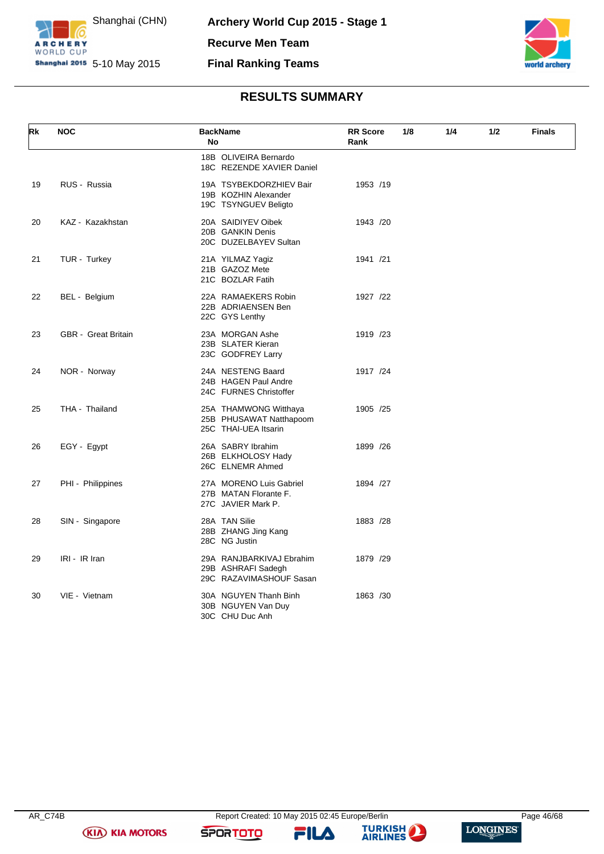



### **RESULTS SUMMARY**

| Rk | <b>NOC</b>                 | <b>BackName</b><br>No                                                     | <b>RR</b> Score<br>Rank | 1/8<br>1/4 | 1/2 | <b>Finals</b> |
|----|----------------------------|---------------------------------------------------------------------------|-------------------------|------------|-----|---------------|
|    |                            | 18B OLIVEIRA Bernardo<br>18C REZENDE XAVIER Daniel                        |                         |            |     |               |
| 19 | RUS - Russia               | 19A TSYBEKDORZHIEV Bair<br>19B KOZHIN Alexander<br>19C TSYNGUEV Beligto   | 1953 /19                |            |     |               |
| 20 | KAZ - Kazakhstan           | 20A SAIDIYEV Oibek<br>20B GANKIN Denis<br>20C DUZELBAYEV Sultan           | 1943 /20                |            |     |               |
| 21 | TUR - Turkey               | 21A YILMAZ Yagiz<br>21B GAZOZ Mete<br>21C BOZLAR Fatih                    | 1941 /21                |            |     |               |
| 22 | BEL - Belgium              | 22A RAMAEKERS Robin<br>22B ADRIAENSEN Ben<br>22C GYS Lenthy               | 1927 /22                |            |     |               |
| 23 | <b>GBR</b> - Great Britain | 23A MORGAN Ashe<br>23B SLATER Kieran<br>23C GODFREY Larry                 | 1919 /23                |            |     |               |
| 24 | NOR - Norway               | 24A NESTENG Baard<br>24B HAGEN Paul Andre<br>24C FURNES Christoffer       | 1917 /24                |            |     |               |
| 25 | THA - Thailand             | 25A THAMWONG Witthaya<br>25B PHUSAWAT Natthapoom<br>25C THAI-UEA Itsarin  | 1905 /25                |            |     |               |
| 26 | EGY - Egypt                | 26A SABRY Ibrahim<br>26B ELKHOLOSY Hady<br>26C ELNEMR Ahmed               | 1899 /26                |            |     |               |
| 27 | PHI - Philippines          | 27A MORENO Luis Gabriel<br>27B MATAN Florante F.<br>27C JAVIER Mark P.    | 1894 /27                |            |     |               |
| 28 | SIN - Singapore            | 28A TAN Silie<br>28B ZHANG Jing Kang<br>28C NG Justin                     | 1883 /28                |            |     |               |
| 29 | IRI - IR Iran              | 29A RANJBARKIVAJ Ebrahim<br>29B ASHRAFI Sadegh<br>29C RAZAVIMASHOUF Sasan | 1879 /29                |            |     |               |
| 30 | VIE - Vietnam              | 30A NGUYEN Thanh Binh<br>30B NGUYEN Van Duy<br>30C CHU Duc Anh            | 1863 /30                |            |     |               |

**(KIA) KIA MOTORS** 

**SPORTOTO** 

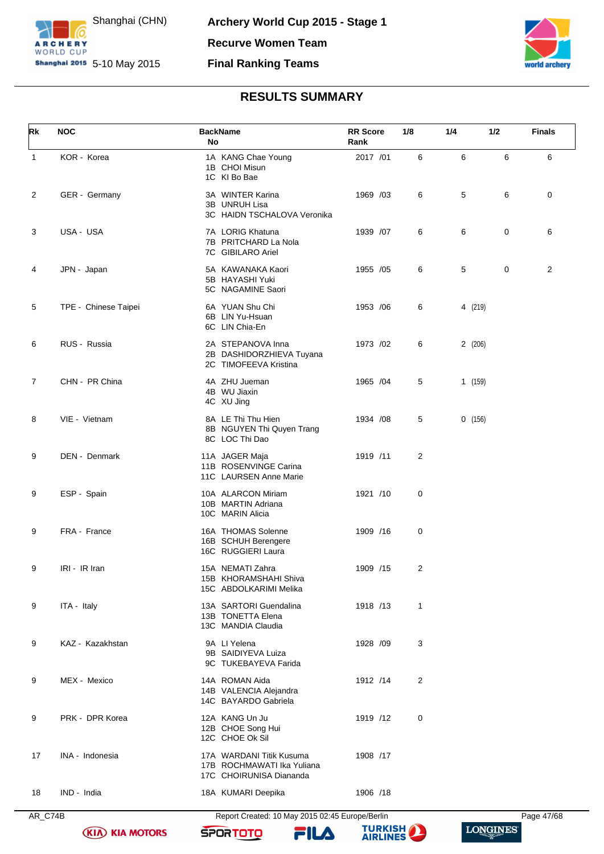



### **RESULTS SUMMARY**

<span id="page-47-0"></span>

| Rk             | <b>NOC</b>           | <b>BackName</b><br>No                                                             | <b>RR</b> Score<br>Rank | 1/8            | 1/4     | 1/2 | <b>Finals</b> |
|----------------|----------------------|-----------------------------------------------------------------------------------|-------------------------|----------------|---------|-----|---------------|
| $\mathbf{1}$   | KOR - Korea          | 1A KANG Chae Young<br>1B CHOI Misun<br>1C KI Bo Bae                               | 2017 /01                | 6              | 6       | 6   | 6             |
| 2              | GER - Germany        | 3A WINTER Karina<br>3B UNRUH Lisa<br>3C HAIDN TSCHALOVA Veronika                  | 1969 /03                | 6              | 5       | 6   | 0             |
| 3              | USA - USA            | 7A LORIG Khatuna<br>7B PRITCHARD La Nola<br>7C GIBILARO Ariel                     | 1939 /07                | 6              | 6       | 0   | 6             |
| 4              | JPN - Japan          | 5A KAWANAKA Kaori<br>5B HAYASHI Yuki<br>5C NAGAMINE Saori                         | 1955 /05                | 6              | 5       | 0   | 2             |
| 5              | TPE - Chinese Taipei | 6A YUAN Shu Chi<br>6B LIN Yu-Hsuan<br>6C LIN Chia-En                              | 1953 / 06               | 6              | 4 (219) |     |               |
| 6              | RUS - Russia         | 2A STEPANOVA Inna<br>2B DASHIDORZHIEVA Tuyana<br>2C TIMOFEEVA Kristina            | 1973 /02                | 6              | 2(206)  |     |               |
| $\overline{7}$ | CHN - PR China       | 4A ZHU Jueman<br>4B WU Jiaxin<br>4C XU Jing                                       | 1965 /04                | 5              | 1(159)  |     |               |
| 8              | VIE - Vietnam        | 8A LE Thi Thu Hien<br>8B NGUYEN Thi Quyen Trang<br>8C LOC Thi Dao                 | 1934 /08                | 5              | 0(156)  |     |               |
| 9              | DEN - Denmark        | 11A JAGER Maja<br>11B ROSENVINGE Carina<br>11C LAURSEN Anne Marie                 | 1919 /11                | 2              |         |     |               |
| 9              | ESP - Spain          | 10A ALARCON Miriam<br>10B MARTIN Adriana<br>10C MARIN Alicia                      | 1921 /10                | 0              |         |     |               |
| 9              | FRA - France         | 16A THOMAS Solenne<br>16B SCHUH Berengere<br>16C RUGGIERI Laura                   | 1909 /16                | 0              |         |     |               |
| 9              | IRI - IR Iran        | 15A NEMATI Zahra<br>15B KHORAMSHAHI Shiva<br>15C ABDOLKARIMI Melika               | 1909 /15                | $\overline{2}$ |         |     |               |
| 9              | ITA - Italy          | 13A SARTORI Guendalina<br>13B TONETTA Elena<br>13C MANDIA Claudia                 | 1918 /13                | 1              |         |     |               |
| 9              | KAZ - Kazakhstan     | 9A LI Yelena<br>9B SAIDIYEVA Luiza<br>9C TUKEBAYEVA Farida                        | 1928 /09                | 3              |         |     |               |
| 9              | MEX - Mexico         | 14A ROMAN Aida<br>14B VALENCIA Alejandra<br>14C BAYARDO Gabriela                  | 1912 /14                | 2              |         |     |               |
| 9              | PRK - DPR Korea      | 12A KANG Un Ju<br>12B CHOE Song Hui<br>12C CHOE Ok Sil                            | 1919 /12                | 0              |         |     |               |
| 17             | INA - Indonesia      | 17A WARDANI Titik Kusuma<br>17B ROCHMAWATI Ika Yuliana<br>17C CHOIRUNISA Diananda | 1908 /17                |                |         |     |               |
| 18             | IND - India          | 18A KUMARI Deepika                                                                | 1906 /18                |                |         |     |               |

**(KIA) KIA MOTORS** 

AR\_C74B Report Created: 10 May 2015 02:45 Europe/Berlin Page 47/68

FILA

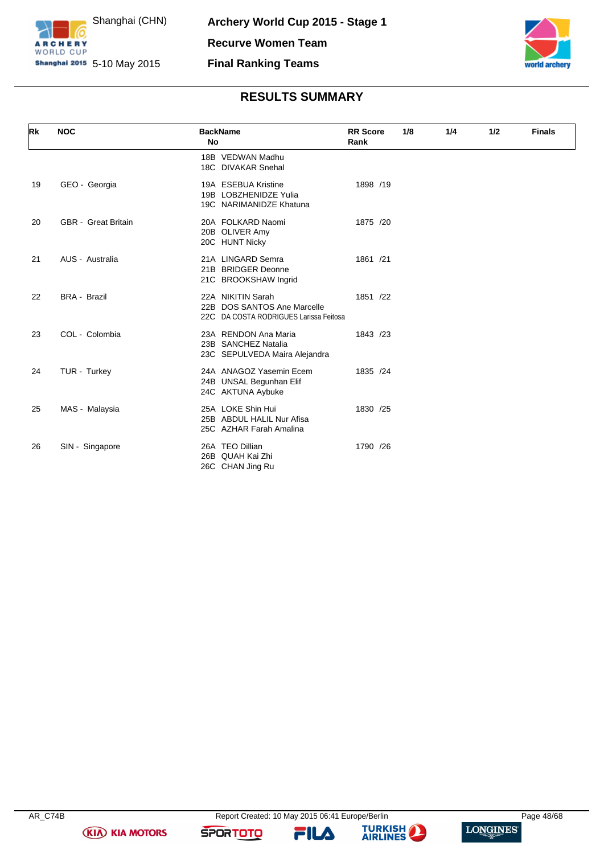



# **RESULTS SUMMARY**

| Rk | <b>NOC</b>                 | <b>BackName</b><br>No                                                                      | <b>RR</b> Score<br>Rank | 1/8 | 1/4 | 1/2 | <b>Finals</b> |
|----|----------------------------|--------------------------------------------------------------------------------------------|-------------------------|-----|-----|-----|---------------|
|    |                            | 18B VEDWAN Madhu<br>18C DIVAKAR Snehal                                                     |                         |     |     |     |               |
| 19 | GEO - Georgia              | 19A ESEBUA Kristine<br>19B LOBZHENIDZE Yulia<br>19C NARIMANIDZE Khatuna                    | 1898 /19                |     |     |     |               |
| 20 | <b>GBR</b> - Great Britain | 20A FOLKARD Naomi<br>20B OLIVER Amy<br>20C HUNT Nicky                                      | 1875 /20                |     |     |     |               |
| 21 | AUS - Australia            | 21A LINGARD Semra<br>21B BRIDGER Deonne<br>21C BROOKSHAW Ingrid                            | 1861 /21                |     |     |     |               |
| 22 | <b>BRA - Brazil</b>        | 22A NIKITIN Sarah<br>22B DOS SANTOS Ane Marcelle<br>22C DA COSTA RODRIGUES Larissa Feitosa | 1851 /22                |     |     |     |               |
| 23 | COL - Colombia             | 23A RENDON Ana Maria<br>23B SANCHEZ Natalia<br>23C SEPULVEDA Maira Alejandra               | 1843 /23                |     |     |     |               |
| 24 | TUR - Turkey               | 24A ANAGOZ Yasemin Ecem<br>24B UNSAL Begunhan Elif<br>24C AKTUNA Aybuke                    | 1835 /24                |     |     |     |               |
| 25 | MAS - Malaysia             | 25A LOKE Shin Hui<br>25B ABDUL HALIL Nur Afisa<br>25C AZHAR Farah Amalina                  | 1830 /25                |     |     |     |               |
| 26 | SIN - Singapore            | 26A TEO Dillian<br>26B QUAH Kai Zhi<br>26C CHAN Jing Ru                                    | 1790 /26                |     |     |     |               |

**(KIA) KIA MOTORS** 

**SPORTOTO** 

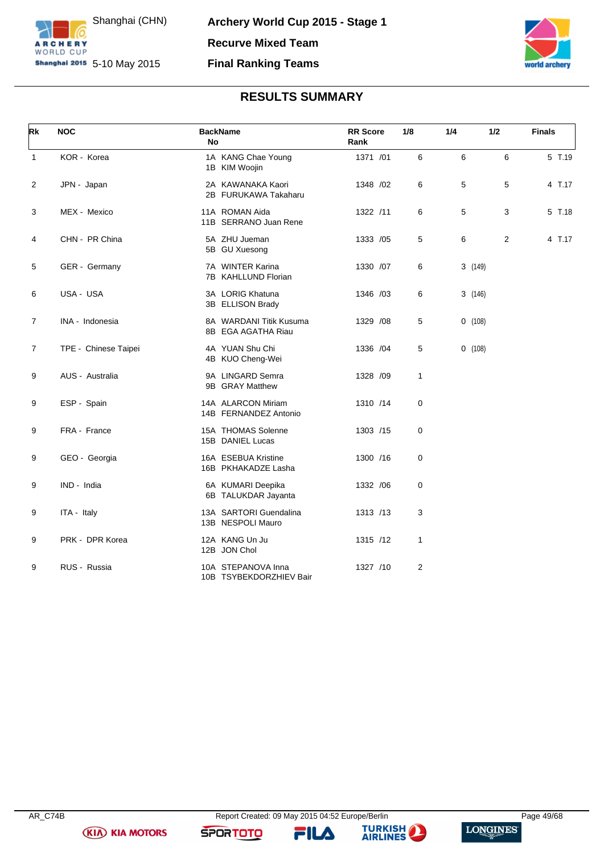



## **RESULTS SUMMARY**

<span id="page-49-0"></span>

| Rk             | <b>NOC</b>           | <b>BackName</b><br><b>No</b> |                                               | <b>RR</b> Score<br>Rank | 1/8         | 1/4 | 1/2     |                | <b>Finals</b> |
|----------------|----------------------|------------------------------|-----------------------------------------------|-------------------------|-------------|-----|---------|----------------|---------------|
| $\mathbf{1}$   | KOR - Korea          |                              | 1A KANG Chae Young<br>1B KIM Woojin           | 1371 /01                | 6           | 6   |         | 6              | 5 T.19        |
| 2              | JPN - Japan          |                              | 2A KAWANAKA Kaori<br>2B FURUKAWA Takaharu     | 1348 / 02               | 6           | 5   |         | 5              | 4 T.17        |
| 3              | MEX - Mexico         |                              | 11A ROMAN Aida<br>11B SERRANO Juan Rene       | 1322 /11                | 6           | 5   |         | 3              | 5 T.18        |
| 4              | CHN - PR China       |                              | 5A ZHU Jueman<br>5B GU Xuesong                | 1333 /05                | 5           | 6   |         | $\overline{2}$ | 4 T.17        |
| 5              | GER - Germany        |                              | 7A WINTER Karina<br>7B KAHLLUND Florian       | 1330 /07                | 6           |     | 3 (149) |                |               |
| 6              | USA - USA            |                              | 3A LORIG Khatuna<br>3B ELLISON Brady          | 1346 /03                | 6           |     | 3(146)  |                |               |
| $\overline{7}$ | INA - Indonesia      |                              | 8A WARDANI Titik Kusuma<br>8B EGA AGATHA Riau | 1329 / 08               | 5           |     | 0(108)  |                |               |
| $\overline{7}$ | TPE - Chinese Taipei |                              | 4A YUAN Shu Chi<br>4B KUO Cheng-Wei           | 1336 / 04               | 5           |     | 0(108)  |                |               |
| 9              | AUS - Australia      |                              | 9A LINGARD Semra<br>9B GRAY Matthew           | 1328 /09                | 1           |     |         |                |               |
| 9              | ESP - Spain          |                              | 14A ALARCON Miriam<br>14B FERNANDEZ Antonio   | 1310 /14                | $\mathbf 0$ |     |         |                |               |
| 9              | FRA - France         |                              | 15A THOMAS Solenne<br>15B DANIEL Lucas        | 1303 /15                | $\mathbf 0$ |     |         |                |               |
| 9              | GEO - Georgia        |                              | 16A ESEBUA Kristine<br>16B PKHAKADZE Lasha    | 1300 /16                | $\mathbf 0$ |     |         |                |               |
| 9              | IND - India          |                              | 6A KUMARI Deepika<br>6B TALUKDAR Jayanta      | 1332 / 06               | $\mathbf 0$ |     |         |                |               |
| 9              | ITA - Italy          |                              | 13A SARTORI Guendalina<br>13B NESPOLI Mauro   | 1313 /13                | 3           |     |         |                |               |
| 9              | PRK - DPR Korea      | 12B JON Chol                 | 12A KANG Un Ju                                | 1315 /12                | 1           |     |         |                |               |
| 9              | RUS - Russia         |                              | 10A STEPANOVA Inna<br>10B TSYBEKDORZHIEV Bair | 1327 /10                | 2           |     |         |                |               |

**(KIA) KIA MOTORS** 

**SPORTOTO** 



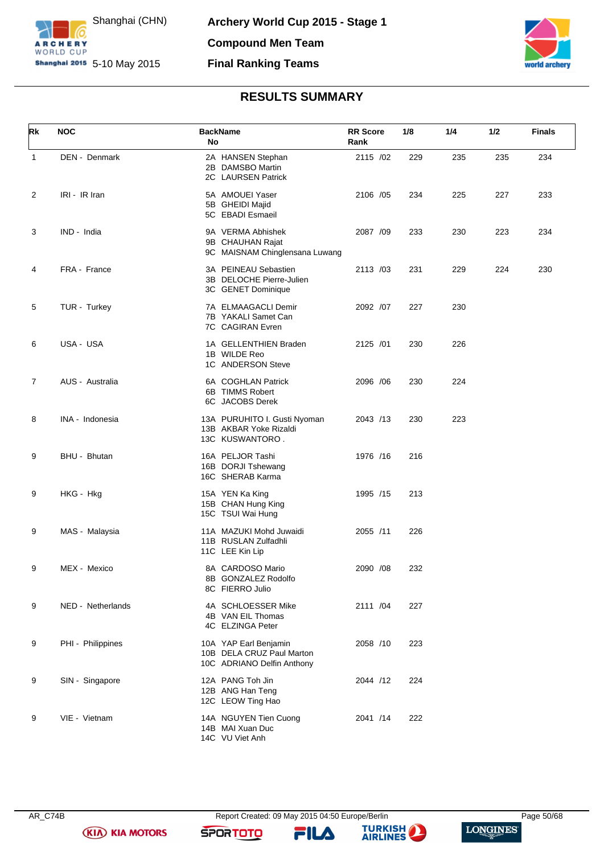



### **RESULTS SUMMARY**

<span id="page-50-0"></span>

| Rk | <b>NOC</b>        | <b>BackName</b><br>No                                                            | <b>RR</b> Score<br>Rank | 1/8 | 1/4 | 1/2 | <b>Finals</b> |
|----|-------------------|----------------------------------------------------------------------------------|-------------------------|-----|-----|-----|---------------|
| 1  | DEN - Denmark     | 2A HANSEN Stephan<br>2B DAMSBO Martin<br>2C LAURSEN Patrick                      | 2115 /02                | 229 | 235 | 235 | 234           |
| 2  | IRI - IR Iran     | 5A AMOUEI Yaser<br>5B GHEIDI Majid<br>5C EBADI Esmaeil                           | 2106 /05                | 234 | 225 | 227 | 233           |
| 3  | IND - India       | 9A VERMA Abhishek<br>9B CHAUHAN Rajat<br>9C MAISNAM Chinglensana Luwang          | 2087 /09                | 233 | 230 | 223 | 234           |
| 4  | FRA - France      | 3A PEINEAU Sebastien<br>3B DELOCHE Pierre-Julien<br>3C GENET Dominique           | 2113 /03                | 231 | 229 | 224 | 230           |
| 5  | TUR - Turkey      | 7A ELMAAGACLI Demir<br>7B YAKALI Samet Can<br>7C CAGIRAN Evren                   | 2092 /07                | 227 | 230 |     |               |
| 6  | USA - USA         | 1A GELLENTHIEN Braden<br>1B WILDE Reo<br>1C ANDERSON Steve                       | 2125 /01                | 230 | 226 |     |               |
| 7  | AUS - Australia   | 6A COGHLAN Patrick<br>6B TIMMS Robert<br>6C JACOBS Derek                         | 2096 / 06               | 230 | 224 |     |               |
| 8  | INA - Indonesia   | 13A PURUHITO I. Gusti Nyoman<br>13B AKBAR Yoke Rizaldi<br>13C KUSWANTORO.        | 2043 /13                | 230 | 223 |     |               |
| 9  | BHU - Bhutan      | 16A PELJOR Tashi<br>16B DORJI Tshewang<br>16C SHERAB Karma                       | 1976 /16                | 216 |     |     |               |
| 9  | HKG - Hkg         | 15A YEN Ka King<br>15B CHAN Hung King<br>15C TSUI Wai Hung                       | 1995 /15                | 213 |     |     |               |
| 9  | MAS - Malaysia    | 11A MAZUKI Mohd Juwaidi<br>11B RUSLAN Zulfadhli<br>11C LEE Kin Lip               | 2055 /11                | 226 |     |     |               |
| 9  | MEX - Mexico      | 8A CARDOSO Mario<br>8B GONZALEZ Rodolfo<br>8C FIERRO Julio                       | 2090 /08                | 232 |     |     |               |
| 9  | NED - Netherlands | 4A SCHLOESSER Mike<br>4B VAN EIL Thomas<br>4C ELZINGA Peter                      | 2111 /04                | 227 |     |     |               |
| 9  | PHI - Philippines | 10A YAP Earl Benjamin<br>10B DELA CRUZ Paul Marton<br>10C ADRIANO Delfin Anthony | 2058 /10                | 223 |     |     |               |
| 9  | SIN - Singapore   | 12A PANG Toh Jin<br>12B ANG Han Teng<br>12C LEOW Ting Hao                        | 2044 /12                | 224 |     |     |               |
| 9  | VIE - Vietnam     | 14A NGUYEN Tien Cuong<br>14B MAI Xuan Duc<br>14C VU Viet Anh                     | 2041 /14                | 222 |     |     |               |

**(KIA) KIA MOTORS** 

**SPORTOTO** 



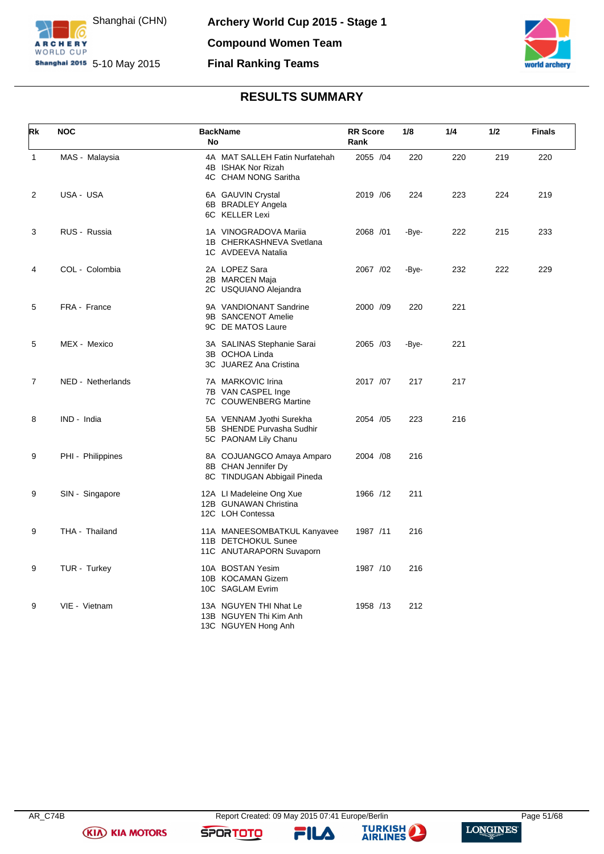



### **RESULTS SUMMARY**

<span id="page-51-0"></span>

| Rk           | <b>NOC</b>        | <b>BackName</b><br>No                                                           | <b>RR</b> Score<br>Rank | 1/8   | 1/4 | 1/2 | <b>Finals</b> |
|--------------|-------------------|---------------------------------------------------------------------------------|-------------------------|-------|-----|-----|---------------|
| $\mathbf{1}$ | MAS - Malaysia    | 4A MAT SALLEH Fatin Nurfatehah<br>4B ISHAK Nor Rizah<br>4C CHAM NONG Saritha    | 2055 /04                | 220   | 220 | 219 | 220           |
| 2            | USA - USA         | 6A GAUVIN Crystal<br>6B BRADLEY Angela<br>6C KELLER Lexi                        | 2019 / 06               | 224   | 223 | 224 | 219           |
| 3            | RUS - Russia      | 1A VINOGRADOVA Mariia<br>1B CHERKASHNEVA Svetlana<br>1C AVDEEVA Natalia         | 2068 /01                | -Bye- | 222 | 215 | 233           |
| 4            | COL - Colombia    | 2A LOPEZ Sara<br>2B MARCEN Maja<br>2C USQUIANO Alejandra                        | 2067 /02                | -Bye- | 232 | 222 | 229           |
| 5            | FRA - France      | 9A VANDIONANT Sandrine<br>9B SANCENOT Amelie<br>9C DE MATOS Laure               | 2000 /09                | 220   | 221 |     |               |
| 5            | MEX - Mexico      | 3A SALINAS Stephanie Sarai<br>3B OCHOA Linda<br>3C JUAREZ Ana Cristina          | 2065 /03                | -Bye- | 221 |     |               |
| 7            | NED - Netherlands | 7A MARKOVIC Irina<br>7B VAN CASPEL Inge<br>7C COUWENBERG Martine                | 2017 /07                | 217   | 217 |     |               |
| 8            | IND - India       | 5A VENNAM Jyothi Surekha<br>5B SHENDE Purvasha Sudhir<br>5C PAONAM Lily Chanu   | 2054 /05                | 223   | 216 |     |               |
| 9            | PHI - Philippines | 8A COJUANGCO Amaya Amparo<br>8B CHAN Jennifer Dy<br>8C TINDUGAN Abbigail Pineda | 2004 /08                | 216   |     |     |               |
| 9            | SIN - Singapore   | 12A LI Madeleine Ong Xue<br>12B GUNAWAN Christina<br>12C LOH Contessa           | 1966 /12                | 211   |     |     |               |
| 9            | THA - Thailand    | 11A MANEESOMBATKUL Kanyavee<br>11B DETCHOKUL Sunee<br>11C ANUTARAPORN Suvaporn  | 1987 /11                | 216   |     |     |               |
| 9            | TUR - Turkey      | 10A BOSTAN Yesim<br>10B KOCAMAN Gizem<br>10C SAGLAM Evrim                       | 1987 /10                | 216   |     |     |               |
| 9            | VIE - Vietnam     | 13A NGUYEN THI Nhat Le<br>13B NGUYEN Thi Kim Anh<br>13C NGUYEN Hong Anh         | 1958 /13                | 212   |     |     |               |

**(KIA) KIA MOTORS** 

**SPORTOTO** 



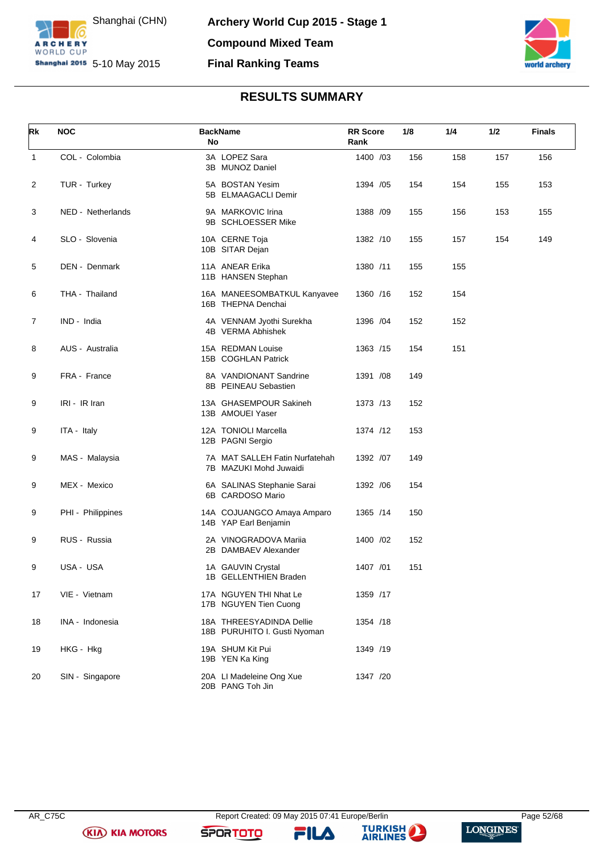



### **RESULTS SUMMARY**

<span id="page-52-0"></span>

| Rk           | <b>NOC</b>        | No | <b>BackName</b>                                          | <b>RR</b> Score<br>Rank | 1/8 | 1/4 | 1/2 | <b>Finals</b> |
|--------------|-------------------|----|----------------------------------------------------------|-------------------------|-----|-----|-----|---------------|
| $\mathbf{1}$ | COL - Colombia    |    | 3A LOPEZ Sara<br>3B MUNOZ Daniel                         | 1400 /03                | 156 | 158 | 157 | 156           |
| 2            | TUR - Turkey      |    | 5A BOSTAN Yesim<br>5B ELMAAGACLI Demir                   | 1394 / 05               | 154 | 154 | 155 | 153           |
| 3            | NED - Netherlands |    | 9A MARKOVIC Irina<br>9B SCHLOESSER Mike                  | 1388 /09                | 155 | 156 | 153 | 155           |
| 4            | SLO - Slovenia    |    | 10A CERNE Toja<br>10B SITAR Dejan                        | 1382 /10                | 155 | 157 | 154 | 149           |
| 5            | DEN - Denmark     |    | 11A ANEAR Erika<br>11B HANSEN Stephan                    | 1380 /11                | 155 | 155 |     |               |
| 6            | THA - Thailand    |    | 16A MANEESOMBATKUL Kanyavee<br>16B THEPNA Denchai        | 1360 /16                | 152 | 154 |     |               |
| 7            | IND - India       |    | 4A VENNAM Jyothi Surekha<br>4B VERMA Abhishek            | 1396 / 04               | 152 | 152 |     |               |
| 8            | AUS - Australia   |    | 15A REDMAN Louise<br>15B COGHLAN Patrick                 | 1363 /15                | 154 | 151 |     |               |
| 9            | FRA - France      |    | 8A VANDIONANT Sandrine<br>8B PEINEAU Sebastien           | 1391 /08                | 149 |     |     |               |
| 9            | IRI - IR Iran     |    | 13A GHASEMPOUR Sakineh<br>13B AMOUEI Yaser               | 1373 /13                | 152 |     |     |               |
| 9            | ITA - Italy       |    | 12A TONIOLI Marcella<br>12B PAGNI Sergio                 | 1374 /12                | 153 |     |     |               |
| 9            | MAS - Malaysia    |    | 7A MAT SALLEH Fatin Nurfatehah<br>7B MAZUKI Mohd Juwaidi | 1392 /07                | 149 |     |     |               |
| 9            | MEX - Mexico      |    | 6A SALINAS Stephanie Sarai<br>6B CARDOSO Mario           | 1392 / 06               | 154 |     |     |               |
| 9            | PHI - Philippines |    | 14A COJUANGCO Amaya Amparo<br>14B YAP Earl Benjamin      | 1365 /14                | 150 |     |     |               |
| 9            | RUS - Russia      |    | 2A VINOGRADOVA Mariia<br>2B DAMBAEV Alexander            | 1400 /02                | 152 |     |     |               |
| 9            | USA - USA         |    | 1A GAUVIN Crystal<br>1B GELLENTHIEN Braden               | 1407 /01                | 151 |     |     |               |
| 17           | VIE - Vietnam     |    | 17A NGUYEN THI Nhat Le<br>17B NGUYEN Tien Cuong          | 1359 /17                |     |     |     |               |
| 18           | INA - Indonesia   |    | 18A THREESYADINDA Dellie<br>18B PURUHITO I. Gusti Nyoman | 1354 /18                |     |     |     |               |
| 19           | HKG - Hkg         |    | 19A SHUM Kit Pui<br>19B YEN Ka King                      | 1349 /19                |     |     |     |               |
| 20           | SIN - Singapore   |    | 20A LI Madeleine Ong Xue<br>20B PANG Toh Jin             | 1347 /20                |     |     |     |               |

**(KIA) KIA MOTORS** 

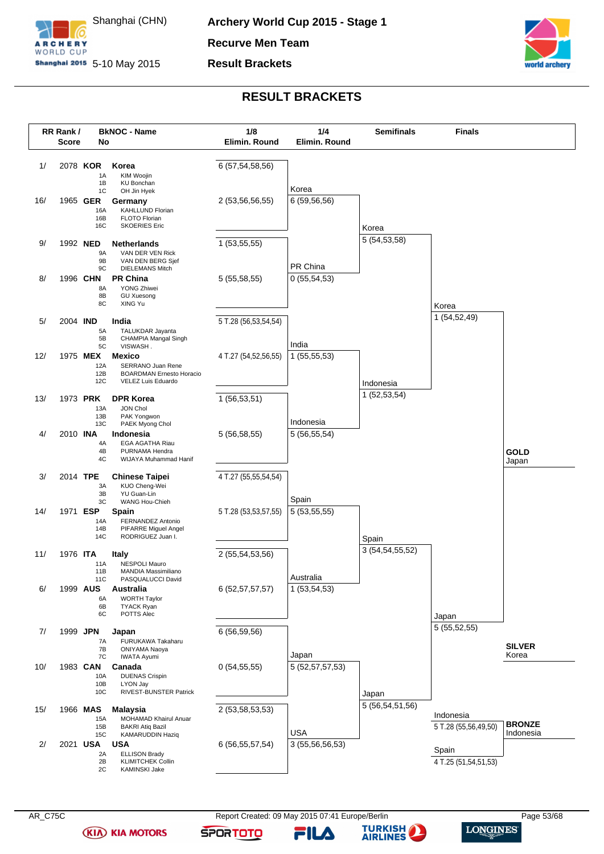

**Archery World Cup 2015 - Stage 1 Recurve Men Team**

**Result Brackets**



### **RESULT BRACKETS**

<span id="page-53-0"></span>

**(KIA) KIA MOTORS** 

AR\_C75C Report Created: 09 May 2015 07:41 Europe/Berlin Page 53/68 Page 53/68

**-ILA** 

**SPORTOTO** 

**TURKISH** 

**AIRLINES**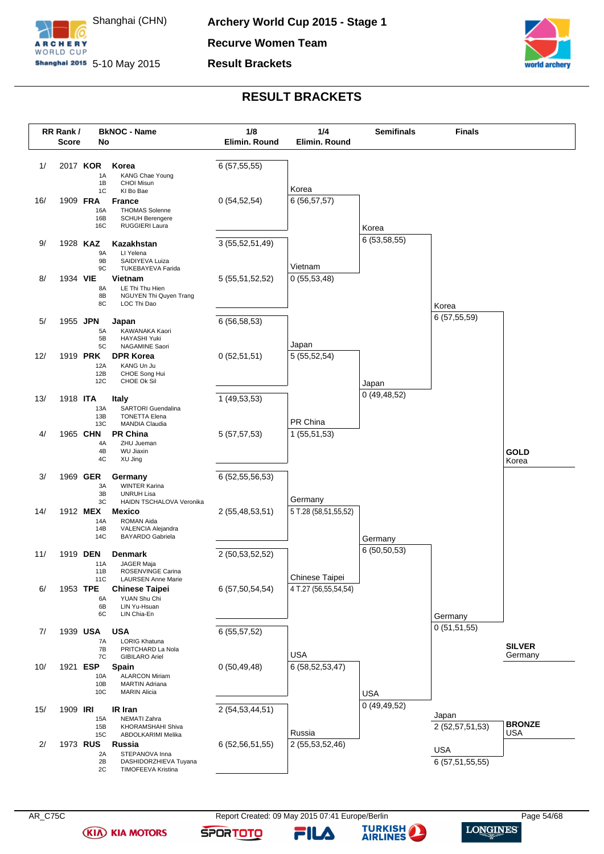

**Recurve Women Team**

**Result Brackets**



### **RESULT BRACKETS**

<span id="page-54-0"></span>

**(KIA) KIA MOTORS** 

AR\_C75C Report Created: 09 May 2015 07:41 Europe/Berlin Page 54/68 Page 54/68

FILA

**SPORTOTO** 

**TURKISH** 

**AIRLINES**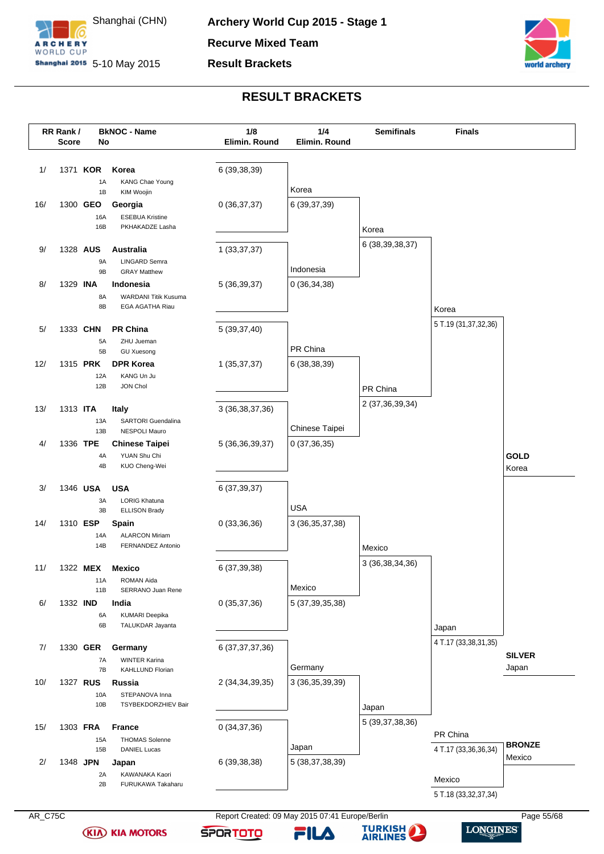



### **RESULT BRACKETS**

<span id="page-55-0"></span>

**(KIA) KIA MOTORS** 



**TURKISH** 

**AIRLINES** 

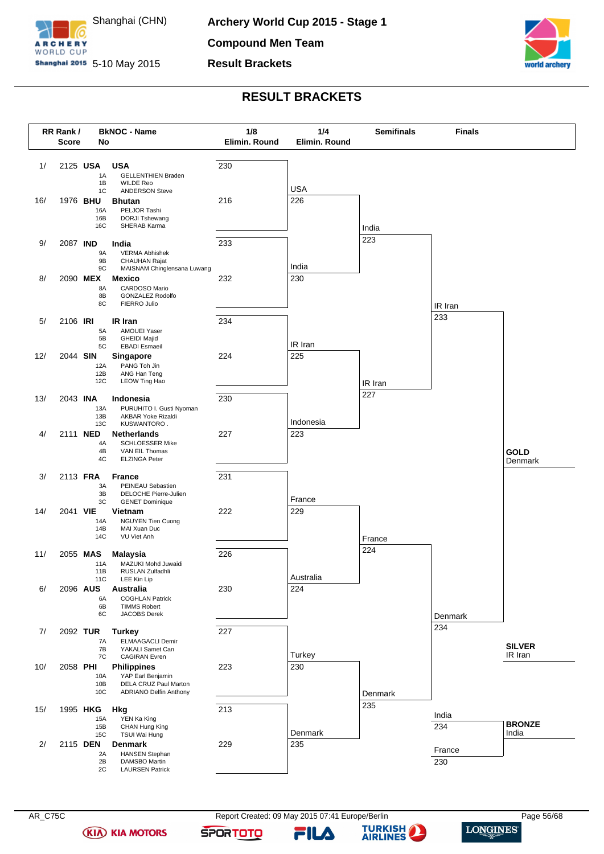

**Compound Men Team**

**Result Brackets**



### **RESULT BRACKETS**

<span id="page-56-0"></span>

**(KIA) KIA MOTORS** 

FILA

**SPORTOTO** 

**TURKISH** 

**AIRLINES** 

 $\bf{L}$ 

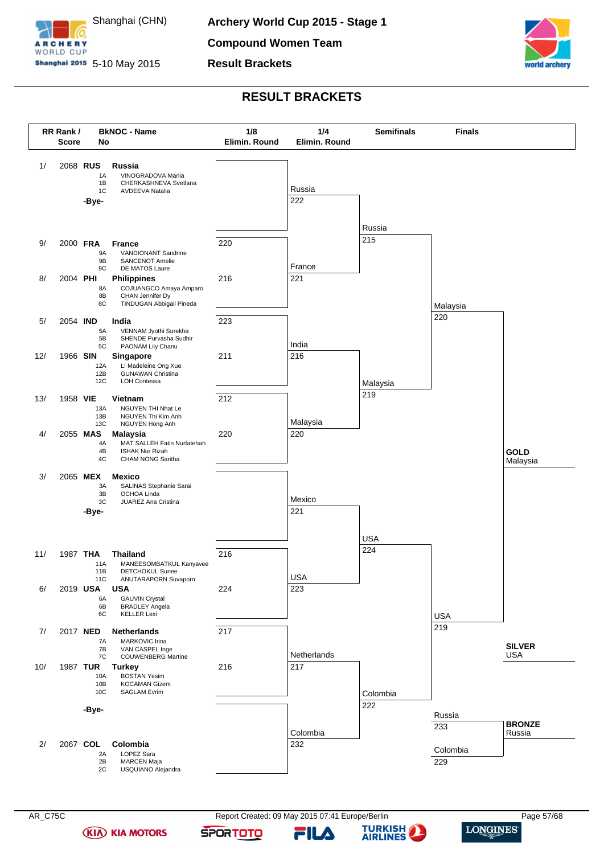

**Compound Women Team**

**Result Brackets**



### **RESULT BRACKETS**

<span id="page-57-0"></span>

**(KIA) KIA MOTORS** 

FILA

**SPORTOTO** 

**TURKISH** 

**AIRLINES** 

 $\bf{L}$ 

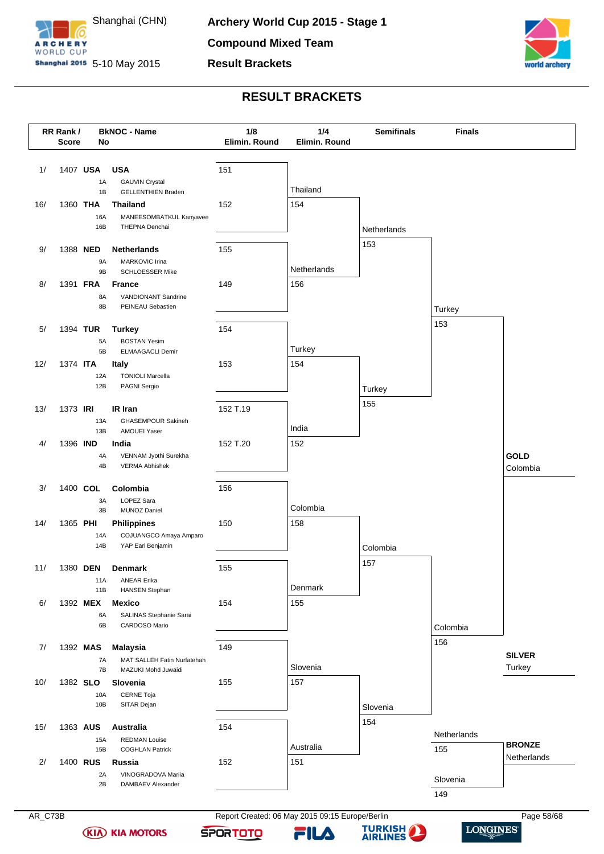

**Result Brackets**



### **RESULT BRACKETS**

<span id="page-58-0"></span>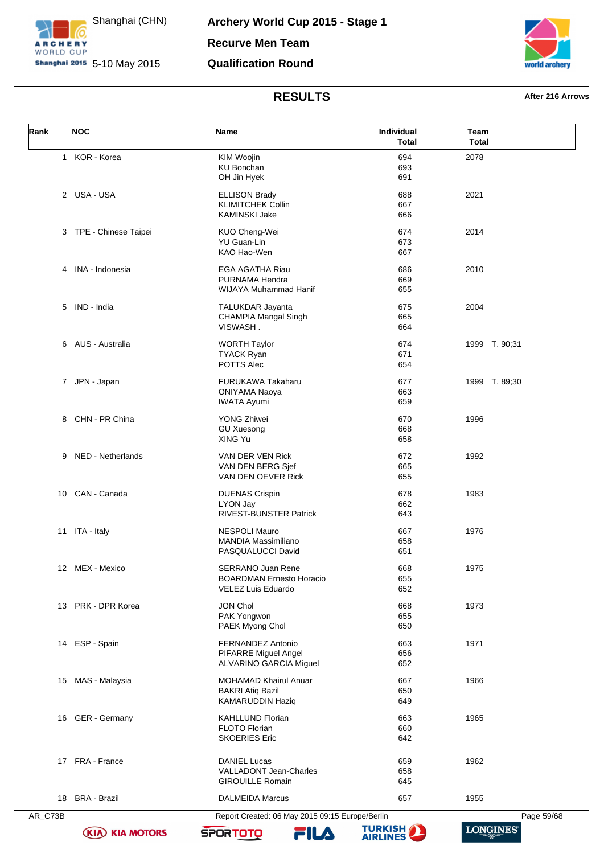

**Archery World Cup 2015 - Stage 1 Recurve Men Team Qualification Round**



# **RESULTS After 216 Arrows**

<span id="page-59-0"></span>

| Rank    | <b>NOC</b>           | Name                                            | Individual<br><b>Total</b> | Team<br><b>Total</b> |
|---------|----------------------|-------------------------------------------------|----------------------------|----------------------|
|         | 1 KOR - Korea        | KIM Woojin                                      | 694                        | 2078                 |
|         |                      | KU Bonchan                                      | 693                        |                      |
|         |                      | OH Jin Hyek                                     | 691                        |                      |
|         | 2 USA-USA            | <b>ELLISON Brady</b>                            | 688                        | 2021                 |
|         |                      | <b>KLIMITCHEK Collin</b>                        | 667                        |                      |
|         |                      | <b>KAMINSKI Jake</b>                            | 666                        |                      |
| 3       | TPE - Chinese Taipei | KUO Cheng-Wei                                   | 674                        | 2014                 |
|         |                      | <b>YU Guan-Lin</b>                              | 673                        |                      |
|         |                      | KAO Hao-Wen                                     | 667                        |                      |
| 4       | INA - Indonesia      | EGA AGATHA Riau                                 | 686                        | 2010                 |
|         |                      | PURNAMA Hendra                                  | 669                        |                      |
|         |                      | WIJAYA Muhammad Hanif                           | 655                        |                      |
|         | 5 IND - India        | <b>TALUKDAR Jayanta</b>                         | 675                        | 2004                 |
|         |                      | CHAMPIA Mangal Singh                            | 665                        |                      |
|         |                      | VISWASH.                                        | 664                        |                      |
| 6       | AUS - Australia      | <b>WORTH Taylor</b>                             | 674                        | 1999 T. 90;31        |
|         |                      | <b>TYACK Ryan</b>                               | 671                        |                      |
|         |                      | POTTS Alec                                      | 654                        |                      |
|         | 7 JPN - Japan        | <b>FURUKAWA Takaharu</b>                        | 677                        | 1999 T.89,30         |
|         |                      | <b>ONIYAMA Naoya</b>                            | 663                        |                      |
|         |                      | <b>IWATA Ayumi</b>                              | 659                        |                      |
| 8       | CHN - PR China       | <b>YONG Zhiwei</b>                              | 670                        | 1996                 |
|         |                      | <b>GU Xuesong</b>                               | 668                        |                      |
|         |                      | XING Yu                                         | 658                        |                      |
| 9       | NED - Netherlands    | VAN DER VEN Rick                                | 672                        | 1992                 |
|         |                      | VAN DEN BERG Sjef                               | 665                        |                      |
|         |                      | VAN DEN OEVER Rick                              | 655                        |                      |
| 10      | CAN - Canada         | <b>DUENAS Crispin</b>                           | 678                        | 1983                 |
|         |                      | LYON Jay                                        | 662                        |                      |
|         |                      | RIVEST-BUNSTER Patrick                          | 643                        |                      |
| 11      | ITA - Italy          | <b>NESPOLI Mauro</b>                            | 667                        | 1976                 |
|         |                      | <b>MANDIA Massimiliano</b>                      | 658                        |                      |
|         |                      | PASQUALUCCI David                               | 651                        |                      |
|         | 12 MEX - Mexico      | SERRANO Juan Rene                               | 668                        | 1975                 |
|         |                      | <b>BOARDMAN Ernesto Horacio</b>                 | 655                        |                      |
|         |                      | <b>VELEZ Luis Eduardo</b>                       | 652                        |                      |
|         | 13 PRK - DPR Korea   | <b>JON Chol</b>                                 | 668                        | 1973                 |
|         |                      | PAK Yongwon                                     | 655                        |                      |
|         |                      | PAEK Myong Chol                                 | 650                        |                      |
|         | 14 ESP - Spain       | FERNANDEZ Antonio                               | 663                        | 1971                 |
|         |                      | PIFARRE Miguel Angel                            | 656                        |                      |
|         |                      | ALVARINO GARCIA Miguel                          | 652                        |                      |
|         | 15 MAS - Malaysia    | <b>MOHAMAD Khairul Anuar</b>                    | 667                        | 1966                 |
|         |                      | <b>BAKRI Atiq Bazil</b>                         | 650                        |                      |
|         |                      | KAMARUDDIN Haziq                                | 649                        |                      |
|         | 16 GER - Germany     | <b>KAHLLUND Florian</b>                         | 663                        | 1965                 |
|         |                      | <b>FLOTO Florian</b>                            | 660                        |                      |
|         |                      | <b>SKOERIES Eric</b>                            | 642                        |                      |
| 17      | FRA - France         | <b>DANIEL Lucas</b>                             | 659                        | 1962                 |
|         |                      | VALLADONT Jean-Charles                          | 658                        |                      |
|         |                      | <b>GIROUILLE Romain</b>                         | 645                        |                      |
| 18      | <b>BRA - Brazil</b>  | <b>DALMEIDA Marcus</b>                          | 657                        | 1955                 |
|         |                      |                                                 |                            |                      |
| AR_C73B |                      | Report Created: 06 May 2015 09:15 Europe/Berlin |                            | Page 59/68           |



**SPORTOTO**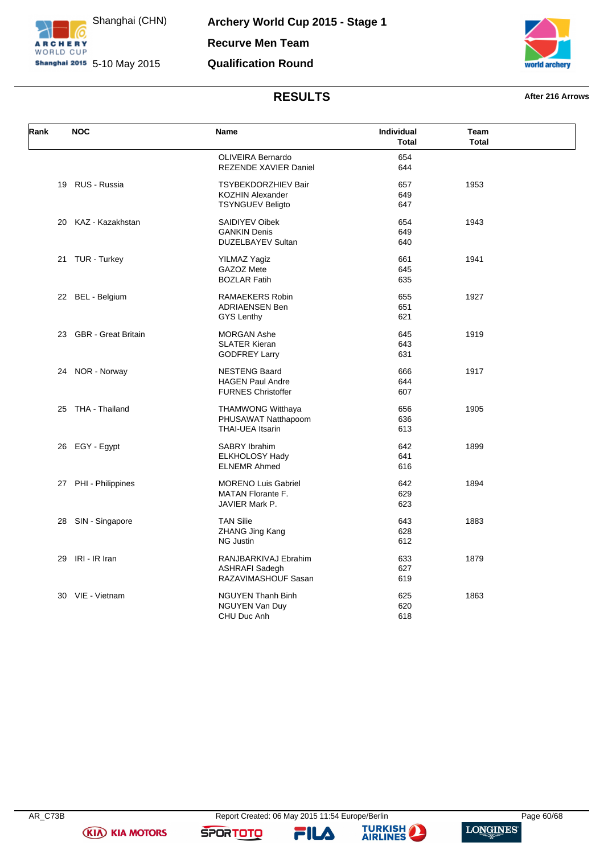

**Archery World Cup 2015 - Stage 1 Recurve Men Team Qualification Round**



### **RESULTS After 216 Arrows**

| Rank | <b>NOC</b>             | Name                                                                             | Individual<br><b>Total</b> | Team<br><b>Total</b> |  |
|------|------------------------|----------------------------------------------------------------------------------|----------------------------|----------------------|--|
|      |                        | OLIVEIRA Bernardo<br>REZENDE XAVIER Daniel                                       | 654<br>644                 |                      |  |
|      | 19 RUS - Russia        | <b>TSYBEKDORZHIEV Bair</b><br><b>KOZHIN Alexander</b><br><b>TSYNGUEV Beligto</b> | 657<br>649<br>647          | 1953                 |  |
|      | 20 KAZ - Kazakhstan    | SAIDIYEV Oibek<br><b>GANKIN Denis</b><br><b>DUZELBAYEV Sultan</b>                | 654<br>649<br>640          | 1943                 |  |
|      | 21 TUR - Turkey        | <b>YILMAZ Yagiz</b><br>GAZOZ Mete<br><b>BOZLAR Fatih</b>                         | 661<br>645<br>635          | 1941                 |  |
|      | 22 BEL - Belgium       | RAMAEKERS Robin<br><b>ADRIAENSEN Ben</b><br><b>GYS Lenthy</b>                    | 655<br>651<br>621          | 1927                 |  |
|      | 23 GBR - Great Britain | <b>MORGAN Ashe</b><br><b>SLATER Kieran</b><br><b>GODFREY Larry</b>               | 645<br>643<br>631          | 1919                 |  |
|      | 24 NOR - Norway        | <b>NESTENG Baard</b><br><b>HAGEN Paul Andre</b><br><b>FURNES Christoffer</b>     | 666<br>644<br>607          | 1917                 |  |
| 25   | THA - Thailand         | <b>THAMWONG Witthaya</b><br>PHUSAWAT Natthapoom<br><b>THAI-UEA Itsarin</b>       | 656<br>636<br>613          | 1905                 |  |
|      | 26 EGY - Egypt         | SABRY Ibrahim<br><b>ELKHOLOSY Hady</b><br><b>ELNEMR Ahmed</b>                    | 642<br>641<br>616          | 1899                 |  |
|      | 27 PHI - Philippines   | <b>MORENO Luis Gabriel</b><br>MATAN Florante F.<br>JAVIER Mark P.                | 642<br>629<br>623          | 1894                 |  |
| 28   | SIN - Singapore        | <b>TAN Silie</b><br>ZHANG Jing Kang<br><b>NG Justin</b>                          | 643<br>628<br>612          | 1883                 |  |
| 29   | IRI - IR Iran          | RANJBARKIVAJ Ebrahim<br>ASHRAFI Sadegh<br>RAZAVIMASHOUF Sasan                    | 633<br>627<br>619          | 1879                 |  |
|      | 30 VIE - Vietnam       | <b>NGUYEN Thanh Binh</b><br>NGUYEN Van Duy<br>CHU Duc Anh                        | 625<br>620<br>618          | 1863                 |  |

**(KIA) KIA MOTORS** 

**SPORTOTO** 

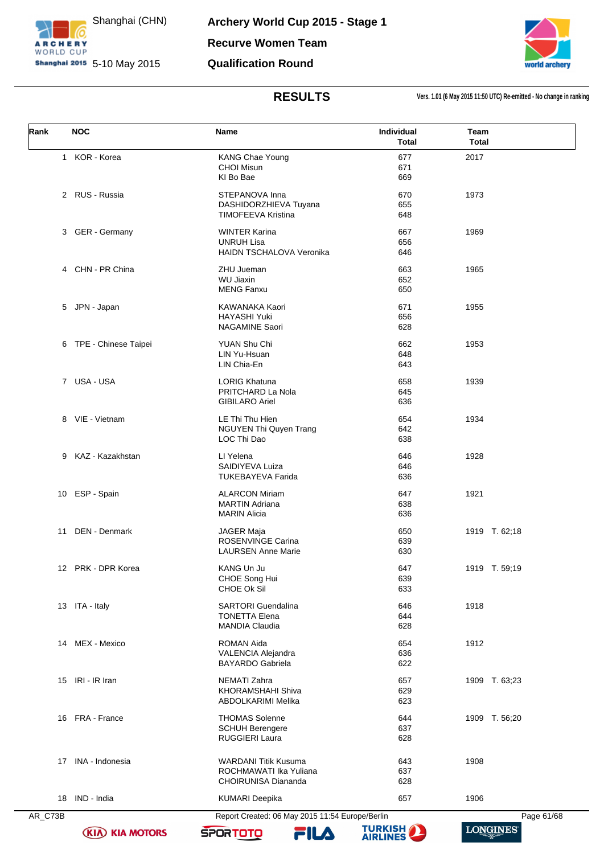

**Archery World Cup 2015 - Stage 1 Recurve Women Team Qualification Round**



**RESULTS Vers. 1.01 (6 May 2015 11:50 UTC) Re-emitted - No change in ranking**

<span id="page-61-0"></span>

| Rank | <b>NOC</b>             | Name                                                                                | Individual<br><b>Total</b> | Team<br><b>Total</b> |
|------|------------------------|-------------------------------------------------------------------------------------|----------------------------|----------------------|
|      | 1 KOR - Korea          | <b>KANG Chae Young</b><br><b>CHOI Misun</b><br>KI Bo Bae                            | 677<br>671<br>669          | 2017                 |
|      | 2 RUS - Russia         | STEPANOVA Inna<br>DASHIDORZHIEVA Tuyana<br><b>TIMOFEEVA Kristina</b>                | 670<br>655<br>648          | 1973                 |
|      | 3 GER - Germany        | <b>WINTER Karina</b><br><b>UNRUH Lisa</b><br><b>HAIDN TSCHALOVA Veronika</b>        | 667<br>656<br>646          | 1969                 |
|      | 4 CHN - PR China       | ZHU Jueman<br><b>WU Jiaxin</b><br><b>MENG Fanxu</b>                                 | 663<br>652<br>650          | 1965                 |
| 5    | JPN - Japan            | KAWANAKA Kaori<br><b>HAYASHI Yuki</b><br><b>NAGAMINE Saori</b>                      | 671<br>656<br>628          | 1955                 |
|      | 6 TPE - Chinese Taipei | YUAN Shu Chi<br>LIN Yu-Hsuan<br>LIN Chia-En                                         | 662<br>648<br>643          | 1953                 |
|      | 7 USA - USA            | <b>LORIG Khatuna</b><br>PRITCHARD La Nola<br><b>GIBILARO Ariel</b>                  | 658<br>645<br>636          | 1939                 |
|      | 8 VIE - Vietnam        | LE Thi Thu Hien<br>NGUYEN Thi Quyen Trang<br>LOC Thi Dao                            | 654<br>642<br>638          | 1934                 |
|      | 9 KAZ - Kazakhstan     | LI Yelena<br>SAIDIYEVA Luiza<br><b>TUKEBAYEVA Farida</b>                            | 646<br>646<br>636          | 1928                 |
|      | 10 ESP - Spain         | <b>ALARCON Miriam</b><br><b>MARTIN Adriana</b><br><b>MARIN Alicia</b>               | 647<br>638<br>636          | 1921                 |
| 11   | <b>DEN - Denmark</b>   | JAGER Maja<br><b>ROSENVINGE Carina</b><br><b>LAURSEN Anne Marie</b>                 | 650<br>639<br>630          | 1919 T. 62;18        |
|      | 12 PRK - DPR Korea     | KANG Un Ju<br>CHOE Song Hui<br>CHOE Ok Sil                                          | 647<br>639<br>633          | 1919 T. 59;19        |
|      | 13 ITA - Italy         | <b>SARTORI</b> Guendalina<br><b>TONETTA Elena</b><br><b>MANDIA Claudia</b>          | 646<br>644<br>628          | 1918                 |
| 14   | MEX - Mexico           | ROMAN Aida<br>VALENCIA Alejandra<br><b>BAYARDO Gabriela</b>                         | 654<br>636<br>622          | 1912                 |
|      | 15 IRI - IR Iran       | NEMATI Zahra<br>KHORAMSHAHI Shiva<br><b>ABDOLKARIMI Melika</b>                      | 657<br>629<br>623          | 1909 T. 63;23        |
|      | 16 FRA - France        | <b>THOMAS Solenne</b><br><b>SCHUH Berengere</b><br>RUGGIERI Laura                   | 644<br>637<br>628          | 1909 T. 56;20        |
|      | 17 INA - Indonesia     | <b>WARDANI Titik Kusuma</b><br>ROCHMAWATI Ika Yuliana<br><b>CHOIRUNISA Diananda</b> | 643<br>637<br>628          | 1908                 |
|      | 18 IND - India         | <b>KUMARI Deepika</b>                                                               | 657                        | 1906                 |

**(KIA) KIA MOTORS** 

AR\_C73B Report Created: 06 May 2015 11:54 Europe/Berlin Page 61/68 **TURKISH** 

FILA

**SPORTOTO**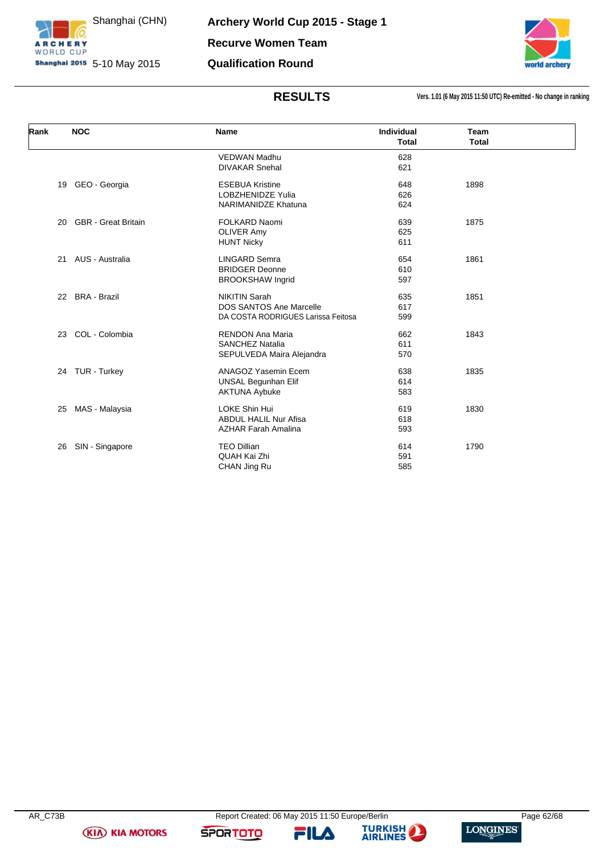

**Archery World Cup 2015 - Stage 1 Recurve Women Team Qualification Round**



**RESULTS Vers. 1.01 (6 May 2015 11:50 UTC) Re-emitted - No change in ranking**

| Rank | <b>NOC</b>                 | Name                               | Individual<br><b>Total</b> | <b>Team</b><br><b>Total</b> |  |
|------|----------------------------|------------------------------------|----------------------------|-----------------------------|--|
|      |                            | <b>VEDWAN Madhu</b>                | 628                        |                             |  |
|      |                            | <b>DIVAKAR Snehal</b>              | 621                        |                             |  |
| 19   | GEO - Georgia              | <b>ESEBUA Kristine</b>             | 648                        | 1898                        |  |
|      |                            | <b>LOBZHENIDZE Yulia</b>           | 626                        |                             |  |
|      |                            | <b>NARIMANIDZE Khatuna</b>         | 624                        |                             |  |
| 20   | <b>GBR</b> - Great Britain | <b>FOLKARD Naomi</b>               | 639                        | 1875                        |  |
|      |                            | <b>OLIVER Amy</b>                  | 625                        |                             |  |
|      |                            | <b>HUNT Nicky</b>                  | 611                        |                             |  |
| 21   | AUS - Australia            | <b>LINGARD Semra</b>               | 654                        | 1861                        |  |
|      |                            | <b>BRIDGER Deonne</b>              | 610                        |                             |  |
|      |                            | <b>BROOKSHAW Ingrid</b>            | 597                        |                             |  |
| 22   | <b>BRA - Brazil</b>        | <b>NIKITIN Sarah</b>               | 635                        | 1851                        |  |
|      |                            | <b>DOS SANTOS Ane Marcelle</b>     | 617                        |                             |  |
|      |                            | DA COSTA RODRIGUES Larissa Feitosa | 599                        |                             |  |
| 23   | COL - Colombia             | <b>RENDON Ana Maria</b>            | 662                        | 1843                        |  |
|      |                            | <b>SANCHEZ Natalia</b>             | 611                        |                             |  |
|      |                            | SEPULVEDA Maira Alejandra          | 570                        |                             |  |
|      | 24 TUR - Turkey            | ANAGOZ Yasemin Ecem                | 638                        | 1835                        |  |
|      |                            | <b>UNSAL Begunhan Elif</b>         | 614                        |                             |  |
|      |                            | <b>AKTUNA Aybuke</b>               | 583                        |                             |  |
| 25   | MAS - Malaysia             | <b>LOKE Shin Hui</b>               | 619                        | 1830                        |  |
|      |                            | <b>ABDUL HALIL Nur Afisa</b>       | 618                        |                             |  |
|      |                            | <b>AZHAR Farah Amalina</b>         | 593                        |                             |  |
| 26   | SIN - Singapore            | <b>TEO Dillian</b>                 | 614                        | 1790                        |  |
|      |                            | QUAH Kai Zhi                       | 591                        |                             |  |
|      |                            | CHAN Jing Ru                       | 585                        |                             |  |

**(KIA) KIA MOTORS** 

**SPORTOTO** 

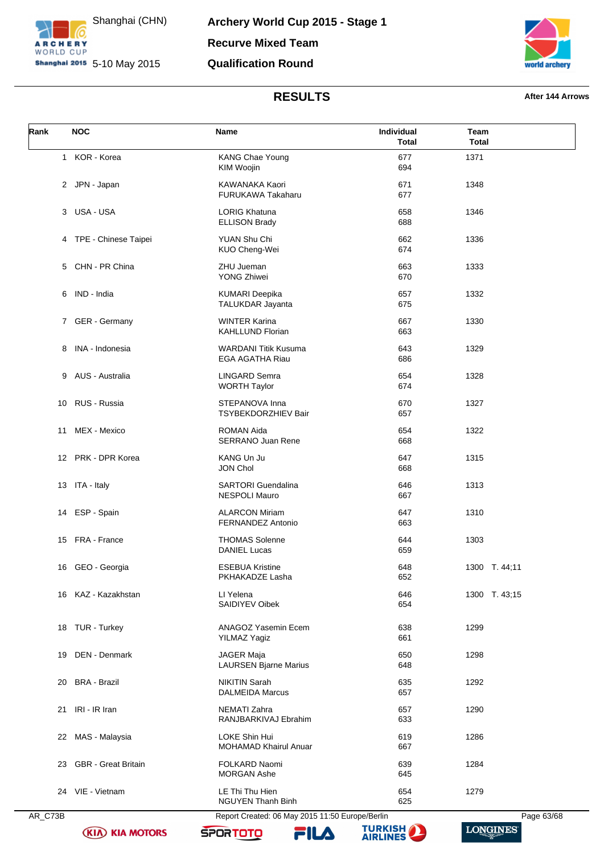



# **RESULTS After 144 Arrows**

<span id="page-63-0"></span>

| Rank | <b>NOC</b>             | Name                                              | Individual<br><b>Total</b> | Team<br><b>Total</b> |
|------|------------------------|---------------------------------------------------|----------------------------|----------------------|
|      | 1 KOR - Korea          | KANG Chae Young<br>KIM Woojin                     | 677<br>694                 | 1371                 |
|      | 2 JPN - Japan          | KAWANAKA Kaori<br>FURUKAWA Takaharu               | 671<br>677                 | 1348                 |
|      | 3 USA - USA            | <b>LORIG Khatuna</b><br><b>ELLISON Brady</b>      | 658<br>688                 | 1346                 |
|      | 4 TPE - Chinese Taipei | YUAN Shu Chi<br>KUO Cheng-Wei                     | 662<br>674                 | 1336                 |
|      | 5 CHN - PR China       | ZHU Jueman<br><b>YONG Zhiwei</b>                  | 663<br>670                 | 1333                 |
| 6    | IND - India            | <b>KUMARI Deepika</b><br>TALUKDAR Jayanta         | 657<br>675                 | 1332                 |
|      | 7 GER - Germany        | <b>WINTER Karina</b><br><b>KAHLLUND Florian</b>   | 667<br>663                 | 1330                 |
| 8    | INA - Indonesia        | <b>WARDANI Titik Kusuma</b><br>EGA AGATHA Riau    | 643<br>686                 | 1329                 |
|      | 9 AUS - Australia      | <b>LINGARD Semra</b><br><b>WORTH Taylor</b>       | 654<br>674                 | 1328                 |
|      | 10 RUS - Russia        | STEPANOVA Inna<br>TSYBEKDORZHIEV Bair             | 670<br>657                 | 1327                 |
| 11   | MEX - Mexico           | ROMAN Aida<br>SERRANO Juan Rene                   | 654<br>668                 | 1322                 |
|      | 12 PRK - DPR Korea     | KANG Un Ju<br><b>JON Chol</b>                     | 647<br>668                 | 1315                 |
|      | 13 ITA - Italy         | <b>SARTORI</b> Guendalina<br><b>NESPOLI Mauro</b> | 646<br>667                 | 1313                 |
|      | 14 ESP - Spain         | <b>ALARCON Miriam</b><br><b>FERNANDEZ Antonio</b> | 647<br>663                 | 1310                 |
|      | 15 FRA - France        | <b>THOMAS Solenne</b><br><b>DANIEL Lucas</b>      | 644<br>659                 | 1303                 |
|      | 16 GEO - Georgia       | <b>ESEBUA Kristine</b><br>PKHAKADZE Lasha         | 648<br>652                 | 1300 T. 44;11        |
|      | 16 KAZ - Kazakhstan    | LI Yelena<br>SAIDIYEV Oibek                       | 646<br>654                 | 1300 T. 43:15        |
|      | 18 TUR - Turkey        | ANAGOZ Yasemin Ecem<br><b>YILMAZ Yagiz</b>        | 638<br>661                 | 1299                 |
| 19   | DEN - Denmark          | <b>JAGER Maja</b><br><b>LAURSEN Bjarne Marius</b> | 650<br>648                 | 1298                 |
| 20   | BRA - Brazil           | <b>NIKITIN Sarah</b><br><b>DALMEIDA Marcus</b>    | 635<br>657                 | 1292                 |
|      | 21 IRI - IR Iran       | NEMATI Zahra<br>RANJBARKIVAJ Ebrahim              | 657<br>633                 | 1290                 |
| 22   | MAS - Malaysia         | LOKE Shin Hui<br><b>MOHAMAD Khairul Anuar</b>     | 619<br>667                 | 1286                 |
|      | 23 GBR - Great Britain | FOLKARD Naomi<br><b>MORGAN Ashe</b>               | 639<br>645                 | 1284                 |
|      | 24 VIE - Vietnam       | LE Thi Thu Hien<br><b>NGUYEN Thanh Binh</b>       | 654<br>625                 | 1279                 |

**(KIA) KIA MOTORS** 



**SPORTOTO** 

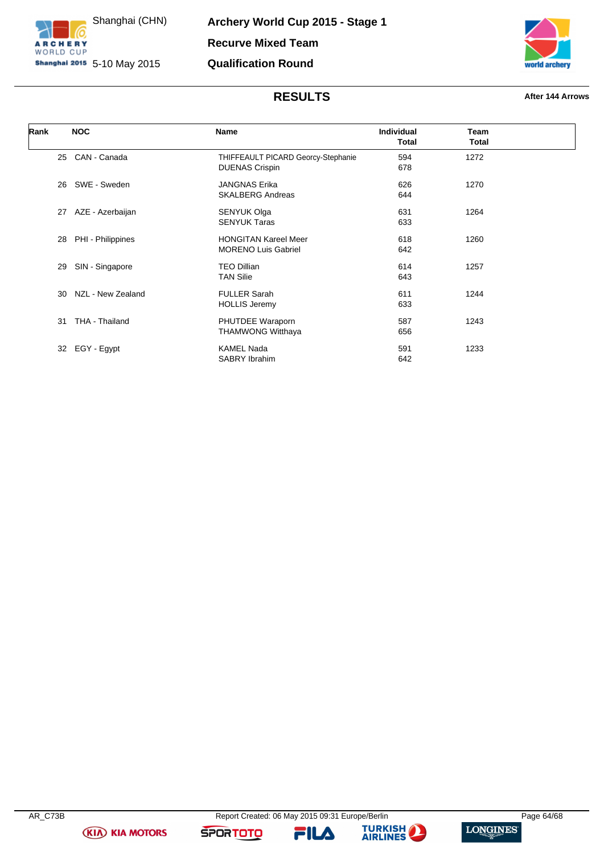



# **RESULTS After 144 Arrows**

| Rank | <b>NOC</b>        | Name                                                        | Individual<br><b>Total</b> | Team<br>Total |  |
|------|-------------------|-------------------------------------------------------------|----------------------------|---------------|--|
| 25   | CAN - Canada      | THIFFEAULT PICARD Georcy-Stephanie<br><b>DUENAS Crispin</b> | 594<br>678                 | 1272          |  |
| 26   | SWE - Sweden      | <b>JANGNAS Erika</b><br><b>SKALBERG Andreas</b>             | 626<br>644                 | 1270          |  |
| 27   | AZE - Azerbaijan  | SENYUK Olga<br><b>SENYUK Taras</b>                          | 631<br>633                 | 1264          |  |
| 28   | PHI - Philippines | <b>HONGITAN Kareel Meer</b><br><b>MORENO Luis Gabriel</b>   | 618<br>642                 | 1260          |  |
| 29   | SIN - Singapore   | <b>TEO Dillian</b><br><b>TAN Silie</b>                      | 614<br>643                 | 1257          |  |
| 30   | NZL - New Zealand | <b>FULLER Sarah</b><br><b>HOLLIS Jeremy</b>                 | 611<br>633                 | 1244          |  |
| 31   | THA - Thailand    | PHUTDEE Waraporn<br><b>THAMWONG Witthaya</b>                | 587<br>656                 | 1243          |  |
| 32   | EGY - Egypt       | <b>KAMEL Nada</b><br>SABRY Ibrahim                          | 591<br>642                 | 1233          |  |

**(KIA) KIA MOTORS** 

**SPORTOTO** 

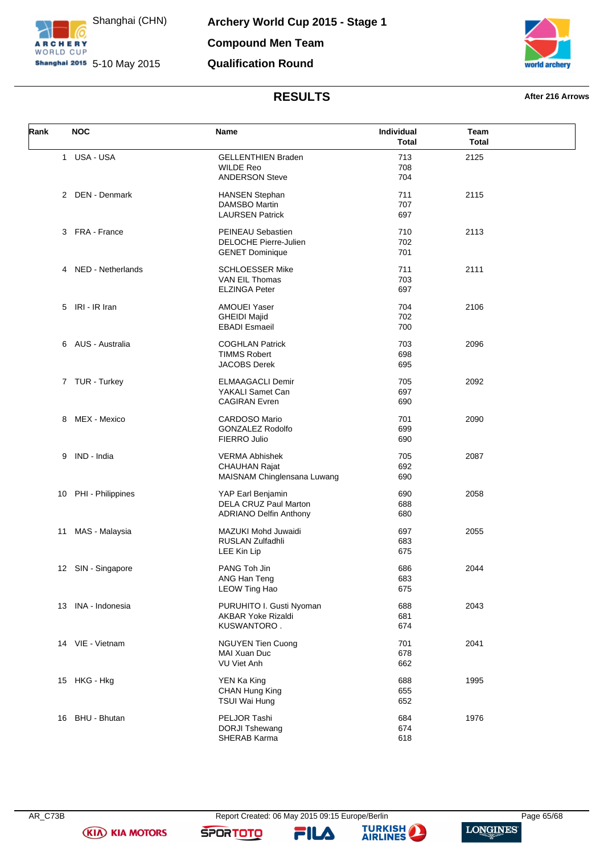



### **RESULTS After 216 Arrows**

<span id="page-65-0"></span>

| Rank | <b>NOC</b>           | Name                                                                         | Individual<br><b>Total</b> | Team<br><b>Total</b> |  |
|------|----------------------|------------------------------------------------------------------------------|----------------------------|----------------------|--|
|      | 1 USA - USA          | <b>GELLENTHIEN Braden</b><br><b>WILDE Reo</b><br><b>ANDERSON Steve</b>       | 713<br>708<br>704          | 2125                 |  |
|      | 2 DEN - Denmark      | <b>HANSEN Stephan</b><br>DAMSBO Martin<br><b>LAURSEN Patrick</b>             | 711<br>707<br>697          | 2115                 |  |
|      | 3 FRA - France       | PEINEAU Sebastien<br><b>DELOCHE Pierre-Julien</b><br><b>GENET Dominique</b>  | 710<br>702<br>701          | 2113                 |  |
| 4    | NED - Netherlands    | <b>SCHLOESSER Mike</b><br>VAN EIL Thomas<br><b>ELZINGA Peter</b>             | 711<br>703<br>697          | 2111                 |  |
| 5    | IRI - IR Iran        | <b>AMOUEI Yaser</b><br><b>GHEIDI Majid</b><br><b>EBADI Esmaeil</b>           | 704<br>702<br>700          | 2106                 |  |
|      | 6 AUS - Australia    | <b>COGHLAN Patrick</b><br><b>TIMMS Robert</b><br><b>JACOBS Derek</b>         | 703<br>698<br>695          | 2096                 |  |
|      | 7 TUR - Turkey       | <b>ELMAAGACLI Demir</b><br>YAKALI Samet Can<br><b>CAGIRAN</b> Evren          | 705<br>697<br>690          | 2092                 |  |
| 8    | MEX - Mexico         | <b>CARDOSO Mario</b><br><b>GONZALEZ Rodolfo</b><br>FIERRO Julio              | 701<br>699<br>690          | 2090                 |  |
| 9    | IND - India          | <b>VERMA Abhishek</b><br><b>CHAUHAN Rajat</b><br>MAISNAM Chinglensana Luwang | 705<br>692<br>690          | 2087                 |  |
|      | 10 PHI - Philippines | YAP Earl Benjamin<br>DELA CRUZ Paul Marton<br><b>ADRIANO Delfin Anthony</b>  | 690<br>688<br>680          | 2058                 |  |
| 11   | MAS - Malaysia       | MAZUKI Mohd Juwaidi<br><b>RUSLAN Zulfadhli</b><br>LEE Kin Lip                | 697<br>683<br>675          | 2055                 |  |
|      | 12 SIN - Singapore   | PANG Toh Jin<br>ANG Han Teng<br><b>LEOW Ting Hao</b>                         | 686<br>683<br>675          | 2044                 |  |
|      | 13 INA - Indonesia   | PURUHITO I. Gusti Nyoman<br><b>AKBAR Yoke Rizaldi</b><br>KUSWANTORO.         | 688<br>681<br>674          | 2043                 |  |
|      | 14 VIE - Vietnam     | <b>NGUYEN Tien Cuong</b><br><b>MAI Xuan Duc</b><br>VU Viet Anh               | 701<br>678<br>662          | 2041                 |  |
|      | 15 HKG - Hkg         | YEN Ka King<br>CHAN Hung King<br>TSUI Wai Hung                               | 688<br>655<br>652          | 1995                 |  |
|      | 16 BHU - Bhutan      | PELJOR Tashi<br><b>DORJI Tshewang</b><br>SHERAB Karma                        | 684<br>674<br>618          | 1976                 |  |

**(KIA) KIA MOTORS** 

**SPORTOTO** 

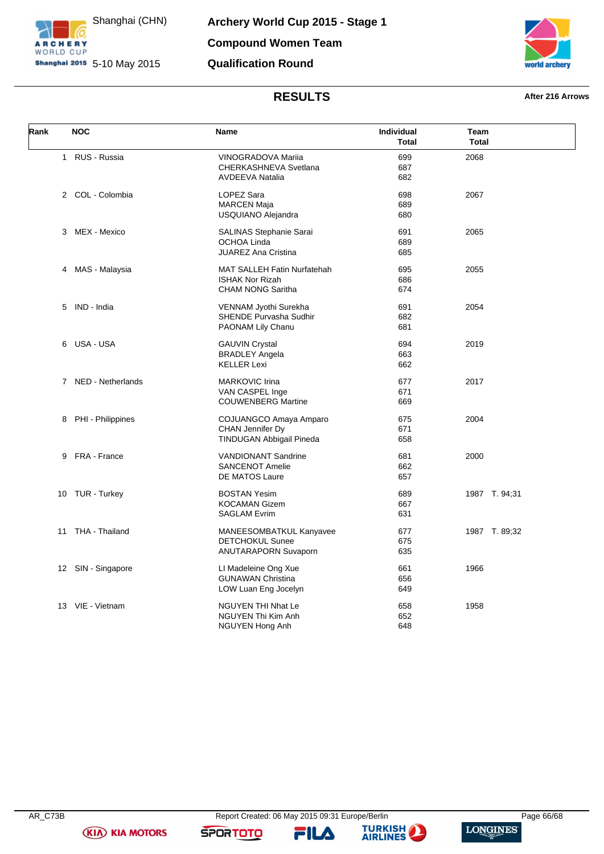



# **RESULTS After 216 Arrows**

<span id="page-66-0"></span>

| Rank | <b>NOC</b>          | Name                                                                               | Individual<br><b>Total</b> | Team<br><b>Total</b> |
|------|---------------------|------------------------------------------------------------------------------------|----------------------------|----------------------|
|      | 1 RUS - Russia      | VINOGRADOVA Mariia<br>CHERKASHNEVA Svetlana<br><b>AVDEEVA Natalia</b>              | 699<br>687<br>682          | 2068                 |
|      | 2 COL - Colombia    | <b>LOPEZ Sara</b><br><b>MARCEN Maja</b><br>USQUIANO Alejandra                      | 698<br>689<br>680          | 2067                 |
|      | 3 MEX - Mexico      | <b>SALINAS Stephanie Sarai</b><br><b>OCHOA Linda</b><br><b>JUAREZ Ana Cristina</b> | 691<br>689<br>685          | 2065                 |
| 4    | MAS - Malaysia      | MAT SALLEH Fatin Nurfatehah<br><b>ISHAK Nor Rizah</b><br><b>CHAM NONG Saritha</b>  | 695<br>686<br>674          | 2055                 |
| 5.   | IND - India         | VENNAM Jyothi Surekha<br>SHENDE Purvasha Sudhir<br>PAONAM Lily Chanu               | 691<br>682<br>681          | 2054                 |
|      | 6 USA-USA           | <b>GAUVIN Crystal</b><br><b>BRADLEY Angela</b><br><b>KELLER Lexi</b>               | 694<br>663<br>662          | 2019                 |
|      | 7 NED - Netherlands | <b>MARKOVIC Irina</b><br>VAN CASPEL Inge<br><b>COUWENBERG Martine</b>              | 677<br>671<br>669          | 2017                 |
|      | 8 PHI - Philippines | COJUANGCO Amaya Amparo<br>CHAN Jennifer Dy<br>TINDUGAN Abbigail Pineda             | 675<br>671<br>658          | 2004                 |
|      | 9 FRA - France      | <b>VANDIONANT Sandrine</b><br><b>SANCENOT Amelie</b><br>DE MATOS Laure             | 681<br>662<br>657          | 2000                 |
| 10   | TUR - Turkey        | <b>BOSTAN Yesim</b><br><b>KOCAMAN Gizem</b><br><b>SAGLAM Evrim</b>                 | 689<br>667<br>631          | 1987 T. 94;31        |
| 11   | THA - Thailand      | MANEESOMBATKUL Kanyavee<br><b>DETCHOKUL Sunee</b><br>ANUTARAPORN Suvaporn          | 677<br>675<br>635          | 1987 T. 89;32        |
|      | 12 SIN - Singapore  | LI Madeleine Ong Xue<br><b>GUNAWAN Christina</b><br>LOW Luan Eng Jocelyn           | 661<br>656<br>649          | 1966                 |
|      | 13 VIE - Vietnam    | NGUYEN THI Nhat Le<br>NGUYEN Thi Kim Anh<br>NGUYEN Hong Anh                        | 658<br>652<br>648          | 1958                 |

**(KIA) KIA MOTORS** 

**SPORTOTO**